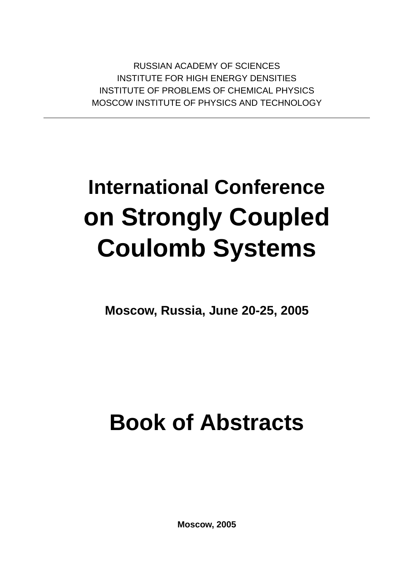RUSSIAN ACADEMY OF SCIENCES INSTITUTE FOR HIGH ENERGY DENSITIES INSTITUTE OF PROBLEMS OF CHEMICAL PHYSICS MOSCOW INSTITUTE OF PHYSICS AND TECHNOLOGY

# **International Conference on Strongly Coupled Coulomb Systems**

**Moscow, Russia, June 20-25, 2005**

# **Book of Abstracts**

**Moscow, 2005**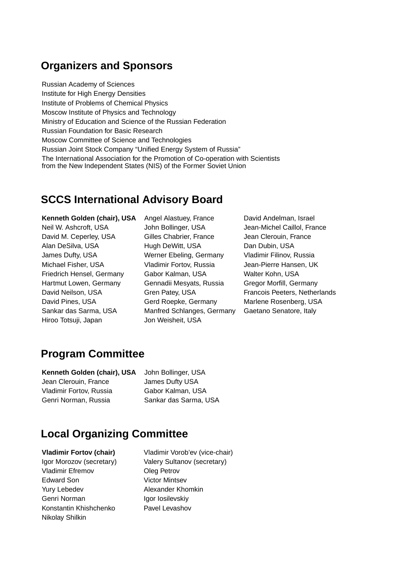### **Organizers and Sponsors**

Russian Academy of Sciences Institute for High Energy Densities Institute of Problems of Chemical Physics Moscow Institute of Physics and Technology Ministry of Education and Science of the Russian Federation Russian Foundation for Basic Research Moscow Committee of Science and Technologies Russian Joint Stock Company "Unified Energy System of Russia" The International Association for the Promotion of Co-operation with Scientists from the New Independent States (NIS) of the Former Soviet Union

### **SCCS International Advisory Board**

**Kenneth Golden (chair), USA** Angel Alastuey, France David Andelman, Israel Neil W. Ashcroft, USA John Bollinger, USA Jean-Michel Caillol, France David M. Ceperley, USA Gilles Chabrier, France Jean Clerouin, France Alan DeSilva, USA **Hugh DeWitt, USA** Dan Dubin, USA James Dufty, USA Werner Ebeling, Germany Vladimir Filinov, Russia Michael Fisher, USA Vladimir Fortov, Russia Jean-Pierre Hansen, UK Friedrich Hensel, Germany Gabor Kalman, USA Walter Kohn, USA Hartmut Lowen, Germany Gennadii Mesyats, Russia Gregor Morfill, Germany David Pines, USA **Gerd Roepke, Germany** Marlene Rosenberg, USA Sankar das Sarma, USA Manfred Schlanges, Germany Gaetano Senatore, Italy Hiroo Totsuji, Japan Jon Weisheit, USA

David Neilson, USA Gren Patey, USA Francois Peeters, Netherlands

### **Program Committee**

| Kenneth Golden (chair), USA | John Bollinger, USA   |
|-----------------------------|-----------------------|
| Jean Clerouin, France       | James Dufty USA       |
| Vladimir Fortov, Russia     | Gabor Kalman, USA     |
| Genri Norman, Russia        | Sankar das Sarma, USA |

## **Local Organizing Committee**

Vladimir Efremov **Oleg Petrov** Edward Son Victor Mintsev Yury Lebedev **Alexander Khomkin** Genri Norman Igor Iosilevskiy Konstantin Khishchenko Pavel Levashov Nikolay Shilkin

**Vladimir Fortov (chair)** Vladimir Vorob'ev (vice-chair) Igor Morozov (secretary) Valery Sultanov (secretary)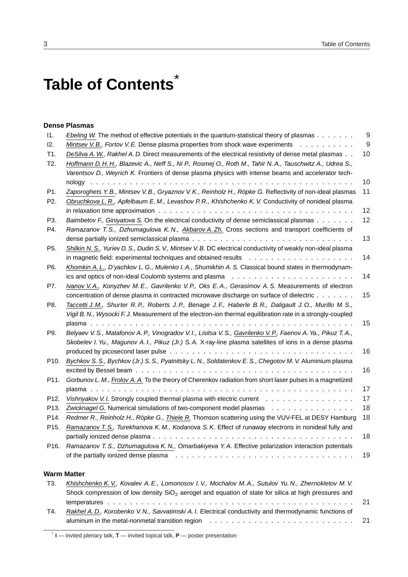# **Table of Contents** \*

### **Dense Plasmas**

| 11.               | <i>Ebeling W.</i> The method of effective potentials in the quantum-statistical theory of plasmas                             | 9  |
|-------------------|-------------------------------------------------------------------------------------------------------------------------------|----|
| 12.               | Mintsev V. B., Fortov V. E. Dense plasma properties from shock wave experiments                                               | 9  |
| T1.               | DeSilva A. W., Rakhel A. D. Direct measurements of the electrical resistivity of dense metal plasmas                          | 10 |
| T2.               | Hoffmann D.H.H., Blazevic A., Neff S., Ni P., Rosmej O., Roth M., Tahir N.A., Tauschwitz A., Udrea S.,                        |    |
|                   | Varentsov D., Weyrich K. Frontiers of dense plasma physics with intense beams and accelerator tech-                           |    |
|                   |                                                                                                                               | 10 |
| P1.               | Zaporoghets Y. B., Mintsev V. B., Gryaznov V. K., Reinholz H., Röpke G. Reflectivity of non-ideal plasmas                     | 11 |
| P <sub>2</sub>    | Obruchkova L. R., Apfelbaum E. M., Levashov P. R., Khishchenko K. V. Conductivity of nonideal plasma                          |    |
|                   | in relaxation time approximation $\ldots \ldots \ldots \ldots \ldots \ldots \ldots \ldots \ldots \ldots \ldots \ldots \ldots$ | 12 |
| P3.               | Baimbetov F., Giniyatova S. On the electrical conductivity of dense semiclassical plasmas                                     | 12 |
| P4.               | Ramazanov T. S., Dzhumagulova K. N., Akbarov A. Zh. Cross sections and transport coefficients of                              |    |
|                   |                                                                                                                               | 13 |
| P5.               | Shilkin N. S., Yuriev D. S., Dudin S. V., Mintsev V. B. DC electrical conductivity of weakly non-ideal plasma                 |    |
|                   |                                                                                                                               | 14 |
| P6.               | Khomkin A. L., D'yachkov L. G., Mulenko I. A., Shumikhin A. S. Classical bound states in thermodynam-                         |    |
|                   |                                                                                                                               | 14 |
| P7.               | Ivanov V.A., Konyzhev M.E., Gavrilenko V.P., Oks E.A., Gerasimov A.S. Measurements of electron                                |    |
|                   | concentration of dense plasma in contracted microwave discharge on surface of dielectric                                      | 15 |
| P8.               | Taccetti J. M., Shurter R. P., Roberts J. P., Benage J. F., Haberle B. R., Daligault J. O., Murillo M. S.,                    |    |
|                   | Vigil B. N., Wysocki F. J. Measurement of the electron-ion thermal equilibration rate in a strongly-coupled                   |    |
|                   |                                                                                                                               | 15 |
| P9.               | Belyaev V. S., Matafonov A. P., Vinogradov V. I., Lisitsa V. S., Gavrilenko V. P., Faenov A. Ya., Pikuz T. A.,                |    |
|                   | Skobelev I. Yu., Magunov A. I., Pikuz (Jr.) S. A. X-ray-line plasma satellites of ions in a dense plasma                      |    |
|                   |                                                                                                                               | 16 |
| P <sub>10</sub> . | Bychkov S. S., Bychkov (Jr.) S. S., Pyatnitsky L. N., Soldatenkov E. S., Chegotov M. V. Aluminium plasma                      |    |
|                   |                                                                                                                               | 16 |
| P11.              | Gorbunov L. M., Frolov A. A. To the theory of Cherenkov radiation from short laser pulses in a magnetized                     |    |
|                   |                                                                                                                               | 17 |
| P <sub>12</sub> . | Vishnyakov V. I. Strongly coupled thermal plasma with electric current                                                        | 17 |
| P13.              | Zwicknagel G. Numerical simulations of two-component model plasmas                                                            | 18 |
| P14.              | Redmer R., Reinholz H., Röpke G., Thiele R. Thomson scattering using the VUV-FEL at DESY Hamburg                              | 18 |
| P15.              | Ramazanov T. S., Turekhanova K. M., Kodanova S. K. Effect of runaway electrons in nonideal fully and                          |    |
|                   |                                                                                                                               | 18 |
| P16.              | Ramazanov T. S., Dzhumagulova K. N., Omarbakiyeva Y. A. Effective polarization interaction potentials                         |    |
|                   |                                                                                                                               | 19 |

### **Warm Matter**

| Khishchenko K. V., Kovalev A. E., Lomonosov I. V., Mochalov M. A., Sutulov Yu. N., Zhernokletov M. V.   |  |
|---------------------------------------------------------------------------------------------------------|--|
| Shock compression of low density $SiO2$ aerogel and equation of state for silica at high pressures and  |  |
|                                                                                                         |  |
| Rakhel A. D., Korobenko V. N., Savvatimski A. I. Electrical conductivity and thermodynamic functions of |  |
|                                                                                                         |  |
|                                                                                                         |  |

\* **I** — invited plenary talk, **T** — invited topical talk, **P** — poster presentation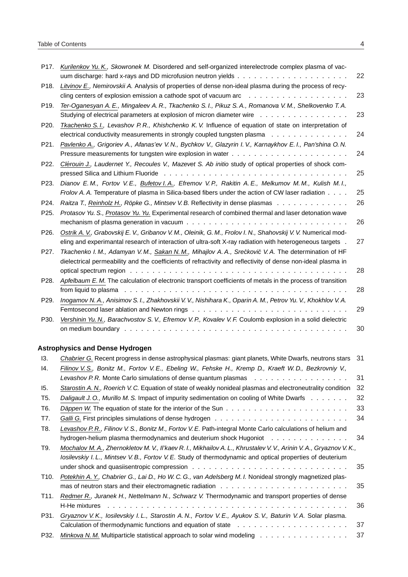| P <sub>17</sub> . | Kurilenkov Yu. K., Skowronek M. Disordered and self-organized interelectrode complex plasma of vac-                     | 22 |
|-------------------|-------------------------------------------------------------------------------------------------------------------------|----|
| P <sub>18</sub> . | Litvinov E., Nemirovskii A. Analysis of properties of dense non-ideal plasma during the process of recy-                |    |
|                   |                                                                                                                         | 23 |
| P <sub>19</sub> . | Ter-Oganesyan A. E., Mingaleev A. R., Tkachenko S. I., Pikuz S. A., Romanova V. M., Shelkovenko T. A.                   |    |
|                   | Studying of electrical parameters at explosion of micron diameter wire                                                  | 23 |
| P20.              | Tkachenko S. I., Levashov P. R., Khishchenko K. V. Influence of equation of state on interpretation of                  |    |
|                   | electrical conductivity measurements in strongly coupled tungsten plasma                                                | 24 |
| P21.              | Pavlenko A., Grigoriev A., Afanas'ev V. N., Bychkov V., Glazyrin I. V., Karnaykhov E. I., Pan'shina O. N.               |    |
|                   |                                                                                                                         | 24 |
| P22.              | Clérouin J., Laudernet Y., Recoules V., Mazevet S. Ab initio study of optical properties of shock com-                  |    |
|                   | pressed Silica and Lithium Fluoride (ed. to a content of the content of the content of the content of the conte         | 25 |
| P23.              | Dianov E.M., Fortov V.E., Bufetov I.A., Efremov V.P., Rakitin A.E., Melkumov M.M., Kulish M.I.,                         |    |
|                   | Frolov A. A. Temperature of plasma in Silica-based fibers under the action of CW laser radiation                        | 25 |
| P24.              | Raitza T., Reinholz H., Röpke G., Mintsev V. B. Reflectivity in dense plasmas                                           | 26 |
| P25.              | Protasov Yu. S., Protasov Yu. Yu. Experimental research of combined thermal and laser detonation wave                   |    |
|                   | mechanism of plasma generation in vacuum $\ldots \ldots \ldots \ldots \ldots \ldots \ldots \ldots \ldots \ldots \ldots$ | 26 |
| P26.              | Ostrik A. V., Grabovskij E. V., Gribanov V. M., Oleinik, G. M., Frolov I. N., Shahovskij V. V. Numerical mod-           |    |
|                   | eling and experimantal research of interaction of ultra-soft X-ray radiation with heterogeneous targets.                | 27 |
| P27.              | Tkachenko I. M., Adamyan V. M., Sakan N. M., Mihajlov A. A., Srećković V. A. The determination of HF                    |    |
|                   | dielectrical permeability and the coefficients of refractivity and reflectivity of dense non-ideal plasma in            |    |
|                   |                                                                                                                         | 28 |
| P28.              | Apfelbaum E. M. The calculation of electronic transport coefficients of metals in the process of transition             |    |
|                   |                                                                                                                         | 28 |
| P <sub>29</sub> . | Inogamov N. A., Anisimov S. I., Zhakhovskii V. V., Nishihara K., Oparin A. M., Petrov Yu. V., Khokhlov V. A.            |    |
|                   |                                                                                                                         | 29 |
| P30.              | Vershinin Yu. N., Barachvostov S. V., Efremov V. P., Kovalev V. F. Coulomb explosion in a solid dielectric              |    |
|                   |                                                                                                                         | 30 |
|                   | <b>Astrophysics and Dense Hydrogen</b>                                                                                  |    |
| 13.               | Chabrier G. Recent progress in dense astrophysical plasmas: giant planets, White Dwarfs, neutrons stars 31              |    |
| 14.               | Filinov V. S., Bonitz M., Fortov V. E., Ebeling W., Fehske H., Kremp D., Kraeft W. D., Bezkrovniy V.,                   |    |
|                   | Levashov P.R. Monte Carlo simulations of dense quantum plasmas education by a serve in the case of the Verang           | 31 |
| 15.               | Starostin A. N., Roerich V. C. Equation of state of weakly nonideal plasmas and electroneutrality condition             | 32 |
| T <sub>5</sub> .  | Daligault J. O., Murillo M. S. Impact of impurity sedimentation on cooling of White Dwarfs                              | 32 |
| T6.               |                                                                                                                         | 33 |
| T7.               |                                                                                                                         | 34 |
| T8.               | Levashov P.R., Filinov V.S., Bonitz M., Fortov V.E. Path-integral Monte Carlo calculations of helium and                |    |
|                   | hydrogen-helium plasma thermodynamics and deuterium shock Hugoniot                                                      | 34 |
| T9.               | Mochalov M. A., Zhernokletov M. V., II'kaev R. I., Mikhailov A. L., Khrustalev V. V., Arinin V. A., Gryaznov V. K.,     |    |
|                   | losilevskiy I. L., Mintsev V. B., Fortov V. E. Study of thermodynamic and optical properties of deuterium               |    |
|                   |                                                                                                                         | 35 |
| T <sub>10</sub> . | Potekhin A. Y., Chabrier G., Lai D., Ho W. C. G., van Adelsberg M. I. Nonideal strongly magnetized plas-                |    |
|                   |                                                                                                                         | 35 |
| T11.              | Redmer R., Juranek H., Nettelmann N., Schwarz V. Thermodynamic and transport properties of dense                        |    |
|                   |                                                                                                                         | 36 |
| P31.              | Gryaznov V.K., Iosilevskiy I.L., Starostin A.N., Fortov V.E., Ayukov S.V., Baturin V.A. Solar plasma.                   | 37 |
|                   |                                                                                                                         |    |
| P32.              | Minkova N. M. Multiparticle statistical approach to solar wind modeling                                                 | 37 |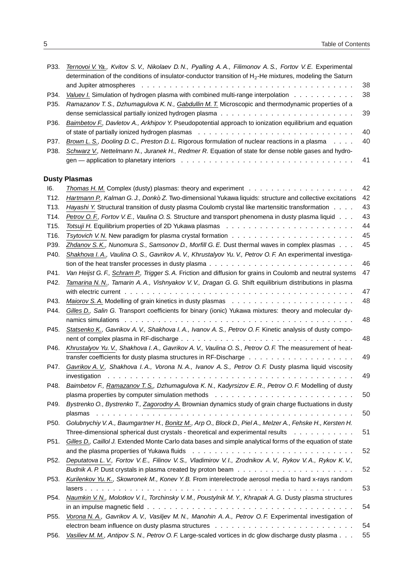| P33.              | Ternovoi V. Ya., Kvitov S. V., Nikolaev D. N., Pyalling A. A., Filimonov A. S., Fortov V. E. Experimental    |     |
|-------------------|--------------------------------------------------------------------------------------------------------------|-----|
|                   | determination of the conditions of insulator-conductor transition of $H_2$ -He mixtures, modeling the Saturn |     |
|                   |                                                                                                              | -38 |
| P34.              | Valuev I. Simulation of hydrogen plasma with combined multi-range interpolation                              | -38 |
| P <sub>35</sub> . | Ramazanov T. S., Dzhumagulova K. N., Gabdullin M. T. Microscopic and thermodynamic properties of a           |     |
|                   |                                                                                                              |     |
| P36.              | Baimbetov F., Davletov A., Arkhipov Y. Pseudopotential approach to ionization equilibrium and equation       |     |
|                   |                                                                                                              | -40 |
| P37.              | Brown L. S., Dooling D. C., Preston D. L. Rigorous formulation of nuclear reactions in a plasma              | -40 |
| P38.              | Schwarz V., Nettelmann N., Juranek H., Redmer R. Equation of state for dense noble gases and hydro-          |     |
|                   |                                                                                                              |     |

### **Dusty Plasmas**

| 16.               | Thomas H. M. Complex (dusty) plasmas: theory and experiment                                                                                                                                                                                    | 42 |
|-------------------|------------------------------------------------------------------------------------------------------------------------------------------------------------------------------------------------------------------------------------------------|----|
| T12.              | Hartmann P., Kalman G. J., Donkò Z. Two-dimensional Yukawa liquids: structure and collective excitations                                                                                                                                       | 42 |
| T <sub>13</sub> . | Hayashi Y. Structural transition of dusty plasma Coulomb crystal like martensitic transformation                                                                                                                                               | 43 |
| T14.              | Petrov O. F., Fortov V. E., Vaulina O. S. Structure and transport phenomena in dusty plasma liquid                                                                                                                                             | 43 |
| T15.              |                                                                                                                                                                                                                                                | 44 |
| T16.              |                                                                                                                                                                                                                                                | 45 |
| P39.              | Zhdanov S.K., Nunomura S., Samsonov D., Morfill G.E. Dust thermal waves in complex plasmas                                                                                                                                                     | 45 |
| P40.              | Shakhova I. A., Vaulina O. S., Gavrikov A. V., Khrustalyov Yu. V., Petrov O. F. An experimental investiga-                                                                                                                                     |    |
|                   | tion of the heat transfer processes in dusty plasma                                                                                                                                                                                            | 46 |
| P41.              | Van Heijst G. F., Schram P., Trigger S. A. Friction and diffusion for grains in Coulomb and neutral systems                                                                                                                                    | 47 |
| P42.              | Tamarina N. N., Tamarin A. A., Vishnyakov V. V., Dragan G. G. Shift equilibrium distributions in plasma                                                                                                                                        |    |
|                   |                                                                                                                                                                                                                                                | 47 |
| P43.              |                                                                                                                                                                                                                                                | 48 |
| P44.              | Gilles D., Salin G. Transport coefficients for binary (ionic) Yukawa mixtures: theory and molecular dy-                                                                                                                                        |    |
|                   |                                                                                                                                                                                                                                                | 48 |
| P45.              | Statsenko K., Gavrikov A. V., Shakhova I. A., Ivanov A. S., Petrov O. F. Kinetic analysis of dusty compo-                                                                                                                                      |    |
|                   |                                                                                                                                                                                                                                                | 48 |
| P46.              | Khrustalyov Yu. V., Shakhova I. A., Gavrikov A. V., Vaulina O. S., Petrov O. F. The measurement of heat-                                                                                                                                       |    |
|                   |                                                                                                                                                                                                                                                | 49 |
| P47.              | Gavrikov A. V., Shakhova I. A., Vorona N. A., Ivanov A. S., Petrov O. F. Dusty plasma liquid viscosity                                                                                                                                         |    |
|                   | investigation<br>and a constitution of the constitution of the constitution of the constitution of the constitution of the constitution of the constitution of the constitution of the constitution of the constitution of the constitution of | 49 |
| P48.              | Baimbetov F., Ramazanov T. S., Dzhumagulova K. N., Kadyrsizov E. R., Petrov O. F. Modelling of dusty                                                                                                                                           |    |
|                   |                                                                                                                                                                                                                                                | 50 |
| P49.              | Bystrenko O., Bystrenko T., Zagorodny A. Brownian dynamics study of grain charge fluctuations in dusty                                                                                                                                         | 50 |
|                   | Golubnychiy V. A., Baumgartner H., Bonitz M., Arp O., Block D., Piel A., Melzer A., Fehske H., Kersten H.                                                                                                                                      |    |
| P50.              | Three-dimensional spherical dust crystals - theoretical and experimental results                                                                                                                                                               | 51 |
|                   |                                                                                                                                                                                                                                                |    |
| P51.              | Gilles D., Caillol J. Extended Monte Carlo data bases and simple analytical forms of the equation of state                                                                                                                                     | 52 |
|                   |                                                                                                                                                                                                                                                |    |
| P52.              | Deputatova L. V., Fortov V. E., Filinov V. S., Vladimirov V. I., Zrodnikov A. V., Rykov V. A., Rykov K. V.,                                                                                                                                    | 52 |
|                   |                                                                                                                                                                                                                                                |    |
| P53.              | Kurilenkov Yu. K., Skowronek M., Konev Y. B. From interelectrode aerosol media to hard x-rays random                                                                                                                                           |    |
|                   |                                                                                                                                                                                                                                                | 53 |
| P54.              | Naumkin V. N., Molotkov V. I., Torchinsky V. M., Poustylnik M. Y., Khrapak A. G. Dusty plasma structures                                                                                                                                       | 54 |
|                   |                                                                                                                                                                                                                                                |    |
| P55.              | Vorona N. A., Gavrikov A. V., Vasiljev M. N., Manohin A. A., Petrov O. F. Experimental investigation of                                                                                                                                        |    |
|                   |                                                                                                                                                                                                                                                | 54 |
| P56.              | Vasiliev M. M., Antipov S. N., Petrov O. F. Large-scaled vortices in dc glow discharge dusty plasma                                                                                                                                            | 55 |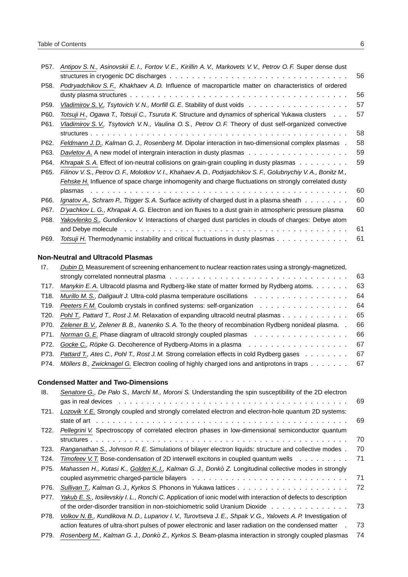| P <sub>57</sub> . | Antipov S. N., Asinovskii E. I., Fortov V. E., Kirillin A. V., Markovets V. V., Petrov O. F. Super dense dust                                                                                                                  |    |
|-------------------|--------------------------------------------------------------------------------------------------------------------------------------------------------------------------------------------------------------------------------|----|
|                   |                                                                                                                                                                                                                                | 56 |
| P <sub>58</sub> . | Podryadchikov S.F., Khakhaev A.D. Influence of macroparticle matter on characteristics of ordered                                                                                                                              |    |
|                   |                                                                                                                                                                                                                                | 56 |
| P59.              |                                                                                                                                                                                                                                | 57 |
| P60.              | Totsuji H., Ogawa T., Totsuji C., Tsuruta K. Structure and dynamics of spherical Yukawa clusters                                                                                                                               | 57 |
| P61.              | Vladimirov S. V., Tsytovich V. N., Vaulina O. S., Petrov O. F. Theory of dust self-organized convective                                                                                                                        |    |
|                   |                                                                                                                                                                                                                                | 58 |
| P62.              | Feldmann J. D., Kalman G. J., Rosenberg M. Dipolar interaction in two-dimensional complex plasmas.                                                                                                                             | 58 |
| P63.              |                                                                                                                                                                                                                                | 59 |
| P64.              | Khrapak S. A. Effect of ion-neutral collisions on grain-grain coupling in dusty plasmas                                                                                                                                        | 59 |
| P65.              | Filinov V. S., Petrov O. F., Molotkov V. I., Khahaev A. D., Podrjadchikov S. F., Golubnychiy V. A., Bonitz M.,                                                                                                                 |    |
|                   | Fehske H. Influence of space charge inhomogenity and charge fluctuations on strongly correlated dusty                                                                                                                          |    |
|                   |                                                                                                                                                                                                                                | 60 |
| P66.              | Ignatov A., Schram P., Trigger S. A. Surface activity of charged dust in a plasma sheath                                                                                                                                       | 60 |
| P67.              | D'yachkov L. G., Khrapak A. G. Electron and ion fluxes to a dust grain in atmospheric pressure plasma                                                                                                                          | 60 |
| P68.              | Yakovlenko S., Gundienkov V. Interactions of charged dust particles in clouds of charges: Debye atom                                                                                                                           |    |
|                   | and Debye molecule enterpreteration of the contract of the contract of the contract of the contract of the contract of the contract of the contract of the contract of the contract of the contract of the contract of the con | 61 |
| P69.              | Totsuji H. Thermodynamic instability and critical fluctuations in dusty plasmas                                                                                                                                                | 61 |

### **Non-Neutral and Ultracold Plasmas**

| 17.               | Dubin D. Measurement of screening enhancement to nuclear reaction rates using a strongly-magnetized,           |     |
|-------------------|----------------------------------------------------------------------------------------------------------------|-----|
|                   |                                                                                                                | 63  |
| T <sub>17</sub> . | Manykin E. A. Ultracold plasma and Rydberg-like state of matter formed by Rydberg atoms.                       | 63  |
| T <sub>18</sub> . | Murillo M. S., Daligault J. Ultra-cold plasma temperature oscillations references research in the set of the m | 64  |
| T19.              | Peeters F.M. Coulomb crystals in confined systems: self-organization                                           | 64  |
| T20.              | Pohl T., Pattard T., Rost J.M. Relaxation of expanding ultracold neutral plasmas                               | 65  |
| P70.              | Zelener B. V., Zelener B. B., Ivanenko S. A. To the theory of recombination Rydberg nonideal plasma            | 66  |
| P71.              |                                                                                                                | 66  |
| P72.              |                                                                                                                | 67  |
| P73.              | Pattard T., Ates C., Pohl T., Rost J. M. Strong correlation effects in cold Rydberg gases                      | 67  |
| P74.              | Möllers B., Zwicknagel G. Electron cooling of highly charged ions and antiprotons in traps                     | -67 |

### **Condensed Matter and Two-Dimensions**

| 18.               | Senatore G., De Palo S., Marchi M., Moroni S. Understanding the spin susceptibility of the 2D electron          |     |
|-------------------|-----------------------------------------------------------------------------------------------------------------|-----|
|                   |                                                                                                                 | 69  |
| T21.              | Lozovik Y. E. Strongly coupled and strongly correlated electron and electron-hole quantum 2D systems:           |     |
|                   |                                                                                                                 | -69 |
| T22.              | Pellegrini V. Spectroscopy of correlated electron phases in low-dimensional semiconductor quantum               |     |
|                   |                                                                                                                 | 70  |
| T23.              | Ranganathan S., Johnson R. E. Simulations of bilayer electron liquids: structure and collective modes.          | 70  |
| T <sub>24</sub> . | Timofeev V. T. Bose-condensation of 2D interwell excitons in coupled quantum wells                              | 71  |
| P75.              | Mahassen H., Kutasi K., Golden K. I., Kalman G. J., Donkò Z. Longitudinal collective modes in strongly          |     |
|                   |                                                                                                                 | 71  |
| P76.              |                                                                                                                 | 72  |
| P77.              | Yakub E. S., losilevskiy I. L., Ronchi C. Application of ionic model with interaction of defects to description |     |
|                   | of the order-disorder transition in non-stoichiometric solid Uranium Dioxide                                    | 73  |
| P78.              | Volkov N. B., Kundikova N. D., Lupanov I. V., Turovtseva J. E., Shpak V. G., Yalovets A. P. Investigation of    |     |
|                   | action features of ultra-short pulses of power electronic and laser radiation on the condensed matter           | 73  |
| P79.              | Rosenberg M., Kalman G. J., Donkò Z., Kyrkos S. Beam-plasma interaction in strongly coupled plasmas             | 74  |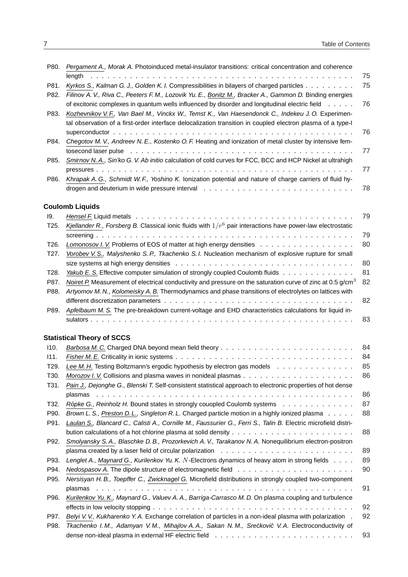| P80.         | Pergament A., Morak A. Photoinduced metal-insulator transitions: critical concentration and coherence                                                                                                                                                                                                                                     |    |
|--------------|-------------------------------------------------------------------------------------------------------------------------------------------------------------------------------------------------------------------------------------------------------------------------------------------------------------------------------------------|----|
|              | length                                                                                                                                                                                                                                                                                                                                    | 75 |
| P81.         | Kyrkos S., Kalman G. J., Golden K. I. Compressibilities in bilayers of charged particles                                                                                                                                                                                                                                                  | 75 |
| P82.         | Filinov A. V., Riva C., Peeters F. M., Lozovik Yu. E., Bonitz M., Bracker A., Gammon D. Binding energies<br>of excitonic complexes in quantum wells influenced by disorder and longitudinal electric field                                                                                                                                | 76 |
| P83.         | Kozhevnikov V.F., Van Bael M., Vinckx W., Temst K., Van Haesendonck C., Indekeu J.O. Experimen-<br>tal observation of a first-order interface delocalization transition in coupled electron plasma of a type-I                                                                                                                            |    |
|              |                                                                                                                                                                                                                                                                                                                                           | 76 |
| P84.         | Chegotov M. V., Andreev N. E., Kostenko O. F. Heating and ionization of metal cluster by intensive fem-<br>tosecond laser pulse education of the control of the control of the control of the control of the control of the control of the control of the control of the control of the control of the control of the control of the cont | 77 |
| P85.         | Smirnov N. A., Sin'ko G. V. Ab initio calculation of cold curves for FCC, BCC and HCP Nickel at ultrahigh                                                                                                                                                                                                                                 | 77 |
| P86.         | Khrapak A. G., Schmidt W. F., Yoshino K. Ionization potential and nature of charge carriers of fluid hy-                                                                                                                                                                                                                                  |    |
|              |                                                                                                                                                                                                                                                                                                                                           | 78 |
|              | <b>Coulomb Liquids</b>                                                                                                                                                                                                                                                                                                                    |    |
| 19.          |                                                                                                                                                                                                                                                                                                                                           | 79 |
| T25.         | Kjellander R., Forsberg B. Classical ionic fluids with $1/r^6$ pair interactions have power-law electrostatic                                                                                                                                                                                                                             | 79 |
| T26.         |                                                                                                                                                                                                                                                                                                                                           | 80 |
| T27.         |                                                                                                                                                                                                                                                                                                                                           |    |
|              | Vorobev V. S., Malyshenko S. P., Tkachenko S. I. Nucleation mechanism of explosive rupture for small                                                                                                                                                                                                                                      |    |
|              |                                                                                                                                                                                                                                                                                                                                           | 80 |
| T28.         | Yakub E. S. Effective computer simulation of strongly coupled Coulomb fluids                                                                                                                                                                                                                                                              | 81 |
| P87.<br>P88. | Noiret P. Measurement of electrical conductivity and pressure on the saturation curve of zinc at 0.5 g/cm <sup>3</sup><br>Artyomov M. N., Kolomeisky A. B. Thermodynamics and phase transitions of electrolytes on lattices with                                                                                                          | 82 |
|              |                                                                                                                                                                                                                                                                                                                                           | 82 |
| P89.         | Apfelbaum M. S. The pre-breakdown current-voltage and EHD characteristics calculations for liquid in-                                                                                                                                                                                                                                     | 83 |
|              | <b>Statistical Theory of SCCS</b>                                                                                                                                                                                                                                                                                                         |    |
| I10.         |                                                                                                                                                                                                                                                                                                                                           | 84 |
| 111.         |                                                                                                                                                                                                                                                                                                                                           | 84 |
| T29.         | Lee M. H. Testing Boltzmann's ergodic hypothesis by electron gas models                                                                                                                                                                                                                                                                   | 85 |
|              |                                                                                                                                                                                                                                                                                                                                           |    |
| T30.         |                                                                                                                                                                                                                                                                                                                                           | 86 |
| T31.         | Pain J., Dejonghe G., Blenski T. Self-consistent statistical approach to electronic properties of hot dense                                                                                                                                                                                                                               |    |
|              |                                                                                                                                                                                                                                                                                                                                           | 86 |
| T32.         | Röpke G., Reinholz H. Bound states in strongly couopled Coulomb systems                                                                                                                                                                                                                                                                   | 87 |
| P90.         | Brown L. S., Preston D. L., Singleton R. L. Charged particle motion in a highly ionized plasma                                                                                                                                                                                                                                            | 88 |
| P91.         | Laulan S., Blancard C., Calisti A., Cornille M., Faussurier G., Ferri S., Talin B. Electric microfield distri-                                                                                                                                                                                                                            | 88 |
| P92.         | Smolyansky S. A., Blaschke D. B., Prozorkevich A. V., Tarakanov N. A. Nonequilibrium electron-positron                                                                                                                                                                                                                                    |    |
|              |                                                                                                                                                                                                                                                                                                                                           | 89 |
| P93.         |                                                                                                                                                                                                                                                                                                                                           | 89 |
|              | Lenglet A., Maynard G., Kurilenkov Yu. K. N-Electrons dynamics of heavy atom in strong fields                                                                                                                                                                                                                                             |    |
| P94.<br>P95. | Nersisyan H. B., Toepffer C., Zwicknagel G. Microfield distributions in strongly coupled two-component                                                                                                                                                                                                                                    | 90 |
|              |                                                                                                                                                                                                                                                                                                                                           | 91 |
| P96.         | Kurilenkov Yu. K., Maynard G., Valuev A. A., Barriga-Carrasco M. D. On plasma coupling and turbulence                                                                                                                                                                                                                                     |    |
|              |                                                                                                                                                                                                                                                                                                                                           | 92 |
| P97.         | Belyi V. V., Kukharenko Y. A. Exchange correlation of particles in a non-ideal plasma with polarization.                                                                                                                                                                                                                                  | 92 |
| P98.         |                                                                                                                                                                                                                                                                                                                                           |    |
|              | Tkachenko I.M., Adamyan V.M., Mihajlov A.A., Sakan N.M., Srećković V.A. Electroconductivity of                                                                                                                                                                                                                                            | 93 |
|              |                                                                                                                                                                                                                                                                                                                                           |    |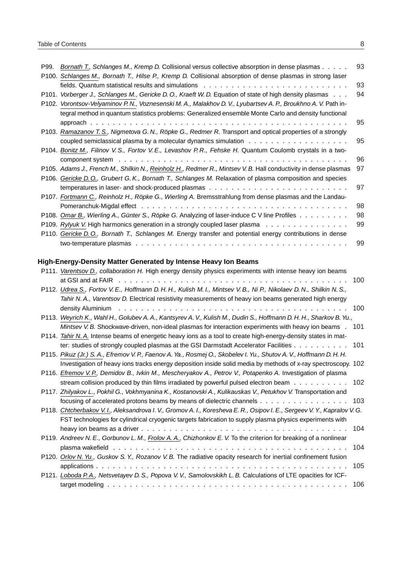| P99. | Bornath T., Schlanges M., Kremp D. Collisional versus collective absorption in dense plasmas                                                                                                                                   | 93 |
|------|--------------------------------------------------------------------------------------------------------------------------------------------------------------------------------------------------------------------------------|----|
|      | P100. Schlanges M., Bornath T., Hilse P., Kremp D. Collisional absorption of dense plasmas in strong laser                                                                                                                     |    |
|      | fields. Quantum statistical results and simulations etheraphymental ethnical contracts and statistical results                                                                                                                 | 93 |
|      | P101. Vorberger J., Schlanges M., Gericke D. O., Kraeft W. D. Equation of state of high density plasmas                                                                                                                        | 94 |
|      | P102. Vorontsov-Velyaminov P.N., Voznesenski M.A., Malakhov D.V., Lyubartsev A.P., Broukhno A.V. Path in-                                                                                                                      |    |
|      | tegral method in quantum statistics problems: Generalized ensemble Monte Carlo and density functional                                                                                                                          |    |
|      |                                                                                                                                                                                                                                | 95 |
|      | P103. Ramazanov T. S., Nigmetova G. N., Röpke G., Redmer R. Transport and optical properties of a strongly                                                                                                                     |    |
|      | coupled semiclassical plasma by a molecular dynamics simulation $\dots \dots \dots \dots \dots \dots \dots$                                                                                                                    | 95 |
|      | P104. Bonitz M., Filinov V.S., Fortov V.E., Levashov P.R., Fehske H. Quantum Coulomb crystals in a two-                                                                                                                        |    |
|      | component system enterpreteration of the component system enterpreteration of the component system enterpreteration of the component system of the component system of the component system of the component system of the com | 96 |
|      | P105. Adams J., French M., Shilkin N., Reinholz H., Redmer R., Mintsev V. B. Hall conductivity in dense plasmas                                                                                                                | 97 |
|      | P106. Gericke D. O., Grubert G. K., Bornath T., Schlanges M. Relaxation of plasma composition and species                                                                                                                      |    |
|      |                                                                                                                                                                                                                                | 97 |
|      | P107. Fortmann C., Reinholz H., Röpke G., Wierling A. Bremsstrahlung from dense plasmas and the Landau-                                                                                                                        |    |
|      |                                                                                                                                                                                                                                | 98 |
|      | P108. Omar B., Wierling A., Günter S., Röpke G. Analyzing of laser-induce C V line Profiles                                                                                                                                    | 98 |
|      | P109. Rylyuk V. High harmonics generation in a strongly coupled laser plasma                                                                                                                                                   | 99 |
|      | P110. Gericke D.O., Bornath T., Schlanges M. Energy transfer and potential energy contributions in dense                                                                                                                       |    |
|      |                                                                                                                                                                                                                                | 99 |

### **High-Energy-Density Matter Generated by Intense Heavy Ion Beams**

| P111. Varentsov D., collaboration H. High energy density physics experiments with intense heavy ion beams          |     |
|--------------------------------------------------------------------------------------------------------------------|-----|
|                                                                                                                    | 100 |
| P112. Udrea S., Fortov V.E., Hoffmann D.H.H., Kulish M.I., Mintsev V.B., Ni P., Nikolaev D.N., Shilkin N.S.,       |     |
| Tahir N. A., Varentsov D. Electrical resistivity measurements of heavy ion beams generated high energy             |     |
|                                                                                                                    | 100 |
| P113. Weyrich K., Wahl H., Golubev A. A., Kantsyrev A. V., Kulish M., Dudin S., Hoffmann D. H. H., Sharkov B. Yu., |     |
| Mintsev V. B. Shockwave-driven, non-ideal plasmas for interaction experiments with heavy ion beams . 101           |     |
| P114. Tahir N. A. Intense beams of energetic heavy ions as a tool to create high-energy-density states in mat-     |     |
| ter: studies of strongly coupled plasmas at the GSI Darmstadt Accelerator Facilities 101                           |     |
| P115. Pikuz (Jr.) S. A., Efremov V. P., Faenov A. Ya., Rosmej O., Skobelev I. Yu., Shutov A. V., Hoffmann D. H. H. |     |
| Investigation of heavy ions tracks energy deposition inside solid media by methods of x-ray spectroscopy. 102      |     |
| P116. Efremov V.P., Demidov B., Ivkin M., Mescheryakov A., Petrov V., Potapenko A. Investigation of plasma         |     |
| stream collision produced by thin films irradiated by powerful pulsed electron beam 102                            |     |
| P117. Zhilyakov L., Pokhil G., Vokhmyanina K., Kostanovski A., Kulikauskas V., Petukhov V. Transportation and      |     |
| focusing of accelerated protons beams by means of dielectric channels                                              | 103 |
| P118. Chtcherbakov V.I., Aleksandrova I.V., Gromov A.I., Koresheva E.R., Osipov I.E., Sergeev V.Y., Kapralov V.G.  |     |
| FST technologies for cylindrical cryogenic targets fabrication to supply plasma physics experiments with           |     |
|                                                                                                                    | 104 |
| P119. Andreev N. E., Gorbunov L. M., Frolov A. A., Chizhonkov E. V. To the criterion for breaking of a nonlinear   |     |
|                                                                                                                    | 104 |
| P120. Orlov N. Yu., Guskov S. Y., Rozanov V. B. The radiative opacity research for inertial confinement fusion     |     |
|                                                                                                                    | 105 |
| P121. Loboda P.A., Netsvetayev D.S., Popova V.V., Samolovskikh L.B. Calculations of LTE opacities for ICF-         |     |
|                                                                                                                    | 106 |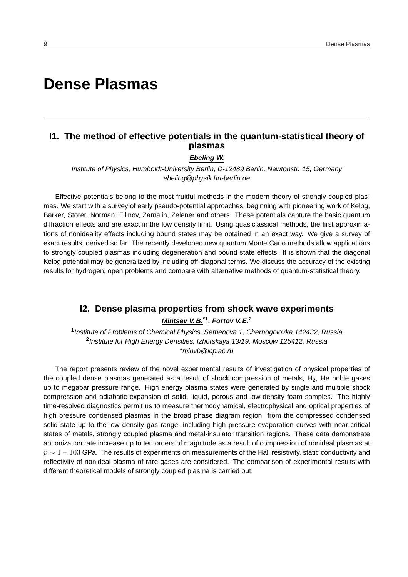# **Dense Plasmas**

### **I1. The method of effective potentials in the quantum-statistical theory of plasmas**

#### **Ebeling W.**

Institute of Physics, Humboldt-University Berlin, D-12489 Berlin, Newtonstr. 15, Germany ebeling@physik.hu-berlin.de

Effective potentials belong to the most fruitful methods in the modern theory of strongly coupled plasmas. We start with a survey of early pseudo-potential approaches, beginning with pioneering work of Kelbg, Barker, Storer, Norman, Filinov, Zamalin, Zelener and others. These potentials capture the basic quantum diffraction effects and are exact in the low density limit. Using quasiclassical methods, the first approximations of nonideality effects including bound states may be obtained in an exact way. We give a survey of exact results, derived so far. The recently developed new quantum Monte Carlo methods allow applications to strongly coupled plasmas including degeneration and bound state effects. It is shown that the diagonal Kelbg potential may be generalized by including off-diagonal terms. We discuss the accuracy of the existing results for hydrogen, open problems and compare with alternative methods of quantum-statistical theory.

### **I2. Dense plasma properties from shock wave experiments Mintsev V. B.\*1, Fortov V. E.<sup>2</sup>**

**1** Institute of Problems of Chemical Physics, Semenova 1, Chernogolovka 142432, Russia **2** Institute for High Energy Densities, Izhorskaya 13/19, Moscow 125412, Russia \*minvb@icp.ac.ru

The report presents review of the novel experimental results of investigation of physical properties of the coupled dense plasmas generated as a result of shock compression of metals,  $H_2$ , He noble gases up to megabar pressure range. High energy plasma states were generated by single and multiple shock compression and adiabatic expansion of solid, liquid, porous and low-density foam samples. The highly time-resolved diagnostics permit us to measure thermodynamical, electrophysical and optical properties of high pressure condensed plasmas in the broad phase diagram region from the compressed condensed solid state up to the low density gas range, including high pressure evaporation curves with near-critical states of metals, strongly coupled plasma and metal-insulator transition regions. These data demonstrate an ionization rate increase up to ten orders of magnitude as a result of compression of nonideal plasmas at  $p \sim 1 - 103$  GPa. The results of experiments on measurements of the Hall resistivity, static conductivity and reflectivity of nonideal plasma of rare gases are considered. The comparison of experimental results with different theoretical models of strongly coupled plasma is carried out.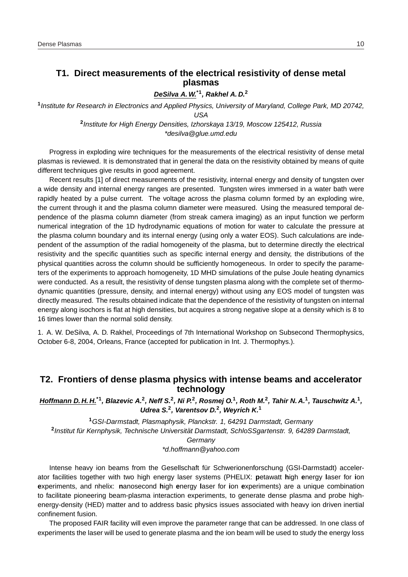### **T1. Direct measurements of the electrical resistivity of dense metal plasmas**

**DeSilva A. W.\*1, Rakhel A. D.<sup>2</sup>**

**1** Institute for Research in Electronics and Applied Physics, University of Maryland, College Park, MD 20742, USA **2** Institute for High Energy Densities, Izhorskaya 13/19, Moscow 125412, Russia

\*desilva@glue.umd.edu

Progress in exploding wire techniques for the measurements of the electrical resistivity of dense metal plasmas is reviewed. It is demonstrated that in general the data on the resistivity obtained by means of quite different techniques give results in good agreement.

Recent results [1] of direct measurements of the resistivity, internal energy and density of tungsten over a wide density and internal energy ranges are presented. Tungsten wires immersed in a water bath were rapidly heated by a pulse current. The voltage across the plasma column formed by an exploding wire, the current through it and the plasma column diameter were measured. Using the measured temporal dependence of the plasma column diameter (from streak camera imaging) as an input function we perform numerical integration of the 1D hydrodynamic equations of motion for water to calculate the pressure at the plasma column boundary and its internal energy (using only a water EOS). Such calculations are independent of the assumption of the radial homogeneity of the plasma, but to determine directly the electrical resistivity and the specific quantities such as specific internal energy and density, the distributions of the physical quantities across the column should be sufficiently homogeneous. In order to specify the parameters of the experiments to approach homogeneity, 1D MHD simulations of the pulse Joule heating dynamics were conducted. As a result, the resistivity of dense tungsten plasma along with the complete set of thermodynamic quantities (pressure, density, and internal energy) without using any EOS model of tungsten was directly measured. The results obtained indicate that the dependence of the resistivity of tungsten on internal energy along isochors is flat at high densities, but acquires a strong negative slope at a density which is 8 to 16 times lower than the normal solid density.

1. A. W. DeSilva, A. D. Rakhel, Proceedings of 7th International Workshop on Subsecond Thermophysics, October 6-8, 2004, Orleans, France (accepted for publication in Int. J. Thermophys.).

### **T2. Frontiers of dense plasma physics with intense beams and accelerator technology**

Hoffmann D. H. H.\*1, Blazevic A.<sup>2</sup>, Neff S.<sup>2</sup>, Ni P.<sup>2</sup>, Rosmej O.<sup>1</sup>, Roth M.<sup>2</sup>, Tahir N. A.<sup>1</sup>, Tauschwitz A.<sup>1</sup>, **Udrea S.<sup>2</sup> , Varentsov D.<sup>2</sup> , Weyrich K.<sup>1</sup>**

**<sup>1</sup>**GSI-Darmstadt, Plasmaphysik, Planckstr. 1, 64291 Darmstadt, Germany <sup>2</sup> Institut für Kernphysik, Technische Universität Darmstadt, SchloSSgartenstr. 9, 64289 Darmstadt, **Germany** 

\*d.hoffmann@yahoo.com

Intense heavy ion beams from the Gesellschaft für Schwerionenforschung (GSI-Darmstadt) accelerator facilities together with two high energy laser systems (PHELIX: **p**etawatt **h**igh **e**nergy **l**aser for **i**on **e**xperiments, and nhelix: **n**anosecond **h**igh **e**nergy **l**aser for **i**on **e**xperiments) are a unique combination to facilitate pioneering beam-plasma interaction experiments, to generate dense plasma and probe highenergy-density (HED) matter and to address basic physics issues associated with heavy ion driven inertial confinement fusion.

The proposed FAIR facility will even improve the parameter range that can be addressed. In one class of experiments the laser will be used to generate plasma and the ion beam will be used to study the energy loss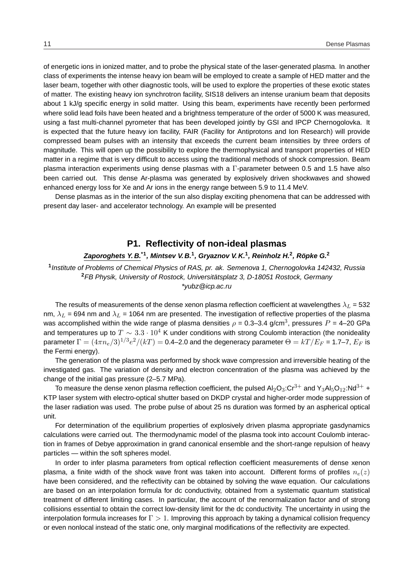of energetic ions in ionized matter, and to probe the physical state of the laser-generated plasma. In another class of experiments the intense heavy ion beam will be employed to create a sample of HED matter and the laser beam, together with other diagnostic tools, will be used to explore the properties of these exotic states of matter. The existing heavy ion synchrotron facility, SIS18 delivers an intense uranium beam that deposits about 1 kJ/g specific energy in solid matter. Using this beam, experiments have recently been performed where solid lead foils have been heated and a brightness temperature of the order of 5000 K was measured, using a fast multi-channel pyrometer that has been developed jointly by GSI and IPCP Chernogolovka. It is expected that the future heavy ion facility, FAIR (Facility for Antiprotons and Ion Research) will provide compressed beam pulses with an intensity that exceeds the current beam intensities by three orders of magnitude. This will open up the possibility to explore the thermophysical and transport properties of HED matter in a regime that is very difficult to access using the traditional methods of shock compression. Beam plasma interaction experiments using dense plasmas with a Γ-parameter between 0.5 and 1.5 have also been carried out. This dense Ar-plasma was generated by explosively driven shockwaves and showed enhanced energy loss for Xe and Ar ions in the energy range between 5.9 to 11.4 MeV.

Dense plasmas as in the interior of the sun also display exciting phenomena that can be addressed with present day laser- and accelerator technology. An example will be presented

### **P1. Reflectivity of non-ideal plasmas**

### **Zaporoghets Y. B.\*1, Mintsev V. B.<sup>1</sup> , Gryaznov V. K.<sup>1</sup> , Reinholz H.<sup>2</sup> , Ropke G. ¨ 2**

**1** Institute of Problems of Chemical Physics of RAS, pr. ak. Semenova 1, Chernogolovka 142432, Russia **<sup>2</sup>**FB Physik, University of Rostock, Universitatsplatz 3, D-18051 Rostock, Germany ¨ \*yubz@icp.ac.ru

The results of measurements of the dense xenon plasma reflection coefficient at wavelengthes  $\lambda_L$  = 532 nm,  $\lambda_L$  = 694 nm and  $\lambda_L$  = 1064 nm are presented. The investigation of reflective properties of the plasma was accomplished within the wide range of plasma densities  $\rho$  = 0.3–3.4 g/cm<sup>3</sup>, pressures  $P$  = 4–20 GPa and temperatures up to  $T \sim 3.3 \cdot 10^4$  K under conditions with strong Coulomb interaction (the nonideality parameter  $\Gamma=(4\pi n_e/3)^{1/3}e^2/(kT)=$  0.4–2.0 and the degeneracy parameter  $\Theta=kT/E_F$  = 1.7–7,  $E_F$  is the Fermi energy).

The generation of the plasma was performed by shock wave compression and irreversible heating of the investigated gas. The variation of density and electron concentration of the plasma was achieved by the change of the initial gas pressure (2–5.7 MPa).

To measure the dense xenon plasma reflection coefficient, the pulsed  $Al_2O_3$ :Cr<sup>3+</sup> and Y<sub>3</sub>Al<sub>5</sub>O<sub>12</sub>:Nd<sup>3+</sup> + KTP laser system with electro-optical shutter based on DKDP crystal and higher-order mode suppression of the laser radiation was used. The probe pulse of about 25 ns duration was formed by an aspherical optical unit.

For determination of the equilibrium properties of explosively driven plasma appropriate gasdynamics calculations were carried out. The thermodynamic model of the plasma took into account Coulomb interaction in frames of Debye approximation in grand canonical ensemble and the short-range repulsion of heavy particles — within the soft spheres model.

In order to infer plasma parameters from optical reflection coefficient measurements of dense xenon plasma, a finite width of the shock wave front was taken into account. Different forms of profiles  $n_e(z)$ have been considered, and the reflectivity can be obtained by solving the wave equation. Our calculations are based on an interpolation formula for dc conductivity, obtained from a systematic quantum statistical treatment of different limiting cases. In particular, the account of the renormalization factor and of strong collisions essential to obtain the correct low-density limit for the dc conductivity. The uncertainty in using the interpolation formula increases for  $\Gamma > 1$ . Improving this approach by taking a dynamical collision frequency or even nonlocal instead of the static one, only marginal modifications of the reflectivity are expected.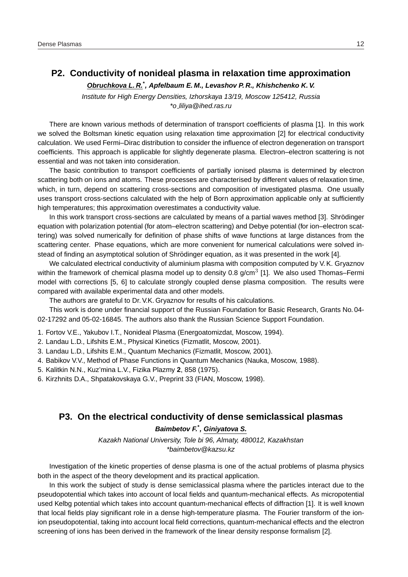### **P2. Conductivity of nonideal plasma in relaxation time approximation**

**Obruchkova L. R.\* , Apfelbaum E. M., Levashov P. R., Khishchenko K. V.**

Institute for High Energy Densities, Izhorskaya 13/19, Moscow 125412, Russia \*o liliya@ihed.ras.ru

There are known various methods of determination of transport coefficients of plasma [1]. In this work we solved the Boltsman kinetic equation using relaxation time approximation [2] for electrical conductivity calculation. We used Fermi–Dirac distribution to consider the influence of electron degeneration on transport coefficients. This approach is applicable for slightly degenerate plasma. Electron–electron scattering is not essential and was not taken into consideration.

The basic contribution to transport coefficients of partially ionised plasma is determined by electron scattering both on ions and atoms. These processes are characterised by different values of relaxation time, which, in turn, depend on scattering cross-sections and composition of investigated plasma. One usually uses transport cross-sections calculated with the help of Born approximation applicable only at sufficiently high temperatures; this approximation overestimates a conductivity value.

In this work transport cross-sections are calculated by means of a partial waves method [3]. Shrödinger equation with polarization potential (for atom–electron scattering) and Debye potential (for ion–electron scattering) was solved numerically for definition of phase shifts of wave functions at large distances from the scattering center. Phase equations, which are more convenient for numerical calculations were solved instead of finding an asymptotical solution of Shrödinger equation, as it was presented in the work [4].

We calculated electrical conductivity of aluminium plasma with composition computed by V.K. Gryaznov within the framework of chemical plasma model up to density 0.8 g/cm $3$  [1]. We also used Thomas–Fermi model with corrections [5, 6] to calculate strongly coupled dense plasma composition. The results were compared with available experimental data and other models.

The authors are grateful to Dr. V.K. Gryaznov for results of his calculations.

This work is done under financial support of the Russian Foundation for Basic Research, Grants No. 04- 02-17292 and 05-02-16845. The authors also thank the Russian Science Support Foundation.

1. Fortov V.E., Yakubov I.T., Nonideal Plasma (Energoatomizdat, Moscow, 1994).

- 2. Landau L.D., Lifshits E.M., Physical Kinetics (Fizmatlit, Moscow, 2001).
- 3. Landau L.D., Lifshits E.M., Quantum Mechanics (Fizmatlit, Moscow, 2001).
- 4. Babikov V.V., Method of Phase Functions in Quantum Mechanics (Nauka, Moscow, 1988).
- 5. Kalitkin N.N., Kuz'mina L.V., Fizika Plazmy **2**, 858 (1975).
- 6. Kirzhnits D.A., Shpatakovskaya G.V., Preprint 33 (FIAN, Moscow, 1998).

### **P3. On the electrical conductivity of dense semiclassical plasmas**

### **Baimbetov F.\* , Giniyatova S.**

Kazakh National University, Tole bi 96, Almaty, 480012, Kazakhstan \*baimbetov@kazsu.kz

Investigation of the kinetic properties of dense plasma is one of the actual problems of plasma physics both in the aspect of the theory development and its practical application.

In this work the subject of study is dense semiclassical plasma where the particles interact due to the pseudopotential which takes into account of local fields and quantum-mechanical effects. As micropotential used Kelbg potential which takes into account quantum-mechanical effects of diffraction [1]. It is well known that local fields play significant role in a dense high-temperature plasma. The Fourier transform of the ionion pseudopotential, taking into account local field corrections, quantum-mechanical effects and the electron screening of ions has been derived in the framework of the linear density response formalism [2].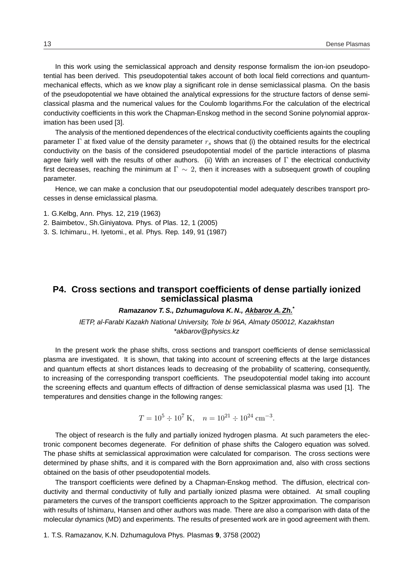In this work using the semiclassical approach and density response formalism the ion-ion pseudopotential has been derived. This pseudopotential takes account of both local field corrections and quantummechanical effects, which as we know play a significant role in dense semiclassical plasma. On the basis of the pseudopotential we have obtained the analytical expressions for the structure factors of dense semiclassical plasma and the numerical values for the Coulomb logarithms.For the calculation of the electrical conductivity coefficients in this work the Chapman-Enskog method in the second Sonine polynomial approximation has been used [3].

The analysis of the mentioned dependences of the electrical conductivity coefficients againts the coupling parameter  $\Gamma$  at fixed value of the density parameter  $r_s$  shows that (i) the obtained results for the electrical conductivity on the basis of the considered pseudopotential model of the particle interactions of plasma agree fairly well with the results of other authors. (ii) With an increases of  $\Gamma$  the electrical conductivity first decreases, reaching the minimum at  $\Gamma \sim 2$ , then it increases with a subsequent growth of coupling parameter.

Hence, we can make a conclusion that our pseudopotential model adequately describes transport processes in dense emiclassical plasma.

- 1. G.Kelbg, Ann. Phys. 12, 219 (1963)
- 2. Baimbetov., Sh.Giniyatova. Phys. of Plas. 12, 1 (2005)
- 3. S. Ichimaru., H. Iyetomi., et al. Phys. Rep. 149, 91 (1987)

### **P4. Cross sections and transport coefficients of dense partially ionized semiclassical plasma**

### **Ramazanov T. S., Dzhumagulova K. N., Akbarov A. Zh.\***

IETP, al-Farabi Kazakh National University, Tole bi 96A, Almaty 050012, Kazakhstan \*akbarov@physics.kz

In the present work the phase shifts, cross sections and transport coefficients of dense semiclassical plasma are investigated. It is shown, that taking into account of screening effects at the large distances and quantum effects at short distances leads to decreasing of the probability of scattering, consequently, to increasing of the corresponding transport coefficients. The pseudopotential model taking into account the screening effects and quantum effects of diffraction of dense semiclassical plasma was used [1]. The temperatures and densities change in the following ranges:

$$
T = 10^5 \div 10^7 \text{ K}, \quad n = 10^{21} \div 10^{24} \text{ cm}^{-3}.
$$

The object of research is the fully and partially ionized hydrogen plasma. At such parameters the electronic component becomes degenerate. For definition of phase shifts the Calogero equation was solved. The phase shifts at semiclassical approximation were calculated for comparison. The cross sections were determined by phase shifts, and it is compared with the Born approximation and, also with cross sections obtained on the basis of other pseudopotential models.

The transport coefficients were defined by a Chapman-Enskog method. The diffusion, electrical conductivity and thermal conductivity of fully and partially ionized plasma were obtained. At small coupling parameters the curves of the transport coefficients approach to the Spitzer approximation. The comparison with results of Ishimaru, Hansen and other authors was made. There are also a comparison with data of the molecular dynamics (MD) and experiments. The results of presented work are in good agreement with them.

1. T.S. Ramazanov, K.N. Dzhumagulova Phys. Plasmas **9**, 3758 (2002)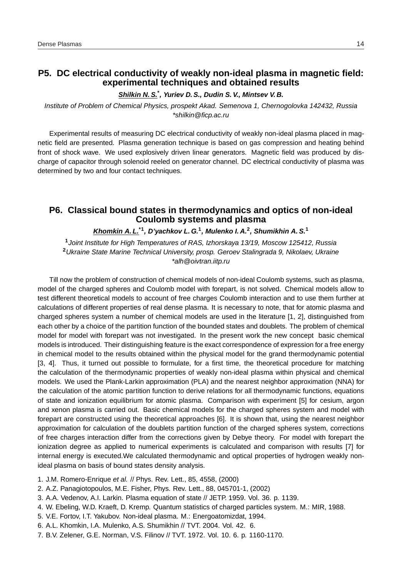### **P5. DC electrical conductivity of weakly non-ideal plasma in magnetic field: experimental techniques and obtained results**

### **Shilkin N. S.\* , Yuriev D. S., Dudin S. V., Mintsev V. B.**

Institute of Problem of Chemical Physics, prospekt Akad. Semenova 1, Chernogolovka 142432, Russia \*shilkin@ficp.ac.ru

Experimental results of measuring DC electrical conductivity of weakly non-ideal plasma placed in magnetic field are presented. Plasma generation technique is based on gas compression and heating behind front of shock wave. We used explosively driven linear generators. Magnetic field was produced by discharge of capacitor through solenoid reeled on generator channel. DC electrical conductivity of plasma was determined by two and four contact techniques.

### **P6. Classical bound states in thermodynamics and optics of non-ideal Coulomb systems and plasma**

### **Khomkin A. L.\*1, D'yachkov L. G.<sup>1</sup> , Mulenko I. A.<sup>2</sup> , Shumikhin A. S.<sup>1</sup>**

**1** Joint Institute for High Temperatures of RAS, Izhorskaya 13/19, Moscow 125412, Russia **<sup>2</sup>**Ukraine State Marine Technical University, prosp. Geroev Stalingrada 9, Nikolaev, Ukraine \*alh@oivtran.iitp.ru

Till now the problem of construction of chemical models of non-ideal Coulomb systems, such as plasma, model of the charged spheres and Coulomb model with forepart, is not solved. Chemical models allow to test different theoretical models to account of free charges Coulomb interaction and to use them further at calculations of different properties of real dense plasma. It is necessary to note, that for atomic plasma and charged spheres system a number of chemical models are used in the literature [1, 2], distinguished from each other by a choice of the partition function of the bounded states and doublets. The problem of chemical model for model with forepart was not investigated. In the present work the new concept basic chemical models is introduced. Their distinguishing feature is the exact correspondence of expression for a free energy in chemical model to the results obtained within the physical model for the grand thermodynamic potential [3, 4]. Thus, it turned out possible to formulate, for a first time, the theoretical procedure for matching the calculation of the thermodynamic properties of weakly non-ideal plasma within physical and chemical models. We used the Plank-Larkin approximation (PLA) and the nearest neighbor approximation (NNA) for the calculation of the atomic partition function to derive relations for all thermodynamic functions, equations of state and ionization equilibrium for atomic plasma. Comparison with experiment [5] for cesium, argon and xenon plasma is carried out. Basic chemical models for the charged spheres system and model with forepart are constructed using the theoretical approaches [6]. It is shown that, using the nearest neighbor approximation for calculation of the doublets partition function of the charged spheres system, corrections of free charges interaction differ from the corrections given by Debye theory. For model with forepart the ionization degree as applied to numerical experiments is calculated and comparison with results [7] for internal energy is executed.We calculated thermodynamic and optical properties of hydrogen weakly nonideal plasma on basis of bound states density analysis.

- 1. J.M. Romero-Enrique et al. // Phys. Rev. Lett., 85, 4558, (2000)
- 2. A.Z. Panagiotopoulos, M.E. Fisher, Phys. Rev. Lett., 88, 045701-1, (2002)
- 3. A.A. Vedenov, A.I. Larkin. Plasma equation of state // JETP. 1959. Vol. 36. p. 1139.
- 4. W. Ebeling, W.D. Kraeft, D. Kremp. Quantum statistics of charged particles system. M.: MIR, 1988.
- 5. V.E. Fortov, I.T. Yakubov. Non-ideal plasma. M.: Energoatomizdat, 1994.
- 6. A.L. Khomkin, I.A. Mulenko, A.S. Shumikhin // TVT. 2004. Vol. 42. 6.
- 7. B.V. Zelener, G.E. Norman, V.S. Filinov // TVT. 1972. Vol. 10. 6. p. 1160-1170.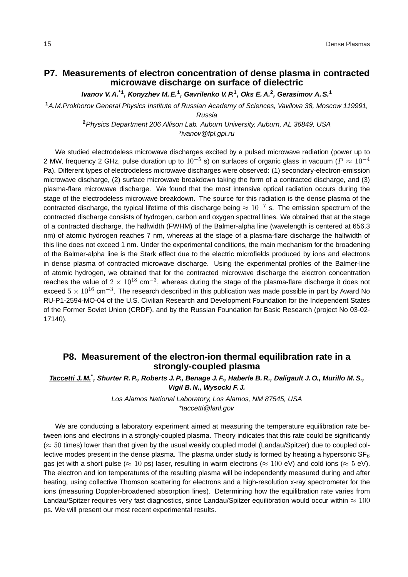### **P7. Measurements of electron concentration of dense plasma in contracted microwave discharge on surface of dielectric**

**Ivanov V. A.\*1, Konyzhev M. E.<sup>1</sup> , Gavrilenko V. P.<sup>1</sup> , Oks E. A.<sup>2</sup> , Gerasimov A. S.<sup>1</sup>**

**<sup>1</sup>**A.M.Prokhorov General Physics Institute of Russian Academy of Sciences, Vavilova 38, Moscow 119991,

Russia

**<sup>2</sup>**Physics Department 206 Allison Lab. Auburn University, Auburn, AL 36849, USA \*ivanov@fpl.gpi.ru

We studied electrodeless microwave discharges excited by a pulsed microwave radiation (power up to 2 MW, frequency 2 GHz, pulse duration up to  $10^{-5}$  s) on surfaces of organic glass in vacuum ( $P\approx10^{-4}$ Pa). Different types of electrodeless microwave discharges were observed: (1) secondary-electron-emission microwave discharge, (2) surface microwave breakdown taking the form of a contracted discharge, and (3) plasma-flare microwave discharge. We found that the most intensive optical radiation occurs during the stage of the electrodeless microwave breakdown. The source for this radiation is the dense plasma of the contracted discharge, the typical lifetime of this discharge being  $\approx 10^{-7}$  s. The emission spectrum of the contracted discharge consists of hydrogen, carbon and oxygen spectral lines. We obtained that at the stage of a contracted discharge, the halfwidth (FWHM) of the Balmer-alpha line (wavelength is centered at 656.3 nm) of atomic hydrogen reaches 7 nm, whereas at the stage of a plasma-flare discharge the halfwidth of this line does not exceed 1 nm. Under the experimental conditions, the main mechanism for the broadening of the Balmer-alpha line is the Stark effect due to the electric microfields produced by ions and electrons in dense plasma of contracted microwave discharge. Using the experimental profiles of the Balmer-line of atomic hydrogen, we obtained that for the contracted microwave discharge the electron concentration reaches the value of  $2 \times 10^{18}$  cm<sup>-3</sup>, whereas during the stage of the plasma-flare discharge it does not exceed  $5 \times 10^{16}$  cm<sup>-3</sup>. The research described in this publication was made possible in part by Award No RU-P1-2594-MO-04 of the U.S. Civilian Research and Development Foundation for the Independent States of the Former Soviet Union (CRDF), and by the Russian Foundation for Basic Research (project No 03-02- 17140).

### **P8. Measurement of the electron-ion thermal equilibration rate in a strongly-coupled plasma**

### **Taccetti J. M.\* , Shurter R. P., Roberts J. P., Benage J. F., Haberle B. R., Daligault J. O., Murillo M. S., Vigil B. N., Wysocki F. J.**

Los Alamos National Laboratory, Los Alamos, NM 87545, USA \*taccetti@lanl.gov

We are conducting a laboratory experiment aimed at measuring the temperature equilibration rate between ions and electrons in a strongly-coupled plasma. Theory indicates that this rate could be significantly  $(\approx 50$  times) lower than that given by the usual weakly coupled model (Landau/Spitzer) due to coupled collective modes present in the dense plasma. The plasma under study is formed by heating a hypersonic  $SF_6$ gas jet with a short pulse ( $\approx 10$  ps) laser, resulting in warm electrons ( $\approx 100$  eV) and cold ions ( $\approx 5$  eV). The electron and ion temperatures of the resulting plasma will be independently measured during and after heating, using collective Thomson scattering for electrons and a high-resolution x-ray spectrometer for the ions (measuring Doppler-broadened absorption lines). Determining how the equilibration rate varies from Landau/Spitzer requires very fast diagnostics, since Landau/Spitzer equilibration would occur within  $\approx 100$ ps. We will present our most recent experimental results.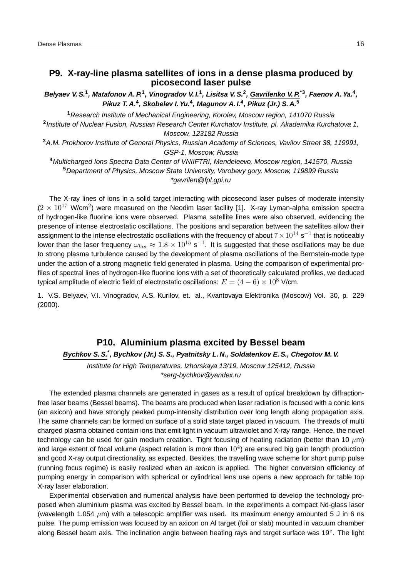### **P9. X-ray-line plasma satellites of ions in a dense plasma produced by picosecond laser pulse**

Belyaev V. S.<sup>1</sup>, Matafonov A. P.<sup>1</sup>, Vinogradov V. I.<sup>1</sup>, Lisitsa V. S.<sup>2</sup>, Gavrilenko V. P.<sup>\*3</sup>, Faenov A. Ya.<sup>4</sup>, **Pikuz T. A.<sup>4</sup> , Skobelev I. Yu.<sup>4</sup> , Magunov A. I.<sup>4</sup> , Pikuz (Jr.) S. A.<sup>5</sup>**

**<sup>1</sup>**Research Institute of Mechanical Engineering, Korolev, Moscow region, 141070 Russia **2** Institute of Nuclear Fusion, Russian Research Center Kurchatov Institute, pl. Akademika Kurchatova 1, Moscow, 123182 Russia

**<sup>3</sup>**A.M. Prokhorov Institute of General Physics, Russian Academy of Sciences, Vavilov Street 38, 119991, GSP-1, Moscow, Russia

**<sup>4</sup>**Multicharged Ions Spectra Data Center of VNIIFTRI, Mendeleevo, Moscow region, 141570, Russia **<sup>5</sup>**Department of Physics, Moscow State University, Vorobevy gory, Moscow, 119899 Russia \*gavrilen@fpl.gpi.ru

The X-ray lines of ions in a solid target interacting with picosecond laser pulses of moderate intensity  $(2 \times 10^{17} \text{ W/cm}^2)$  were measured on the Neodim laser facility [1]. X-ray Lyman-alpha emission spectra of hydrogen-like fluorine ions were observed. Plasma satellite lines were also observed, evidencing the presence of intense electrostatic oscillations. The positions and separation between the satellites allow their assignment to the intense electrostatic oscillations with the frequency of about  $7\times10^{14}$  s $^{-1}$  that is noticeably lower than the laser frequency  $\omega_{las} \approx 1.8 \times 10^{15}$  s<sup>-1</sup>. It is suggested that these oscillations may be due to strong plasma turbulence caused by the development of plasma oscillations of the Bernstein-mode type under the action of a strong magnetic field generated in plasma. Using the comparison of experimental profiles of spectral lines of hydrogen-like fluorine ions with a set of theoretically calculated profiles, we deduced typical amplitude of electric field of electrostatic oscillations:  $E = (4 - 6) \times 10^8$  V/cm.

1. V.S. Belyaev, V.I. Vinogradov, A.S. Kurilov, et. al., Kvantovaya Elektronika (Moscow) Vol. 30, p. 229 (2000).

### **P10. Aluminium plasma excited by Bessel beam**

**Bychkov S. S.\* , Bychkov (Jr.) S. S., Pyatnitsky L. N., Soldatenkov E. S., Chegotov M. V.**

Institute for High Temperatures, Izhorskaya 13/19, Moscow 125412, Russia \*serg-bychkov@yandex.ru

The extended plasma channels are generated in gases as a result of optical breakdown by diffractionfree laser beams (Bessel beams). The beams are produced when laser radiation is focused with a conic lens (an axicon) and have strongly peaked pump-intensity distribution over long length along propagation axis. The same channels can be formed on surface of a solid state target placed in vacuum. The threads of multi charged plasma obtained contain ions that emit light in vacuum ultraviolet and X-ray range. Hence, the novel technology can be used for gain medium creation. Tight focusing of heating radiation (better than 10  $\mu$ m) and large extent of focal volume (aspect relation is more than  $10^4$ ) are ensured big gain length production and good X-ray output directionality, as expected. Besides, the travelling wave scheme for short pump pulse (running focus regime) is easily realized when an axicon is applied. The higher conversion efficiency of pumping energy in comparison with spherical or cylindrical lens use opens a new approach for table top X-ray laser elaboration.

Experimental observation and numerical analysis have been performed to develop the technology proposed when aluminium plasma was excited by Bessel beam. In the experiments a compact Nd-glass laser (wavelength 1.054  $\mu$ m) with a telescopic amplifier was used. Its maximum energy amounted 5 J in 6 ns pulse. The pump emission was focused by an axicon on Al target (foil or slab) mounted in vacuum chamber along Bessel beam axis. The inclination angle between heating rays and target surface was 19<sup>o</sup>. The light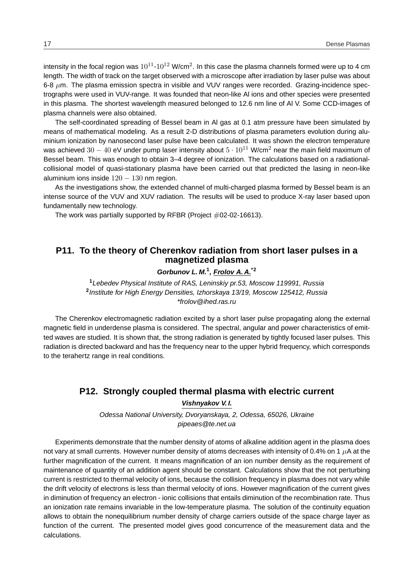intensity in the focal region was  $10^{11}$ - $10^{12}$  W/cm $^2$ . In this case the plasma channels formed were up to 4 cm length. The width of track on the target observed with a microscope after irradiation by laser pulse was about 6-8  $\mu$ m. The plasma emission spectra in visible and VUV ranges were recorded. Grazing-incidence spectrographs were used in VUV-range. It was founded that neon-like Al ions and other species were presented in this plasma. The shortest wavelength measured belonged to 12.6 nm line of Al V. Some CCD-images of plasma channels were also obtained.

The self-coordinated spreading of Bessel beam in Al gas at 0.1 atm pressure have been simulated by means of mathematical modeling. As a result 2-D distributions of plasma parameters evolution during aluminium ionization by nanosecond laser pulse have been calculated. It was shown the electron temperature was achieved  $30 - 40$  eV under pump laser intensity about  $5 \cdot 10^{11}$  W/cm<sup>2</sup> near the main field maximum of Bessel beam. This was enough to obtain 3–4 degree of ionization. The calculations based on a radiationalcollisional model of quasi-stationary plasma have been carried out that predicted the lasing in neon-like aluminium ions inside  $120 - 130$  nm region.

As the investigations show, the extended channel of multi-charged plasma formed by Bessel beam is an intense source of the VUV and XUV radiation. The results will be used to produce X-ray laser based upon fundamentally new technology.

The work was partially supported by RFBR (Project  $\#02-02-16613$ ).

### **P11. To the theory of Cherenkov radiation from short laser pulses in a magnetized plasma**

### **Gorbunov L. M.<sup>1</sup> , Frolov A. A.\*2**

**<sup>1</sup>**Lebedev Physical Institute of RAS, Leninskiy pr.53, Moscow 119991, Russia **2** Institute for High Energy Densities, Izhorskaya 13/19, Moscow 125412, Russia \*frolov@ihed.ras.ru

The Cherenkov electromagnetic radiation excited by a short laser pulse propagating along the external magnetic field in underdense plasma is considered. The spectral, angular and power characteristics of emitted waves are studied. It is shown that, the strong radiation is generated by tightly focused laser pulses. This radiation is directed backward and has the frequency near to the upper hybrid frequency, which corresponds to the terahertz range in real conditions.

### **P12. Strongly coupled thermal plasma with electric current**

#### **Vishnyakov V. I.**

Odessa National University, Dvoryanskaya, 2, Odessa, 65026, Ukraine pipeaes@te.net.ua

Experiments demonstrate that the number density of atoms of alkaline addition agent in the plasma does not vary at small currents. However number density of atoms decreases with intensity of 0.4% on 1  $\mu$ A at the further magnification of the current. It means magnification of an ion number density as the requirement of maintenance of quantity of an addition agent should be constant. Calculations show that the not perturbing current is restricted to thermal velocity of ions, because the collision frequency in plasma does not vary while the drift velocity of electrons is less than thermal velocity of ions. However magnification of the current gives in diminution of frequency an electron - ionic collisions that entails diminution of the recombination rate. Thus an ionization rate remains invariable in the low-temperature plasma. The solution of the continuity equation allows to obtain the nonequilibrium number density of charge carriers outside of the space charge layer as function of the current. The presented model gives good concurrence of the measurement data and the calculations.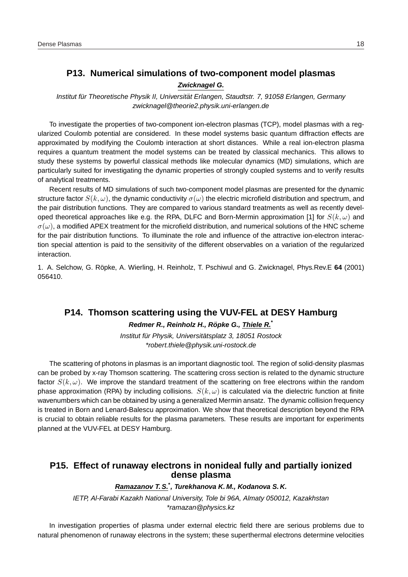### **P13. Numerical simulations of two-component model plasmas**

#### **Zwicknagel G.**

Institut für Theoretische Physik II, Universität Erlangen, Staudtstr. 7, 91058 Erlangen, Germany zwicknagel@theorie2.physik.uni-erlangen.de

To investigate the properties of two-component ion-electron plasmas (TCP), model plasmas with a regularized Coulomb potential are considered. In these model systems basic quantum diffraction effects are approximated by modifying the Coulomb interaction at short distances. While a real ion-electron plasma requires a quantum treatment the model systems can be treated by classical mechanics. This allows to study these systems by powerful classical methods like molecular dynamics (MD) simulations, which are particularly suited for investigating the dynamic properties of strongly coupled systems and to verify results of analytical treatments.

Recent results of MD simulations of such two-component model plasmas are presented for the dynamic structure factor  $S(k,\omega)$ , the dynamic conductivity  $\sigma(\omega)$  the electric microfield distribution and spectrum, and the pair distribution functions. They are compared to various standard treatments as well as recently developed theoretical approaches like e.g. the RPA, DLFC and Born-Mermin approximation [1] for  $S(k,\omega)$  and  $\sigma(\omega)$ , a modified APEX treatment for the microfield distribution, and numerical solutions of the HNC scheme for the pair distribution functions. To illuminate the role and influence of the attractive ion-electron interaction special attention is paid to the sensitivity of the different observables on a variation of the regularized interaction.

1. A. Selchow, G. Röpke, A. Wierling, H. Reinholz, T. Pschiwul and G. Zwicknagel, Phys.Rev.E 64 (2001) 056410.

### **P14. Thomson scattering using the VUV-FEL at DESY Hamburg**

### **Redmer R., Reinholz H., Ropke G., Thiele R. ¨ \***

Institut für Physik, Universitätsplatz 3, 18051 Rostock \*robert.thiele@physik.uni-rostock.de

The scattering of photons in plasmas is an important diagnostic tool. The region of solid-density plasmas can be probed by x-ray Thomson scattering. The scattering cross section is related to the dynamic structure factor  $S(k,\omega)$ . We improve the standard treatment of the scattering on free electrons within the random phase approximation (RPA) by including collisions.  $S(k,\omega)$  is calculated via the dielectric function at finite wavenumbers which can be obtained by using a generalized Mermin ansatz. The dynamic collision frequency is treated in Born and Lenard-Balescu approximation. We show that theoretical description beyond the RPA is crucial to obtain reliable results for the plasma parameters. These results are important for experiments planned at the VUV-FEL at DESY Hamburg.

### **P15. Effect of runaway electrons in nonideal fully and partially ionized dense plasma**

### **Ramazanov T. S.\* , Turekhanova K. M., Kodanova S. K.**

IETP, Al-Farabi Kazakh National University, Tole bi 96A, Almaty 050012, Kazakhstan \*ramazan@physics.kz

In investigation properties of plasma under external electric field there are serious problems due to natural phenomenon of runaway electrons in the system; these superthermal electrons determine velocities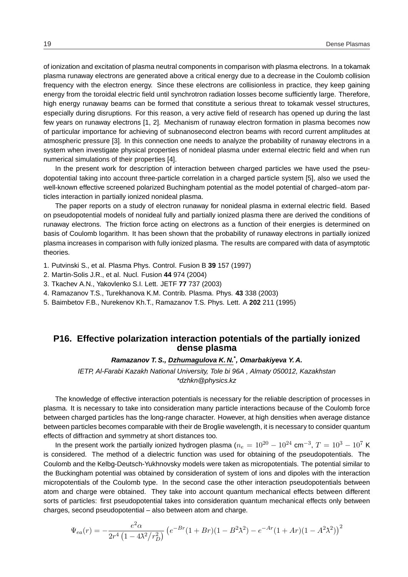of ionization and excitation of plasma neutral components in comparison with plasma electrons. In a tokamak plasma runaway electrons are generated above a critical energy due to a decrease in the Coulomb collision frequency with the electron energy. Since these electrons are collisionless in practice, they keep gaining energy from the toroidal electric field until synchrotron radiation losses become sufficiently large. Therefore, high energy runaway beams can be formed that constitute a serious threat to tokamak vessel structures, especially during disruptions. For this reason, a very active field of research has opened up during the last few years on runaway electrons [1, 2]. Mechanism of runaway electron formation in plasma becomes now of particular importance for achieving of subnanosecond electron beams with record current amplitudes at atmospheric pressure [3]. In this connection one needs to analyze the probability of runaway electrons in a system when investigate physical properties of nonideal plasma under external electric field and when run numerical simulations of their properties [4].

In the present work for description of interaction between charged particles we have used the pseudopotential taking into account three-particle correlation in a charged particle system [5], also we used the well-known effective screened polarized Buchingham potential as the model potential of charged–atom particles interaction in partially ionized nonideal plasma.

The paper reports on a study of electron runaway for nonideal plasma in external electric field. Based on pseudopotential models of nonideal fully and partially ionized plasma there are derived the conditions of runaway electrons. The friction force acting on electrons as a function of their energies is determined on basis of Coulomb logarithm. It has been shown that the probability of runaway electrons in partially ionized plasma increases in comparison with fully ionized plasma. The results are compared with data of asymptotic theories.

- 1. Putvinski S., et al. Plasma Phys. Control. Fusion B **39** 157 (1997)
- 2. Martin-Solis J.R., et al. Nucl. Fusion **44** 974 (2004)
- 3. Tkachev A.N., Yakovlenko S.I. Lett. JETF **77** 737 (2003)
- 4. Ramazanov T.S., Turekhanova K.M. Contrib. Plasma. Phys. **43** 338 (2003)
- 5. Baimbetov F.B., Nurekenov Kh.T., Ramazanov T.S. Phys. Lett. A **202** 211 (1995)

### **P16. Effective polarization interaction potentials of the partially ionized dense plasma**

### **Ramazanov T. S., Dzhumagulova K. N.\* , Omarbakiyeva Y. A.**

IETP, Al-Farabi Kazakh National University, Tole bi 96A , Almaty 050012, Kazakhstan \*dzhkn@physics.kz

The knowledge of effective interaction potentials is necessary for the reliable description of processes in plasma. It is necessary to take into consideration many particle interactions because of the Coulomb force between charged particles has the long-range character. However, at high densities when average distance between particles becomes comparable with their de Broglie wavelength, it is necessary to consider quantum effects of diffraction and symmetry at short distances too.

In the present work the partially ionized hydrogen plasma ( $n_e=10^{20}-10^{24}$  cm $^{-3}$ ,  $T=10^3-10^7$  K is considered. The method of a dielectric function was used for obtaining of the pseudopotentials. The Coulomb and the Kelbg-Deutsch-Yukhnovsky models were taken as micropotentials. The potential similar to the Buckingham potential was obtained by consideration of system of ions and dipoles with the interaction micropotentials of the Coulomb type. In the second case the other interaction pseudopotentials between atom and charge were obtained. They take into account quantum mechanical effects between different sorts of particles: first pseudopotential takes into consideration quantum mechanical effects only between charges, second pseudopotential – also between atom and charge.

$$
\Psi_{ea}(r) = -\frac{e^2 \alpha}{2r^4 \left(1 - 4\lambda^2/r_D^2\right)} \left(e^{-Br}(1 + Br)(1 - B^2 \lambda^2) - e^{-Ar}(1 + Ar)(1 - A^2 \lambda^2)\right)^2
$$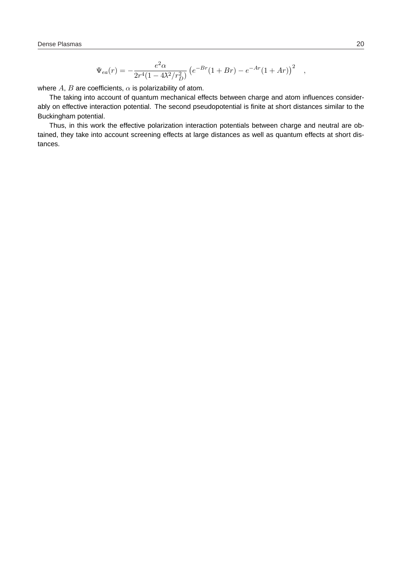$$
\Psi_{ea}(r) = -\frac{e^2 \alpha}{2r^4(1 - 4\lambda^2/r_D^2)} \left(e^{-Br}(1 + Br) - e^{-Ar}(1 + Ar)\right)^2 ,
$$

where  $A$ ,  $B$  are coefficients,  $\alpha$  is polarizability of atom.

The taking into account of quantum mechanical effects between charge and atom influences considerably on effective interaction potential. The second pseudopotential is finite at short distances similar to the Buckingham potential.

Thus, in this work the effective polarization interaction potentials between charge and neutral are obtained, they take into account screening effects at large distances as well as quantum effects at short distances.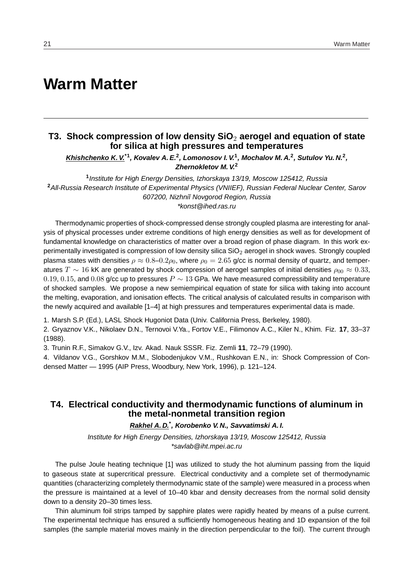## **Warm Matter**

### **T3. Shock compression of low density SiO**<sup>2</sup> **aerogel and equation of state for silica at high pressures and temperatures**

**Khishchenko K. V.\*1, Kovalev A. E.<sup>2</sup> , Lomonosov I. V.<sup>1</sup> , Mochalov M. A.<sup>2</sup> , Sutulov Yu. N.<sup>2</sup> , Zhernokletov M. V.<sup>2</sup>**

**1** Institute for High Energy Densities, Izhorskaya 13/19, Moscow 125412, Russia **<sup>2</sup>**All-Russia Research Institute of Experimental Physics (VNIIEF), Russian Federal Nuclear Center, Sarov 607200, Nizhniĭ Novgorod Region, Russia \*konst@ihed.ras.ru

Thermodynamic properties of shock-compressed dense strongly coupled plasma are interesting for analysis of physical processes under extreme conditions of high energy densities as well as for development of fundamental knowledge on characteristics of matter over a broad region of phase diagram. In this work experimentally investigated is compression of low density silica  $SiO<sub>2</sub>$  aerogel in shock waves. Strongly coupled plasma states with densities  $\rho \approx 0.8-0.2\rho_0$ , where  $\rho_0 = 2.65$  g/cc is normal density of quartz, and temperatures  $T \sim 16$  kK are generated by shock compression of aerogel samples of initial densities  $\rho_{00} \approx 0.33$ , 0.19, 0.15, and 0.08 g/cc up to pressures  $P \sim 13$  GPa. We have measured compressibility and temperature of shocked samples. We propose a new semiempirical equation of state for silica with taking into account the melting, evaporation, and ionisation effects. The critical analysis of calculated results in comparison with the newly acquired and available [1–4] at high pressures and temperatures experimental data is made.

1. Marsh S.P. (Ed.), LASL Shock Hugoniot Data (Univ. California Press, Berkeley, 1980).

2. Gryaznov V.K., Nikolaev D.N., Ternovoi V.Ya., Fortov V.E., Filimonov A.C., Kiler N., Khim. Fiz. **17**, 33–37 (1988).

3. Trunin R.F., Simakov G.V., Izv. Akad. Nauk SSSR. Fiz. Zemli **11**, 72–79 (1990).

4. Vildanov V.G., Gorshkov M.M., Slobodenjukov V.M., Rushkovan E.N., in: Shock Compression of Condensed Matter — 1995 (AIP Press, Woodbury, New York, 1996), p. 121–124.

### **T4. Electrical conductivity and thermodynamic functions of aluminum in the metal-nonmetal transition region**

### **Rakhel A. D.\* , Korobenko V. N., Savvatimski A. I.**

Institute for High Energy Densities, Izhorskaya 13/19, Moscow 125412, Russia \*savlab@iht.mpei.ac.ru

The pulse Joule heating technique [1] was utilized to study the hot aluminum passing from the liquid to gaseous state at supercritical pressure. Electrical conductivity and a complete set of thermodynamic quantities (characterizing completely thermodynamic state of the sample) were measured in a process when the pressure is maintained at a level of 10–40 kbar and density decreases from the normal solid density down to a density 20–30 times less.

Thin aluminum foil strips tamped by sapphire plates were rapidly heated by means of a pulse current. The experimental technique has ensured a sufficiently homogeneous heating and 1D expansion of the foil samples (the sample material moves mainly in the direction perpendicular to the foil). The current through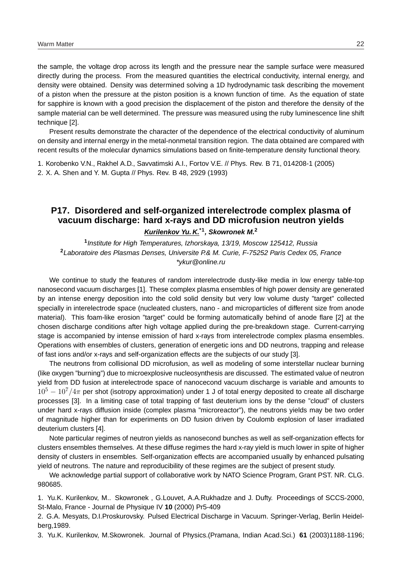the sample, the voltage drop across its length and the pressure near the sample surface were measured directly during the process. From the measured quantities the electrical conductivity, internal energy, and density were obtained. Density was determined solving a 1D hydrodynamic task describing the movement of a piston when the pressure at the piston position is a known function of time. As the equation of state for sapphire is known with a good precision the displacement of the piston and therefore the density of the sample material can be well determined. The pressure was measured using the ruby luminescence line shift technique [2].

Present results demonstrate the character of the dependence of the electrical conductivity of aluminum on density and internal energy in the metal-nonmetal transition region. The data obtained are compared with recent results of the molecular dynamics simulations based on finite-temperature density functional theory.

1. Korobenko V.N., Rakhel A.D., Savvatimski A.I., Fortov V.E. // Phys. Rev. B 71, 014208-1 (2005) 2. X. A. Shen and Y. M. Gupta // Phys. Rev. B 48, 2929 (1993)

### **P17. Disordered and self-organized interelectrode complex plasma of vacuum discharge: hard x-rays and DD microfusion neutron yields**

**Kurilenkov Yu. K.\*1, Skowronek M.<sup>2</sup>**

**1** Institute for High Temperatures, Izhorskaya, 13/19, Moscow 125412, Russia **<sup>2</sup>**Laboratoire des Plasmas Denses, Universite P.& M. Curie, F-75252 Paris Cedex 05, France \*ykur@online.ru

We continue to study the features of random interelectrode dusty-like media in low energy table-top nanosecond vacuum discharges [1]. These complex plasma ensembles of high power density are generated by an intense energy deposition into the cold solid density but very low volume dusty "target" collected specially in interelectrode space (nucleated clusters, nano - and microparticles of different size from anode material). This foam-like erosion "target" could be forming automatically behind of anode flare [2] at the chosen discharge conditions after high voltage applied during the pre-breakdown stage. Current-carrying stage is accompanied by intense emission of hard x-rays from interelectrode complex plasma ensembles. Operations with ensembles of clusters, generation of energetic ions and DD neutrons, trapping and release of fast ions and/or x-rays and self-organization effects are the subjects of our study [3].

The neutrons from collisional DD microfusion, as well as modeling of some interstellar nuclear burning (like oxygen "burning") due to microexplosive nucleosynthesis are discussed. The estimated value of neutron yield from DD fusion at interelectrode space of nanocecond vacuum discharge is variable and amounts to  $10^5 - 10^7/4\pi$  per shot (isotropy approximation) under 1 J of total energy deposited to create all discharge processes [3]. In a limiting case of total trapping of fast deuterium ions by the dense "cloud" of clusters under hard x-rays diffusion inside (complex plasma "microreactor"), the neutrons yields may be two order of magnitude higher than for experiments on DD fusion driven by Coulomb explosion of laser irradiated deuterium clusters [4].

Note particular regimes of neutron yields as nanosecond bunches as well as self-organization effects for clusters ensembles themselves. At these diffuse regimes the hard x-ray yield is much lower in spite of higher density of clusters in ensembles. Self-organization effects are accompanied usually by enhanced pulsating yield of neutrons. The nature and reproducibility of these regimes are the subject of present study.

We acknowledge partial support of collaborative work by NATO Science Program, Grant PST. NR. CLG. 980685.

1. Yu.K. Kurilenkov, M.. Skowronek , G.Louvet, A.A.Rukhadze and J. Dufty. Proceedings of SCCS-2000, St-Malo, France - Journal de Physique IV **10** (2000) Pr5-409

2. G.A. Mesyats, D.I.Proskurovsky. Pulsed Electrical Discharge in Vacuum. Springer-Verlag, Berlin Heidelberg,1989.

3. Yu.K. Kurilenkov, M.Skowronek. Journal of Physics.(Pramana, Indian Acad.Sci.) **61** (2003)1188-1196;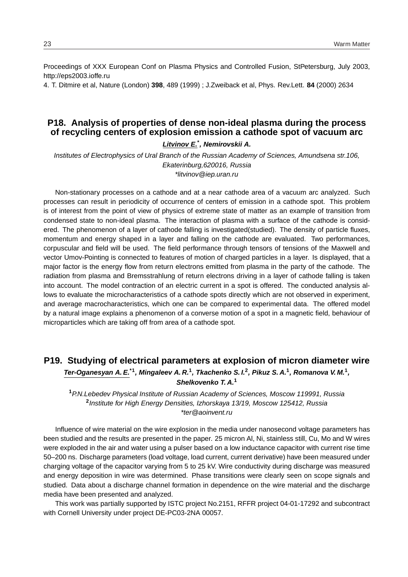Proceedings of XXX European Conf on Plasma Physics and Controlled Fusion, StPetersburg, July 2003, http://eps2003.ioffe.ru

4. T. Ditmire et al, Nature (London) **398**, 489 (1999) ; J.Zweiback et al, Phys. Rev.Lett. **84** (2000) 2634

### **P18. Analysis of properties of dense non-ideal plasma during the process of recycling centers of explosion emission a cathode spot of vacuum arc**

**Litvinov E.\* , Nemirovskii A.**

Institutes of Electrophysics of Ural Branch of the Russian Academy of Sciences, Amundsena str.106, Ekaterinburg,620016, Russia \*litvinov@iep.uran.ru

Non-stationary processes on a cathode and at a near cathode area of a vacuum arc analyzed. Such processes can result in periodicity of occurrence of centers of emission in a cathode spot. This problem is of interest from the point of view of physics of extreme state of matter as an example of transition from condensed state to non-ideal plasma. The interaction of plasma with a surface of the cathode is considered. The phenomenon of a layer of cathode falling is investigated(studied). The density of particle fluxes, momentum and energy shaped in a layer and falling on the cathode are evaluated. Two performances, corpuscular and field will be used. The field performance through tensors of tensions of the Maxwell and vector Umov-Pointing is connected to features of motion of charged particles in a layer. Is displayed, that a major factor is the energy flow from return electrons emitted from plasma in the party of the cathode. The radiation from plasma and Bremsstrahlung of return electrons driving in a layer of cathode falling is taken into account. The model contraction of an electric current in a spot is offered. The conducted analysis allows to evaluate the microcharacteristics of a cathode spots directly which are not observed in experiment, and average macrocharacteristics, which one can be compared to experimental data. The offered model by a natural image explains a phenomenon of a converse motion of a spot in a magnetic field, behaviour of microparticles which are taking off from area of a cathode spot.

### **P19. Studying of electrical parameters at explosion of micron diameter wire**

**Ter-Oganesyan A. E.\*1, Mingaleev A. R.<sup>1</sup> , Tkachenko S. I.<sup>2</sup> , Pikuz S. A.<sup>1</sup> , Romanova V. M.<sup>1</sup> , Shelkovenko T. A.<sup>1</sup>**

**<sup>1</sup>**P.N.Lebedev Physical Institute of Russian Academy of Sciences, Moscow 119991, Russia **2** Institute for High Energy Densities, Izhorskaya 13/19, Moscow 125412, Russia \*ter@aoinvent.ru

Influence of wire material on the wire explosion in the media under nanosecond voltage parameters has been studied and the results are presented in the paper. 25 micron Al, Ni, stainless still, Cu, Mo and W wires were exploded in the air and water using a pulser based on a low inductance capacitor with current rise time 50–200 ns. Discharge parameters (load voltage, load current, current derivative) have been measured under charging voltage of the capacitor varying from 5 to 25 kV. Wire conductivity during discharge was measured and energy deposition in wire was determined. Phase transitions were clearly seen on scope signals and studied. Data about a discharge channel formation in dependence on the wire material and the discharge media have been presented and analyzed.

This work was partially supported by ISTC project No.2151, RFFR project 04-01-17292 and subcontract with Cornell University under project DE-PC03-2NA 00057.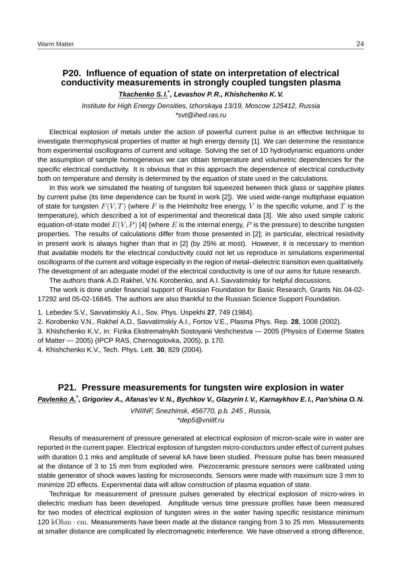### **P20. Influence of equation of state on interpretation of electrical conductivity measurements in strongly coupled tungsten plasma**

### **Tkachenko S. I.\* , Levashov P. R., Khishchenko K. V.**

Institute for High Energy Densities, Izhorskaya 13/19, Moscow 125412, Russia \*svt@ihed.ras.ru

Electrical explosion of metals under the action of powerful current pulse is an effective technique to investigate thermophysical properties of matter at high energy density [1]. We can determine the resistance from experimental oscillograms of current and voltage. Solving the set of 1D hydrodynamic equations under the assumption of sample homogeneous we can obtain temperature and volumetric dependencies for the specific electrical conductivity. It is obvious that in this approach the dependence of electrical conductivity both on temperature and density is determined by the equation of state used in the calculations.

In this work we simulated the heating of tungsten foil squeezed between thick glass or sapphire plates by current pulse (its time dependence can be found in work [2]). We used wide-range multiphase equation of state for tungsten  $F(V, T)$  (where F is the Helmholtz free energy, V is the specific volume, and T is the temperature), which described a lot of experimental and theoretical data [3]. We also used simple caloric equation-of-state model  $E(V, P)$  [4] (where E is the internal energy, P is the pressure) to describe tungsten properties. The results of calculations differ from those presented in [2]; in particular, electrical resistivity in present work is always higher than that in [2] (by 25% at most). However, it is necessary to mention that available models for the electrical conductivity could not let us reproduce in simulations experimental oscillograms of the current and voltage especially in the region of metal–dielectric transition even qualitatively. The development of an adequate model of the electrical conductivity is one of our aims for future research.

The authors thank A.D. Rakhel, V.N. Korobenko, and A.I. Savvatimskiy for helpful discussions.

The work is done under financial support of Russian Foundation for Basic Research, Grants No. 04-02- 17292 and 05-02-16845. The authors are also thankful to the Russian Science Support Foundation.

1. Lebedev S.V., Savvatimskiy A.I., Sov. Phys. Uspekhi **27**, 749 (1984).

2. Korobenko V.N., Rakhel A.D., Savvatimskiy A.I., Fortov V.E., Plasma Phys. Rep. **28**, 1008 (2002).

3. Khishchenko K.V., in: Fizika Ekstremalnykh Sostoyanii Veshchestva — 2005 (Physics of Exterme States of Matter — 2005) (IPCP RAS, Chernogolovka, 2005), p. 170.

4. Khishchenko K.V., Tech. Phys. Lett. **30**, 829 (2004).

### **P21. Pressure measurements for tungsten wire explosion in water**

**Pavlenko A.\* , Grigoriev A., Afanas'ev V. N., Bychkov V., Glazyrin I. V., Karnaykhov E. I., Pan'shina O. N.**

VNIINF, Snezhinsk, 456770, p.b. 245 , Russia, \*dep5@vniitf.ru

Results of measurement of pressure generated at electrical explosion of micron-scale wire in water are reported in the current paper. Electrical explosion of tungsten micro-conductors under effect of current pulses with duration 0.1 mks and amplitude of several kA have been studied. Pressure pulse has been measured at the distance of 3 to 15 mm from exploded wire. Piezoceramic pressure sensors were calibrated using stable generator of shock waves lasting for microseconds. Sensors were made with maximum size 3 mm to minimize 2D effects. Experimental data will allow construction of plasma equation of state.

Technique for measurement of pressure pulses generated by electrical explosion of micro-wires in dielectric medium has been developed. Amplitude versus time pressure profiles have been measured for two modes of electrical explosion of tungsten wires in the water having specific resistance minimum  $120 \text{ kOhm} \cdot \text{cm}$ . Measurements have been made at the distance ranging from 3 to 25 mm. Measurements at smaller distance are complicated by electromagnetic interference. We have observed a strong difference,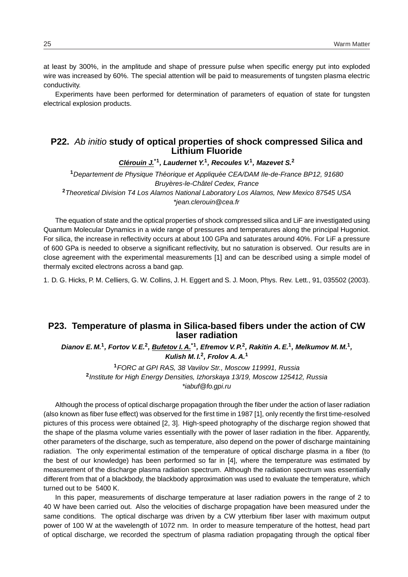at least by 300%, in the amplitude and shape of pressure pulse when specific energy put into exploded wire was increased by 60%. The special attention will be paid to measurements of tungsten plasma electric conductivity.

Experiments have been performed for determination of parameters of equation of state for tungsten electrical explosion products.

### **P22.** Ab initio **study of optical properties of shock compressed Silica and Lithium Fluoride**

**Clerouin J. ´ \*1, Laudernet Y.<sup>1</sup> , Recoules V.<sup>1</sup> , Mazevet S.<sup>2</sup>**

<sup>1</sup> Departement de Physique Théorique et Appliquée CEA/DAM Ile-de-France BP12, 91680 Bruyères-le-Châtel Cedex, France **<sup>2</sup>**Theoretical Division T4 Los Alamos National Laboratory Los Alamos, New Mexico 87545 USA \*jean.clerouin@cea.fr

The equation of state and the optical properties of shock compressed silica and LiF are investigated using Quantum Molecular Dynamics in a wide range of pressures and temperatures along the principal Hugoniot. For silica, the increase in reflectivity occurs at about 100 GPa and saturates around 40%. For LiF a pressure of 600 GPa is needed to observe a significant reflectivity, but no saturation is observed. Our results are in close agreement with the experimental measurements [1] and can be described using a simple model of thermaly excited electrons across a band gap.

1. D. G. Hicks, P. M. Celliers, G. W. Collins, J. H. Eggert and S. J. Moon, Phys. Rev. Lett., 91, 035502 (2003).

### **P23. Temperature of plasma in Silica-based fibers under the action of CW laser radiation**

Dianov E. M.<sup>1</sup>, Fortov V. E.<sup>2</sup>, Bufetov I. A.<sup>\*1</sup>, Efremov V. P.<sup>2</sup>, Rakitin A. E.<sup>1</sup>, Melkumov M. M.<sup>1</sup>, **Kulish M. I.<sup>2</sup> , Frolov A. A.<sup>1</sup>**

**<sup>1</sup>**FORC at GPI RAS, 38 Vavilov Str., Moscow 119991, Russia **2** Institute for High Energy Densities, Izhorskaya 13/19, Moscow 125412, Russia \*iabuf@fo.gpi.ru

Although the process of optical discharge propagation through the fiber under the action of laser radiation (also known as fiber fuse effect) was observed for the first time in 1987 [1], only recently the first time-resolved pictures of this process were obtained [2, 3]. High-speed photography of the discharge region showed that the shape of the plasma volume varies essentially with the power of laser radiation in the fiber. Apparently, other parameters of the discharge, such as temperature, also depend on the power of discharge maintaining radiation. The only experimental estimation of the temperature of optical discharge plasma in a fiber (to the best of our knowledge) has been performed so far in [4], where the temperature was estimated by measurement of the discharge plasma radiation spectrum. Although the radiation spectrum was essentially different from that of a blackbody, the blackbody approximation was used to evaluate the temperature, which turned out to be 5400 K.

In this paper, measurements of discharge temperature at laser radiation powers in the range of 2 to 40 W have been carried out. Also the velocities of discharge propagation have been measured under the same conditions. The optical discharge was driven by a CW ytterbium fiber laser with maximum output power of 100 W at the wavelength of 1072 nm. In order to measure temperature of the hottest, head part of optical discharge, we recorded the spectrum of plasma radiation propagating through the optical fiber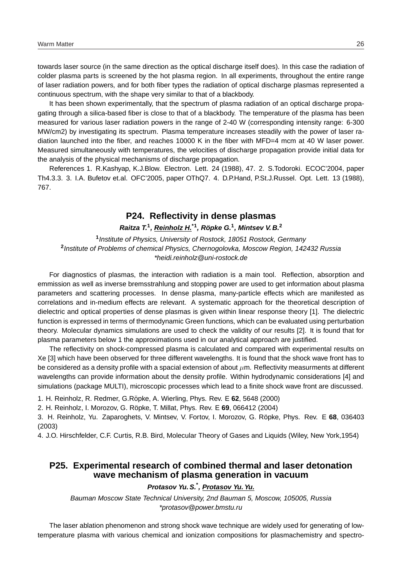towards laser source (in the same direction as the optical discharge itself does). In this case the radiation of colder plasma parts is screened by the hot plasma region. In all experiments, throughout the entire range of laser radiation powers, and for both fiber types the radiation of optical discharge plasmas represented a continuous spectrum, with the shape very similar to that of a blackbody.

It has been shown experimentally, that the spectrum of plasma radiation of an optical discharge propagating through a silica-based fiber is close to that of a blackbody. The temperature of the plasma has been measured for various laser radiation powers in the range of 2-40 W (corresponding intensity range: 6-300 MW/cm2) by investigating its spectrum. Plasma temperature increases steadily with the power of laser radiation launched into the fiber, and reaches 10000 K in the fiber with MFD=4 mcm at 40 W laser power. Measured simultaneously with temperatures, the velocities of discharge propagation provide initial data for the analysis of the physical mechanisms of discharge propagation.

References 1. R.Kashyap, K.J.Blow. Electron. Lett. 24 (1988), 47. 2. S.Todoroki. ECOC'2004, paper Th4.3.3. 3. I.A. Bufetov et.al. OFC'2005, paper OThQ7. 4. D.P.Hand, P.St.J.Russel. Opt. Lett. 13 (1988), 767.

### **P24. Reflectivity in dense plasmas**

### **Raitza T.<sup>1</sup> , Reinholz H.\*1, Ropke G. ¨ 1 , Mintsev V. B.<sup>2</sup>**

**1** Institute of Physics, University of Rostock, 18051 Rostock, Germany **2** Institute of Problems of chemical Physics, Chernogolovka, Moscow Region, 142432 Russia \*heidi.reinholz@uni-rostock.de

For diagnostics of plasmas, the interaction with radiation is a main tool. Reflection, absorption and emmission as well as inverse bremsstrahlung and stopping power are used to get information about plasma parameters and scattering processes. In dense plasma, many-particle effects which are manifested as correlations and in-medium effects are relevant. A systematic approach for the theoretical description of dielectric and optical properties of dense plasmas is given within linear response theory [1]. The dielectric function is expressed in terms of thermodynamic Green functions, which can be evaluated using perturbation theory. Molecular dynamics simulations are used to check the validity of our results [2]. It is found that for plasma parameters below 1 the approximations used in our analytical approach are justified.

The reflectivity on shock-compressed plasma is calculated and compared with experimental results on Xe [3] which have been observed for three different wavelengths. It is found that the shock wave front has to be considered as a density profile with a spacial extension of about  $\mu$ m. Reflectivity measurments at different wavelengths can provide information about the density profile. Within hydrodynamic considerations [4] and simulations (package MULTI), microscopic processes which lead to a finite shock wave front are discussed.

1. H. Reinholz, R. Redmer, G. Röpke, A. Wierling, Phys. Rev. E 62, 5648 (2000)

2. H. Reinholz, I. Morozov, G. Röpke, T. Millat, Phys. Rev. E 69, 066412 (2004)

3. H. Reinholz, Yu. Zaparoghets, V. Mintsey, V. Fortov, I. Morozov, G. Röpke, Phys. Rev. E 68, 036403 (2003)

4. J.O. Hirschfelder, C.F. Curtis, R.B. Bird, Molecular Theory of Gases and Liquids (Wiley, New York,1954)

### **P25. Experimental research of combined thermal and laser detonation wave mechanism of plasma generation in vacuum**

### **Protasov Yu. S.\* , Protasov Yu. Yu.**

Bauman Moscow State Technical University, 2nd Bauman 5, Moscow, 105005, Russia \*protasov@power.bmstu.ru

The laser ablation phenomenon and strong shock wave technique are widely used for generating of lowtemperature plasma with various chemical and ionization compositions for plasmachemistry and spectro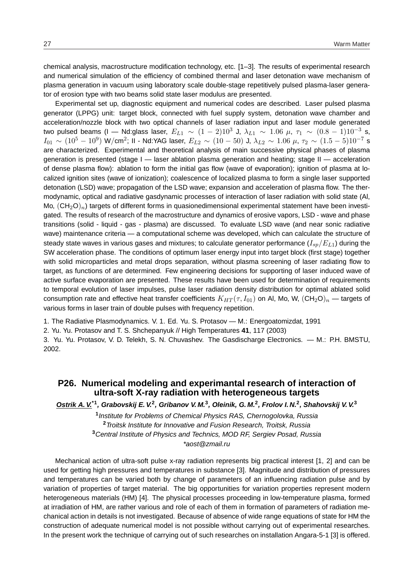chemical analysis, macrostructure modification technology, etc. [1–3]. The results of experimental research and numerical simulation of the efficiency of combined thermal and laser detonation wave mechanism of plasma generation in vacuum using laboratory scale double-stage repetitively pulsed plasma-laser generator of erosion type with two beams solid state laser modulus are presented.

Experimental set up, diagnostic equipment and numerical codes are described. Laser pulsed plasma generator (LPPG) unit: target block, connected with fuel supply system, detonation wave chamber and acceleration/nozzle block with two optical channels of laser radiation input and laser module generated two pulsed beams (I — Nd:glass laser,  $E_{L1}~\sim~(1-2)10^3$  J,  $\lambda_{L1}~\sim~1.06$   $\mu,~\tau_1~\sim~(0.8-1)10^{-3}$  s,  $I_{01}\sim(10^5-10^9)$  W/cm $^2$ ; II - Nd:YAG laser,  $E_{L2}\sim(10-50)$  J,  $\lambda_{L2}\sim1.06$   $\mu$ ,  $\tau_2\sim(1.5-5)10^{-7}$  s are characterized. Experimental and theoretical analysis of main successive physical phases of plasma generation is presented (stage I — laser ablation plasma generation and heating; stage II — acceleration of dense plasma flow): ablation to form the initial gas flow (wave of evaporation); ignition of plasma at localized ignition sites (wave of ionization); coalescence of localized plasma to form a single laser supported detonation (LSD) wave; propagation of the LSD wave; expansion and acceleration of plasma flow. The thermodynamic, optical and radiative gasdynamic processes of interaction of laser radiation with solid state (Al, Mo,  $(\text{CH}_2\text{O})_n$ ) targets of different forms in quasionedimensional experimental statement have been investigated. The results of research of the macrostructure and dynamics of erosive vapors, LSD - wave and phase transitions (solid - liquid - gas - plasma) are discussed. To evaluate LSD wave (and near sonic radiative wave) maintenance criteria — a computational scheme was developed, which can calculate the structure of steady state waves in various gases and mixtures; to calculate generator performance  $(I_{sp}/E_{L1})$  during the SW acceleration phase. The conditions of optimum laser energy input into target block (first stage) together with solid microparticles and metal drops separation, without plasma screening of laser radiating flow to target, as functions of are determined. Few engineering decisions for supporting of laser induced wave of active surface evaporation are presented. These results have been used for determination of requirements to temporal evolution of laser impulses, pulse laser radiation density distribution for optimal ablated solid consumption rate and effective heat transfer coefficients  $K_{HT}(\tau, I_{01})$  on Al, Mo, W,  $(\text{CH}_2\text{O})_n$  — targets of various forms in laser train of double pulses with frequency repetition.

1. The Radiative Plasmodynamics. V. 1. Ed. Yu. S. Protasov — M.: Energoatomizdat, 1991

2. Yu. Yu. Protasov and T. S. Shchepanyuk // High Temperatures **41**, 117 (2003)

3. Yu. Yu. Protasov, V. D. Telekh, S. N. Chuvashev. The Gasdischarge Electronics. — M.: P.H. BMSTU, 2002.

### **P26. Numerical modeling and experimantal research of interaction of ultra-soft X-ray radiation with heterogeneous targets**

**Ostrik A. V.\*1, Grabovskij E. V.<sup>2</sup> , Gribanov V. M.<sup>3</sup> , Oleinik, G. M.<sup>2</sup> , Frolov I. N.<sup>2</sup> , Shahovskij V. V.<sup>3</sup>**

 Institute for Problems of Chemical Physics RAS, Chernogolovka, Russia Troitsk Institute for Innovative and Fusion Research, Troitsk, Russia Central Institute of Physics and Technics, MOD RF, Sergiev Posad, Russia \*aost@zmail.ru

Mechanical action of ultra-soft pulse x-ray radiation represents big practical interest [1, 2] and can be used for getting high pressures and temperatures in substance [3]. Magnitude and distribution of pressures and temperatures can be varied both by change of parameters of an influencing radiation pulse and by variation of properties of target material. The big opportunities for variation properties represent modern heterogeneous materials (HM) [4]. The physical processes proceeding in low-temperature plasma, formed at irradiation of HM, are rather various and role of each of them in formation of parameters of radiation mechanical action in details is not investigated. Because of absence of wide range equations of state for HM the construction of adequate numerical model is not possible without carrying out of experimental researches. In the present work the technique of carrying out of such researches on installation Angara-5-1 [3] is offered.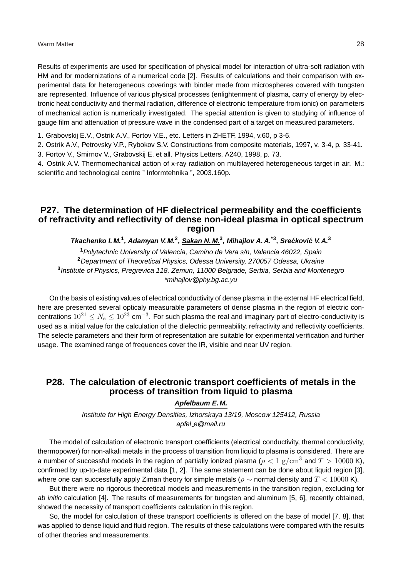Results of experiments are used for specification of physical model for interaction of ultra-soft radiation with HM and for modernizations of a numerical code [2]. Results of calculations and their comparison with experimental data for heterogeneous coverings with binder made from microspheres covered with tungsten are represented. Influence of various physical processes (enlightenment of plasma, carry of energy by electronic heat conductivity and thermal radiation, difference of electronic temperature from ionic) on parameters of mechanical action is numerically investigated. The special attention is given to studying of influence of gauge film and attenuation of pressure wave in the condensed part of a target on measured parameters.

1. Grabovskij E.V., Ostrik A.V., Fortov V.E., etc. Letters in ZHETF, 1994, v.60, p 3-6.

2. Ostrik A.V., Petrovsky V.P., Rybokov S.V. Constructions from composite materials, 1997, v. 3-4, p. 33-41. 3. Fortov V., Smirnov V., Grabovskij E. et all. Physics Letters, A240, 1998, p. 73.

4. Ostrik A.V. Thermomechanical action of x-ray radiation on multilayered heterogeneous target in air. M.: scientific and technological centre " Informtehnika ", 2003.160p.

### **P27. The determination of HF dielectrical permeability and the coefficients of refractivity and reflectivity of dense non-ideal plasma in optical spectrum region**

Tkachenko I. M.<sup>1</sup>, Adamyan V. M.<sup>2</sup>, Sakan N. M.<sup>3</sup>, Mihajlov A. A.<sup>\*3</sup>, Srećković V. A.<sup>3</sup>

Polytechnic University of Valencia, Camino de Vera s/n, Valencia 46022, Spain Department of Theoretical Physics, Odessa University, 270057 Odessa, Ukraine Institute of Physics, Pregrevica 118, Zemun, 11000 Belgrade, Serbia, Serbia and Montenegro \*mihajlov@phy.bg.ac.yu

On the basis of existing values of electrical conductivity of dense plasma in the external HF electrical field, here are presented several opticaly measurable parameters of dense plasma in the region of electric concentrations  $10^{21} \leq N_e \leq 10^{23}$  cm $^{-3}$ . For such plasma the real and imaginary part of electro-conductivity is used as a initial value for the calculation of the dielectric permeability, refractivity and reflectivity coefficients. The selecte parameters and their form of representation are suitable for experimental verification and further usage. The examined range of frequences cover the IR, visible and near UV region.

### **P28. The calculation of electronic transport coefficients of metals in the process of transition from liquid to plasma**

### **Apfelbaum E. M.**

Institute for High Energy Densities, Izhorskaya 13/19, Moscow 125412, Russia apfel e@mail.ru

The model of calculation of electronic transport coefficients (electrical conductivity, thermal conductivity, thermopower) for non-alkali metals in the process of transition from liquid to plasma is considered. There are a number of successful models in the region of partially ionized plasma ( $\rho < 1 \text{ g/cm}^3$  and  $T > 10000$  K), confirmed by up-to-date experimental data [1, 2]. The same statement can be done about liquid region [3], where one can successfully apply Ziman theory for simple metals ( $\rho \sim$  normal density and  $T < 10000$  K).

But there were no rigorous theoretical models and measurements in the transition region, excluding for ab initio calculation [4]. The results of measurements for tungsten and aluminum [5, 6], recently obtained, showed the necessity of transport coefficients calculation in this region.

So, the model for calculation of these transport coefficients is offered on the base of model [7, 8], that was applied to dense liquid and fluid region. The results of these calculations were compared with the results of other theories and measurements.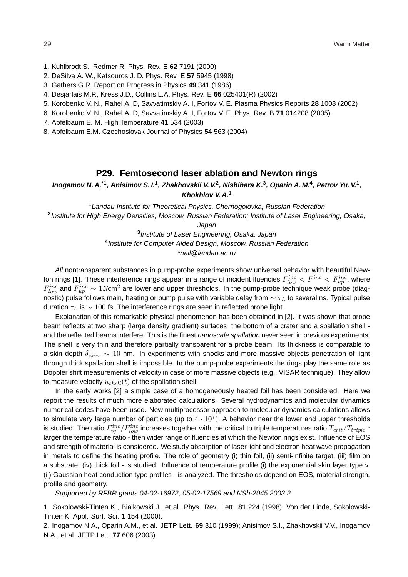- 1. Kuhlbrodt S., Redmer R. Phys. Rev. E **62** 7191 (2000)
- 2. DeSilva A. W., Katsouros J. D. Phys. Rev. E **57** 5945 (1998)
- 3. Gathers G.R. Report on Progress in Physics **49** 341 (1986)
- 4. Desjarlais M.P., Kress J.D., Collins L.A. Phys. Rev. E **66** 025401(R) (2002)
- 5. Korobenko V. N., Rahel A. D, Savvatimskiy A. I, Fortov V. E. Plasma Physics Reports **28** 1008 (2002)
- 6. Korobenko V. N., Rahel A. D, Savvatimskiy A. I, Fortov V. E. Phys. Rev. B **71** 014208 (2005)
- 7. Apfelbaum E. M. High Temperature **41** 534 (2003)
- 8. Apfelbaum E.M. Czechoslovak Journal of Physics **54** 563 (2004)

### **P29. Femtosecond laser ablation and Newton rings**

**Inogamov N. A.\*1, Anisimov S. I.<sup>1</sup> , Zhakhovskii V. V.<sup>2</sup> , Nishihara K.<sup>3</sup> , Oparin A. M.<sup>4</sup> , Petrov Yu. V.<sup>1</sup> , Khokhlov V. A.<sup>1</sup>**

**<sup>1</sup>**Landau Institute for Theoretical Physics, Chernogolovka, Russian Federation **2** Institute for High Energy Densities, Moscow, Russian Federation; Institute of Laser Engineering, Osaka,

Japan

**3** Institute of Laser Engineering, Osaka, Japan **4** Institute for Computer Aided Design, Moscow, Russian Federation \*nail@landau.ac.ru

All nontransparent substances in pump-probe experiments show universal behavior with beautiful Newton rings [1]. These interference rings appear in a range of incident fluencies  $F_{low}^{inc} < F_{up}^{inc} < F_{up}^{inc}$ , where  $F_{low}^{inc}$  and  $F_{up}^{inc}\sim 1$ J/cm<sup>2</sup> are lower and upper thresholds. In the pump-probe technique weak probe (diagnostic) pulse follows main, heating or pump pulse with variable delay from  $\sim \tau_L$  to several ns. Typical pulse duration  $\tau_L$  is  $\sim$  100 fs. The interference rings are seen in reflected probe light.

Explanation of this remarkable physical phenomenon has been obtained in [2]. It was shown that probe beam reflects at two sharp (large density gradient) surfaces the bottom of a crater and a spallation shell and the reflected beams interfere. This is the finest nanoscale spallation never seen in previous experiments. The shell is very thin and therefore partially transparent for a probe beam. Its thickness is comparable to a skin depth  $\delta_{skin}$  ~ 10 nm. In experiments with shocks and more massive objects penetration of light through thick spallation shell is impossible. In the pump-probe experiments the rings play the same role as Doppler shift measurements of velocity in case of more massive objects (e.g., VISAR technique). They allow to measure velocity  $u_{shell}(t)$  of the spallation shell.

In the early works [2] a simple case of a homogeneously heated foil has been considered. Here we report the results of much more elaborated calculations. Several hydrodynamics and molecular dynamics numerical codes have been used. New multiprocessor approach to molecular dynamics calculations allows to simulate very large number of particles (up to  $4\cdot 10^7$ ). A behavior near the lower and upper thresholds is studied. The ratio  $F_{up}^{inc}/F_{low}^{inc}$  increases together with the critical to triple temperatures ratio  $T_{crit}/T_{triple}$  : larger the temperature ratio - then wider range of fluencies at which the Newton rings exist. Influence of EOS and strength of material is considered. We study absorption of laser light and electron heat wave propagation in metals to define the heating profile. The role of geometry (i) thin foil, (ii) semi-infinite target, (iii) film on a substrate, (iv) thick foil - is studied. Influence of temperature profile (i) the exponential skin layer type v. (ii) Gaussian heat conduction type profiles - is analyzed. The thresholds depend on EOS, material strength, profile and geometry.

Supported by RFBR grants 04-02-16972, 05-02-17569 and NSh-2045.2003.2.

1. Sokolowski-Tinten K., Bialkowski J., et al. Phys. Rev. Lett. **81** 224 (1998); Von der Linde, Sokolowski-Tinten K. Appl. Surf. Sci. **1** 154 (2000).

2. Inogamov N.A., Oparin A.M., et al. JETP Lett. **69** 310 (1999); Anisimov S.I., Zhakhovskii V.V., Inogamov N.A., et al. JETP Lett. **77** 606 (2003).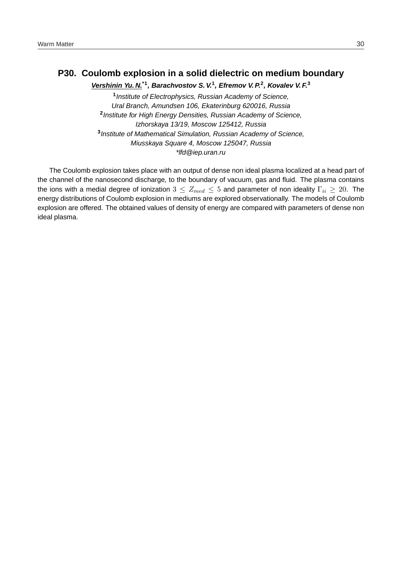### **P30. Coulomb explosion in a solid dielectric on medium boundary**

**Vershinin Yu. N.\*1, Barachvostov S. V.<sup>1</sup> , Efremov V. P.<sup>2</sup> , Kovalev V. F.<sup>3</sup>**

**1** Institute of Electrophysics, Russian Academy of Science, Ural Branch, Amundsen 106, Ekaterinburg 620016, Russia **2** Institute for High Energy Densities, Russian Academy of Science, Izhorskaya 13/19, Moscow 125412, Russia **3** Institute of Mathematical Simulation, Russian Academy of Science, Miusskaya Square 4, Moscow 125047, Russia \*lfd@iep.uran.ru

The Coulomb explosion takes place with an output of dense non ideal plasma localized at a head part of the channel of the nanosecond discharge, to the boundary of vacuum, gas and fluid. The plasma contains the ions with a medial degree of ionization  $3 \leq Z_{med} \leq 5$  and parameter of non ideality  $\Gamma_{ii} \geq 20$ . The energy distributions of Coulomb explosion in mediums are explored observationally. The models of Coulomb explosion are offered. The obtained values of density of energy are compared with parameters of dense non ideal plasma.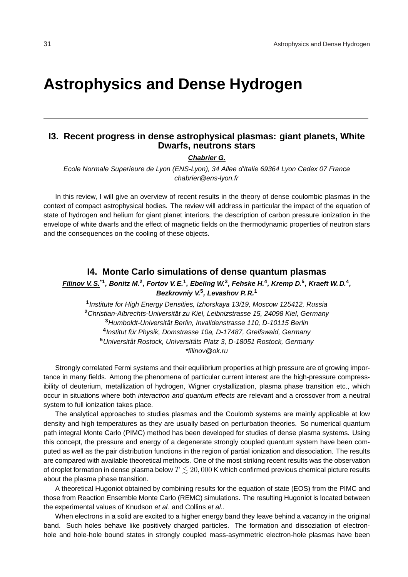# **Astrophysics and Dense Hydrogen**

### **I3. Recent progress in dense astrophysical plasmas: giant planets, White Dwarfs, neutrons stars**

#### **Chabrier G.**

Ecole Normale Superieure de Lyon (ENS-Lyon), 34 Allee d'Italie 69364 Lyon Cedex 07 France chabrier@ens-lyon.fr

In this review, I will give an overview of recent results in the theory of dense coulombic plasmas in the context of compact astrophysical bodies. The review will address in particular the impact of the equation of state of hydrogen and helium for giant planet interiors, the description of carbon pressure ionization in the envelope of white dwarfs and the effect of magnetic fields on the thermodynamic properties of neutron stars and the consequences on the cooling of these objects.

### **I4. Monte Carlo simulations of dense quantum plasmas**

**Filinov V. S.\*1, Bonitz M.<sup>2</sup> , Fortov V. E.<sup>1</sup> , Ebeling W.<sup>3</sup> , Fehske H.<sup>4</sup> , Kremp D.<sup>5</sup> , Kraeft W. D.<sup>4</sup> , Bezkrovniy V.<sup>5</sup> , Levashov P. R.<sup>1</sup>**

**1** Institute for High Energy Densities, Izhorskaya 13/19, Moscow 125412, Russia **<sup>2</sup>**Christian-Albrechts-Universitat zu Kiel, Leibnizstrasse 15, 24098 Kiel, Germany ¨ **<sup>3</sup>**Humboldt-Universitat Berlin, Invalidenstrasse 110, D-10115 Berlin ¨ <sup>4</sup> Institut für Physik, Domstrasse 10a, D-17487, Greifswald, Germany <sup>5</sup> Universität Rostock, Universitäts Platz 3, D-18051 Rostock, Germany \*filinov@ok.ru

Strongly correlated Fermi systems and their equilibrium properties at high pressure are of growing importance in many fields. Among the phenomena of particular current interest are the high-pressure compressibility of deuterium, metallization of hydrogen, Wigner crystallization, plasma phase transition etc., which occur in situations where both *interaction and quantum effects* are relevant and a crossover from a neutral system to full ionization takes place.

The analytical approaches to studies plasmas and the Coulomb systems are mainly applicable at low density and high temperatures as they are usually based on perturbation theories. So numerical quantum path integral Monte Carlo (PIMC) method has been developed for studies of dense plasma systems. Using this concept, the pressure and energy of a degenerate strongly coupled quantum system have been computed as well as the pair distribution functions in the region of partial ionization and dissociation. The results are compared with available theoretical methods. One of the most striking recent results was the observation of droplet formation in dense plasma below  $T \lesssim 20,000$  K which confirmed previous chemical picture results about the plasma phase transition.

A theoretical Hugoniot obtained by combining results for the equation of state (EOS) from the PIMC and those from Reaction Ensemble Monte Carlo (REMC) simulations. The resulting Hugoniot is located between the experimental values of Knudson et al. and Collins et al..

When electrons in a solid are excited to a higher energy band they leave behind a vacancy in the original band. Such holes behave like positively charged particles. The formation and dissoziation of electronhole and hole-hole bound states in strongly coupled mass-asymmetric electron-hole plasmas have been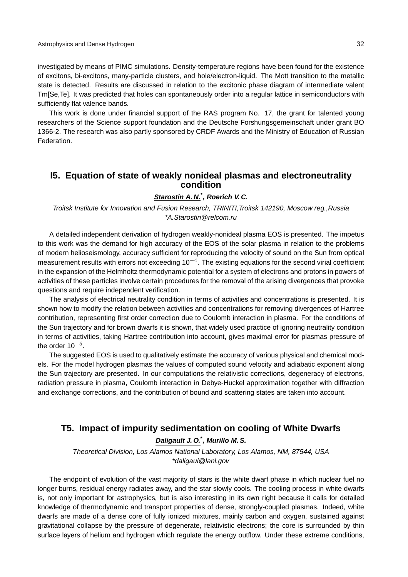investigated by means of PIMC simulations. Density-temperature regions have been found for the existence of excitons, bi-excitons, many-particle clusters, and hole/electron-liquid. The Mott transition to the metallic state is detected. Results are discussed in relation to the excitonic phase diagram of intermediate valent Tm[Se,Te]. It was predicted that holes can spontaneously order into a regular lattice in semiconductors with sufficiently flat valence bands.

This work is done under financial support of the RAS program No. 17, the grant for talented young researchers of the Science support foundation and the Deutsche Forshungsgemeinschaft under grant BO 1366-2. The research was also partly sponsored by CRDF Awards and the Ministry of Education of Russian **Federation** 

### **I5. Equation of state of weakly nonideal plasmas and electroneutrality condition**

### **Starostin A. N.\* , Roerich V. C.**

Troitsk Institute for Innovation and Fusion Research, TRINITI,Troitsk 142190, Moscow reg.,Russia \*A.Starostin@relcom.ru

A detailed independent derivation of hydrogen weakly-nonideal plasma EOS is presented. The impetus to this work was the demand for high accuracy of the EOS of the solar plasma in relation to the problems of modern helioseismology, accuracy sufficient for reproducing the velocity of sound on the Sun from optical measurement results with errors not exceeding 10<sup>-4</sup>. The existing equations for the second virial coefficient in the expansion of the Helmholtz thermodynamic potential for a system of electrons and protons in powers of activities of these particles involve certain procedures for the removal of the arising divergences that provoke questions and require independent verification.

The analysis of electrical neutrality condition in terms of activities and concentrations is presented. It is shown how to modify the relation between activities and concentrations for removing divergences of Hartree contribution, representing first order correction due to Coulomb interaction in plasma. For the conditions of the Sun trajectory and for brown dwarfs it is shown, that widely used practice of ignoring neutrality condition in terms of activities, taking Hartree contribution into account, gives maximal error for plasmas pressure of the order 10<sup>-5</sup>.

The suggested EOS is used to qualitatively estimate the accuracy of various physical and chemical models. For the model hydrogen plasmas the values of computed sound velocity and adiabatic exponent along the Sun trajectory are presented. In our computations the relativistic corrections, degeneracy of electrons, radiation pressure in plasma, Coulomb interaction in Debye-Huckel approximation together with diffraction and exchange corrections, and the contribution of bound and scattering states are taken into account.

### **T5. Impact of impurity sedimentation on cooling of White Dwarfs**

**Daligault J. O.\* , Murillo M. S.**

Theoretical Division, Los Alamos National Laboratory, Los Alamos, NM, 87544, USA \*daligaul@lanl.gov

The endpoint of evolution of the vast majority of stars is the white dwarf phase in which nuclear fuel no longer burns, residual energy radiates away, and the star slowly cools. The cooling process in white dwarfs is, not only important for astrophysics, but is also interesting in its own right because it calls for detailed knowledge of thermodynamic and transport properties of dense, strongly-coupled plasmas. Indeed, white dwarfs are made of a dense core of fully ionized mixtures, mainly carbon and oxygen, sustained against gravitational collapse by the pressure of degenerate, relativistic electrons; the core is surrounded by thin surface layers of helium and hydrogen which regulate the energy outflow. Under these extreme conditions,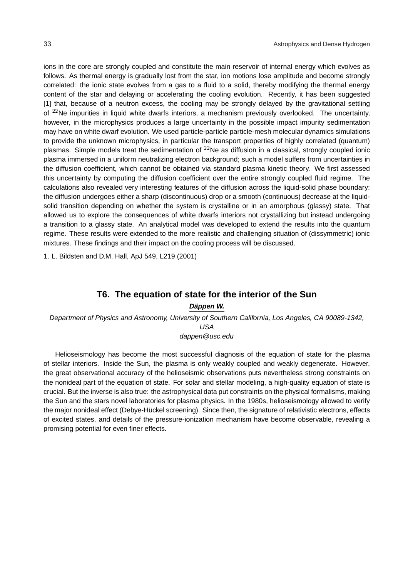ions in the core are strongly coupled and constitute the main reservoir of internal energy which evolves as follows. As thermal energy is gradually lost from the star, ion motions lose amplitude and become strongly correlated: the ionic state evolves from a gas to a fluid to a solid, thereby modifying the thermal energy content of the star and delaying or accelerating the cooling evolution. Recently, it has been suggested [1] that, because of a neutron excess, the cooling may be strongly delayed by the gravitational settling of  $^{22}$ Ne impurities in liquid white dwarfs interiors, a mechanism previously overlooked. The uncertainty, however, in the microphysics produces a large uncertainty in the possible impact impurity sedimentation may have on white dwarf evolution. We used particle-particle particle-mesh molecular dynamics simulations to provide the unknown microphysics, in particular the transport properties of highly correlated (quantum) plasmas. Simple models treat the sedimentation of  $^{22}$ Ne as diffusion in a classical, strongly coupled ionic plasma immersed in a uniform neutralizing electron background; such a model suffers from uncertainties in the diffusion coefficient, which cannot be obtained via standard plasma kinetic theory. We first assessed this uncertainty by computing the diffusion coefficient over the entire strongly coupled fluid regime. The calculations also revealed very interesting features of the diffusion across the liquid-solid phase boundary: the diffusion undergoes either a sharp (discontinuous) drop or a smooth (continuous) decrease at the liquidsolid transition depending on whether the system is crystalline or in an amorphous (glassy) state. That allowed us to explore the consequences of white dwarfs interiors not crystallizing but instead undergoing a transition to a glassy state. An analytical model was developed to extend the results into the quantum regime. These results were extended to the more realistic and challenging situation of (dissymmetric) ionic mixtures. These findings and their impact on the cooling process will be discussed.

1. L. Bildsten and D.M. Hall, ApJ 549, L219 (2001)

### **T6. The equation of state for the interior of the Sun**

### **Dappen W. ¨**

Department of Physics and Astronomy, University of Southern California, Los Angeles, CA 90089-1342, USA

dappen@usc.edu

Helioseismology has become the most successful diagnosis of the equation of state for the plasma of stellar interiors. Inside the Sun, the plasma is only weakly coupled and weakly degenerate. However, the great observational accuracy of the helioseismic observations puts nevertheless strong constraints on the nonideal part of the equation of state. For solar and stellar modeling, a high-quality equation of state is crucial. But the inverse is also true: the astrophysical data put constraints on the physical formalisms, making the Sun and the stars novel laboratories for plasma physics. In the 1980s, helioseismology allowed to verify the major nonideal effect (Debye-Hückel screening). Since then, the signature of relativistic electrons, effects of excited states, and details of the pressure-ionization mechanism have become observable, revealing a promising potential for even finer effects.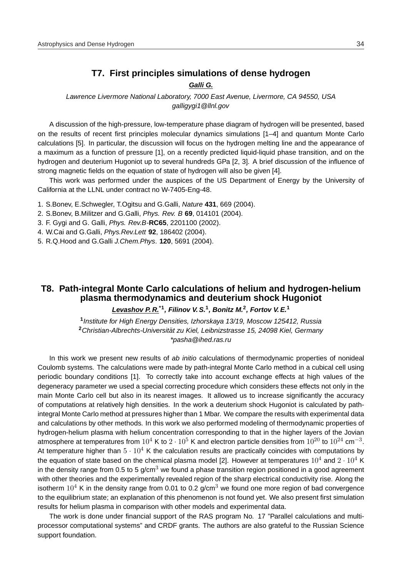### **T7. First principles simulations of dense hydrogen**

### **Galli G.**

Lawrence Livermore National Laboratory, 7000 East Avenue, Livermore, CA 94550, USA galligygi1@llnl.gov

A discussion of the high-pressure, low-temperature phase diagram of hydrogen will be presented, based on the results of recent first principles molecular dynamics simulations [1–4] and quantum Monte Carlo calculations [5]. In particular, the discussion will focus on the hydrogen melting line and the appearance of a maximum as a function of pressure [1], on a recently predicted liquid-liquid phase transition, and on the hydrogen and deuterium Hugoniot up to several hundreds GPa [2, 3]. A brief discussion of the influence of strong magnetic fields on the equation of state of hydrogen will also be given [4].

This work was performed under the auspices of the US Department of Energy by the University of California at the LLNL under contract no W-7405-Eng-48.

- 1. S.Bonev, E.Schwegler, T.Ogitsu and G.Galli, Nature **431**, 669 (2004).
- 2. S.Bonev, B.Militzer and G.Galli, Phys. Rev. B **69**, 014101 (2004).
- 3. F. Gygi and G. Galli, Phys. Rev.B-**RC65**, 2201100 (2002).
- 4. W.Cai and G.Galli, Phys.Rev.Lett **92**, 186402 (2004).
- 5. R.Q.Hood and G.Galli J.Chem.Phys. **120**, 5691 (2004).

### **T8. Path-integral Monte Carlo calculations of helium and hydrogen-helium plasma thermodynamics and deuterium shock Hugoniot**

### **Levashov P. R.\*1, Filinov V. S.<sup>1</sup> , Bonitz M.<sup>2</sup> , Fortov V. E.<sup>1</sup>**

**1** Institute for High Energy Densities, Izhorskaya 13/19, Moscow 125412, Russia **<sup>2</sup>**Christian-Albrechts-Universitat zu Kiel, Leibnizstrasse 15, 24098 Kiel, Germany ¨ \*pasha@ihed.ras.ru

In this work we present new results of ab initio calculations of thermodynamic properties of nonideal Coulomb systems. The calculations were made by path-integral Monte Carlo method in a cubical cell using periodic boundary conditions [1]. To correctly take into account exchange effects at high values of the degeneracy parameter we used a special correcting procedure which considers these effects not only in the main Monte Carlo cell but also in its nearest images. It allowed us to increase significantly the accuracy of computations at relatively high densities. In the work a deuterium shock Hugoniot is calculated by pathintegral Monte Carlo method at pressures higher than 1 Mbar. We compare the results with experimental data and calculations by other methods. In this work we also performed modeling of thermodynamic properties of hydrogen-helium plasma with helium concentration corresponding to that in the higher layers of the Jovian atmosphere at temperatures from  $10^4$  K to  $2\cdot10^5$  K and electron particle densities from  $10^{20}$  to  $10^{24}$  cm<sup>-3</sup>. At temperature higher than  $5 \cdot 10^4$  K the calculation results are practically coincides with computations by the equation of state based on the chemical plasma model [2]. However at temperatures  $10^4$  and  $2 \cdot 10^4$  K in the density range from 0.5 to 5 g/cm<sup>3</sup> we found a phase transition region positioned in a good agreement with other theories and the experimentally revealed region of the sharp electrical conductivity rise. Along the isotherm  $10^4$  K in the density range from 0.01 to 0.2 g/cm<sup>3</sup> we found one more region of bad convergence to the equilibrium state; an explanation of this phenomenon is not found yet. We also present first simulation results for helium plasma in comparison with other models and experimental data.

The work is done under financial support of the RAS program No. 17 "Parallel calculations and multiprocessor computational systems" and CRDF grants. The authors are also grateful to the Russian Science support foundation.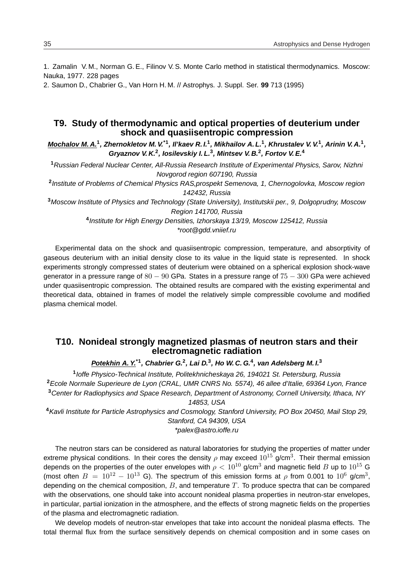1. Zamalin V. M., Norman G. E., Filinov V. S. Monte Carlo method in statistical thermodynamics. Moscow: Nauka, 1977. 228 pages

2. Saumon D., Chabrier G., Van Horn H. M. // Astrophys. J. Suppl. Ser. **99** 713 (1995)

### **T9. Study of thermodynamic and optical properties of deuterium under shock and quasiisentropic compression**

**Mochalov M. A.<sup>1</sup> , Zhernokletov M. V.\*1, Il'kaev R. I.<sup>1</sup> , Mikhailov A. L.<sup>1</sup> , Khrustalev V. V.<sup>1</sup> , Arinin V. A.<sup>1</sup> , Gryaznov V. K.<sup>2</sup> , Iosilevskiy I. L.<sup>3</sup> , Mintsev V. B.<sup>2</sup> , Fortov V. E.<sup>4</sup>**

**<sup>1</sup>**Russian Federal Nuclear Center, All-Russia Research Institute of Experimental Physics, Sarov, Nizhni Novgorod region 607190, Russia **2** Institute of Problems of Chemical Physics RAS,prospekt Semenova, 1, Chernogolovka, Moscow region 142432, Russia **<sup>3</sup>**Moscow Institute of Physics and Technology (State University), Institutskii per., 9, Dolgoprudny, Moscow Region 141700, Russia

**4** Institute for High Energy Densities, Izhorskaya 13/19, Moscow 125412, Russia \*root@gdd.vniief.ru

Experimental data on the shock and quasiisentropic compression, temperature, and absorptivity of gaseous deuterium with an initial density close to its value in the liquid state is represented. In shock experiments strongly compressed states of deuterium were obtained on a spherical explosion shock-wave generator in a pressure range of  $80 - 90$  GPa. States in a pressure range of  $75 - 300$  GPa were achieved under quasiisentropic compression. The obtained results are compared with the existing experimental and theoretical data, obtained in frames of model the relatively simple compressible covolume and modified plasma chemical model.

### **T10. Nonideal strongly magnetized plasmas of neutron stars and their electromagnetic radiation**

**Potekhin A. Y.\*1, Chabrier G.<sup>2</sup> , Lai D.<sup>3</sup> , Ho W. C. G.<sup>4</sup> , van Adelsberg M. I.<sup>3</sup>**

**1** Ioffe Physico-Technical Institute, Politekhnicheskaya 26, 194021 St. Petersburg, Russia **<sup>2</sup>**Ecole Normale Superieure de Lyon (CRAL, UMR CNRS No. 5574), 46 allee d'Italie, 69364 Lyon, France **<sup>3</sup>**Center for Radiophysics and Space Research, Department of Astronomy, Cornell University, Ithaca, NY

14853, USA

**<sup>4</sup>**Kavli Institute for Particle Astrophysics and Cosmology, Stanford University, PO Box 20450, Mail Stop 29, Stanford, CA 94309, USA

\*palex@astro.ioffe.ru

The neutron stars can be considered as natural laboratories for studying the properties of matter under extreme physical conditions. In their cores the density  $\rho$  may exceed  $10^{15}$  g/cm<sup>3</sup>. Their thermal emission depends on the properties of the outer envelopes with  $\rho < 10^{10}$  g/cm<sup>3</sup> and magnetic field B up to  $10^{15}$  G (most often  $B = 10^{12} - 10^{13}$  G). The spectrum of this emission forms at  $\rho$  from 0.001 to  $10^6$  g/cm<sup>3</sup>, depending on the chemical composition,  $B$ , and temperature  $T$ . To produce spectra that can be compared with the observations, one should take into account nonideal plasma properties in neutron-star envelopes, in particular, partial ionization in the atmosphere, and the effects of strong magnetic fields on the properties of the plasma and electromagnetic radiation.

We develop models of neutron-star envelopes that take into account the nonideal plasma effects. The total thermal flux from the surface sensitively depends on chemical composition and in some cases on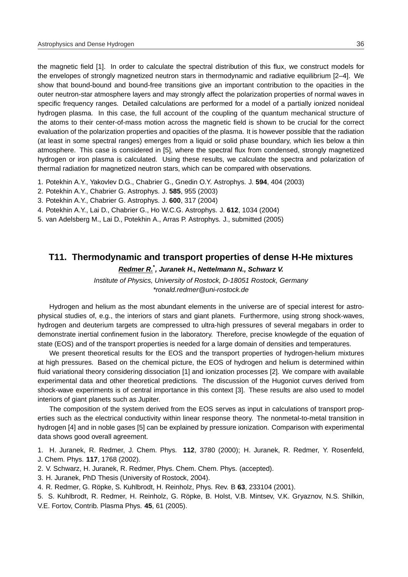the magnetic field [1]. In order to calculate the spectral distribution of this flux, we construct models for the envelopes of strongly magnetized neutron stars in thermodynamic and radiative equilibrium [2–4]. We show that bound-bound and bound-free transitions give an important contribution to the opacities in the outer neutron-star atmosphere layers and may strongly affect the polarization properties of normal waves in specific frequency ranges. Detailed calculations are performed for a model of a partially ionized nonideal hydrogen plasma. In this case, the full account of the coupling of the quantum mechanical structure of the atoms to their center-of-mass motion across the magnetic field is shown to be crucial for the correct evaluation of the polarization properties and opacities of the plasma. It is however possible that the radiation (at least in some spectral ranges) emerges from a liquid or solid phase boundary, which lies below a thin atmosphere. This case is considered in [5], where the spectral flux from condensed, strongly magnetized hydrogen or iron plasma is calculated. Using these results, we calculate the spectra and polarization of thermal radiation for magnetized neutron stars, which can be compared with observations.

- 1. Potekhin A.Y., Yakovlev D.G., Chabrier G., Gnedin O.Y. Astrophys. J. **594**, 404 (2003)
- 2. Potekhin A.Y., Chabrier G. Astrophys. J. **585**, 955 (2003)
- 3. Potekhin A.Y., Chabrier G. Astrophys. J. **600**, 317 (2004)
- 4. Potekhin A.Y., Lai D., Chabrier G., Ho W.C.G. Astrophys. J. **612**, 1034 (2004)
- 5. van Adelsberg M., Lai D., Potekhin A., Arras P. Astrophys. J., submitted (2005)

### **T11. Thermodynamic and transport properties of dense H-He mixtures**

### **Redmer R.\* , Juranek H., Nettelmann N., Schwarz V.**

Institute of Physics, University of Rostock, D-18051 Rostock, Germany \*ronald.redmer@uni-rostock.de

Hydrogen and helium as the most abundant elements in the universe are of special interest for astrophysical studies of, e.g., the interiors of stars and giant planets. Furthermore, using strong shock-waves, hydrogen and deuterium targets are compressed to ultra-high pressures of several megabars in order to demonstrate inertial confinement fusion in the laboratory. Therefore, precise knowlegde of the equation of state (EOS) and of the transport properties is needed for a large domain of densities and temperatures.

We present theoretical results for the EOS and the transport properties of hydrogen-helium mixtures at high pressures. Based on the chemical picture, the EOS of hydrogen and helium is determined within fluid variational theory considering dissociation [1] and ionization processes [2]. We compare with available experimental data and other theoretical predictions. The discussion of the Hugoniot curves derived from shock-wave experiments is of central importance in this context [3]. These results are also used to model interiors of giant planets such as Jupiter.

The composition of the system derived from the EOS serves as input in calculations of transport properties such as the electrical conductivity within linear response theory. The nonmetal-to-metal transition in hydrogen [4] and in noble gases [5] can be explained by pressure ionization. Comparison with experimental data shows good overall agreement.

1. H. Juranek, R. Redmer, J. Chem. Phys. **112**, 3780 (2000); H. Juranek, R. Redmer, Y. Rosenfeld, J. Chem. Phys. **117**, 1768 (2002).

- 2. V. Schwarz, H. Juranek, R. Redmer, Phys. Chem. Chem. Phys. (accepted).
- 3. H. Juranek, PhD Thesis (University of Rostock, 2004).
- 4. R. Redmer, G. Röpke, S. Kuhlbrodt, H. Reinholz, Phys. Rev. B 63, 233104 (2001).
- 5. S. Kuhlbrodt, R. Redmer, H. Reinholz, G. Röpke, B. Holst, V.B. Mintsev, V.K. Gryaznov, N.S. Shilkin, V.E. Fortov, Contrib. Plasma Phys. **45**, 61 (2005).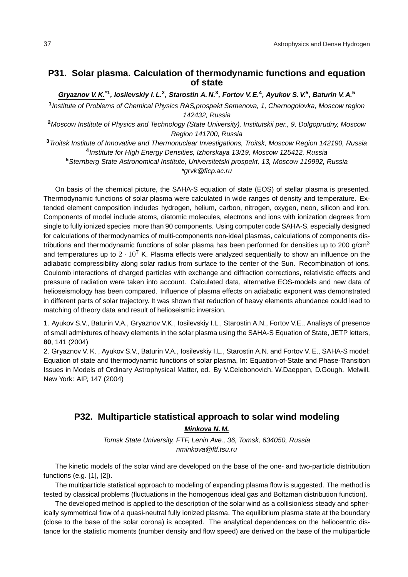# **P31. Solar plasma. Calculation of thermodynamic functions and equation of state**

**Gryaznov V. K.\*1, Iosilevskiy I. L.<sup>2</sup> , Starostin A. N.<sup>3</sup> , Fortov V. E.<sup>4</sup> , Ayukov S. V.<sup>5</sup> , Baturin V. A.<sup>5</sup>**

**1** Institute of Problems of Chemical Physics RAS,prospekt Semenova, 1, Chernogolovka, Moscow region 142432, Russia

**<sup>2</sup>**Moscow Institute of Physics and Technology (State University), Institutskii per., 9, Dolgoprudny, Moscow Region 141700, Russia

**<sup>3</sup>**Troitsk Institute of Innovative and Thermonuclear Investigations, Troitsk, Moscow Region 142190, Russia **4** Institute for High Energy Densities, Izhorskaya 13/19, Moscow 125412, Russia **<sup>5</sup>**Sternberg State Astronomical Institute, Universitetski prospekt, 13, Moscow 119992, Russia

\*grvk@ficp.ac.ru

On basis of the chemical picture, the SAHA-S equation of state (EOS) of stellar plasma is presented. Thermodynamic functions of solar plasma were calculated in wide ranges of density and temperature. Extended element composition includes hydrogen, helium, carbon, nitrogen, oxygen, neon, silicon and iron. Components of model include atoms, diatomic molecules, electrons and ions with ionization degrees from single to fully ionized species more than 90 components. Using computer code SAHA-S, especially designed for calculations of thermodynamics of multi-components non-ideal plasmas, calculations of components distributions and thermodynamic functions of solar plasma has been performed for densities up to 200 g/cm<sup>3</sup> and temperatures up to  $2 \cdot 10^7$  K. Plasma effects were analyzed sequentially to show an influence on the adiabatic compressibility along solar radius from surface to the center of the Sun. Recombination of ions, Coulomb interactions of charged particles with exchange and diffraction corrections, relativistic effects and pressure of radiation were taken into account. Calculated data, alternative EOS-models and new data of helioseismology has been compared. Influence of plasma effects on adiabatic exponent was demonstrated in different parts of solar trajectory. It was shown that reduction of heavy elements abundance could lead to matching of theory data and result of helioseismic inversion.

1. Ayukov S.V., Baturin V.A., Gryaznov V.K., Iosilevskiy I.L., Starostin A.N., Fortov V.E., Analisys of presence of small admixtures of heavy elements in the solar plasma using the SAHA-S Equation of State, JETP letters, **80**, 141 (2004)

2. Gryaznov V. K. , Ayukov S.V., Baturin V.A., Iosilevskiy I.L., Starostin A.N. and Fortov V. E., SAHA-S model: Equation of state and thermodynamic functions of solar plasma, In: Equation-of-State and Phase-Transition Issues in Models of Ordinary Astrophysical Matter, ed. By V.Celebonovich, W.Daeppen, D.Gough. Melwill, New York: AIP, 147 (2004)

# **P32. Multiparticle statistical approach to solar wind modeling Minkova N. M.**

Tomsk State University, FTF, Lenin Ave., 36, Tomsk, 634050, Russia nminkova@ftf.tsu.ru

The kinetic models of the solar wind are developed on the base of the one- and two-particle distribution functions (e.g. [1], [2]).

The multiparticle statistical approach to modeling of expanding plasma flow is suggested. The method is tested by classical problems (fluctuations in the homogenous ideal gas and Boltzman distribution function).

The developed method is applied to the description of the solar wind as a collisionless steady and spherically symmetrical flow of a quasi-neutral fully ionized plasma. The equilibrium plasma state at the boundary (close to the base of the solar corona) is accepted. The analytical dependences on the heliocentric distance for the statistic moments (number density and flow speed) are derived on the base of the multiparticle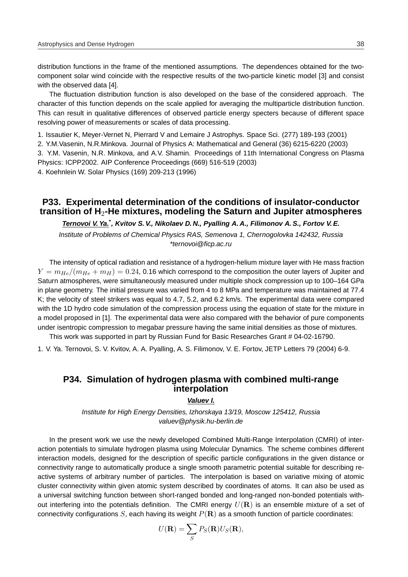distribution functions in the frame of the mentioned assumptions. The dependences obtained for the twocomponent solar wind coincide with the respective results of the two-particle kinetic model [3] and consist with the observed data [4].

The fluctuation distribution function is also developed on the base of the considered approach. The character of this function depends on the scale applied for averaging the multiparticle distribution function. This can result in qualitative differences of observed particle energy specters because of different space resolving power of measurements or scales of data processing.

1. Issautier K, Meyer-Vernet N, Pierrard V and Lemaire J Astrophys. Space Sci. (277) 189-193 (2001)

2. Y.M.Vasenin, N.R.Minkova. Journal of Physics A: Mathematical and General (36) 6215-6220 (2003)

3. Y.M. Vasenin, N.R. Minkova, and A.V. Shamin. Proceedings of 11th International Congress on Plasma Physics: ICPP2002. AIP Conference Proceedings (669) 516-519 (2003)

4. Koehnlein W. Solar Physics (169) 209-213 (1996)

# **P33. Experimental determination of the conditions of insulator-conductor transition of H**2**-He mixtures, modeling the Saturn and Jupiter atmospheres**

**Ternovoi V. Ya.\* , Kvitov S. V., Nikolaev D. N., Pyalling A. A., Filimonov A. S., Fortov V. E.**

Institute of Problems of Chemical Physics RAS, Semenova 1, Chernogolovka 142432, Russia \*ternovoi@ficp.ac.ru

The intensity of optical radiation and resistance of a hydrogen-helium mixture layer with He mass fraction  $Y = m_{He}/(m_{He} + m_{H}) = 0.24$ , 0.16 which correspond to the composition the outer layers of Jupiter and Saturn atmospheres, were simultaneously measured under multiple shock compression up to 100–164 GPa in plane geometry. The initial pressure was varied from 4 to 8 MPa and temperature was maintained at 77.4 K; the velocity of steel strikers was equal to 4.7, 5.2, and 6.2 km/s. The experimental data were compared with the 1D hydro code simulation of the compression process using the equation of state for the mixture in a model proposed in [1]. The experimental data were also compared with the behavior of pure components under isentropic compression to megabar pressure having the same initial densities as those of mixtures.

This work was supported in part by Russian Fund for Basic Researches Grant # 04-02-16790.

1. V. Ya. Ternovoi, S. V. Kvitov, A. A. Pyalling, A. S. Filimonov, V. E. Fortov, JETP Letters 79 (2004) 6-9.

# **P34. Simulation of hydrogen plasma with combined multi-range interpolation**

#### **Valuev I.**

Institute for High Energy Densities, Izhorskaya 13/19, Moscow 125412, Russia valuev@physik.hu-berlin.de

In the present work we use the newly developed Combined Multi-Range Interpolation (CMRI) of interaction potentials to simulate hydrogen plasma using Molecular Dynamics. The scheme combines different interaction models, designed for the description of specific particle configurations in the given distance or connectivity range to automatically produce a single smooth parametric potential suitable for describing reactive systems of arbitrary number of particles. The interpolation is based on variative mixing of atomic cluster connectivity within given atomic system described by coordinates of atoms. It can also be used as a universal switching function between short-ranged bonded and long-ranged non-bonded potentials without interfering into the potentials definition. The CMRI energy  $U(\mathbf{R})$  is an ensemble mixture of a set of connectivity configurations  $S$ , each having its weight  $P(\mathbf{R})$  as a smooth function of particle coordinates:

$$
U(\mathbf{R}) = \sum_{S} P_{S}(\mathbf{R})U_{S}(\mathbf{R}),
$$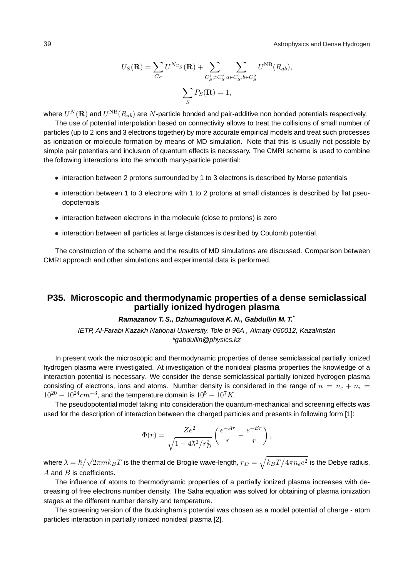$$
U_S(\mathbf{R}) = \sum_{C_S} U^{N_{C_S}}(\mathbf{R}) + \sum_{C_S^1 \neq C_S^2} \sum_{a \in C_S^1, b \in C_S^2} U^{NB}(R_{ab}),
$$

$$
\sum_S P_S(\mathbf{R}) = 1,
$$

where  $U^N({\bf R})$  and  $U^{\rm NB}(R_{ab})$  are  $N$ -particle bonded and pair-additive non bonded potentials respectively.

The use of potential interpolation based on connectivity allows to treat the collisions of small number of particles (up to 2 ions and 3 electrons together) by more accurate empirical models and treat such processes as ionization or molecule formation by means of MD simulation. Note that this is usually not possible by simple pair potentials and inclusion of quantum effects is necessary. The CMRI scheme is used to combine the following interactions into the smooth many-particle potential:

- interaction between 2 protons surrounded by 1 to 3 electrons is described by Morse potentials
- interaction between 1 to 3 electrons with 1 to 2 protons at small distances is described by flat pseudopotentials
- interaction between electrons in the molecule (close to protons) is zero
- interaction between all particles at large distances is desribed by Coulomb potential.

The construction of the scheme and the results of MD simulations are discussed. Comparison between CMRI approach and other simulations and experimental data is performed.

### **P35. Microscopic and thermodynamic properties of a dense semiclassical partially ionized hydrogen plasma**

#### **Ramazanov T. S., Dzhumagulova K. N., Gabdullin M. T.\***

IETP, Al-Farabi Kazakh National University, Tole bi 96A , Almaty 050012, Kazakhstan \*gabdullin@physics.kz

In present work the microscopic and thermodynamic properties of dense semiclassical partially ionized hydrogen plasma were investigated. At investigation of the nonideal plasma properties the knowledge of a interaction potential is necessary. We consider the dense semiclassical partially ionized hydrogen plasma consisting of electrons, ions and atoms. Number density is considered in the range of  $n = n_e + n_i$  $10^{20} - 10^{24}$ cm<sup>-3</sup>, and the temperature domain is  $10^{5} - 10^{7}$ K.

The pseudopotential model taking into consideration the quantum-mechanical and screening effects was used for the description of interaction between the charged particles and presents in following form [1]:

$$
\Phi(r) = \frac{Ze^2}{\sqrt{1 - 4\lambda^2/r_D^2}} \left(\frac{e^{-Ar}}{r} - \frac{e^{-Br}}{r}\right),\,
$$

where  $\lambda = \hbar$  $\frac{1}{\sqrt{2}}$  $\overline{2\pi m k_B T}$  is the thermal de Broglie wave-length,  $r_D =$  $\mathcal{L}$  $k_B T$  $\frac{1}{\sqrt{2}}$  $4\pi n_ee^2$  is the Debye radius,  $A$  and  $B$  is coefficients.

The influence of atoms to thermodynamic properties of a partially ionized plasma increases with decreasing of free electrons number density. The Saha equation was solved for obtaining of plasma ionization stages at the different number density and temperature.

The screening version of the Buckingham's potential was chosen as a model potential of charge - atom particles interaction in partially ionized nonideal plasma [2].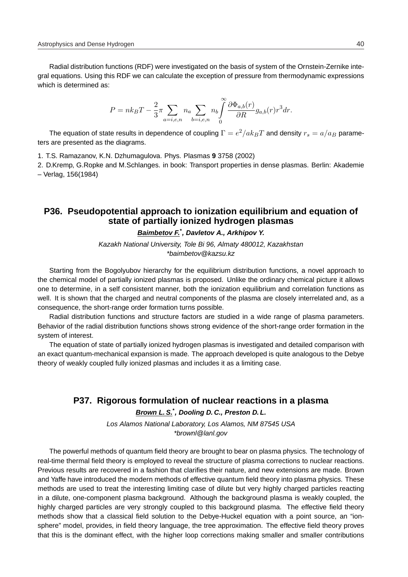Radial distribution functions (RDF) were investigated on the basis of system of the Ornstein-Zernike integral equations. Using this RDF we can calculate the exception of pressure from thermodynamic expressions which is determined as:

$$
P=n k_B T-\frac{2}{3}\pi\!\!\sum_{a=i,e,n}n_a\!\!\sum_{b=i,e,n}n_b\!\!\int\limits_{0}^{\infty}\frac{\partial \Phi_{a,b}(r)}{\partial R}g_{a,b}(r)r^3dr.
$$

The equation of state results in dependence of coupling  $\Gamma=e^2/ak_BT$  and density  $r_s=a/a_B$  parameters are presented as the diagrams.

1. T.S. Ramazanov, K.N. Dzhumagulova. Phys. Plasmas **9** 3758 (2002)

2. D.Kremp, G.Ropke and M.Schlanges. in book: Transport properties in dense plasmas. Berlin: Akademie – Verlag, 156(1984)

#### **P36. Pseudopotential approach to ionization equilibrium and equation of state of partially ionized hydrogen plasmas**

#### **Baimbetov F.\* , Davletov A., Arkhipov Y.**

Kazakh National University, Tole Bi 96, Almaty 480012, Kazakhstan \*baimbetov@kazsu.kz

Starting from the Bogolyubov hierarchy for the equilibrium distribution functions, a novel approach to the chemical model of partially ionized plasmas is proposed. Unlike the ordinary chemical picture it allows one to determine, in a self consistent manner, both the ionization equilibrium and correlation functions as well. It is shown that the charged and neutral components of the plasma are closely interrelated and, as a consequence, the short-range order formation turns possible.

Radial distribution functions and structure factors are studied in a wide range of plasma parameters. Behavior of the radial distribution functions shows strong evidence of the short-range order formation in the system of interest.

The equation of state of partially ionized hydrogen plasmas is investigated and detailed comparison with an exact quantum-mechanical expansion is made. The approach developed is quite analogous to the Debye theory of weakly coupled fully ionized plasmas and includes it as a limiting case.

# **P37. Rigorous formulation of nuclear reactions in a plasma**

### **Brown L. S.\* , Dooling D. C., Preston D. L.**

Los Alamos National Laboratory, Los Alamos, NM 87545 USA \*brownl@lanl.gov

The powerful methods of quantum field theory are brought to bear on plasma physics. The technology of real-time thermal field theory is employed to reveal the structure of plasma corrections to nuclear reactions. Previous results are recovered in a fashion that clarifies their nature, and new extensions are made. Brown and Yaffe have introduced the modern methods of effective quantum field theory into plasma physics. These methods are used to treat the interesting limiting case of dilute but very highly charged particles reacting in a dilute, one-component plasma background. Although the background plasma is weakly coupled, the highly charged particles are very strongly coupled to this background plasma. The effective field theory methods show that a classical field solution to the Debye-Huckel equation with a point source, an "ionsphere" model, provides, in field theory language, the tree approximation. The effective field theory proves that this is the dominant effect, with the higher loop corrections making smaller and smaller contributions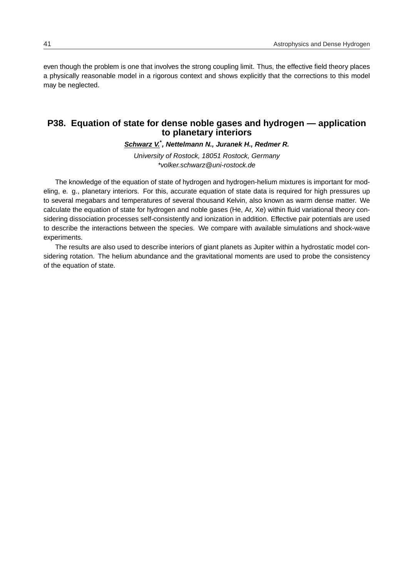even though the problem is one that involves the strong coupling limit. Thus, the effective field theory places a physically reasonable model in a rigorous context and shows explicitly that the corrections to this model may be neglected.

#### **P38. Equation of state for dense noble gases and hydrogen — application to planetary interiors**

**Schwarz V.\* , Nettelmann N., Juranek H., Redmer R.**

University of Rostock, 18051 Rostock, Germany \*volker.schwarz@uni-rostock.de

The knowledge of the equation of state of hydrogen and hydrogen-helium mixtures is important for modeling, e. g., planetary interiors. For this, accurate equation of state data is required for high pressures up to several megabars and temperatures of several thousand Kelvin, also known as warm dense matter. We calculate the equation of state for hydrogen and noble gases (He, Ar, Xe) within fluid variational theory considering dissociation processes self-consistently and ionization in addition. Effective pair potentials are used to describe the interactions between the species. We compare with available simulations and shock-wave experiments.

The results are also used to describe interiors of giant planets as Jupiter within a hydrostatic model considering rotation. The helium abundance and the gravitational moments are used to probe the consistency of the equation of state.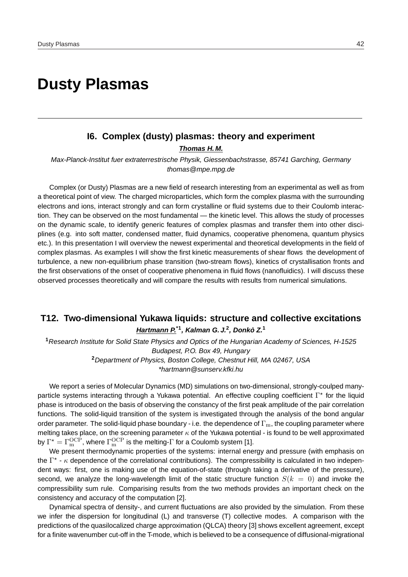# **Dusty Plasmas**

# **I6. Complex (dusty) plasmas: theory and experiment Thomas H. M.**

Max-Planck-Institut fuer extraterrestrische Physik, Giessenbachstrasse, 85741 Garching, Germany thomas@mpe.mpg.de

Complex (or Dusty) Plasmas are a new field of research interesting from an experimental as well as from a theoretical point of view. The charged microparticles, which form the complex plasma with the surrounding electrons and ions, interact strongly and can form crystalline or fluid systems due to their Coulomb interaction. They can be observed on the most fundamental — the kinetic level. This allows the study of processes on the dynamic scale, to identify generic features of complex plasmas and transfer them into other disciplines (e.g. into soft matter, condensed matter, fluid dynamics, cooperative phenomena, quantum physics etc.). In this presentation I will overview the newest experimental and theoretical developments in the field of complex plasmas. As examples I will show the first kinetic measurements of shear flows the development of turbulence, a new non-equilibrium phase transition (two-stream flows), kinetics of crystallisation fronts and the first observations of the onset of cooperative phenomena in fluid flows (nanofluidics). I will discuss these observed processes theoretically and will compare the results with results from numerical simulations.

# **T12. Two-dimensional Yukawa liquids: structure and collective excitations Hartmann P.\*1, Kalman G. J.<sup>2</sup> , Donko Z. ` 1**

**<sup>1</sup>**Research Institute for Solid State Physics and Optics of the Hungarian Academy of Sciences, H-1525 Budapest, P.O. Box 49, Hungary **<sup>2</sup>**Department of Physics, Boston College, Chestnut Hill, MA 02467, USA \*hartmann@sunserv.kfki.hu

We report a series of Molecular Dynamics (MD) simulations on two-dimensional, strongly-coulped manyparticle systems interacting through a Yukawa potential. An effective coupling coefficient Γ<sup>\*</sup> for the liquid phase is introduced on the basis of observing the constancy of the first peak amplitude of the pair correlation functions. The solid-liquid transition of the system is investigated through the analysis of the bond angular order parameter. The solid-liquid phase boundary - i.e. the dependence of  $\Gamma_m$ , the coupling parameter where melting takes place, on the screening parameter  $\kappa$  of the Yukawa potential - is found to be well approximated by  $\Gamma^{\star}=\Gamma_{\mathrm{m}}^{\mathrm{OCP}}$ , where  $\Gamma_{\mathrm{m}}^{\mathrm{OCP}}$  is the melting- $\Gamma$  for a Coulomb system [1].

We present thermodynamic properties of the systems: internal energy and pressure (with emphasis on the  $\Gamma^*$  -  $\kappa$  dependence of the correlational contributions). The compressibility is calculated in two independent ways: first, one is making use of the equation-of-state (through taking a derivative of the pressure), second, we analyze the long-wavelength limit of the static structure function  $S(k = 0)$  and invoke the compressibility sum rule. Comparising results from the two methods provides an important check on the consistency and accuracy of the computation [2].

Dynamical spectra of density-, and current fluctuations are also provided by the simulation. From these we infer the dispersion for longitudinal (L) and transverse (T) collective modes. A comparison with the predictions of the quasilocalized charge approximation (QLCA) theory [3] shows excellent agreement, except for a finite wavenumber cut-off in the T-mode, which is believed to be a consequence of diffusional-migrational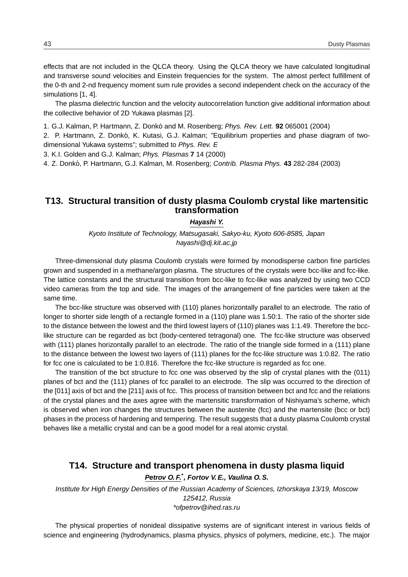effects that are not included in the QLCA theory. Using the QLCA theory we have calculated longitudinal and transverse sound velocities and Einstein frequencies for the system. The almost perfect fulfillment of the 0-th and 2-nd frequency moment sum rule provides a second independent check on the accuracy of the simulations [1, 4].

The plasma dielectric function and the velocity autocorrelation function give additional information about the collective behavior of 2D Yukawa plasmas [2].

1. G.J. Kalman, P. Hartmann, Z. Donko and M. Rosenberg; ´ Phys. Rev. Lett. **92** 065001 (2004)

2. P. Hartmann, Z. Donkó, K. Kutasi, G.J. Kalman; "Equilibrium properties and phase diagram of twodimensional Yukawa systems"; submitted to Phys. Rev. E

3. K.I. Golden and G.J. Kalman; Phys. Plasmas **7** 14 (2000)

4. Z. Donkó, P. Hartmann, G.J. Kalman, M. Rosenberg; Contrib. Plasma Phys. 43 282-284 (2003)

# **T13. Structural transition of dusty plasma Coulomb crystal like martensitic transformation**

#### **Hayashi Y.**

Kyoto Institute of Technology, Matsugasaki, Sakyo-ku, Kyoto 606-8585, Japan hayashi@dj.kit.ac.jp

Three-dimensional duty plasma Coulomb crystals were formed by monodisperse carbon fine particles grown and suspended in a methane/argon plasma. The structures of the crystals were bcc-like and fcc-like. The lattice constants and the structural transition from bcc-like to fcc-like was analyzed by using two CCD video cameras from the top and side. The images of the arrangement of fine particles were taken at the same time.

The bcc-like structure was observed with (110) planes horizontally parallel to an electrode. The ratio of longer to shorter side length of a rectangle formed in a (110) plane was 1.50:1. The ratio of the shorter side to the distance between the lowest and the third lowest layers of (110) planes was 1:1.49. Therefore the bcclike structure can be regarded as bct (body-centered tetragonal) one. The fcc-like structure was observed with (111) planes horizontally parallel to an electrode. The ratio of the triangle side formed in a (111) plane to the distance between the lowest two layers of (111) planes for the fcc-like structure was 1:0.82. The ratio for fcc one is calculated to be 1:0.816. Therefore the fcc-like structure is regarded as fcc one.

The transition of the bct structure to fcc one was observed by the slip of crystal planes with the (011) planes of bct and the (111) planes of fcc parallel to an electrode. The slip was occurred to the direction of the [011] axis of bct and the [211] axis of fcc. This process of transition between bct and fcc and the relations of the crystal planes and the axes agree with the martensitic transformation of Nishiyama's scheme, which is observed when iron changes the structures between the austenite (fcc) and the martensite (bcc or bct) phases in the process of hardening and tempering. The result suggests that a dusty plasma Coulomb crystal behaves like a metallic crystal and can be a good model for a real atomic crystal.

# **T14. Structure and transport phenomena in dusty plasma liquid**

#### **Petrov O. F.\* , Fortov V. E., Vaulina O. S.**

Institute for High Energy Densities of the Russian Academy of Sciences, Izhorskaya 13/19, Moscow 125412, Russia \*ofpetrov@ihed.ras.ru

The physical properties of nonideal dissipative systems are of significant interest in various fields of science and engineering (hydrodynamics, plasma physics, physics of polymers, medicine, etc.). The major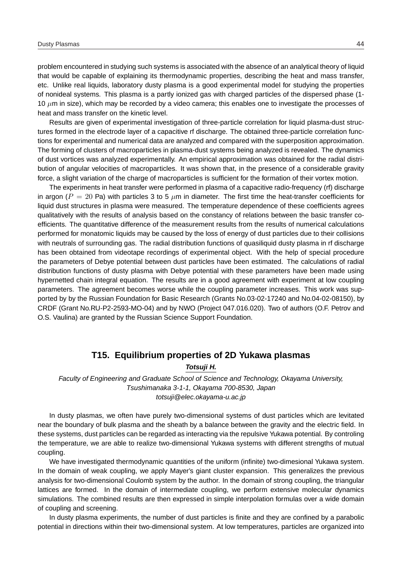problem encountered in studying such systems is associated with the absence of an analytical theory of liquid that would be capable of explaining its thermodynamic properties, describing the heat and mass transfer, etc. Unlike real liquids, laboratory dusty plasma is a good experimental model for studying the properties of nonideal systems. This plasma is a partly ionized gas with charged particles of the dispersed phase (1- 10  $\mu$ m in size), which may be recorded by a video camera; this enables one to investigate the processes of heat and mass transfer on the kinetic level.

Results are given of experimental investigation of three-particle correlation for liquid plasma-dust structures formed in the electrode layer of a capacitive rf discharge. The obtained three-particle correlation functions for experimental and numerical data are analyzed and compared with the superposition approximation. The forming of clusters of macroparticles in plasma-dust systems being analyzed is revealed. The dynamics of dust vortices was analyzed experimentally. An empirical approximation was obtained for the radial distribution of angular velocities of macroparticles. It was shown that, in the presence of a considerable gravity force, a slight variation of the charge of macroparticles is sufficient for the formation of their vortex motion.

The experiments in heat transfer were performed in plasma of a capacitive radio-frequency (rf) discharge in argon ( $P = 20$  Pa) with particles 3 to 5  $\mu$ m in diameter. The first time the heat-transfer coefficients for liquid dust structures in plasma were measured. The temperature dependence of these coefficients agrees qualitatively with the results of analysis based on the constancy of relations between the basic transfer coefficients. The quantitative difference of the measurement results from the results of numerical calculations performed for monatomic liquids may be caused by the loss of energy of dust particles due to their collisions with neutrals of surrounding gas. The radial distribution functions of quasiliquid dusty plasma in rf discharge has been obtained from videotape recordings of experimental object. With the help of special procedure the parameters of Debye potential between dust particles have been estimated. The calculations of radial distribution functions of dusty plasma with Debye potential with these parameters have been made using hypernetted chain integral equation. The results are in a good agreement with experiment at low coupling parameters. The agreement becomes worse while the coupling parameter increases. This work was supported by by the Russian Foundation for Basic Research (Grants No.03-02-17240 and No.04-02-08150), by CRDF (Grant No.RU-P2-2593-MO-04) and by NWO (Project 047.016.020). Two of authors (O.F. Petrov and O.S. Vaulina) are granted by the Russian Science Support Foundation.

#### **T15. Equilibrium properties of 2D Yukawa plasmas**

**Totsuji H.**

Faculty of Engineering and Graduate School of Science and Technology, Okayama University, Tsushimanaka 3-1-1, Okayama 700-8530, Japan totsuji@elec.okayama-u.ac.jp

In dusty plasmas, we often have purely two-dimensional systems of dust particles which are levitated near the boundary of bulk plasma and the sheath by a balance between the gravity and the electric field. In these systems, dust particles can be regarded as interacting via the repulsive Yukawa potential. By controling the temperature, we are able to realize two-dimensional Yukawa systems with different strengths of mutual coupling.

We have investigated thermodynamic quantities of the uniform (infinite) two-dimesional Yukawa system. In the domain of weak coupling, we apply Mayer's giant cluster expansion. This generalizes the previous analysis for two-dimensional Coulomb system by the author. In the domain of strong coupling, the triangular lattices are formed. In the domain of intermediate coupling, we perform extensive molecular dynamics simulations. The combined results are then expressed in simple interpolation formulas over a wide domain of coupling and screening.

In dusty plasma experiments, the number of dust particles is finite and they are confined by a parabolic potential in directions within their two-dimensional system. At low temperatures, particles are organized into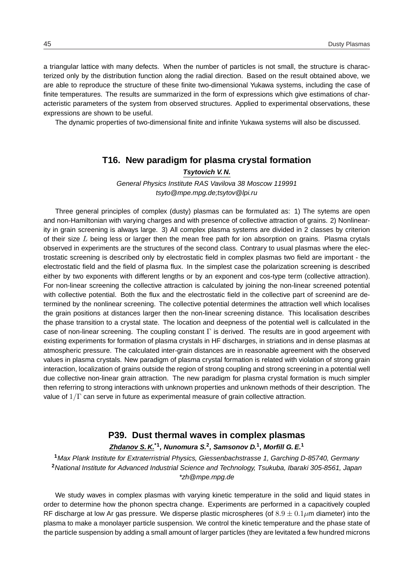a triangular lattice with many defects. When the number of particles is not small, the structure is characterized only by the distribution function along the radial direction. Based on the result obtained above, we are able to reproduce the structure of these finite two-dimensional Yukawa systems, including the case of finite temperatures. The results are summarized in the form of expressions which give estimations of characteristic parameters of the system from observed structures. Applied to experimental observations, these expressions are shown to be useful.

The dynamic properties of two-dimensional finite and infinite Yukawa systems will also be discussed.

### **T16. New paradigm for plasma crystal formation**

**Tsytovich V. N.**

General Physics Institute RAS Vavilova 38 Moscow 119991 tsyto@mpe.mpg.de;tsytov@lpi.ru

Three general principles of complex (dusty) plasmas can be formulated as: 1) The sytems are open and non-Hamiltonian with varying charges and with presence of collective attraction of grains. 2) Nonlinearity in grain screening is always large. 3) All complex plasma systems are divided in 2 classes by criterion of their size  $L$  being less or larger then the mean free path for ion absorption on grains. Plasma crytals observed in experiments are the structures of the second class. Contrary to usual plasmas where the electrostatic screening is described only by electrostatic field in complex plasmas two field are important - the electrostatic field and the field of plasma flux. In the simplest case the polarization screening is described either by two exponents with different lengths or by an exponent and cos-type term (collective attraction). For non-linear screening the collective attraction is calculated by joining the non-linear screened potential with collective potential. Both the flux and the electrostatic field in the collective part of screenind are determined by the nonlinear screening. The collective potential determines the attraction well which localises the grain positions at distances larger then the non-linear screening distance. This localisation describes the phase transition to a crystal state. The location and deepness of the potential well is callculated in the case of non-linear screening. The coupling constant  $\Gamma$  is derived. The results are in good argeement with existing experiments for formation of plasma crystals in HF discharges, in striations and in dense plasmas at atmospheric pressure. The calculated inter-grain distances are in reasonable agreement with the observed values in plasma crystals. New paradigm of plasma crystal formation is related with violation of strong grain interaction, localization of grains outside the region of strong coupling and strong screening in a potential well due collective non-linear grain attraction. The new paradigm for plasma crystal formation is much simpler then referring to strong interactions with unknown properties and unknown methods of their description. The value of  $1/\Gamma$  can serve in future as experimental measure of grain collective attraction.

# **P39. Dust thermal waves in complex plasmas Zhdanov S. K.\*1, Nunomura S.<sup>2</sup> , Samsonov D.<sup>1</sup> , Morfill G. E.<sup>1</sup>**

**<sup>1</sup>**Max Plank Institute for Extraterristrial Physics, Giessenbachstrasse 1, Garching D-85740, Germany **<sup>2</sup>**National Institute for Advanced Industrial Science and Technology, Tsukuba, Ibaraki 305-8561, Japan \*zh@mpe.mpg.de

We study waves in complex plasmas with varying kinetic temperature in the solid and liquid states in order to determine how the phonon spectra change. Experiments are performed in a capacitively coupled RF discharge at low Ar gas pressure. We disperse plastic microspheres (of  $8.9 \pm 0.1 \mu$ m diameter) into the plasma to make a monolayer particle suspension. We control the kinetic temperature and the phase state of the particle suspension by adding a small amount of larger particles (they are levitated a few hundred microns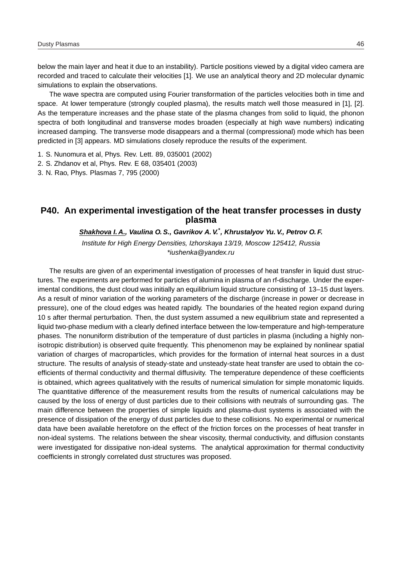below the main layer and heat it due to an instability). Particle positions viewed by a digital video camera are recorded and traced to calculate their velocities [1]. We use an analytical theory and 2D molecular dynamic simulations to explain the observations.

The wave spectra are computed using Fourier transformation of the particles velocities both in time and space. At lower temperature (strongly coupled plasma), the results match well those measured in [1], [2]. As the temperature increases and the phase state of the plasma changes from solid to liquid, the phonon spectra of both longitudinal and transverse modes broaden (especially at high wave numbers) indicating increased damping. The transverse mode disappears and a thermal (compressional) mode which has been predicted in [3] appears. MD simulations closely reproduce the results of the experiment.

- 1. S. Nunomura et al, Phys. Rev. Lett. 89, 035001 (2002)
- 2. S. Zhdanov et al, Phys. Rev. E 68, 035401 (2003)

3. N. Rao, Phys. Plasmas 7, 795 (2000)

# **P40. An experimental investigation of the heat transfer processes in dusty plasma**

#### **Shakhova I. A., Vaulina O. S., Gavrikov A. V.\* , Khrustalyov Yu. V., Petrov O. F.**

Institute for High Energy Densities, Izhorskaya 13/19, Moscow 125412, Russia \*iushenka@yandex.ru

The results are given of an experimental investigation of processes of heat transfer in liquid dust structures. The experiments are performed for particles of alumina in plasma of an rf-discharge. Under the experimental conditions, the dust cloud was initially an equilibrium liquid structure consisting of 13–15 dust layers. As a result of minor variation of the working parameters of the discharge (increase in power or decrease in pressure), one of the cloud edges was heated rapidly. The boundaries of the heated region expand during 10 s after thermal perturbation. Then, the dust system assumed a new equilibrium state and represented a liquid two-phase medium with a clearly defined interface between the low-temperature and high-temperature phases. The nonuniform distribution of the temperature of dust particles in plasma (including a highly nonisotropic distribution) is observed quite frequently. This phenomenon may be explained by nonlinear spatial variation of charges of macroparticles, which provides for the formation of internal heat sources in a dust structure. The results of analysis of steady-state and unsteady-state heat transfer are used to obtain the coefficients of thermal conductivity and thermal diffusivity. The temperature dependence of these coefficients is obtained, which agrees qualitatively with the results of numerical simulation for simple monatomic liquids. The quantitative difference of the measurement results from the results of numerical calculations may be caused by the loss of energy of dust particles due to their collisions with neutrals of surrounding gas. The main difference between the properties of simple liquids and plasma-dust systems is associated with the presence of dissipation of the energy of dust particles due to these collisions. No experimental or numerical data have been available heretofore on the effect of the friction forces on the processes of heat transfer in non-ideal systems. The relations between the shear viscosity, thermal conductivity, and diffusion constants were investigated for dissipative non-ideal systems. The analytical approximation for thermal conductivity coefficients in strongly correlated dust structures was proposed.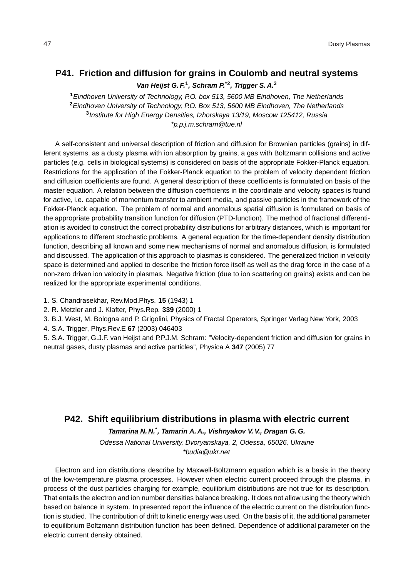# **P41. Friction and diffusion for grains in Coulomb and neutral systems Van Heijst G. F.<sup>1</sup> , Schram P.\*2, Trigger S. A.<sup>3</sup>**

Eindhoven University of Technology, P.O. box 513, 5600 MB Eindhoven, The Netherlands Eindhoven University of Technology, P.O. Box 513, 5600 MB Eindhoven, The Netherlands Institute for High Energy Densities, Izhorskaya 13/19, Moscow 125412, Russia \*p.p.j.m.schram@tue.nl

A self-consistent and universal description of friction and diffusion for Brownian particles (grains) in different systems, as a dusty plasma with ion absorption by grains, a gas with Boltzmann collisions and active particles (e.g. cells in biological systems) is considered on basis of the appropriate Fokker-Planck equation. Restrictions for the application of the Fokker-Planck equation to the problem of velocity dependent friction and diffusion coefficients are found. A general description of these coefficients is formulated on basis of the master equation. A relation between the diffusion coefficients in the coordinate and velocity spaces is found for active, i.e. capable of momentum transfer to ambient media, and passive particles in the framework of the Fokker-Planck equation. The problem of normal and anomalous spatial diffusion is formulated on basis of the appropriate probability transition function for diffusion (PTD-function). The method of fractional differentiation is avoided to construct the correct probability distributions for arbitrary distances, which is important for applications to different stochastic problems. A general equation for the time-dependent density distribution function, describing all known and some new mechanisms of normal and anomalous diffusion, is formulated and discussed. The application of this approach to plasmas is considered. The generalized friction in velocity space is determined and applied to describe the friction force itself as well as the drag force in the case of a non-zero driven ion velocity in plasmas. Negative friction (due to ion scattering on grains) exists and can be realized for the appropriate experimental conditions.

- 1. S. Chandrasekhar, Rev.Mod.Phys. **15** (1943) 1
- 2. R. Metzler and J. Klafter, Phys.Rep. **339** (2000) 1
- 3. B.J. West, M. Bologna and P. Grigolini, Physics of Fractal Operators, Springer Verlag New York, 2003
- 4. S.A. Trigger, Phys.Rev.E **67** (2003) 046403

5. S.A. Trigger, G.J.F. van Heijst and P.P.J.M. Schram: "Velocity-dependent friction and diffusion for grains in neutral gases, dusty plasmas and active particles", Physica A **347** (2005) 77

### **P42. Shift equilibrium distributions in plasma with electric current**

**Tamarina N. N.\* , Tamarin A. A., Vishnyakov V. V., Dragan G. G.**

Odessa National University, Dvoryanskaya, 2, Odessa, 65026, Ukraine \*budia@ukr.net

Electron and ion distributions describe by Maxwell-Boltzmann equation which is a basis in the theory of the low-temperature plasma processes. However when electric current proceed through the plasma, in process of the dust particles charging for example, equilibrium distributions are not true for its description. That entails the electron and ion number densities balance breaking. It does not allow using the theory which based on balance in system. In presented report the influence of the electric current on the distribution function is studied. The contribution of drift to kinetic energy was used. On the basis of it, the additional parameter to equilibrium Boltzmann distribution function has been defined. Dependence of additional parameter on the electric current density obtained.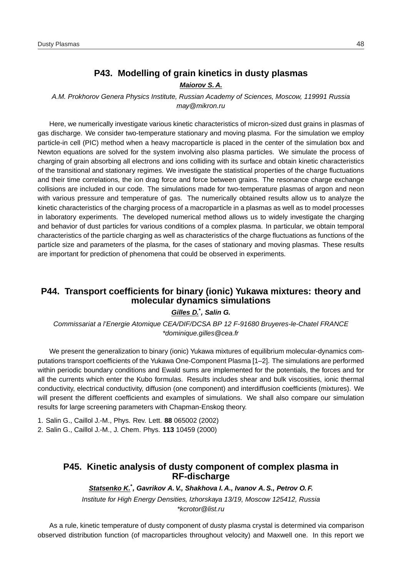# **P43. Modelling of grain kinetics in dusty plasmas**

#### **Maiorov S. A.**

A.M. Prokhorov Genera Physics Institute, Russian Academy of Sciences, Moscow, 119991 Russia may@mikron.ru

Here, we numerically investigate various kinetic characteristics of micron-sized dust grains in plasmas of gas discharge. We consider two-temperature stationary and moving plasma. For the simulation we employ particle-in cell (PIC) method when a heavy macroparticle is placed in the center of the simulation box and Newton equations are solved for the system involving also plasma particles. We simulate the process of charging of grain absorbing all electrons and ions colliding with its surface and obtain kinetic characteristics of the transitional and stationary regimes. We investigate the statistical properties of the charge fluctuations and their time correlations, the ion drag force and force between grains. The resonance charge exchange collisions are included in our code. The simulations made for two-temperature plasmas of argon and neon with various pressure and temperature of gas. The numerically obtained results allow us to analyze the kinetic characteristics of the charging process of a macroparticle in a plasmas as well as to model processes in laboratory experiments. The developed numerical method allows us to widely investigate the charging and behavior of dust particles for various conditions of a complex plasma. In particular, we obtain temporal characteristics of the particle charging as well as characteristics of the charge fluctuations as functions of the particle size and parameters of the plasma, for the cases of stationary and moving plasmas. These results are important for prediction of phenomena that could be observed in experiments.

# **P44. Transport coefficients for binary (ionic) Yukawa mixtures: theory and molecular dynamics simulations**

#### **Gilles D.\* , Salin G.**

Commissariat a l'Energie Atomique CEA/DIF/DCSA BP 12 F-91680 Bruyeres-le-Chatel FRANCE \*dominique.gilles@cea.fr

We present the generalization to binary (ionic) Yukawa mixtures of equilibrium molecular-dynamics computations transport coefficients of the Yukawa One-Component Plasma [1–2]. The simulations are performed within periodic boundary conditions and Ewald sums are implemented for the potentials, the forces and for all the currents which enter the Kubo formulas. Results includes shear and bulk viscosities, ionic thermal conductivity, electrical conductivity, diffusion (one component) and interdiffusion coefficients (mixtures). We will present the different coefficients and examples of simulations. We shall also compare our simulation results for large screening parameters with Chapman-Enskog theory.

1. Salin G., Caillol J.-M., Phys. Rev. Lett. **88** 065002 (2002)

2. Salin G., Caillol J.-M., J. Chem. Phys. **113** 10459 (2000)

## **P45. Kinetic analysis of dusty component of complex plasma in RF-discharge**

**Statsenko K.\* , Gavrikov A. V., Shakhova I. A., Ivanov A. S., Petrov O. F.**

Institute for High Energy Densities, Izhorskaya 13/19, Moscow 125412, Russia \*kcrotor@list.ru

As a rule, kinetic temperature of dusty component of dusty plasma crystal is determined via comparison observed distribution function (of macroparticles throughout velocity) and Maxwell one. In this report we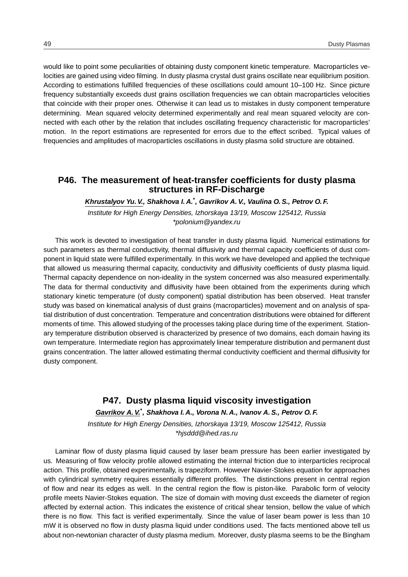would like to point some peculiarities of obtaining dusty component kinetic temperature. Macroparticles velocities are gained using video filming. In dusty plasma crystal dust grains oscillate near equilibrium position. According to estimations fulfilled frequencies of these oscillations could amount 10–100 Hz. Since picture frequency substantially exceeds dust grains oscillation frequencies we can obtain macroparticles velocities that coincide with their proper ones. Otherwise it can lead us to mistakes in dusty component temperature determining. Mean squared velocity determined experimentally and real mean squared velocity are connected with each other by the relation that includes oscillating frequency characteristic for macroparticles' motion. In the report estimations are represented for errors due to the effect scribed. Typical values of frequencies and amplitudes of macroparticles oscillations in dusty plasma solid structure are obtained.

### **P46. The measurement of heat-transfer coefficients for dusty plasma structures in RF-Discharge**

**Khrustalyov Yu. V., Shakhova I. A.\* , Gavrikov A. V., Vaulina O. S., Petrov O. F.**

Institute for High Energy Densities, Izhorskaya 13/19, Moscow 125412, Russia \*polonium@yandex.ru

This work is devoted to investigation of heat transfer in dusty plasma liquid. Numerical estimations for such parameters as thermal conductivity, thermal diffusivity and thermal capacity coefficients of dust component in liquid state were fulfilled experimentally. In this work we have developed and applied the technique that allowed us measuring thermal capacity, conductivity and diffusivity coefficients of dusty plasma liquid. Thermal capacity dependence on non-ideality in the system concerned was also measured experimentally. The data for thermal conductivity and diffusivity have been obtained from the experiments during which stationary kinetic temperature (of dusty component) spatial distribution has been observed. Heat transfer study was based on kinematical analysis of dust grains (macroparticles) movement and on analysis of spatial distribution of dust concentration. Temperature and concentration distributions were obtained for different moments of time. This allowed studying of the processes taking place during time of the experiment. Stationary temperature distribution observed is characterized by presence of two domains, each domain having its own temperature. Intermediate region has approximately linear temperature distribution and permanent dust grains concentration. The latter allowed estimating thermal conductivity coefficient and thermal diffusivity for dusty component.

#### **P47. Dusty plasma liquid viscosity investigation**

**Gavrikov A. V.\* , Shakhova I. A., Vorona N. A., Ivanov A. S., Petrov O. F.**

Institute for High Energy Densities, Izhorskaya 13/19, Moscow 125412, Russia \*hjsddd@ihed.ras.ru

Laminar flow of dusty plasma liquid caused by laser beam pressure has been earlier investigated by us. Measuring of flow velocity profile allowed estimating the internal friction due to interparticles reciprocal action. This profile, obtained experimentally, is trapeziform. However Navier-Stokes equation for approaches with cylindrical symmetry requires essentially different profiles. The distinctions present in central region of flow and near its edges as well. In the central region the flow is piston-like. Parabolic form of velocity profile meets Navier-Stokes equation. The size of domain with moving dust exceeds the diameter of region affected by external action. This indicates the existence of critical shear tension, bellow the value of which there is no flow. This fact is verified experimentally. Since the value of laser beam power is less than 10 mW it is observed no flow in dusty plasma liquid under conditions used. The facts mentioned above tell us about non-newtonian character of dusty plasma medium. Moreover, dusty plasma seems to be the Bingham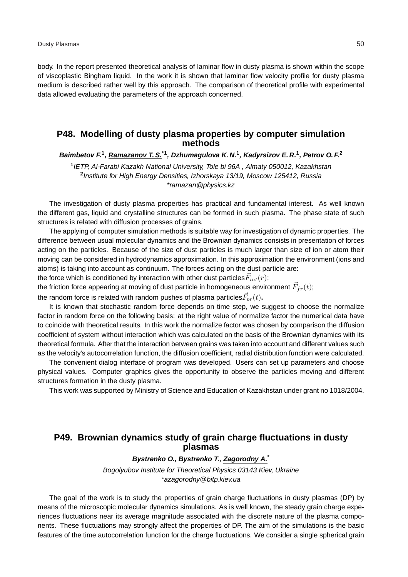body. In the report presented theoretical analysis of laminar flow in dusty plasma is shown within the scope of viscoplastic Bingham liquid. In the work it is shown that laminar flow velocity profile for dusty plasma medium is described rather well by this approach. The comparison of theoretical profile with experimental data allowed evaluating the parameters of the approach concerned.

### **P48. Modelling of dusty plasma properties by computer simulation methods**

**Baimbetov F.<sup>1</sup> , Ramazanov T. S.\*1, Dzhumagulova K. N.<sup>1</sup> , Kadyrsizov E. R.<sup>1</sup> , Petrov O. F.<sup>2</sup>**

**1** IETP, Al-Farabi Kazakh National University, Tole bi 96A , Almaty 050012, Kazakhstan **2** Institute for High Energy Densities, Izhorskaya 13/19, Moscow 125412, Russia \*ramazan@physics.kz

The investigation of dusty plasma properties has practical and fundamental interest. As well known the different gas, liquid and crystalline structures can be formed in such plasma. The phase state of such structures is related with diffusion processes of grains.

The applying of computer simulation methods is suitable way for investigation of dynamic properties. The difference between usual molecular dynamics and the Brownian dynamics consists in presentation of forces acting on the particles. Because of the size of dust particles is much larger than size of ion or atom their moving can be considered in hydrodynamics approximation. In this approximation the environment (ions and atoms) is taking into account as continuum. The forces acting on the dust particle are:

the force which is conditioned by interaction with other dust particles $\vec{F}_{int}(r);$ 

the friction force appearing at moving of dust particle in homogeneous environment  $\vec{F}_{fr}(t)$ ;

the random force is related with random pushes of plasma particles $\vec{F}_{br}(t)$ **.** 

It is known that stochastic random force depends on time step, we suggest to choose the normalize factor in random force on the following basis: at the right value of normalize factor the numerical data have to coincide with theoretical results. In this work the normalize factor was chosen by comparison the diffusion coefficient of system without interaction which was calculated on the basis of the Brownian dynamics with its theoretical formula. After that the interaction between grains was taken into account and different values such as the velocity's autocorrelation function, the diffusion coefficient, radial distribution function were calculated.

The convenient dialog interface of program was developed. Users can set up parameters and choose physical values. Computer graphics gives the opportunity to observe the particles moving and different structures formation in the dusty plasma.

This work was supported by Ministry of Science and Education of Kazakhstan under grant no 1018/2004.

# **P49. Brownian dynamics study of grain charge fluctuations in dusty plasmas**

#### **Bystrenko O., Bystrenko T., Zagorodny A.\***

Bogolyubov Institute for Theoretical Physics 03143 Kiev, Ukraine \*azagorodny@bitp.kiev.ua

The goal of the work is to study the properties of grain charge fluctuations in dusty plasmas (DP) by means of the microscopic molecular dynamics simulations. As is well known, the steady grain charge experiences fluctuations near its average magnitude associated with the discrete nature of the plasma components. These fluctuations may strongly affect the properties of DP. The aim of the simulations is the basic features of the time autocorrelation function for the charge fluctuations. We consider a single spherical grain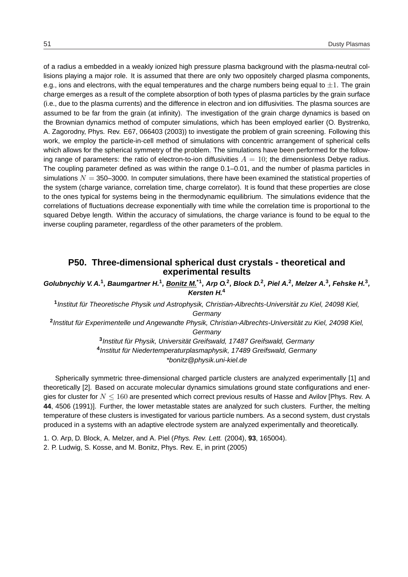of a radius a embedded in a weakly ionized high pressure plasma background with the plasma-neutral collisions playing a major role. It is assumed that there are only two oppositely charged plasma components, e.g., ions and electrons, with the equal temperatures and the charge numbers being equal to  $\pm 1$ . The grain charge emerges as a result of the complete absorption of both types of plasma particles by the grain surface (i.e., due to the plasma currents) and the difference in electron and ion diffusivities. The plasma sources are assumed to be far from the grain (at infinity). The investigation of the grain charge dynamics is based on the Brownian dynamics method of computer simulations, which has been employed earlier (O. Bystrenko, A. Zagorodny, Phys. Rev. E67, 066403 (2003)) to investigate the problem of grain screening. Following this work, we employ the particle-in-cell method of simulations with concentric arrangement of spherical cells which allows for the spherical symmetry of the problem. The simulations have been performed for the following range of parameters: the ratio of electron-to-ion diffusivities  $A = 10$ ; the dimensionless Debye radius. The coupling parameter defined as was within the range 0.1–0.01, and the number of plasma particles in simulations  $N = 350-3000$ . In computer simulations, there have been examined the statistical properties of the system (charge variance, correlation time, charge correlator). It is found that these properties are close to the ones typical for systems being in the thermodynamic equilibrium. The simulations evidence that the correlations of fluctuations decrease exponentially with time while the correlation time is proportional to the squared Debye length. Within the accuracy of simulations, the charge variance is found to be equal to the inverse coupling parameter, regardless of the other parameters of the problem.

#### **P50. Three-dimensional spherical dust crystals - theoretical and experimental results**

Golubnychiy V. A.<sup>1</sup>, Baumgartner H.<sup>1</sup>, Bonitz M.<sup>\*1</sup>, Arp O.<sup>2</sup>, Block D.<sup>2</sup>, Piel A.<sup>2</sup>, Melzer A.<sup>3</sup>, Fehske H.<sup>3</sup>, **Kersten H.<sup>4</sup>**

<sup>1</sup> Institut für Theoretische Physik und Astrophysik, Christian-Albrechts-Universität zu Kiel, 24098 Kiel, **Germany** 

<sup>2</sup> Institut für Experimentelle und Angewandte Physik, Christian-Albrechts-Universität zu Kiel, 24098 Kiel, **Germany** 

> <sup>3</sup> Institut für Physik, Universität Greifswald, 17487 Greifswald, Germany <sup>4</sup>Institut für Niedertemperaturplasmaphysik, 17489 Greifswald, Germany \*bonitz@physik.uni-kiel.de

Spherically symmetric three-dimensional charged particle clusters are analyzed experimentally [1] and theoretically [2]. Based on accurate molecular dynamics simulations ground state configurations and energies for cluster for  $N \leq 160$  are presented which correct previous results of Hasse and Avilov [Phys. Rev. A **44**, 4506 (1991)]. Further, the lower metastable states are analyzed for such clusters. Further, the melting temperature of these clusters is investigated for various particle numbers. As a second system, dust crystals produced in a systems with an adaptive electrode system are analyzed experimentally and theoretically.

1. O. Arp, D. Block, A. Melzer, and A. Piel (Phys. Rev. Lett. (2004), **93**, 165004).

2. P. Ludwig, S. Kosse, and M. Bonitz, Phys. Rev. E, in print (2005)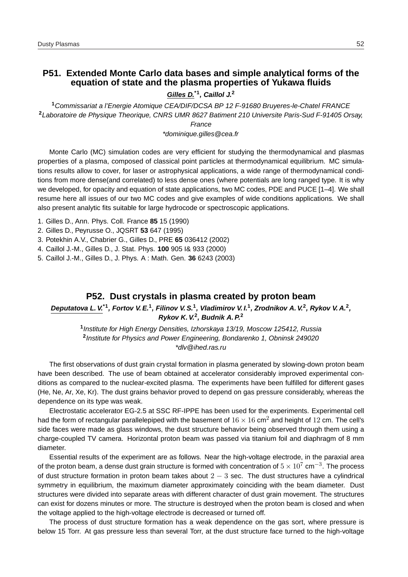# **P51. Extended Monte Carlo data bases and simple analytical forms of the equation of state and the plasma properties of Yukawa fluids**

**Gilles D.\*1, Caillol J.<sup>2</sup>**

**<sup>1</sup>**Commissariat a l'Energie Atomique CEA/DIF/DCSA BP 12 F-91680 Bruyeres-le-Chatel FRANCE **<sup>2</sup>**Laboratoire de Physique Theorique, CNRS UMR 8627 Batiment 210 Universite Paris-Sud F-91405 Orsay, France

\*dominique.gilles@cea.fr

Monte Carlo (MC) simulation codes are very efficient for studying the thermodynamical and plasmas properties of a plasma, composed of classical point particles at thermodynamical equilibrium. MC simulations results allow to cover, for laser or astrophysical applications, a wide range of thermodynamical conditions from more dense(and correlated) to less dense ones (where potentials are long ranged type. It is why we developed, for opacity and equation of state applications, two MC codes, PDE and PUCE [1–4]. We shall resume here all issues of our two MC codes and give examples of wide conditions applications. We shall also present analytic fits suitable for large hydrocode or spectroscopic applications.

- 1. Gilles D., Ann. Phys. Coll. France **85** 15 (1990)
- 2. Gilles D., Peyrusse O., JQSRT **53** 647 (1995)
- 3. Potekhin A.V., Chabrier G., Gilles D., PRE **65** 036412 (2002)
- 4. Caillol J.-M., Gilles D., J. Stat. Phys. **100** 905 I& 933 (2000)
- 5. Caillol J.-M., Gilles D., J. Phys. A : Math. Gen. **36** 6243 (2003)

#### **P52. Dust crystals in plasma created by proton beam**

#### **Deputatova L. V.\*1, Fortov V. E.<sup>1</sup> , Filinov V. S.<sup>1</sup> , Vladimirov V. I.<sup>1</sup> , Zrodnikov A. V.<sup>2</sup> , Rykov V. A.<sup>2</sup> , Rykov K. V.<sup>2</sup> , Budnik A. P.<sup>2</sup>**

**1** Institute for High Energy Densities, Izhorskaya 13/19, Moscow 125412, Russia **2** Institute for Physics and Power Engineering, Bondarenko 1, Obninsk 249020 \*dlv@ihed.ras.ru

The first observations of dust grain crystal formation in plasma generated by slowing-down proton beam have been described. The use of beam obtained at accelerator considerably improved experimental conditions as compared to the nuclear-excited plasma. The experiments have been fulfilled for different gases (He, Ne, Ar, Xe, Kr). The dust grains behavior proved to depend on gas pressure considerably, whereas the dependence on its type was weak.

Electrostatic accelerator EG-2.5 at SSC RF-IPPE has been used for the experiments. Experimental cell had the form of rectangular parallelepiped with the basement of  $16 \times 16$  cm<sup>2</sup> and height of 12 cm. The cell's side faces were made as glass windows, the dust structure behavior being observed through them using a charge-coupled TV camera. Horizontal proton beam was passed via titanium foil and diaphragm of 8 mm diameter.

Essential results of the experiment are as follows. Near the high-voltage electrode, in the paraxial area of the proton beam, a dense dust grain structure is formed with concentration of  $5 \times 10^7$  cm $^{-3}$ . The process of dust structure formation in proton beam takes about  $2 - 3$  sec. The dust structures have a cylindrical symmetry in equilibrium, the maximum diameter approximately coinciding with the beam diameter. Dust structures were divided into separate areas with different character of dust grain movement. The structures can exist for dozens minutes or more. The structure is destroyed when the proton beam is closed and when the voltage applied to the high-voltage electrode is decreased or turned off.

The process of dust structure formation has a weak dependence on the gas sort, where pressure is below 15 Torr. At gas pressure less than several Torr, at the dust structure face turned to the high-voltage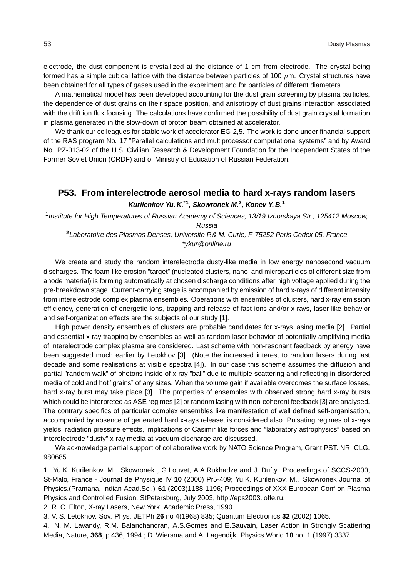electrode, the dust component is crystallized at the distance of 1 cm from electrode. The crystal being formed has a simple cubical lattice with the distance between particles of 100  $\mu$ m. Crystal structures have been obtained for all types of gases used in the experiment and for particles of different diameters.

A mathematical model has been developed accounting for the dust grain screening by plasma particles, the dependence of dust grains on their space position, and anisotropy of dust grains interaction associated with the drift ion flux focusing. The calculations have confirmed the possibility of dust grain crystal formation in plasma generated in the slow-down of proton beam obtained at accelerator.

We thank our colleagues for stable work of accelerator EG-2,5. The work is done under financial support of the RAS program No. 17 "Parallel calculations and multiprocessor computational systems" and by Award No. PZ-013-02 of the U.S. Civilian Research & Development Foundation for the Independent States of the Former Soviet Union (CRDF) and of Ministry of Education of Russian Federation.

# **P53. From interelectrode aerosol media to hard x-rays random lasers Kurilenkov Yu. K.\*1, Skowronek M.<sup>2</sup> , Konev Y. B.<sup>1</sup>**

**1** Institute for High Temperatures of Russian Academy of Sciences, 13/19 Izhorskaya Str., 125412 Moscow, Russia

**<sup>2</sup>**Laboratoire des Plasmas Denses, Universite P.& M. Curie, F-75252 Paris Cedex 05, France \*ykur@online.ru

We create and study the random interelectrode dusty-like media in low energy nanosecond vacuum discharges. The foam-like erosion "target" (nucleated clusters, nano and microparticles of different size from anode material) is forming automatically at chosen discharge conditions after high voltage applied during the pre-breakdown stage. Current-carrying stage is accompanied by emission of hard x-rays of different intensity from interelectrode complex plasma ensembles. Operations with ensembles of clusters, hard x-ray emission efficiency, generation of energetic ions, trapping and release of fast ions and/or x-rays, laser-like behavior and self-organization effects are the subjects of our study [1].

High power density ensembles of clusters are probable candidates for x-rays lasing media [2]. Partial and essential x-ray trapping by ensembles as well as random laser behavior of potentially amplifying media of interelectrode complex plasma are considered. Last scheme with non-resonant feedback by energy have been suggested much earlier by Letokhov [3]. (Note the increased interest to random lasers during last decade and some realisations at visible spectra [4]). In our case this scheme assumes the diffusion and partial "random walk" of photons inside of x-ray "ball" due to multiple scattering and reflecting in disordered media of cold and hot "grains" of any sizes. When the volume gain if available overcomes the surface losses, hard x-ray burst may take place [3]. The properties of ensembles with observed strong hard x-ray bursts which could be interpreted as ASE regimes [2] or random lasing with non-coherent feedback [3] are analysed. The contrary specifics of particular complex ensembles like manifestation of well defined self-organisation, accompanied by absence of generated hard x-rays release, is considered also. Pulsating regimes of x-rays yields, radiation pressure effects, implications of Casimir like forces and "laboratory astrophysics" based on interelectrode "dusty" x-ray media at vacuum discharge are discussed.

We acknowledge partial support of collaborative work by NATO Science Program, Grant PST. NR. CLG. 980685.

1. Yu.K. Kurilenkov, M.. Skowronek , G.Louvet, A.A.Rukhadze and J. Dufty. Proceedings of SCCS-2000, St-Malo, France - Journal de Physique IV **10** (2000) Pr5-409; Yu.K. Kurilenkov, M.. Skowronek Journal of Physics.(Pramana, Indian Acad.Sci.) **61** (2003)1188-1196; Proceedings of XXX European Conf on Plasma Physics and Controlled Fusion, StPetersburg, July 2003, http://eps2003.ioffe.ru.

2. R. C. Elton, X-ray Lasers, New York, Academic Press, 1990.

3. V. S. Letokhov. Sov. Phys. JETPh **26** no 4(1968) 835; Quantum Electronics **32** (2002) 1065.

4. N. M. Lavandy, R.M. Balanchandran, A.S.Gomes and E.Sauvain, Laser Action in Strongly Scattering Media, Nature, **368**, p.436, 1994.; D. Wiersma and A. Lagendijk. Physics World **10** no. 1 (1997) 3337.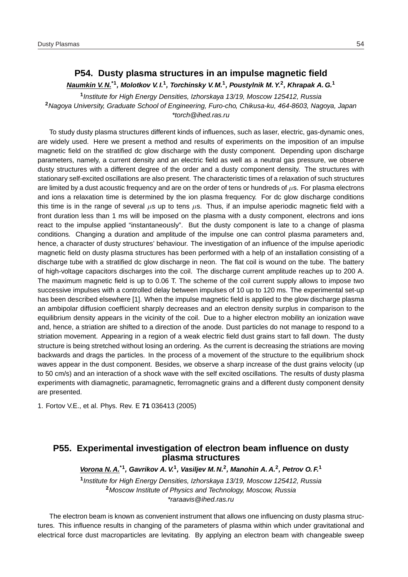# **P54. Dusty plasma structures in an impulse magnetic field**

**Naumkin V. N.\*1, Molotkov V. I.<sup>1</sup> , Torchinsky V. M.<sup>1</sup> , Poustylnik M. Y.<sup>2</sup> , Khrapak A. G.<sup>1</sup>**

**1** Institute for High Energy Densities, Izhorskaya 13/19, Moscow 125412, Russia **<sup>2</sup>**Nagoya University, Graduate School of Engineering, Furo-cho, Chikusa-ku, 464-8603, Nagoya, Japan \*torch@ihed.ras.ru

To study dusty plasma structures different kinds of influences, such as laser, electric, gas-dynamic ones, are widely used. Here we present a method and results of experiments on the imposition of an impulse magnetic field on the stratified dc glow discharge with the dusty component. Depending upon discharge parameters, namely, a current density and an electric field as well as a neutral gas pressure, we observe dusty structures with a different degree of the order and a dusty component density. The structures with stationary self-excited oscillations are also present. The characteristic times of a relaxation of such structures are limited by a dust acoustic frequency and are on the order of tens or hundreds of  $\mu$ s. For plasma electrons and ions a relaxation time is determined by the ion plasma frequency. For dc glow discharge conditions this time is in the range of several  $\mu s$  up to tens  $\mu s$ . Thus, if an impulse aperiodic magnetic field with a front duration less than 1 ms will be imposed on the plasma with a dusty component, electrons and ions react to the impulse applied "instantaneously". But the dusty component is late to a change of plasma conditions. Changing a duration and amplitude of the impulse one can control plasma parameters and, hence, a character of dusty structures' behaviour. The investigation of an influence of the impulse aperiodic magnetic field on dusty plasma structures has been performed with a help of an installation consisting of a discharge tube with a stratified dc glow discharge in neon. The flat coil is wound on the tube. The battery of high-voltage capacitors discharges into the coil. The discharge current amplitude reaches up to 200 A. The maximum magnetic field is up to 0.06 T. The scheme of the coil current supply allows to impose two successive impulses with a controlled delay between impulses of 10 up to 120 ms. The experimental set-up has been described elsewhere [1]. When the impulse magnetic field is applied to the glow discharge plasma an ambipolar diffusion coefficient sharply decreases and an electron density surplus in comparison to the equilibrium density appears in the vicinity of the coil. Due to a higher electron mobility an ionization wave and, hence, a striation are shifted to a direction of the anode. Dust particles do not manage to respond to a striation movement. Appearing in a region of a weak electric field dust grains start to fall down. The dusty structure is being stretched without losing an ordering. As the current is decreasing the striations are moving backwards and drags the particles. In the process of a movement of the structure to the equilibrium shock waves appear in the dust component. Besides, we observe a sharp increase of the dust grains velocity (up to 50 cm/s) and an interaction of a shock wave with the self excited oscillations. The results of dusty plasma experiments with diamagnetic, paramagnetic, ferromagnetic grains and a different dusty component density are presented.

1. Fortov V.E., et al. Phys. Rev. E **71** 036413 (2005)

# **P55. Experimental investigation of electron beam influence on dusty plasma structures**

**Vorona N. A.\*1, Gavrikov A. V.<sup>1</sup> , Vasiljev M. N.<sup>2</sup> , Manohin A. A.<sup>2</sup> , Petrov O. F.<sup>1</sup>**

**1** Institute for High Energy Densities, Izhorskaya 13/19, Moscow 125412, Russia **<sup>2</sup>**Moscow Institute of Physics and Technology, Moscow, Russia \*raraavis@ihed.ras.ru

The electron beam is known as convenient instrument that allows one influencing on dusty plasma structures. This influence results in changing of the parameters of plasma within which under gravitational and electrical force dust macroparticles are levitating. By applying an electron beam with changeable sweep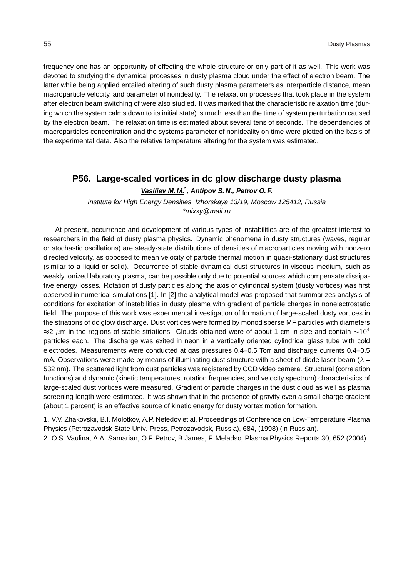frequency one has an opportunity of effecting the whole structure or only part of it as well. This work was devoted to studying the dynamical processes in dusty plasma cloud under the effect of electron beam. The latter while being applied entailed altering of such dusty plasma parameters as interparticle distance, mean macroparticle velocity, and parameter of nonideality. The relaxation processes that took place in the system after electron beam switching of were also studied. It was marked that the characteristic relaxation time (during which the system calms down to its initial state) is much less than the time of system perturbation caused by the electron beam. The relaxation time is estimated about several tens of seconds. The dependencies of macroparticles concentration and the systems parameter of nonideality on time were plotted on the basis of the experimental data. Also the relative temperature altering for the system was estimated.

# **P56. Large-scaled vortices in dc glow discharge dusty plasma Vasiliev M. M.\* , Antipov S. N., Petrov O. F.**

Institute for High Energy Densities, Izhorskaya 13/19, Moscow 125412, Russia \*mixxy@mail.ru

At present, occurrence and development of various types of instabilities are of the greatest interest to researchers in the field of dusty plasma physics. Dynamic phenomena in dusty structures (waves, regular or stochastic oscillations) are steady-state distributions of densities of macroparticles moving with nonzero directed velocity, as opposed to mean velocity of particle thermal motion in quasi-stationary dust structures (similar to a liquid or solid). Occurrence of stable dynamical dust structures in viscous medium, such as weakly ionized laboratory plasma, can be possible only due to potential sources which compensate dissipative energy losses. Rotation of dusty particles along the axis of cylindrical system (dusty vortices) was first observed in numerical simulations [1]. In [2] the analytical model was proposed that summarizes analysis of conditions for excitation of instabilities in dusty plasma with gradient of particle charges in nonelectrostatic field. The purpose of this work was experimental investigation of formation of large-scaled dusty vortices in the striations of dc glow discharge. Dust vortices were formed by monodisperse MF particles with diameters ≈2  $\mu$ m in the regions of stable striations. Clouds obtained were of about 1 cm in size and contain  $\sim$ 10<sup>4</sup> particles each. The discharge was exited in neon in a vertically oriented cylindrical glass tube with cold electrodes. Measurements were conducted at gas pressures 0.4–0.5 Torr and discharge currents 0.4–0.5 mA. Observations were made by means of illuminating dust structure with a sheet of diode laser beam ( $\lambda =$ 532 nm). The scattered light from dust particles was registered by CCD video camera. Structural (correlation functions) and dynamic (kinetic temperatures, rotation frequencies, and velocity spectrum) characteristics of large-scaled dust vortices were measured. Gradient of particle charges in the dust cloud as well as plasma screening length were estimated. It was shown that in the presence of gravity even a small charge gradient (about 1 percent) is an effective source of kinetic energy for dusty vortex motion formation.

1. V.V. Zhakovskii, B.I. Molotkov, A.P. Nefedov et al, Proceedings of Conference on Low-Temperature Plasma Physics (Petrozavodsk State Univ. Press, Petrozavodsk, Russia), 684, (1998) (in Russian). 2. O.S. Vaulina, A.A. Samarian, O.F. Petrov, B James, F. Meladso, Plasma Physics Reports 30, 652 (2004)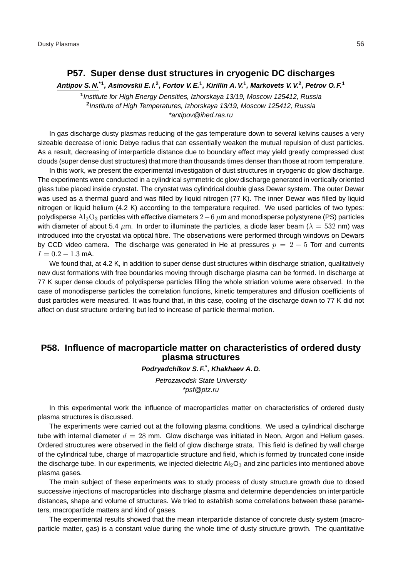#### **P57. Super dense dust structures in cryogenic DC discharges**

**Antipov S. N.\*1, Asinovskii E. I.<sup>2</sup> , Fortov V. E.<sup>1</sup> , Kirillin A. V.<sup>1</sup> , Markovets V. V.<sup>2</sup> , Petrov O. F.<sup>1</sup>**

**1** Institute for High Energy Densities, Izhorskaya 13/19, Moscow 125412, Russia **2** Institute of High Temperatures, Izhorskaya 13/19, Moscow 125412, Russia \*antipov@ihed.ras.ru

In gas discharge dusty plasmas reducing of the gas temperature down to several kelvins causes a very sizeable decrease of ionic Debye radius that can essentially weaken the mutual repulsion of dust particles. As a result, decreasing of interparticle distance due to boundary effect may yield greatly compressed dust clouds (super dense dust structures) that more than thousands times denser than those at room temperature.

In this work, we present the experimental investigation of dust structures in cryogenic dc glow discharge. The experiments were conducted in a cylindrical symmetric dc glow discharge generated in vertically oriented glass tube placed inside cryostat. The cryostat was cylindrical double glass Dewar system. The outer Dewar was used as a thermal guard and was filled by liquid nitrogen (77 K). The inner Dewar was filled by liquid nitrogen or liquid helium (4.2 K) according to the temperature required. We used particles of two types: polydisperse  $\text{Al}_2\text{O}_3$  particles with effective diameters  $2-6$   $\mu$ m and monodisperse polystyrene (PS) particles with diameter of about 5.4  $\mu$ m. In order to illuminate the particles, a diode laser beam ( $\lambda = 532$  nm) was introduced into the cryostat via optical fibre. The observations were performed through windows on Dewars by CCD video camera. The discharge was generated in He at pressures  $p = 2 - 5$  Torr and currents  $I = 0.2 - 1.3$  mA.

We found that, at 4.2 K, in addition to super dense dust structures within discharge striation, qualitatively new dust formations with free boundaries moving through discharge plasma can be formed. In discharge at 77 K super dense clouds of polydisperse particles filling the whole striation volume were observed. In the case of monodisperse particles the correlation functions, kinetic temperatures and diffusion coefficients of dust particles were measured. It was found that, in this case, cooling of the discharge down to 77 K did not affect on dust structure ordering but led to increase of particle thermal motion.

# **P58. Influence of macroparticle matter on characteristics of ordered dusty plasma structures**

**Podryadchikov S. F.\* , Khakhaev A. D.**

Petrozavodsk State University \*psf@ptz.ru

In this experimental work the influence of macroparticles matter on characteristics of ordered dusty plasma structures is discussed.

The experiments were carried out at the following plasma conditions. We used a cylindrical discharge tube with internal diameter  $d = 28$  mm. Glow discharge was initiated in Neon, Argon and Helium gases. Ordered structures were observed in the field of glow discharge strata. This field is defined by wall charge of the cylindrical tube, charge of macroparticle structure and field, which is formed by truncated cone inside the discharge tube. In our experiments, we injected dielectric  $Al_2O_3$  and zinc particles into mentioned above plasma gases.

The main subject of these experiments was to study process of dusty structure growth due to dosed successive injections of macroparticles into discharge plasma and determine dependencies on interparticle distances, shape and volume of structures. We tried to establish some correlations between these parameters, macroparticle matters and kind of gases.

The experimental results showed that the mean interparticle distance of concrete dusty system (macroparticle matter, gas) is a constant value during the whole time of dusty structure growth. The quantitative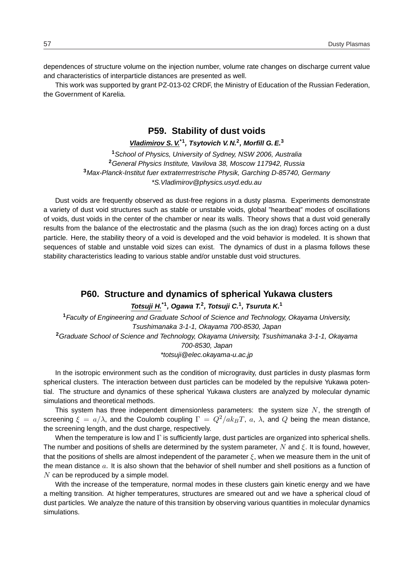dependences of structure volume on the injection number, volume rate changes on discharge current value and characteristics of interparticle distances are presented as well.

This work was supported by grant PZ-013-02 CRDF, the Ministry of Education of the Russian Federation, the Government of Karelia.

### **P59. Stability of dust voids**

#### **Vladimirov S. V.\*1, Tsytovich V. N.<sup>2</sup> , Morfill G. E.<sup>3</sup>**

School of Physics, University of Sydney, NSW 2006, Australia General Physics Institute, Vavilova 38, Moscow 117942, Russia Max-Planck-Institut fuer extraterrrestrische Physik, Garching D-85740, Germany \*S.Vladimirov@physics.usyd.edu.au

Dust voids are frequently observed as dust-free regions in a dusty plasma. Experiments demonstrate a variety of dust void structures such as stable or unstable voids, global "heartbeat" modes of oscillations of voids, dust voids in the center of the chamber or near its walls. Theory shows that a dust void generally results from the balance of the electrostatic and the plasma (such as the ion drag) forces acting on a dust particle. Here, the stability theory of a void is developed and the void behavior is modeled. It is shown that sequences of stable and unstable void sizes can exist. The dynamics of dust in a plasma follows these stability characteristics leading to various stable and/or unstable dust void structures.

# **P60. Structure and dynamics of spherical Yukawa clusters**

**Totsuji H.\*1, Ogawa T.<sup>2</sup> , Totsuji C.<sup>1</sup> , Tsuruta K.<sup>1</sup>**

**<sup>1</sup>**Faculty of Engineering and Graduate School of Science and Technology, Okayama University, Tsushimanaka 3-1-1, Okayama 700-8530, Japan **<sup>2</sup>**Graduate School of Science and Technology, Okayama University, Tsushimanaka 3-1-1, Okayama 700-8530, Japan

\*totsuji@elec.okayama-u.ac.jp

In the isotropic environment such as the condition of microgravity, dust particles in dusty plasmas form spherical clusters. The interaction between dust particles can be modeled by the repulsive Yukawa potential. The structure and dynamics of these spherical Yukawa clusters are analyzed by molecular dynamic simulations and theoretical methods.

This system has three independent dimensionless parameters: the system size  $N$ , the strength of screening  $\xi = a/\lambda$ , and the Coulomb coupling  $\Gamma = Q^2/ak_BT$ , a,  $\lambda$ , and Q being the mean distance, the screening length, and the dust charge, respectively.

When the temperature is low and  $\Gamma$  is sufficiently large, dust particles are organized into spherical shells. The number and positions of shells are determined by the system parameter, N and  $\xi$ . It is found, however, that the positions of shells are almost independent of the parameter  $\xi$ , when we measure them in the unit of the mean distance  $a$ . It is also shown that the behavior of shell number and shell positions as a function of  $N$  can be reproduced by a simple model.

With the increase of the temperature, normal modes in these clusters gain kinetic energy and we have a melting transition. At higher temperatures, structures are smeared out and we have a spherical cloud of dust particles. We analyze the nature of this transition by observing various quantities in molecular dynamics simulations.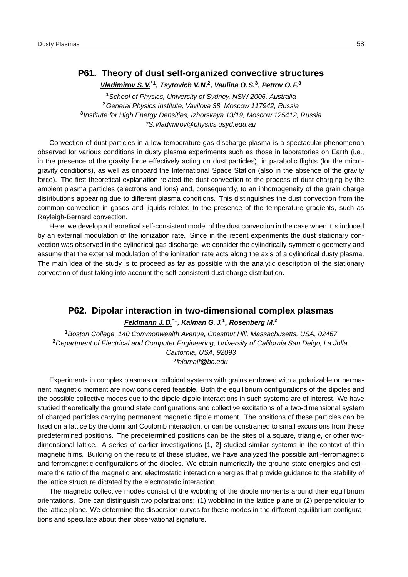# **P61. Theory of dust self-organized convective structures**

**Vladimirov S. V.\*1, Tsytovich V. N.<sup>2</sup> , Vaulina O. S.<sup>3</sup> , Petrov O. F.<sup>3</sup>**

School of Physics, University of Sydney, NSW 2006, Australia General Physics Institute, Vavilova 38, Moscow 117942, Russia Institute for High Energy Densities, Izhorskaya 13/19, Moscow 125412, Russia \*S.Vladimirov@physics.usyd.edu.au

Convection of dust particles in a low-temperature gas discharge plasma is a spectacular phenomenon observed for various conditions in dusty plasma experiments such as those in laboratories on Earth (i.e., in the presence of the gravity force effectively acting on dust particles), in parabolic flights (for the microgravity conditions), as well as onboard the International Space Station (also in the absence of the gravity force). The first theoretical explanation related the dust convection to the process of dust charging by the ambient plasma particles (electrons and ions) and, consequently, to an inhomogeneity of the grain charge distributions appearing due to different plasma conditions. This distinguishes the dust convection from the common convection in gases and liquids related to the presence of the temperature gradients, such as Rayleigh-Bernard convection.

Here, we develop a theoretical self-consistent model of the dust convection in the case when it is induced by an external modulation of the ionization rate. Since in the recent experiments the dust stationary convection was observed in the cylindrical gas discharge, we consider the cylindrically-symmetric geometry and assume that the external modulation of the ionization rate acts along the axis of a cylindrical dusty plasma. The main idea of the study is to proceed as far as possible with the analytic description of the stationary convection of dust taking into account the self-consistent dust charge distribution.

# **P62. Dipolar interaction in two-dimensional complex plasmas**

#### **Feldmann J. D.\*1, Kalman G. J.<sup>1</sup> , Rosenberg M.<sup>2</sup>**

**<sup>1</sup>**Boston College, 140 Commonwealth Avenue, Chestnut Hill, Massachusetts, USA, 02467 **<sup>2</sup>**Department of Electrical and Computer Engineering, University of California San Deigo, La Jolla, California, USA, 92093 \*feldmajf@bc.edu

Experiments in complex plasmas or colloidal systems with grains endowed with a polarizable or permanent magnetic moment are now considered feasible. Both the equilibrium configurations of the dipoles and the possible collective modes due to the dipole-dipole interactions in such systems are of interest. We have studied theoretically the ground state configurations and collective excitations of a two-dimensional system of charged particles carrying permanent magnetic dipole moment. The positions of these particles can be fixed on a lattice by the dominant Coulomb interaction, or can be constrained to small excursions from these predetermined positions. The predetermined positions can be the sites of a square, triangle, or other twodimensional lattice. A series of earlier investigations [1, 2] studied similar systems in the context of thin magnetic films. Building on the results of these studies, we have analyzed the possible anti-ferromagnetic and ferromagnetic configurations of the dipoles. We obtain numerically the ground state energies and estimate the ratio of the magnetic and electrostatic interaction energies that provide guidance to the stability of the lattice structure dictated by the electrostatic interaction.

The magnetic collective modes consist of the wobbling of the dipole moments around their equilibrium orientations. One can distinguish two polarizations: (1) wobbling in the lattice plane or (2) perpendicular to the lattice plane. We determine the dispersion curves for these modes in the different equilibrium configurations and speculate about their observational signature.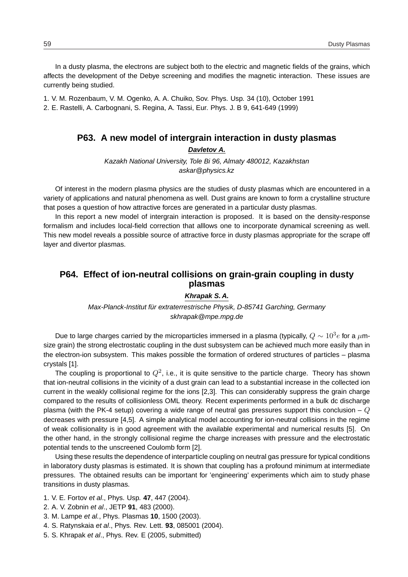In a dusty plasma, the electrons are subject both to the electric and magnetic fields of the grains, which affects the development of the Debye screening and modifies the magnetic interaction. These issues are currently being studied.

1. V. M. Rozenbaum, V. M. Ogenko, A. A. Chuiko, Sov. Phys. Usp. 34 (10), October 1991 2. E. Rastelli, A. Carbognani, S. Regina, A. Tassi, Eur. Phys. J. B 9, 641-649 (1999)

#### **P63. A new model of intergrain interaction in dusty plasmas**

**Davletov A.**

Kazakh National University, Tole Bi 96, Almaty 480012, Kazakhstan askar@physics.kz

Of interest in the modern plasma physics are the studies of dusty plasmas which are encountered in a variety of applications and natural phenomena as well. Dust grains are known to form a crystalline structure that poses a question of how attractive forces are generated in a particular dusty plasmas.

In this report a new model of intergrain interaction is proposed. It is based on the density-response formalism and includes local-field correction that alllows one to incorporate dynamical screening as well. This new model reveals a possible source of attractive force in dusty plasmas appropriate for the scrape off layer and divertor plasmas.

# **P64. Effect of ion-neutral collisions on grain-grain coupling in dusty plasmas**

#### **Khrapak S. A.**

Max-Planck-Institut für extraterrestrische Physik, D-85741 Garching, Germany skhrapak@mpe.mpg.de

Due to large charges carried by the microparticles immersed in a plasma (typically,  $Q\sim 10^3 e$  for a  $\mu$ msize grain) the strong electrostatic coupling in the dust subsystem can be achieved much more easily than in the electron-ion subsystem. This makes possible the formation of ordered structures of particles – plasma crystals [1].

The coupling is proportional to  $Q^2$ , i.e., it is quite sensitive to the particle charge. Theory has shown that ion-neutral collisions in the vicinity of a dust grain can lead to a substantial increase in the collected ion current in the weakly collisional regime for the ions [2,3]. This can considerably suppress the grain charge compared to the results of collisionless OML theory. Recent experiments performed in a bulk dc discharge plasma (with the PK-4 setup) covering a wide range of neutral gas pressures support this conclusion –  $Q$ decreases with pressure [4,5]. A simple analytical model accounting for ion-neutral collisions in the regime of weak collisionality is in good agreement with the available experimental and numerical results [5]. On the other hand, in the strongly collisional regime the charge increases with pressure and the electrostatic potential tends to the unscreened Coulomb form [2].

Using these results the dependence of interparticle coupling on neutral gas pressure for typical conditions in laboratory dusty plasmas is estimated. It is shown that coupling has a profound minimum at intermediate pressures. The obtained results can be important for 'engineering' experiments which aim to study phase transitions in dusty plasmas.

- 1. V. E. Fortov et al., Phys. Usp. **47**, 447 (2004).
- 2. A. V. Zobnin et al., JETP **91**, 483 (2000).
- 3. M. Lampe et al., Phys. Plasmas **10**, 1500 (2003).
- 4. S. Ratynskaia et al., Phys. Rev. Lett. **93**, 085001 (2004).
- 5. S. Khrapak et al., Phys. Rev. E (2005, submitted)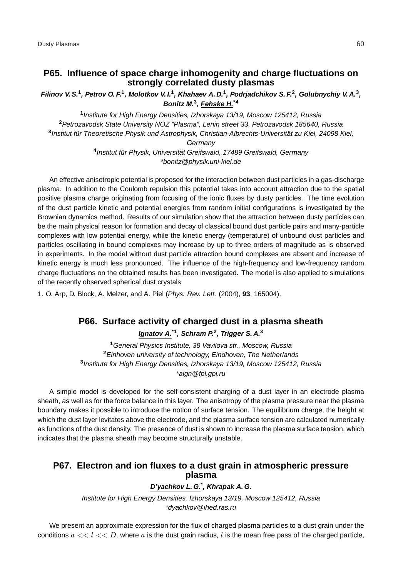### **P65. Influence of space charge inhomogenity and charge fluctuations on strongly correlated dusty plasmas**

**Filinov V. S.<sup>1</sup> , Petrov O. F.<sup>1</sup> , Molotkov V. I.<sup>1</sup> , Khahaev A. D.<sup>1</sup> , Podrjadchikov S. F.<sup>2</sup> , Golubnychiy V. A.<sup>3</sup> , Bonitz M.<sup>3</sup> , Fehske H.\*4**

**1** Institute for High Energy Densities, Izhorskaya 13/19, Moscow 125412, Russia **<sup>2</sup>**Petrozavodsk State University NOZ "Plasma", Lenin street 33, Petrozavodsk 185640, Russia <sup>3</sup> Institut für Theoretische Physik und Astrophysik, Christian-Albrechts-Universität zu Kiel, 24098 Kiel, **Germany** 

<sup>4</sup> Institut für Physik, Universität Greifswald, 17489 Greifswald, Germany \*bonitz@physik.uni-kiel.de

An effective anisotropic potential is proposed for the interaction between dust particles in a gas-discharge plasma. In addition to the Coulomb repulsion this potential takes into account attraction due to the spatial positive plasma charge originating from focusing of the ionic fluxes by dusty particles. The time evolution of the dust particle kinetic and potential energies from random initial configurations is investigated by the Brownian dynamics method. Results of our simulation show that the attraction between dusty particles can be the main physical reason for formation and decay of classical bound dust particle pairs and many-particle complexes with low potential energy, while the kinetic energy (temperature) of unbound dust particles and particles oscillating in bound complexes may increase by up to three orders of magnitude as is observed in experiments. In the model without dust particle attraction bound complexes are absent and increase of kinetic energy is much less pronounced. The influence of the high-frequency and low-frequency random charge fluctuations on the obtained results has been investigated. The model is also applied to simulations of the recently observed spherical dust crystals

1. O. Arp, D. Block, A. Melzer, and A. Piel (Phys. Rev. Lett. (2004), **93**, 165004).

#### **P66. Surface activity of charged dust in a plasma sheath**

**Ignatov A.\*1, Schram P.<sup>2</sup> , Trigger S. A.<sup>3</sup>**

General Physics Institute, 38 Vavilova str., Moscow, Russia Einhoven university of technology, Eindhoven, The Netherlands Institute for High Energy Densities, Izhorskaya 13/19, Moscow 125412, Russia \*aign@fpl.gpi.ru

A simple model is developed for the self-consistent charging of a dust layer in an electrode plasma sheath, as well as for the force balance in this layer. The anisotropy of the plasma pressure near the plasma boundary makes it possible to introduce the notion of surface tension. The equilibrium charge, the height at which the dust layer levitates above the electrode, and the plasma surface tension are calculated numerically as functions of the dust density. The presence of dust is shown to increase the plasma surface tension, which indicates that the plasma sheath may become structurally unstable.

# **P67. Electron and ion fluxes to a dust grain in atmospheric pressure plasma**

#### **D'yachkov L. G.\* , Khrapak A. G.**

Institute for High Energy Densities, Izhorskaya 13/19, Moscow 125412, Russia \*dyachkov@ihed.ras.ru

We present an approximate expression for the flux of charged plasma particles to a dust grain under the conditions  $a \ll l \ll D$ , where a is the dust grain radius, l is the mean free pass of the charged particle,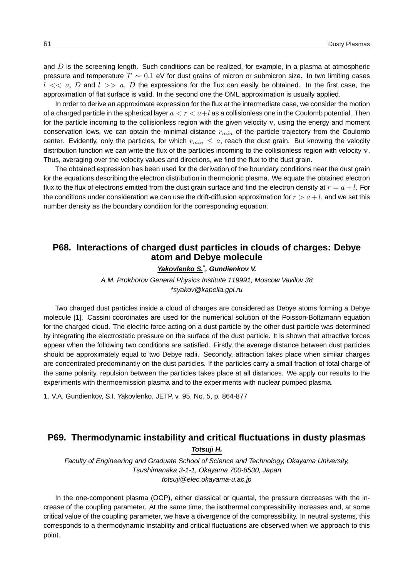and  $D$  is the screening length. Such conditions can be realized, for example, in a plasma at atmospheric pressure and temperature  $T \sim 0.1$  eV for dust grains of micron or submicron size. In two limiting cases  $l \ll a$ , D and  $l \gg a$ , D the expressions for the flux can easily be obtained. In the first case, the approximation of flat surface is valid. In the second one the OML approximation is usually applied.

In order to derive an approximate expression for the flux at the intermediate case, we consider the motion of a charged particle in the spherical layer  $a < r < a+l$  as a collisionless one in the Coulomb potential. Then for the particle incoming to the collisionless region with the given velocity v, using the energy and moment conservation lows, we can obtain the minimal distance  $r_{min}$  of the particle trajectory from the Coulomb center. Evidently, only the particles, for which  $r_{min} \le a$ , reach the dust grain. But knowing the velocity distribution function we can write the flux of the particles incoming to the collisionless region with velocity  $\bf{v}$ . Thus, averaging over the velocity values and directions, we find the flux to the dust grain.

The obtained expression has been used for the derivation of the boundary conditions near the dust grain for the equations describing the electron distribution in thermoionic plasma. We equate the obtained electron flux to the flux of electrons emitted from the dust grain surface and find the electron density at  $r = a + l$ . For the conditions under consideration we can use the drift-diffusion approximation for  $r > a + l$ , and we set this number density as the boundary condition for the corresponding equation.

# **P68. Interactions of charged dust particles in clouds of charges: Debye atom and Debye molecule**

#### **Yakovlenko S.\* , Gundienkov V.**

A.M. Prokhorov General Physics Institute 119991, Moscow Vavilov 38 \*syakov@kapella.gpi.ru

Two charged dust particles inside a cloud of charges are considered as Debye atoms forming a Debye molecule [1]. Cassini coordinates are used for the numerical solution of the Poisson-Boltzmann equation for the charged cloud. The electric force acting on a dust particle by the other dust particle was determined by integrating the electrostatic pressure on the surface of the dust particle. It is shown that attractive forces appear when the following two conditions are satisfied. Firstly, the average distance between dust particles should be approximately equal to two Debye radii. Secondly, attraction takes place when similar charges are concentrated predominantly on the dust particles. If the particles carry a small fraction of total charge of the same polarity, repulsion between the particles takes place at all distances. We apply our results to the experiments with thermoemission plasma and to the experiments with nuclear pumped plasma.

1. V.A. Gundienkov, S.I. Yakovlenko. JETP, v. 95, No. 5, p. 864-877

# **P69. Thermodynamic instability and critical fluctuations in dusty plasmas**

**Totsuji H.**

Faculty of Engineering and Graduate School of Science and Technology, Okayama University, Tsushimanaka 3-1-1, Okayama 700-8530, Japan totsuji@elec.okayama-u.ac.jp

In the one-component plasma (OCP), either classical or quantal, the pressure decreases with the increase of the coupling parameter. At the same time, the isothermal compressibility increases and, at some critical value of the coupling parameter, we have a divergence of the compressibility. In neutral systems, this corresponds to a thermodynamic instability and critical fluctuations are observed when we approach to this point.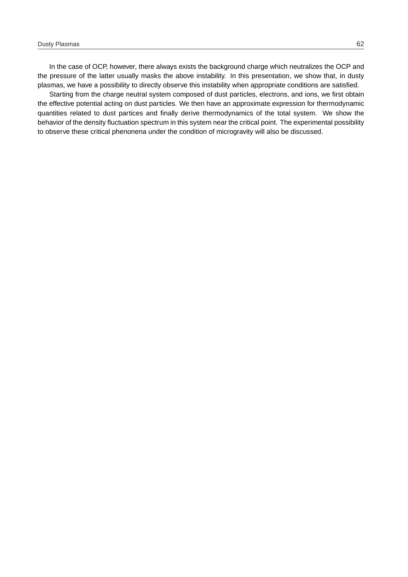In the case of OCP, however, there always exists the background charge which neutralizes the OCP and the pressure of the latter usually masks the above instability. In this presentation, we show that, in dusty plasmas, we have a possibility to directly observe this instability when appropriate conditions are satisfied.

Starting from the charge neutral system composed of dust particles, electrons, and ions, we first obtain the effective potential acting on dust particles. We then have an approximate expression for thermodynamic quantities related to dust partices and finally derive thermodynamics of the total system. We show the behavior of the density fluctuation spectrum in this system near the critical point. The experimental possibility to observe these critical phenonena under the condition of microgravity will also be discussed.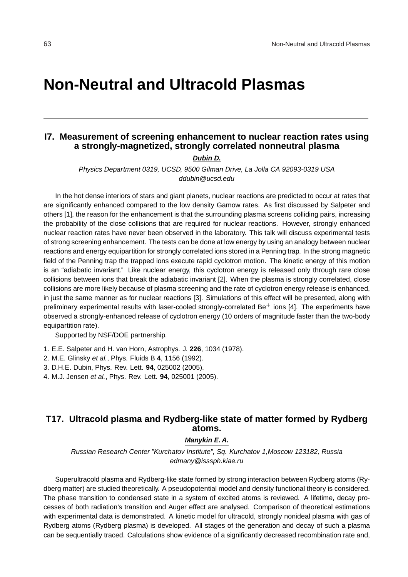# **Non-Neutral and Ultracold Plasmas**

# **I7. Measurement of screening enhancement to nuclear reaction rates using a strongly-magnetized, strongly correlated nonneutral plasma**

**Dubin D.**

Physics Department 0319, UCSD, 9500 Gilman Drive, La Jolla CA 92093-0319 USA ddubin@ucsd.edu

In the hot dense interiors of stars and giant planets, nuclear reactions are predicted to occur at rates that are significantly enhanced compared to the low density Gamow rates. As first discussed by Salpeter and others [1], the reason for the enhancement is that the surrounding plasma screens colliding pairs, increasing the probability of the close collisions that are required for nuclear reactions. However, strongly enhanced nuclear reaction rates have never been observed in the laboratory. This talk will discuss experimental tests of strong screening enhancement. The tests can be done at low energy by using an analogy between nuclear reactions and energy equipartition for strongly correlated ions stored in a Penning trap. In the strong magnetic field of the Penning trap the trapped ions execute rapid cyclotron motion. The kinetic energy of this motion is an "adiabatic invariant." Like nuclear energy, this cyclotron energy is released only through rare close collisions between ions that break the adiabatic invariant [2]. When the plasma is strongly correlated, close collisions are more likely because of plasma screening and the rate of cyclotron energy release is enhanced, in just the same manner as for nuclear reactions [3]. Simulations of this effect will be presented, along with preliminary experimental results with laser-cooled strongly-correlated Be<sup>+</sup> ions [4]. The experiments have observed a strongly-enhanced release of cyclotron energy (10 orders of magnitude faster than the two-body equipartition rate).

Supported by NSF/DOE partnership.

- 1. E.E. Salpeter and H. van Horn, Astrophys. J. **226**, 1034 (1978).
- 2. M.E. Glinsky et al., Phys. Fluids B **4**, 1156 (1992).
- 3. D.H.E. Dubin, Phys. Rev. Lett. **94**, 025002 (2005).
- 4. M.J. Jensen et al., Phys. Rev. Lett. **94**, 025001 (2005).

# **T17. Ultracold plasma and Rydberg-like state of matter formed by Rydberg atoms.**

#### **Manykin E. A.**

Russian Research Center "Kurchatov Institute", Sq. Kurchatov 1,Moscow 123182, Russia edmany@isssph.kiae.ru

Superultracold plasma and Rydberg-like state formed by strong interaction between Rydberg atoms (Rydberg matter) are studied theoretically. A pseudopotential model and density functional theory is considered. The phase transition to condensed state in a system of excited atoms is reviewed. A lifetime, decay processes of both radiation's transition and Auger effect are analysed. Comparison of theoretical estimations with experimental data is demonstrated. A kinetic model for ultracold, strongly nonideal plasma with gas of Rydberg atoms (Rydberg plasma) is developed. All stages of the generation and decay of such a plasma can be sequentially traced. Calculations show evidence of a significantly decreased recombination rate and,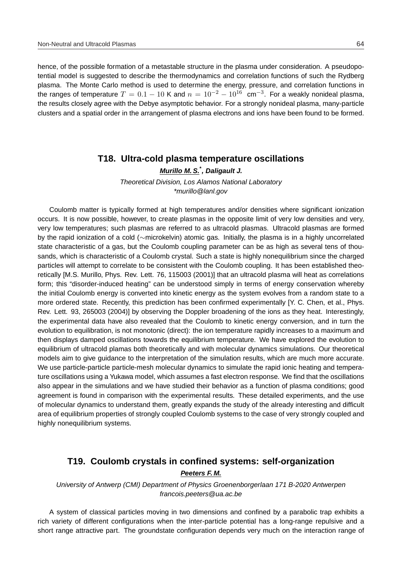hence, of the possible formation of a metastable structure in the plasma under consideration. A pseudopotential model is suggested to describe the thermodynamics and correlation functions of such the Rydberg plasma. The Monte Carlo method is used to determine the energy, pressure, and correlation functions in the ranges of temperature  $T = 0.1 - 10$  K and  $n = 10^{-2} - 10^{16}$  cm<sup>-3</sup>. For a weakly nonideal plasma, the results closely agree with the Debye asymptotic behavior. For a strongly nonideal plasma, many-particle clusters and a spatial order in the arrangement of plasma electrons and ions have been found to be formed.

#### **T18. Ultra-cold plasma temperature oscillations**

**Murillo M. S.\* , Daligault J.**

Theoretical Division, Los Alamos National Laboratory \*murillo@lanl.gov

Coulomb matter is typically formed at high temperatures and/or densities where significant ionization occurs. It is now possible, however, to create plasmas in the opposite limit of very low densities and very, very low temperatures; such plasmas are referred to as ultracold plasmas. Ultracold plasmas are formed by the rapid ionization of a cold (∼microkelvin) atomic gas. Initially, the plasma is in a highly uncorrelated state characteristic of a gas, but the Coulomb coupling parameter can be as high as several tens of thousands, which is characteristic of a Coulomb crystal. Such a state is highly nonequilibrium since the charged particles will attempt to correlate to be consistent with the Coulomb coupling. It has been established theoretically [M.S. Murillo, Phys. Rev. Lett. 76, 115003 (2001)] that an ultracold plasma will heat as correlations form; this "disorder-induced heating" can be understood simply in terms of energy conservation whereby the initial Coulomb energy is converted into kinetic energy as the system evolves from a random state to a more ordered state. Recently, this prediction has been confirmed experimentally [Y. C. Chen, et al., Phys. Rev. Lett. 93, 265003 (2004)] by observing the Doppler broadening of the ions as they heat. Interestingly, the experimental data have also revealed that the Coulomb to kinetic energy conversion, and in turn the evolution to equilibration, is not monotonic (direct): the ion temperature rapidly increases to a maximum and then displays damped oscillations towards the equilibrium temperature. We have explored the evolution to equilibrium of ultracold plamas both theoretically and with molecular dynamics simulations. Our theoretical models aim to give guidance to the interpretation of the simulation results, which are much more accurate. We use particle-particle particle-mesh molecular dynamics to simulate the rapid ionic heating and temperature oscillations using a Yukawa model, which assumes a fast electron response. We find that the oscillations also appear in the simulations and we have studied their behavior as a function of plasma conditions; good agreement is found in comparison with the experimental results. These detailed experiments, and the use of molecular dynamics to understand them, greatly expands the study of the already interesting and difficult area of equilibrium properties of strongly coupled Coulomb systems to the case of very strongly coupled and highly nonequilibrium systems.

# **T19. Coulomb crystals in confined systems: self-organization Peeters F. M.**

University of Antwerp (CMI) Department of Physics Groenenborgerlaan 171 B-2020 Antwerpen francois.peeters@ua.ac.be

A system of classical particles moving in two dimensions and confined by a parabolic trap exhibits a rich variety of different configurations when the inter-particle potential has a long-range repulsive and a short range attractive part. The groundstate configuration depends very much on the interaction range of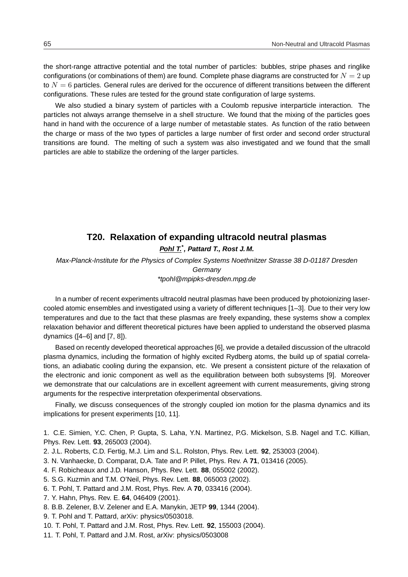the short-range attractive potential and the total number of particles: bubbles, stripe phases and ringlike configurations (or combinations of them) are found. Complete phase diagrams are constructed for  $N = 2$  up to  $N = 6$  particles. General rules are derived for the occurence of different transitions between the different configurations. These rules are tested for the ground state configuration of large systems.

We also studied a binary system of particles with a Coulomb repusive interparticle interaction. The particles not always arrange themselve in a shell structure. We found that the mixing of the particles goes hand in hand with the occurence of a large number of metastable states. As function of the ratio between the charge or mass of the two types of particles a large number of first order and second order structural transitions are found. The melting of such a system was also investigated and we found that the small particles are able to stabilize the ordening of the larger particles.

# **T20. Relaxation of expanding ultracold neutral plasmas**

**Pohl T.\* , Pattard T., Rost J. M.**

Max-Planck-Institute for the Physics of Complex Systems Noethnitzer Strasse 38 D-01187 Dresden **Germany** \*tpohl@mpipks-dresden.mpg.de

In a number of recent experiments ultracold neutral plasmas have been produced by photoionizing lasercooled atomic ensembles and investigated using a variety of different techniques [1–3]. Due to their very low temperatures and due to the fact that these plasmas are freely expanding, these systems show a complex relaxation behavior and different theoretical pictures have been applied to understand the observed plasma dynamics ([4–6] and [7, 8]).

Based on recently developed theoretical approaches [6], we provide a detailed discussion of the ultracold plasma dynamics, including the formation of highly excited Rydberg atoms, the build up of spatial correlations, an adiabatic cooling during the expansion, etc. We present a consistent picture of the relaxation of the electronic and ionic component as well as the equilibration between both subsystems [9]. Moreover we demonstrate that our calculations are in excellent agreement with current measurements, giving strong arguments for the respective interpretation ofexperimental observations.

Finally, we discuss consequences of the strongly coupled ion motion for the plasma dynamics and its implications for present experiments [10, 11].

1. C.E. Simien, Y.C. Chen, P. Gupta, S. Laha, Y.N. Martinez, P.G. Mickelson, S.B. Nagel and T.C. Killian, Phys. Rev. Lett. **93**, 265003 (2004).

- 2. J.L. Roberts, C.D. Fertig, M.J. Lim and S.L. Rolston, Phys. Rev. Lett. **92**, 253003 (2004).
- 3. N. Vanhaecke, D. Comparat, D.A. Tate and P. Pillet, Phys. Rev. A **71**, 013416 (2005).
- 4. F. Robicheaux and J.D. Hanson, Phys. Rev. Lett. **88**, 055002 (2002).
- 5. S.G. Kuzmin and T.M. O'Neil, Phys. Rev. Lett. **88**, 065003 (2002).
- 6. T. Pohl, T. Pattard and J.M. Rost, Phys. Rev. A **70**, 033416 (2004).
- 7. Y. Hahn, Phys. Rev. E. **64**, 046409 (2001).
- 8. B.B. Zelener, B.V. Zelener and E.A. Manykin, JETP **99**, 1344 (2004).
- 9. T. Pohl and T. Pattard, arXiv: physics/0503018.
- 10. T. Pohl, T. Pattard and J.M. Rost, Phys. Rev. Lett. **92**, 155003 (2004).
- 11. T. Pohl, T. Pattard and J.M. Rost, arXiv: physics/0503008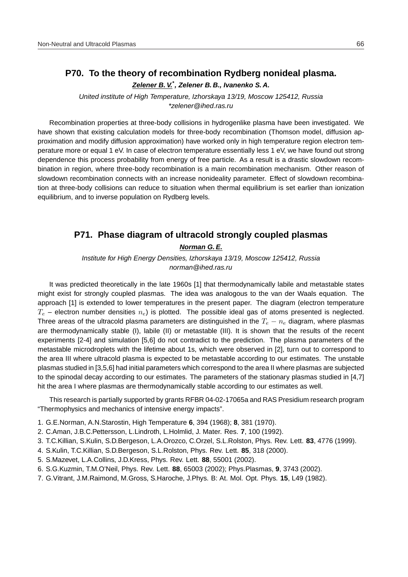# **P70. To the theory of recombination Rydberg nonideal plasma.**

**Zelener B. V.\* , Zelener B. B., Ivanenko S. A.**

United institute of High Temperature, Izhorskaya 13/19, Moscow 125412, Russia \*zelener@ihed.ras.ru

Recombination properties at three-body collisions in hydrogenlike plasma have been investigated. We have shown that existing calculation models for three-body recombination (Thomson model, diffusion approximation and modify diffusion approximation) have worked only in high temperature region electron temperature more or equal 1 eV. In case of electron temperature essentially less 1 eV, we have found out strong dependence this process probability from energy of free particle. As a result is a drastic slowdown recombination in region, where three-body recombination is a main recombination mechanism. Other reason of slowdown recombination connects with an increase nonideality parameter. Effect of slowdown recombination at three-body collisions can reduce to situation when thermal equilibrium is set earlier than ionization equilibrium, and to inverse population on Rydberg levels.

# **P71. Phase diagram of ultracold strongly coupled plasmas**

**Norman G. E.**

Institute for High Energy Densities, Izhorskaya 13/19, Moscow 125412, Russia norman@ihed.ras.ru

It was predicted theoretically in the late 1960s [1] that thermodynamically labile and metastable states might exist for strongly coupled plasmas. The idea was analogous to the van der Waals equation. The approach [1] is extended to lower temperatures in the present paper. The diagram (electron temperature  $T_e$  – electron number densities  $n_e$ ) is plotted. The possible ideal gas of atoms presented is neglected. Three areas of the ultracold plasma parameters are distinguished in the  $T_e - n_e$  diagram, where plasmas are thermodynamically stable (I), labile (II) or metastable (III). It is shown that the results of the recent experiments [2-4] and simulation [5,6] do not contradict to the prediction. The plasma parameters of the metastable microdroplets with the lifetime about 1s, which were observed in [2], turn out to correspond to the area III where ultracold plasma is expected to be metastable according to our estimates. The unstable plasmas studied in [3,5,6] had initial parameters which correspond to the area II where plasmas are subjected to the spinodal decay according to our estimates. The parameters of the stationary plasmas studied in [4,7] hit the area I where plasmas are thermodynamically stable according to our estimates as well.

This research is partially supported by grants RFBR 04-02-17065a and RAS Presidium research program "Thermophysics and mechanics of intensive energy impacts".

- 1. G.E.Norman, A.N.Starostin, High Temperature **6**, 394 (1968); **8**, 381 (1970).
- 2. C.Aman, J.B.C.Pettersson, L.Lindroth, L.Holmlid, J. Mater. Res. **7**, 100 (1992).
- 3. T.C.Killian, S.Kulin, S.D.Bergeson, L.A.Orozco, C.Orzel, S.L.Rolston, Phys. Rev. Lett. **83**, 4776 (1999).
- 4. S.Kulin, T.C.Killian, S.D.Bergeson, S.L.Rolston, Phys. Rev. Lett. **85**, 318 (2000).
- 5. S.Mazevet, L.A.Collins, J.D.Kress, Phys. Rev. Lett. **88**, 55001 (2002).
- 6. S.G.Kuzmin, T.M.O'Neil, Phys. Rev. Lett. **88**, 65003 (2002); Phys.Plasmas, **9**, 3743 (2002).
- 7. G.Vitrant, J.M.Raimond, M.Gross, S.Haroche, J.Phys. B: At. Mol. Opt. Phys. **15**, L49 (1982).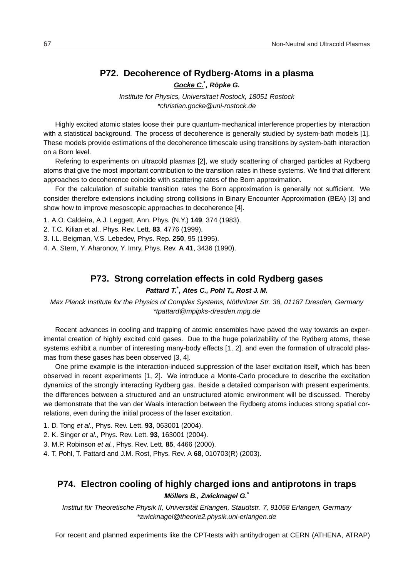#### **P72. Decoherence of Rydberg-Atoms in a plasma**

**Gocke C.\* , Ropke G. ¨**

Institute for Physics, Universitaet Rostock, 18051 Rostock \*christian.gocke@uni-rostock.de

Highly excited atomic states loose their pure quantum-mechanical interference properties by interaction with a statistical background. The process of decoherence is generally studied by system-bath models [1]. These models provide estimations of the decoherence timescale using transitions by system-bath interaction on a Born level.

Refering to experiments on ultracold plasmas [2], we study scattering of charged particles at Rydberg atoms that give the most important contribution to the transition rates in these systems. We find that different approaches to decoherence coincide with scattering rates of the Born approximation.

For the calculation of suitable transition rates the Born approximation is generally not sufficient. We consider therefore extensions including strong collisions in Binary Encounter Approximation (BEA) [3] and show how to improve mesoscopic approaches to decoherence [4].

1. A.O. Caldeira, A.J. Leggett, Ann. Phys. (N.Y.) **149**, 374 (1983).

2. T.C. Kilian et al., Phys. Rev. Lett. **83**, 4776 (1999).

3. I.L. Beigman, V.S. Lebedev, Phys. Rep. **250**, 95 (1995).

4. A. Stern, Y. Aharonov, Y. Imry, Phys. Rev. **A 41**, 3436 (1990).

#### **P73. Strong correlation effects in cold Rydberg gases**

#### **Pattard T.\* , Ates C., Pohl T., Rost J. M.**

Max Planck Institute for the Physics of Complex Systems, Nöthnitzer Str. 38, 01187 Dresden, Germany \*tpattard@mpipks-dresden.mpg.de

Recent advances in cooling and trapping of atomic ensembles have paved the way towards an experimental creation of highly excited cold gases. Due to the huge polarizability of the Rydberg atoms, these systems exhibit a number of interesting many-body effects [1, 2], and even the formation of ultracold plasmas from these gases has been observed [3, 4].

One prime example is the interaction-induced suppression of the laser excitation itself, which has been observed in recent experiments [1, 2]. We introduce a Monte-Carlo procedure to describe the excitation dynamics of the strongly interacting Rydberg gas. Beside a detailed comparison with present experiments, the differences between a structured and an unstructured atomic environment will be discussed. Thereby we demonstrate that the van der Waals interaction between the Rydberg atoms induces strong spatial correlations, even during the initial process of the laser excitation.

- 1. D. Tong et al., Phys. Rev. Lett. **93**, 063001 (2004).
- 2. K. Singer et al., Phys. Rev. Lett. **93**, 163001 (2004).
- 3. M.P. Robinson et al., Phys. Rev. Lett. **85**, 4466 (2000).
- 4. T. Pohl, T. Pattard and J.M. Rost, Phys. Rev. A **68**, 010703(R) (2003).

# **P74. Electron cooling of highly charged ions and antiprotons in traps Mollers B., Zwicknagel G. ¨ \***

Institut für Theoretische Physik II, Universität Erlangen, Staudtstr. 7, 91058 Erlangen, Germany \*zwicknagel@theorie2.physik.uni-erlangen.de

For recent and planned experiments like the CPT-tests with antihydrogen at CERN (ATHENA, ATRAP)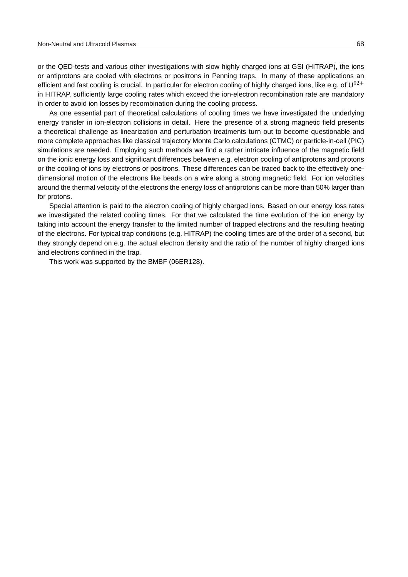or the QED-tests and various other investigations with slow highly charged ions at GSI (HITRAP), the ions or antiprotons are cooled with electrons or positrons in Penning traps. In many of these applications an efficient and fast cooling is crucial. In particular for electron cooling of highly charged ions, like e.g. of  $U^{92+}$ in HITRAP, sufficiently large cooling rates which exceed the ion-electron recombination rate are mandatory in order to avoid ion losses by recombination during the cooling process.

As one essential part of theoretical calculations of cooling times we have investigated the underlying energy transfer in ion-electron collisions in detail. Here the presence of a strong magnetic field presents a theoretical challenge as linearization and perturbation treatments turn out to become questionable and more complete approaches like classical trajectory Monte Carlo calculations (CTMC) or particle-in-cell (PIC) simulations are needed. Employing such methods we find a rather intricate influence of the magnetic field on the ionic energy loss and significant differences between e.g. electron cooling of antiprotons and protons or the cooling of ions by electrons or positrons. These differences can be traced back to the effectively onedimensional motion of the electrons like beads on a wire along a strong magnetic field. For ion velocities around the thermal velocity of the electrons the energy loss of antiprotons can be more than 50% larger than for protons.

Special attention is paid to the electron cooling of highly charged ions. Based on our energy loss rates we investigated the related cooling times. For that we calculated the time evolution of the ion energy by taking into account the energy transfer to the limited number of trapped electrons and the resulting heating of the electrons. For typical trap conditions (e.g. HITRAP) the cooling times are of the order of a second, but they strongly depend on e.g. the actual electron density and the ratio of the number of highly charged ions and electrons confined in the trap.

This work was supported by the BMBF (06ER128).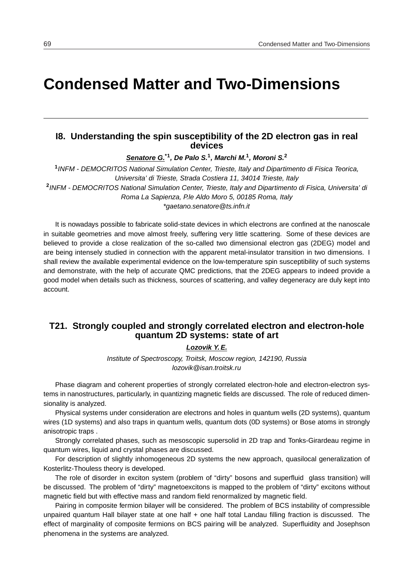# **Condensed Matter and Two-Dimensions**

## **I8. Understanding the spin susceptibility of the 2D electron gas in real devices**

**Senatore G.\*1, De Palo S.<sup>1</sup> , Marchi M.<sup>1</sup> , Moroni S.<sup>2</sup>**

**1** INFM - DEMOCRITOS National Simulation Center, Trieste, Italy and Dipartimento di Fisica Teorica, Universita' di Trieste, Strada Costiera 11, 34014 Trieste, Italy **2** INFM - DEMOCRITOS National Simulation Center, Trieste, Italy and Dipartimento di Fisica, Universita' di Roma La Sapienza, P.le Aldo Moro 5, 00185 Roma, Italy \*gaetano.senatore@ts.infn.it

It is nowadays possible to fabricate solid-state devices in which electrons are confined at the nanoscale in suitable geometries and move almost freely, suffering very little scattering. Some of these devices are believed to provide a close realization of the so-called two dimensional electron gas (2DEG) model and are being intensely studied in connection with the apparent metal-insulator transition in two dimensions. I shall review the available experimental evidence on the low-temperature spin susceptibility of such systems and demonstrate, with the help of accurate QMC predictions, that the 2DEG appears to indeed provide a good model when details such as thickness, sources of scattering, and valley degeneracy are duly kept into account.

# **T21. Strongly coupled and strongly correlated electron and electron-hole quantum 2D systems: state of art**

#### **Lozovik Y. E.**

Institute of Spectroscopy, Troitsk, Moscow region, 142190, Russia lozovik@isan.troitsk.ru

Phase diagram and coherent properties of strongly correlated electron-hole and electron-electron systems in nanostructures, particularly, in quantizing magnetic fields are discussed. The role of reduced dimensionality is analyzed.

Physical systems under consideration are electrons and holes in quantum wells (2D systems), quantum wires (1D systems) and also traps in quantum wells, quantum dots (0D systems) or Bose atoms in strongly anisotropic traps .

Strongly correlated phases, such as mesoscopic supersolid in 2D trap and Tonks-Girardeau regime in quantum wires, liquid and crystal phases are discussed.

For description of slightly inhomogeneous 2D systems the new approach, quasilocal generalization of Kosterlitz-Thouless theory is developed.

The role of disorder in exciton system (problem of "dirty" bosons and superfluid glass transition) will be discussed. The problem of "dirty" magnetoexcitons is mapped to the problem of "dirty" excitons without magnetic field but with effective mass and random field renormalized by magnetic field.

Pairing in composite fermion bilayer will be considered. The problem of BCS instability of compressible unpaired quantum Hall bilayer state at one half + one half total Landau filling fraction is discussed. The effect of marginality of composite fermions on BCS pairing will be analyzed. Superfluidity and Josephson phenomena in the systems are analyzed.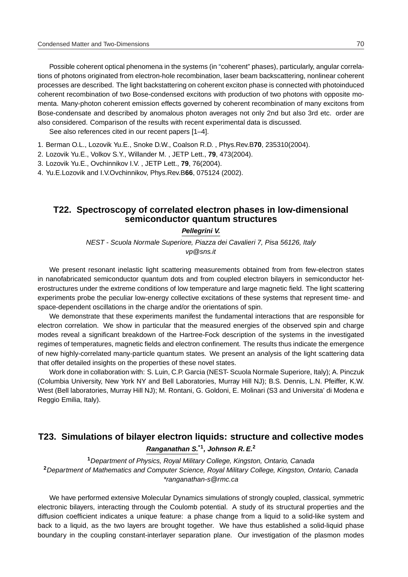Possible coherent optical phenomena in the systems (in "coherent" phases), particularly, angular correlations of photons originated from electron-hole recombination, laser beam backscattering, nonlinear coherent processes are described. The light backstattering on coherent exciton phase is connected with photoinduced coherent recombination of two Bose-condensed excitons with production of two photons with opposite momenta. Many-photon coherent emission effects governed by coherent recombination of many excitons from Bose-condensate and described by anomalous photon averages not only 2nd but also 3rd etc. order are also considered. Comparison of the results with recent experimental data is discussed.

See also references cited in our recent papers [1–4].

1. Berman O.L., Lozovik Yu.E., Snoke D.W., Coalson R.D. , Phys.Rev.B**70**, 235310(2004).

2. Lozovik Yu.E., Volkov S.Y., Willander M. , JETP Lett., **79**, 473(2004).

3. Lozovik Yu.E., Ovchinnikov I.V. , JETP Lett., **79**, 76(2004).

4. Yu.E.Lozovik and I.V.Ovchinnikov, Phys.Rev.B**66**, 075124 (2002).

#### **T22. Spectroscopy of correlated electron phases in low-dimensional semiconductor quantum structures**

#### **Pellegrini V.**

NEST - Scuola Normale Superiore, Piazza dei Cavalieri 7, Pisa 56126, Italy vp@sns.it

We present resonant inelastic light scattering measurements obtained from from few-electron states in nanofabricated semiconductor quantum dots and from coupled electron bilayers in semiconductor heterostructures under the extreme conditions of low temperature and large magnetic field. The light scattering experiments probe the peculiar low-energy collective excitations of these systems that represent time- and space-dependent oscillations in the charge and/or the orientations of spin.

We demonstrate that these experiments manifest the fundamental interactions that are responsible for electron correlation. We show in particular that the measured energies of the observed spin and charge modes reveal a significant breakdown of the Hartree-Fock description of the systems in the investigated regimes of temperatures, magnetic fields and electron confinement. The results thus indicate the emergence of new highly-correlated many-particle quantum states. We present an analysis of the light scattering data that offer detailed insights on the properties of these novel states.

Work done in collaboration with: S. Luin, C.P. Garcia (NEST- Scuola Normale Superiore, Italy); A. Pinczuk (Columbia University, New York NY and Bell Laboratories, Murray Hill NJ); B.S. Dennis, L.N. Pfeiffer, K.W. West (Bell laboratories, Murray Hill NJ); M. Rontani, G. Goldoni, E. Molinari (S3 and Universita' di Modena e Reggio Emilia, Italy).

# **T23. Simulations of bilayer electron liquids: structure and collective modes Ranganathan S.\*1, Johnson R. E.<sup>2</sup>**

**<sup>1</sup>**Department of Physics, Royal Military College, Kingston, Ontario, Canada **<sup>2</sup>**Department of Mathematics and Computer Science, Royal Military College, Kingston, Ontario, Canada \*ranganathan-s@rmc.ca

We have performed extensive Molecular Dynamics simulations of strongly coupled, classical, symmetric electronic bilayers, interacting through the Coulomb potential. A study of its structural properties and the diffusion coefficient indicates a unique feature: a phase change from a liquid to a solid-like system and back to a liquid, as the two layers are brought together. We have thus established a solid-liquid phase boundary in the coupling constant-interlayer separation plane. Our investigation of the plasmon modes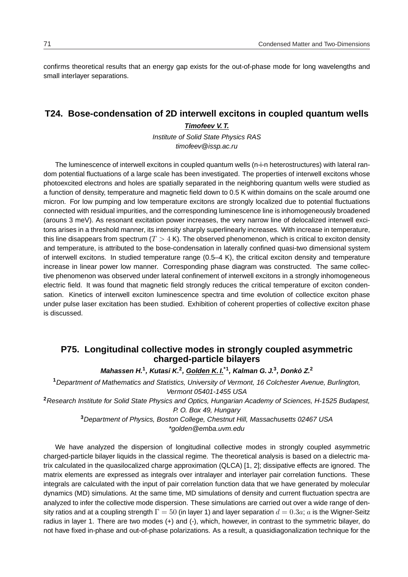confirms theoretical results that an energy gap exists for the out-of-phase mode for long wavelengths and small interlayer separations.

# **T24. Bose-condensation of 2D interwell excitons in coupled quantum wells**

#### **Timofeev V. T.**

Institute of Solid State Physics RAS timofeev@issp.ac.ru

The luminescence of interwell excitons in coupled quantum wells (n-i-n heterostructures) with lateral random potential fluctuations of a large scale has been investigated. The properties of interwell excitons whose photoexcited electrons and holes are spatially separated in the neighboring quantum wells were studied as a function of density, temperature and magnetic field down to 0.5 K within domains on the scale aroumd one micron. For low pumping and low temperature excitons are strongly localized due to potential fluctuations connected with residual impurities, and the corresponding luminescence line is inhomogeneously broadened (arouns 3 meV). As resonant excitation power increases, the very narrow line of delocalized interwell excitons arises in a threshold manner, its intensity sharply superlinearly increases. With increase in temperature, this line disappears from spectrum  $(T > 4 K)$ . The observed phenomenon, which is critical to exciton density and temperature, is attributed to the bose-condensation in laterally confined quasi-two dimensional system of interwell excitons. In studied temperature range (0.5–4 K), the critical exciton density and temperature increase in linear power low manner. Corresponding phase diagram was constructed. The same collective phenomenon was observed under lateral confinement of interwell excitons in a strongly inhomogeneous electric field. It was found that magnetic field strongly reduces the critical temperature of exciton condensation. Kinetics of interwell exciton luminescence spectra and time evolution of collectice exciton phase under pulse laser excitation has been studied. Exhibition of coherent properties of collective exciton phase is discussed.

# **P75. Longitudinal collective modes in strongly coupled asymmetric charged-particle bilayers**

**Mahassen H.<sup>1</sup> , Kutasi K.<sup>2</sup> , Golden K. I.\*1, Kalman G. J.<sup>3</sup> , Donko Z. ` 2**

**<sup>1</sup>**Department of Mathematics and Statistics, University of Vermont, 16 Colchester Avenue, Burlington, Vermont 05401-1455 USA

**<sup>2</sup>**Research Institute for Solid State Physics and Optics, Hungarian Academy of Sciences, H-1525 Budapest, P. O. Box 49, Hungary

> **<sup>3</sup>**Department of Physics, Boston College, Chestnut Hill, Massachusetts 02467 USA \*golden@emba.uvm.edu

We have analyzed the dispersion of longitudinal collective modes in strongly coupled asymmetric charged-particle bilayer liquids in the classical regime. The theoretical analysis is based on a dielectric matrix calculated in the quasilocalized charge approximation (QLCA) [1, 2]; dissipative effects are ignored. The matrix elements are expressed as integrals over intralayer and interlayer pair correlation functions. These integrals are calculated with the input of pair correlation function data that we have generated by molecular dynamics (MD) simulations. At the same time, MD simulations of density and current fluctuation spectra are analyzed to infer the collective mode dispersion. These simulations are carried out over a wide range of density ratios and at a coupling strength  $\Gamma = 50$  (in layer 1) and layer separation  $d = 0.3a$ ; a is the Wigner-Seitz radius in layer 1. There are two modes (+) and (-), which, however, in contrast to the symmetric bilayer, do not have fixed in-phase and out-of-phase polarizations. As a result, a quasidiagonalization technique for the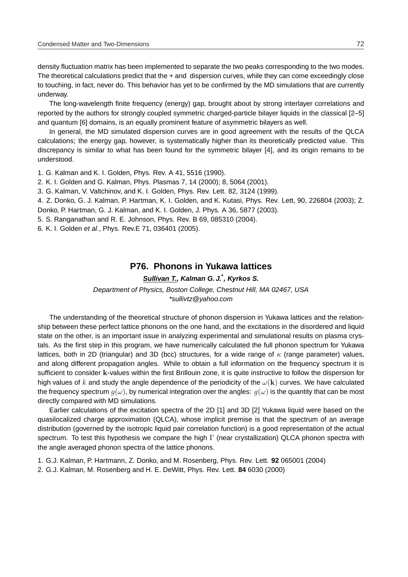density fluctuation matrix has been implemented to separate the two peaks corresponding to the two modes. The theoretical calculations predict that the + and dispersion curves, while they can come exceedingly close to touching, in fact, never do. This behavior has yet to be confirmed by the MD simulations that are currently underway.

The long-wavelength finite frequency (energy) gap, brought about by strong interlayer correlations and reported by the authors for strongly coupled symmetric charged-particle bilayer liquids in the classical [2–5] and quantum [6] domains, is an equally prominent feature of asymmetric bilayers as well.

In general, the MD simulated dispersion curves are in good agreement with the results of the QLCA calculations; the energy gap, however, is systematically higher than its theoretically predicted value. This discrepancy is similar to what has been found for the symmetric bilayer [4], and its origin remains to be understood.

1. G. Kalman and K. I. Golden, Phys. Rev. A 41, 5516 (1990).

2. K. I. Golden and G. Kalman, Phys. Plasmas 7, 14 (2000); 8, 5064 (2001).

3. G. Kalman, V. Valtchinov, and K. I. Golden, Phys. Rev. Lett. 82, 3124 (1999).

4. Z. Donko, G. J. Kalman, P. Hartman, K. I. Golden, and K. Kutasi, Phys. Rev. Lett, 90, 226804 (2003); Z. Donko, P. Hartman, G. J. Kalman, and K. I. Golden, J. Phys. A 36, 5877 (2003).

5. S. Ranganathan and R. E. Johnson, Phys. Rev. B 69, 085310 (2004).

6. K. I. Golden et al., Phys. Rev.E 71, 036401 (2005).

#### **P76. Phonons in Yukawa lattices**

**Sullivan T., Kalman G. J.\* , Kyrkos S.**

Department of Physics, Boston College, Chestnut Hill, MA 02467, USA \*sullivtz@yahoo.com

The understanding of the theoretical structure of phonon dispersion in Yukawa lattices and the relationship between these perfect lattice phonons on the one hand, and the excitations in the disordered and liquid state on the other, is an important issue in analyzing experimental and simulational results on plasma crystals. As the first step in this program, we have numerically calculated the full phonon spectrum for Yukawa lattices, both in 2D (triangular) and 3D (bcc) structures, for a wide range of  $\kappa$  (range parameter) values, and along different propagation angles. While to obtain a full information on the frequency spectrum it is sufficient to consider k-values within the first Brillouin zone, it is quite instructive to follow the dispersion for high values of k and study the angle dependence of the periodicity of the  $\omega(\mathbf{k})$  curves. We have calculated the frequency spectrum  $g(\omega)$ , by numerical integration over the angles:  $g(\omega)$  is the quantity that can be most directly compared with MD simulations.

Earlier calculations of the excitation spectra of the 2D [1] and 3D [2] Yukawa liquid were based on the quasilocalized charge approximation (QLCA), whose implicit premise is that the spectrum of an average distribution (governed by the isotropic liquid pair correlation function) is a good representation of the actual spectrum. To test this hypothesis we compare the high  $\Gamma$  (near crystallization) QLCA phonon spectra with the angle averaged phonon spectra of the lattice phonons.

1. G.J. Kalman, P. Hartmann, Z. Donko, and M. Rosenberg, Phys. Rev. Lett. **92** 065001 (2004)

2. G.J. Kalman, M. Rosenberg and H. E. DeWitt, Phys. Rev. Lett. **84** 6030 (2000)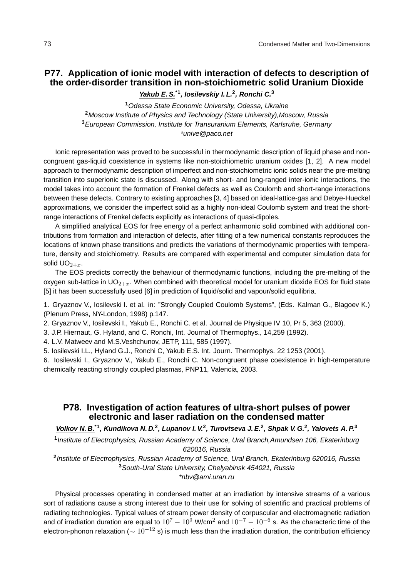# **P77. Application of ionic model with interaction of defects to description of the order-disorder transition in non-stoichiometric solid Uranium Dioxide**

**Yakub E. S.\*1, Iosilevskiy I. L.<sup>2</sup> , Ronchi C.<sup>3</sup>**

Odessa State Economic University, Odessa, Ukraine Moscow Institute of Physics and Technology (State University),Moscow, Russia European Commission, Institute for Transuranium Elements, Karlsruhe, Germany \*unive@paco.net

Ionic representation was proved to be successful in thermodynamic description of liquid phase and noncongruent gas-liquid coexistence in systems like non-stoichiometric uranium oxides [1, 2]. A new model approach to thermodynamic description of imperfect and non-stoichiometric ionic solids near the pre-melting transition into superionic state is discussed. Along with short- and long-ranged inter-ionic interactions, the model takes into account the formation of Frenkel defects as well as Coulomb and short-range interactions between these defects. Contrary to existing approaches [3, 4] based on ideal-lattice-gas and Debye-Hueckel approximations, we consider the imperfect solid as a highly non-ideal Coulomb system and treat the shortrange interactions of Frenkel defects explicitly as interactions of quasi-dipoles.

A simplified analytical EOS for free energy of a perfect anharmonic solid combined with additional contributions from formation and interaction of defects, after fitting of a few numerical constants reproduces the locations of known phase transitions and predicts the variations of thermodynamic properties with temperature, density and stoichiometry. Results are compared with experimental and computer simulation data for solid  $\mathsf{UO}_{2+x}$ .

The EOS predicts correctly the behaviour of thermodynamic functions, including the pre-melting of the oxygen sub-lattice in  $UO_{2+x}$ . When combined with theoretical model for uranium dioxide EOS for fluid state [5] it has been successfully used [6] in prediction of liquid/solid and vapour/solid equilibria.

1. Gryaznov V., Iosilevski I. et al. in: "Strongly Coupled Coulomb Systems", (Eds. Kalman G., Blagoev K.) (Plenum Press, NY-London, 1998) p.147.

2. Gryaznov V., Iosilevski I., Yakub E., Ronchi C. et al. Journal de Physique IV 10, Pr 5, 363 (2000).

3. J.P. Hiernaut, G. Hyland, and C. Ronchi, Int. Journal of Thermophys., 14,259 (1992).

4. L.V. Matweev and M.S.Veshchunov, JETP, 111, 585 (1997).

5. Iosilevski I.L., Hyland G.J., Ronchi C, Yakub E.S. Int. Journ. Thermophys. 22 1253 (2001).

6. Iosilevski I., Gryaznov V., Yakub E., Ronchi C. Non-congruent phase coexistence in high-temperature chemically reacting strongly coupled plasmas, PNP11, Valencia, 2003.

## **P78. Investigation of action features of ultra-short pulses of power electronic and laser radiation on the condensed matter**

**Volkov N. B.\*1, Kundikova N. D.<sup>2</sup> , Lupanov I. V.<sup>2</sup> , Turovtseva J. E.<sup>2</sup> , Shpak V. G.<sup>2</sup> , Yalovets A. P.<sup>3</sup>**

**1** Institute of Electrophysics, Russian Academy of Science, Ural Branch,Amundsen 106, Ekaterinburg 620016, Russia

**2** Institute of Electrophysics, Russian Academy of Science, Ural Branch, Ekaterinburg 620016, Russia **<sup>3</sup>**South-Ural State University, Chelyabinsk 454021, Russia \*nbv@ami.uran.ru

Physical processes operating in condensed matter at an irradiation by intensive streams of a various sort of radiations cause a strong interest due to their use for solving of scientific and practical problems of radiating technologies. Typical values of stream power density of corpuscular and electromagnetic radiation and of irradiation duration are equal to  $10^7-10^9$  W/cm<sup>2</sup> and  $10^{-7}-10^{-6}$  s. As the characteric time of the electron-phonon relaxation ( $\sim 10^{-12}$  s) is much less than the irradiation duration, the contribution efficiency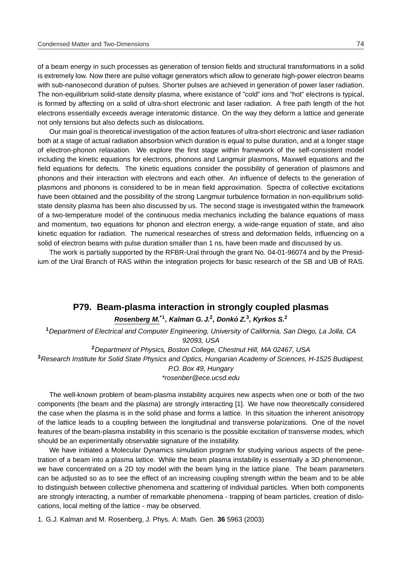of a beam energy in such processes as generation of tension fields and structural transformations in a solid is extremely low. Now there are pulse voltage generators which allow to generate high-power electron beams with sub-nanosecond duration of pulses. Shorter pulses are achieved in generation of power laser radiation. The non-equilibrium solid-state density plasma, where existance of "cold" ions and "hot" electrons is typical, is formed by affecting on a solid of ultra-short electronic and laser radiation. A free path length of the hot electrons essentially exceeds average interatomic distance. On the way they deform a lattice and generate not only tensions but also defects such as dislocations.

Our main goal is theoretical investigation of the action features of ultra-short electronic and laser radiation both at a stage of actual radiation absorbsion which duration is equal to pulse duration, and at a longer stage of electron-phonon relaxation. We explore the first stage within framework of the self-consistent model including the kinetic equations for electrons, phonons and Langmuir plasmons, Maxwell equations and the field equations for defects. The kinetic equations consider the possibility of generation of plasmons and phonons and their interaction with electrons and each other. An influence of defects to the generation of plasmons and phonons is considered to be in mean field approximation. Spectra of collective excitations have been obtained and the possibility of the strong Langmuir turbulence formation in non-equilibrium solidstate density plasma has been also discussed by us. The second stage is investigated within the framework of a two-temperature model of the continuous media mechanics including the balance equations of mass and momentum, two equations for phonon and electron energy, a wide-range equation of state, and also kinetic equation for radiation. The numerical researches of stress and deformation fields, influencing on a solid of electron beams with pulse duration smaller than 1 ns, have been made and discussed by us.

The work is partially supported by the RFBR-Ural through the grant No. 04-01-96074 and by the Presidium of the Ural Branch of RAS within the integration projects for basic research of the SB and UB of RAS.

# **P79. Beam-plasma interaction in strongly coupled plasmas**

#### **Rosenberg M.\*1, Kalman G. J.<sup>2</sup> , Donko Z. ` 3 , Kyrkos S.<sup>2</sup>**

**<sup>1</sup>**Department of Electrical and Computer Engineering, University of California, San Diego, La Jolla, CA 92093, USA

**<sup>2</sup>**Department of Physics, Boston College, Chestnut Hill, MA 02467, USA **<sup>3</sup>**Research Institute for Solid State Physics and Optics, Hungarian Academy of Sciences, H-1525 Budapest, P.O. Box 49, Hungary \*rosenber@ece.ucsd.edu

The well-known problem of beam-plasma instability acquires new aspects when one or both of the two components (the beam and the plasma) are strongly interacting [1]. We have now theoretically considered the case when the plasma is in the solid phase and forms a lattice. In this situation the inherent anisotropy of the lattice leads to a coupling between the longitudinal and transverse polarizations. One of the novel features of the beam-plasma instability in this scenario is the possible excitation of transverse modes, which should be an experimentally observable signature of the instability.

We have initiated a Molecular Dynamics simulation program for studying various aspects of the penetration of a beam into a plasma lattice. While the beam plasma instability is essentially a 3D phenomenon, we have concentrated on a 2D toy model with the beam lying in the lattice plane. The beam parameters can be adjusted so as to see the effect of an increasing coupling strength within the beam and to be able to distinguish between collective phenomena and scattering of individual particles. When both components are strongly interacting, a number of remarkable phenomena - trapping of beam particles, creation of dislocations, local melting of the lattice - may be observed.

1. G.J. Kalman and M. Rosenberg, J. Phys. A: Math. Gen. **36** 5963 (2003)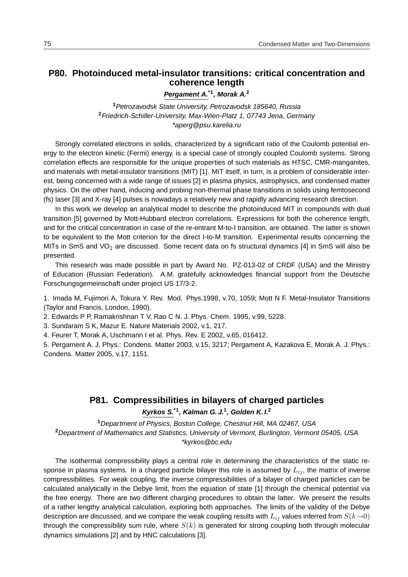# **P80. Photoinduced metal-insulator transitions: critical concentration and coherence length**

**Pergament A.\*1, Morak A.<sup>2</sup>**

**<sup>1</sup>**Petrozavodsk State University, Petrozavodsk 185640, Russia **<sup>2</sup>**Friedrich-Schiller-University, Max-Wien-Platz 1, 07743 Jena, Germany \*aperg@psu.karelia.ru

Strongly correlated electrons in solids, characterized by a significant ratio of the Coulomb potential energy to the electron kinetic (Fermi) energy, is a special case of strongly coupled Coulomb systems. Strong correlation effects are responsible for the unique properties of such materials as HTSC, CMR-manganites, and materials with metal-insulator transitions (MIT) [1]. MIT itself, in turn, is a problem of considerable interest, being concerned with a wide range of issues [2] in plasma physics, astrophysics, and condensed matter physics. On the other hand, inducing and probing non-thermal phase transitions in solids using femtosecond (fs) laser [3] and X-ray [4] pulses is nowadays a relatively new and rapidly advancing research direction.

In this work we develop an analytical model to describe the photoinduced MIT in compounds with dual transition [5] governed by Mott-Hubbard electron correlations. Expressions for both the coherence length, and for the critical concentration in case of the re-entrant M-to-I transition, are obtained. The latter is shown to be equivalent to the Mott criterion for the direct I-to-M transition. Experimental results concerning the MITs in SmS and VO<sub>2</sub> are discussed. Some recent data on fs structural dynamics [4] in SmS will also be presented.

This research was made possible in part by Award No. PZ-013-02 of CRDF (USA) and the Ministry of Education (Russian Federation). A.M. gratefully acknowledges financial support from the Deutsche Forschungsgemeinschaft under project US 17/3-2.

1. Imada M, Fujimori A, Tokura Y. Rev. Mod. Phys.1998, v.70, 1059; Mott N F. Metal-Insulator Transitions (Taylor and Francis, London, 1990).

2. Edwards P P, Ramakrishnan T V, Rao C N. J. Phys. Chem. 1995, v.99, 5228.

3. Sundaram S K, Mazur E. Nature Materials 2002, v.1, 217.

4. Feurer T, Morak A, Uschmann I et al. Phys. Rev. E 2002, v.65, 016412.

5. Pergament A. J. Phys.: Condens. Matter 2003, v.15, 3217; Pergament A, Kazakova E, Morak A. J. Phys.: Condens. Matter 2005, v.17, 1151.

# **P81. Compressibilities in bilayers of charged particles Kyrkos S.\*1, Kalman G. J.<sup>1</sup> , Golden K. I.<sup>2</sup>**

**<sup>1</sup>**Department of Physics, Boston College, Chestnut Hill, MA 02467, USA **<sup>2</sup>**Department of Mathematics and Statistics, University of Vermont, Burlington, Vermont 05405, USA \*kyrkos@bc.edu

The isothermal compressibility plays a central role in determining the characteristics of the static response in plasma systems. In a charged particle bilayer this role is assumed by  $L_{ij}$ , the matrix of inverse compressibilities. For weak coupling, the inverse compressibilities of a bilayer of charged particles can be calculated analytically in the Debye limit, from the equation of state [1] through the chemical potential via the free energy. There are two different charging procedures to obtain the latter. We present the results of a rather lengthy analytical calculation, exploring both approaches. The limits of the validity of the Debye description are discussed, and we compare the weak coupling results with  $L_{ij}$  values inferred from  $S(k\rightarrow0)$ through the compressibility sum rule, where  $S(k)$  is generated for strong coupling both through molecular dynamics simulations [2] and by HNC calculations [3].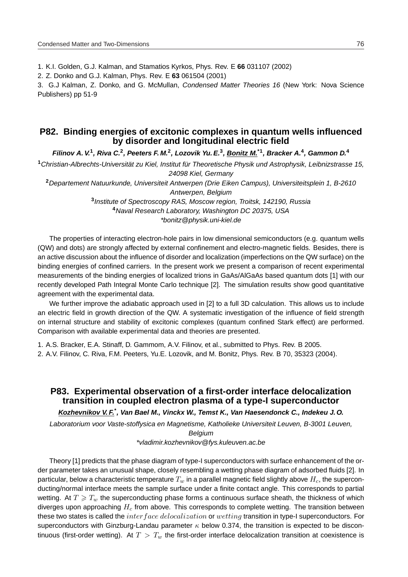1. K.I. Golden, G.J. Kalman, and Stamatios Kyrkos, Phys. Rev. E **66** 031107 (2002)

2. Z. Donko and G.J. Kalman, Phys. Rev. E **63** 061504 (2001)

3. G.J Kalman, Z. Donko, and G. McMullan, Condensed Matter Theories 16 (New York: Nova Science Publishers) pp 51-9

# **P82. Binding energies of excitonic complexes in quantum wells influenced by disorder and longitudinal electric field**

**Filinov A. V.<sup>1</sup> , Riva C.<sup>2</sup> , Peeters F. M.<sup>2</sup> , Lozovik Yu. E.<sup>3</sup> , Bonitz M.\*1, Bracker A.<sup>4</sup> , Gammon D.<sup>4</sup>**

<sup>1</sup>Christian-Albrechts-Universität zu Kiel, Institut für Theoretische Physik und Astrophysik, Leibnizstrasse 15, 24098 Kiel, Germany

**<sup>2</sup>**Departement Natuurkunde, Universiteit Antwerpen (Drie Eiken Campus), Universiteitsplein 1, B-2610 Antwerpen, Belgium

> **3** Institute of Spectroscopy RAS, Moscow region, Troitsk, 142190, Russia **<sup>4</sup>**Naval Research Laboratory, Washington DC 20375, USA \*bonitz@physik.uni-kiel.de

The properties of interacting electron-hole pairs in low dimensional semiconductors (e.g. quantum wells (QW) and dots) are strongly affected by external confinement and electro-magnetic fields. Besides, there is an active discussion about the influence of disorder and localization (imperfections on the QW surface) on the binding energies of confined carriers. In the present work we present a comparison of recent experimental measurements of the binding energies of localized trions in GaAs/AlGaAs based quantum dots [1] with our recently developed Path Integral Monte Carlo technique [2]. The simulation results show good quantitative agreement with the experimental data.

We further improve the adiabatic approach used in [2] to a full 3D calculation. This allows us to include an electric field in growth direction of the QW. A systematic investigation of the influence of field strength on internal structure and stability of excitonic complexes (quantum confined Stark effect) are performed. Comparison with available experimental data and theories are presented.

1. A.S. Bracker, E.A. Stinaff, D. Gammom, A.V. Filinov, et al., submitted to Phys. Rev. B 2005. 2. A.V. Filinov, C. Riva, F.M. Peeters, Yu.E. Lozovik, and M. Bonitz, Phys. Rev. B 70, 35323 (2004).

## **P83. Experimental observation of a first-order interface delocalization transition in coupled electron plasma of a type-I superconductor**

**Kozhevnikov V. F.\* , Van Bael M., Vinckx W., Temst K., Van Haesendonck C., Indekeu J. O.**

Laboratorium voor Vaste-stoffysica en Magnetisme, Katholieke Universiteit Leuven, B-3001 Leuven,

Belgium

\*vladimir.kozhevnikov@fys.kuleuven.ac.be

Theory [1] predicts that the phase diagram of type-I superconductors with surface enhancement of the order parameter takes an unusual shape, closely resembling a wetting phase diagram of adsorbed fluids [2]. In particular, below a characteristic temperature  $T_w$  in a parallel magnetic field slightly above  $H_c$ , the superconducting/normal interface meets the sample surface under a finite contact angle. This corresponds to partial wetting. At  $T \geqslant T_w$  the superconducting phase forms a continuous surface sheath, the thickness of which diverges upon approaching  $H_c$  from above. This corresponds to complete wetting. The transition between these two states is called the interface delocalization or wetting transition in type-I superconductors. For superconductors with Ginzburg-Landau parameter  $\kappa$  below 0.374, the transition is expected to be discontinuous (first-order wetting). At  $T > T_w$  the first-order interface delocalization transition at coexistence is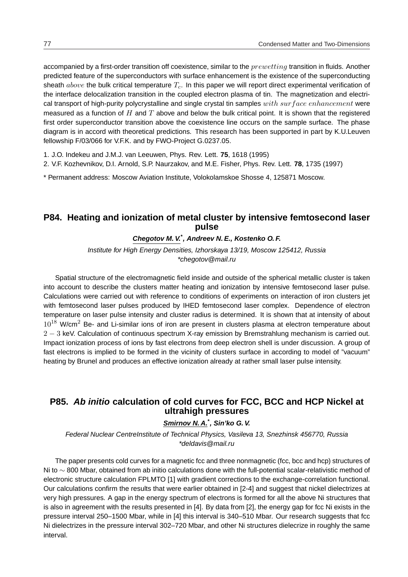accompanied by a first-order transition off coexistence, similar to the  $prewetting$  transition in fluids. Another predicted feature of the superconductors with surface enhancement is the existence of the superconducting sheath  $above$  the bulk critical temperature  $T_c$ . In this paper we will report direct experimental verification of the interface delocalization transition in the coupled electron plasma of tin. The magnetization and electrical transport of high-purity polycrystalline and single crystal tin samples  $with\ surface\ enhancement$  were measured as a function of  $H$  and  $T$  above and below the bulk critical point. It is shown that the registered first order superconductor transition above the coexistence line occurs on the sample surface. The phase diagram is in accord with theoretical predictions. This research has been supported in part by K.U.Leuven fellowship F/03/066 for V.F.K. and by FWO-Project G.0237.05.

1. J.O. Indekeu and J.M.J. van Leeuwen, Phys. Rev. Lett. **75**, 1618 (1995)

2. V.F. Kozhevnikov, D.I. Arnold, S.P. Naurzakov, and M.E. Fisher, Phys. Rev. Lett. **78**, 1735 (1997)

\* Permanent address: Moscow Aviation Institute, Volokolamskoe Shosse 4, 125871 Moscow.

## **P84. Heating and ionization of metal cluster by intensive femtosecond laser pulse**

#### **Chegotov M. V.\* , Andreev N. E., Kostenko O. F.**

Institute for High Energy Densities, Izhorskaya 13/19, Moscow 125412, Russia \*chegotov@mail.ru

Spatial structure of the electromagnetic field inside and outside of the spherical metallic cluster is taken into account to describe the clusters matter heating and ionization by intensive femtosecond laser pulse. Calculations were carried out with reference to conditions of experiments on interaction of iron clusters jet with femtosecond laser pulses produced by IHED femtosecond laser complex. Dependence of electron temperature on laser pulse intensity and cluster radius is determined. It is shown that at intensity of about  $10^{18}$  W/cm<sup>2</sup> Be- and Li-similar ions of iron are present in clusters plasma at electron temperature about 2 − 3 keV. Calculation of continuous spectrum X-ray emission by Bremstrahlung mechanism is carried out. Impact ionization process of ions by fast electrons from deep electron shell is under discussion. A group of fast electrons is implied to be formed in the vicinity of clusters surface in according to model of "vacuum" heating by Brunel and produces an effective ionization already at rather small laser pulse intensity.

# **P85. Ab initio calculation of cold curves for FCC, BCC and HCP Nickel at ultrahigh pressures**

#### **Smirnov N. A.\* , Sin'ko G. V.**

Federal Nuclear CentreInstitute of Technical Physics, Vasileva 13, Snezhinsk 456770, Russia \*deldavis@mail.ru

The paper presents cold curves for a magnetic fcc and three nonmagnetic (fcc, bcc and hcp) structures of Ni to ∼ 800 Mbar, obtained from ab initio calculations done with the full-potential scalar-relativistic method of electronic structure calculation FPLMTO [1] with gradient corrections to the exchange-correlation functional. Our calculations confirm the results that were earlier obtained in [2-4] and suggest that nickel dielectrizes at very high pressures. A gap in the energy spectrum of electrons is formed for all the above Ni structures that is also in agreement with the results presented in [4]. By data from [2], the energy gap for fcc Ni exists in the pressure interval 250–1500 Mbar, while in [4] this interval is 340–510 Mbar. Our research suggests that fcc Ni dielectrizes in the pressure interval 302–720 Mbar, and other Ni structures dielecrize in roughly the same interval.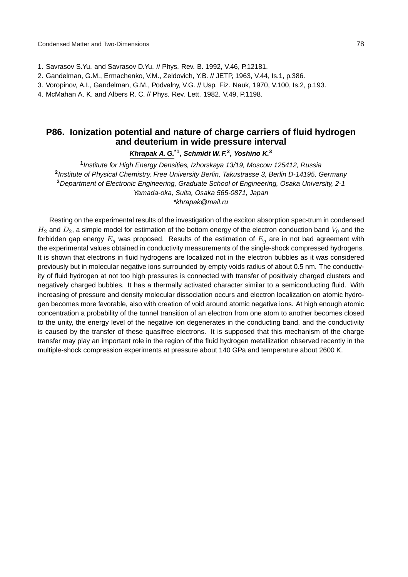- 1. Savrasov S.Yu. and Savrasov D.Yu. // Phys. Rev. B. 1992, V.46, P.12181.
- 2. Gandelman, G.M., Ermachenko, V.M., Zeldovich, Y.B. // JETP, 1963, V.44, Is.1, p.386.
- 3. Voropinov, A.I., Gandelman, G.M., Podvalny, V.G. // Usp. Fiz. Nauk, 1970, V.100, Is.2, p.193.
- 4. McMahan A. K. and Albers R. C. // Phys. Rev. Lett. 1982. V.49, P.1198.

# **P86. Ionization potential and nature of charge carriers of fluid hydrogen and deuterium in wide pressure interval**

**Khrapak A. G.\*1, Schmidt W. F.<sup>2</sup> , Yoshino K.<sup>3</sup>**

**1** Institute for High Energy Densities, Izhorskaya 13/19, Moscow 125412, Russia **2** Institute of Physical Chemistry, Free University Berlin, Takustrasse 3, Berlin D-14195, Germany **<sup>3</sup>**Department of Electronic Engineering, Graduate School of Engineering, Osaka University, 2-1 Yamada-oka, Suita, Osaka 565-0871, Japan \*khrapak@mail.ru

Resting on the experimental results of the investigation of the exciton absorption spec-trum in condensed  $H_2$  and  $D_2$ , a simple model for estimation of the bottom energy of the electron conduction band  $V_0$  and the forbidden gap energy  $E_q$  was proposed. Results of the estimation of  $E_q$  are in not bad agreement with the experimental values obtained in conductivity measurements of the single-shock compressed hydrogens. It is shown that electrons in fluid hydrogens are localized not in the electron bubbles as it was considered previously but in molecular negative ions surrounded by empty voids radius of about 0.5 nm. The conductivity of fluid hydrogen at not too high pressures is connected with transfer of positively charged clusters and negatively charged bubbles. It has a thermally activated character similar to a semiconducting fluid. With increasing of pressure and density molecular dissociation occurs and electron localization on atomic hydrogen becomes more favorable, also with creation of void around atomic negative ions. At high enough atomic concentration a probability of the tunnel transition of an electron from one atom to another becomes closed to the unity, the energy level of the negative ion degenerates in the conducting band, and the conductivity is caused by the transfer of these quasifree electrons. It is supposed that this mechanism of the charge transfer may play an important role in the region of the fluid hydrogen metallization observed recently in the multiple-shock compression experiments at pressure about 140 GPa and temperature about 2600 K.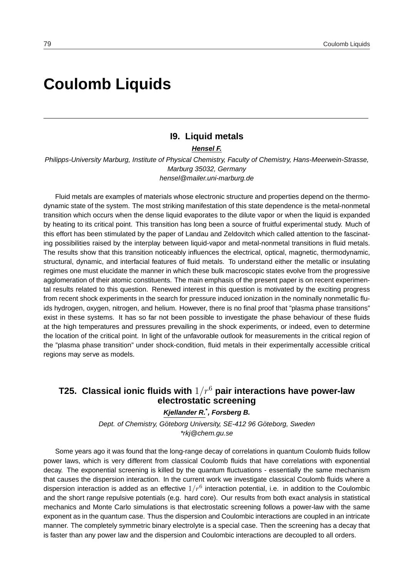# **Coulomb Liquids**

# **I9. Liquid metals**

**Hensel F.**

Philipps-University Marburg, Institute of Physical Chemistry, Faculty of Chemistry, Hans-Meerwein-Strasse, Marburg 35032, Germany hensel@mailer.uni-marburg.de

Fluid metals are examples of materials whose electronic structure and properties depend on the thermodynamic state of the system. The most striking manifestation of this state dependence is the metal-nonmetal transition which occurs when the dense liquid evaporates to the dilute vapor or when the liquid is expanded by heating to its critical point. This transition has long been a source of fruitful experimental study. Much of this effort has been stimulated by the paper of Landau and Zeldovitch which called attention to the fascinating possibilities raised by the interplay between liquid-vapor and metal-nonmetal transitions in fluid metals. The results show that this transition noticeably influences the electrical, optical, magnetic, thermodynamic, structural, dynamic, and interfacial features of fluid metals. To understand either the metallic or insulating regimes one must elucidate the manner in which these bulk macroscopic states evolve from the progressive agglomeration of their atomic constituents. The main emphasis of the present paper is on recent experimental results related to this question. Renewed interest in this question is motivated by the exciting progress from recent shock experiments in the search for pressure induced ionization in the nominally nonmetallic fluids hydrogen, oxygen, nitrogen, and helium. However, there is no final proof that "plasma phase transitions" exist in these systems. It has so far not been possible to investigate the phase behaviour of these fluids at the high temperatures and pressures prevailing in the shock experiments, or indeed, even to determine the location of the critical point. In light of the unfavorable outlook for measurements in the critical region of the "plasma phase transition" under shock-condition, fluid metals in their experimentally accessible critical regions may serve as models.

# **T25. Classical ionic fluids with** 1/r<sup>6</sup> **pair interactions have power-law electrostatic screening**

**Kjellander R.\* , Forsberg B.**

Dept. of Chemistry, Göteborg University, SE-412 96 Göteborg, Sweden \*rkj@chem.gu.se

Some years ago it was found that the long-range decay of correlations in quantum Coulomb fluids follow power laws, which is very different from classical Coulomb fluids that have correlations with exponential decay. The exponential screening is killed by the quantum fluctuations - essentially the same mechanism that causes the dispersion interaction. In the current work we investigate classical Coulomb fluids where a dispersion interaction is added as an effective  $1/r^6$  interaction potential, i.e. in addition to the Coulombic and the short range repulsive potentials (e.g. hard core). Our results from both exact analysis in statistical mechanics and Monte Carlo simulations is that electrostatic screening follows a power-law with the same exponent as in the quantum case. Thus the dispersion and Coulombic interactions are coupled in an intricate manner. The completely symmetric binary electrolyte is a special case. Then the screening has a decay that is faster than any power law and the dispersion and Coulombic interactions are decoupled to all orders.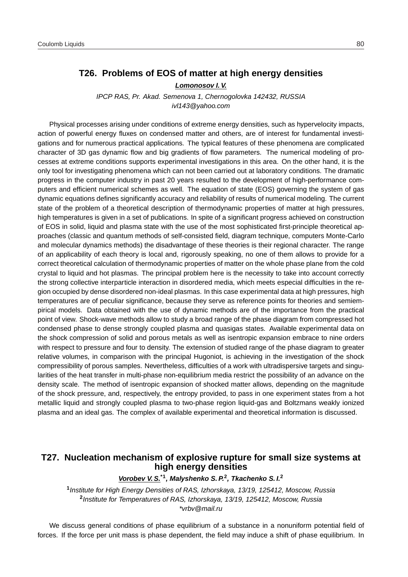# **T26. Problems of EOS of matter at high energy densities**

#### **Lomonosov I. V.**

IPCP RAS, Pr. Akad. Semenova 1, Chernogolovka 142432, RUSSIA ivl143@yahoo.com

Physical processes arising under conditions of extreme energy densities, such as hypervelocity impacts, action of powerful energy fluxes on condensed matter and others, are of interest for fundamental investigations and for numerous practical applications. The typical features of these phenomena are complicated character of 3D gas dynamic flow and big gradients of flow parameters. The numerical modeling of processes at extreme conditions supports experimental investigations in this area. On the other hand, it is the only tool for investigating phenomena which can not been carried out at laboratory conditions. The dramatic progress in the computer industry in past 20 years resulted to the development of high-performance computers and efficient numerical schemes as well. The equation of state (EOS) governing the system of gas dynamic equations defines significantly accuracy and reliability of results of numerical modeling. The current state of the problem of a theoretical description of thermodynamic properties of matter at high pressures, high temperatures is given in a set of publications. In spite of a significant progress achieved on construction of EOS in solid, liquid and plasma state with the use of the most sophisticated first-principle theoretical approaches (classic and quantum methods of self-consisted field, diagram technique, computers Monte-Carlo and molecular dynamics methods) the disadvantage of these theories is their regional character. The range of an applicability of each theory is local and, rigorously speaking, no one of them allows to provide for a correct theoretical calculation of thermodynamic properties of matter on the whole phase plane from the cold crystal to liquid and hot plasmas. The principal problem here is the necessity to take into account correctly the strong collective interparticle interaction in disordered media, which meets especial difficulties in the region occupied by dense disordered non-ideal plasmas. In this case experimental data at high pressures, high temperatures are of peculiar significance, because they serve as reference points for theories and semiempirical models. Data obtained with the use of dynamic methods are of the importance from the practical point of view. Shock-wave methods allow to study a broad range of the phase diagram from compressed hot condensed phase to dense strongly coupled plasma and quasigas states. Available experimental data on the shock compression of solid and porous metals as well as isentropic expansion embrace to nine orders with respect to pressure and four to density. The extension of studied range of the phase diagram to greater relative volumes, in comparison with the principal Hugoniot, is achieving in the investigation of the shock compressibility of porous samples. Nevertheless, difficulties of a work with ultradispersive targets and singularities of the heat transfer in multi-phase non-equilibrium media restrict the possibility of an advance on the density scale. The method of isentropic expansion of shocked matter allows, depending on the magnitude of the shock pressure, and, respectively, the entropy provided, to pass in one experiment states from a hot metallic liquid and strongly coupled plasma to two-phase region liquid-gas and Boltzmans weakly ionized plasma and an ideal gas. The complex of available experimental and theoretical information is discussed.

## **T27. Nucleation mechanism of explosive rupture for small size systems at high energy densities**

#### **Vorobev V. S.\*1, Malyshenko S. P.<sup>2</sup> , Tkachenko S. I.<sup>2</sup>**

**1** Institute for High Energy Densities of RAS, Izhorskaya, 13/19, 125412, Moscow, Russia **2** Institute for Temperatures of RAS, Izhorskaya, 13/19, 125412, Moscow, Russia \*vrbv@mail.ru

We discuss general conditions of phase equilibrium of a substance in a nonuniform potential field of forces. If the force per unit mass is phase dependent, the field may induce a shift of phase equilibrium. In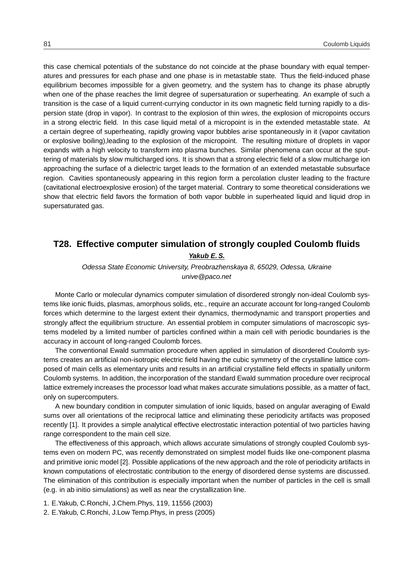this case chemical potentials of the substance do not coincide at the phase boundary with equal temperatures and pressures for each phase and one phase is in metastable state. Thus the field-induced phase equilibrium becomes impossible for a given geometry, and the system has to change its phase abruptly when one of the phase reaches the limit degree of supersaturation or superheating. An example of such a transition is the case of a liquid current-currying conductor in its own magnetic field turning rapidly to a dispersion state (drop in vapor). In contrast to the explosion of thin wires, the explosion of micropoints occurs in a strong electric field. In this case liquid metal of a micropoint is in the extended metastable state. At a certain degree of superheating, rapidly growing vapor bubbles arise spontaneously in it (vapor cavitation or explosive boiling),leading to the explosion of the micropoint. The resulting mixture of droplets in vapor expands with a high velocity to transform into plasma bunches. Similar phenomena can occur at the sputtering of materials by slow multicharged ions. It is shown that a strong electric field of a slow multicharge ion approaching the surface of a dielectric target leads to the formation of an extended metastable subsurface region. Cavities spontaneously appearing in this region form a percolation cluster leading to the fracture (cavitational electroexplosive erosion) of the target material. Contrary to some theoretical considerations we show that electric field favors the formation of both vapor bubble in superheated liquid and liquid drop in supersaturated gas.

# **T28. Effective computer simulation of strongly coupled Coulomb fluids Yakub E. S.**

Odessa State Economic University, Preobrazhenskaya 8, 65029, Odessa, Ukraine unive@paco.net

Monte Carlo or molecular dynamics computer simulation of disordered strongly non-ideal Coulomb systems like ionic fluids, plasmas, amorphous solids, etc., require an accurate account for long-ranged Coulomb forces which determine to the largest extent their dynamics, thermodynamic and transport properties and strongly affect the equilibrium structure. An essential problem in computer simulations of macroscopic systems modeled by a limited number of particles confined within a main cell with periodic boundaries is the accuracy in account of long-ranged Coulomb forces.

The conventional Ewald summation procedure when applied in simulation of disordered Coulomb systems creates an artificial non-isotropic electric field having the cubic symmetry of the crystalline lattice composed of main cells as elementary units and results in an artificial crystalline field effects in spatially uniform Coulomb systems. In addition, the incorporation of the standard Ewald summation procedure over reciprocal lattice extremely increases the processor load what makes accurate simulations possible, as a matter of fact, only on supercomputers.

A new boundary condition in computer simulation of ionic liquids, based on angular averaging of Ewald sums over all orientations of the reciprocal lattice and eliminating these periodicity artifacts was proposed recently [1]. It provides a simple analytical effective electrostatic interaction potential of two particles having range correspondent to the main cell size.

The effectiveness of this approach, which allows accurate simulations of strongly coupled Coulomb systems even on modern PC, was recently demonstrated on simplest model fluids like one-component plasma and primitive ionic model [2]. Possible applications of the new approach and the role of periodicity artifacts in known computations of electrostatic contribution to the energy of disordered dense systems are discussed. The elimination of this contribution is especially important when the number of particles in the cell is small (e.g. in ab initio simulations) as well as near the crystallization line.

- 1. E.Yakub, C.Ronchi, J.Chem.Phys, 119, 11556 (2003)
- 2. E.Yakub, C.Ronchi, J.Low Temp.Phys, in press (2005)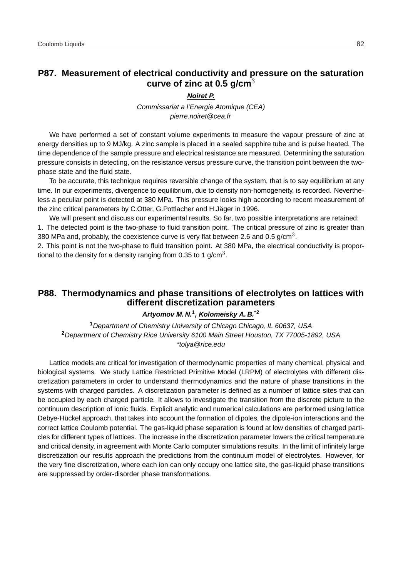# **P87. Measurement of electrical conductivity and pressure on the saturation curve of zinc at 0.5 g/cm**<sup>3</sup>

#### **Noiret P.**

Commissariat a l'Energie Atomique (CEA) pierre.noiret@cea.fr

We have performed a set of constant volume experiments to measure the vapour pressure of zinc at energy densities up to 9 MJ/kg. A zinc sample is placed in a sealed sapphire tube and is pulse heated. The time dependence of the sample pressure and electrical resistance are measured. Determining the saturation pressure consists in detecting, on the resistance versus pressure curve, the transition point between the twophase state and the fluid state.

To be accurate, this technique requires reversible change of the system, that is to say equilibrium at any time. In our experiments, divergence to equilibrium, due to density non-homogeneity, is recorded. Nevertheless a peculiar point is detected at 380 MPa. This pressure looks high according to recent measurement of the zinc critical parameters by C.Otter, G.Pottlacher and H.Jäger in 1996.

We will present and discuss our experimental results. So far, two possible interpretations are retained: 1. The detected point is the two-phase to fluid transition point. The critical pressure of zinc is greater than 380 MPa and, probably, the coexistence curve is very flat between 2.6 and 0.5 g/cm<sup>3</sup>.

2. This point is not the two-phase to fluid transition point. At 380 MPa, the electrical conductivity is proportional to the density for a density ranging from 0.35 to 1 g/cm<sup>3</sup>.

# **P88. Thermodynamics and phase transitions of electrolytes on lattices with different discretization parameters**

#### **Artyomov M. N.<sup>1</sup> , Kolomeisky A. B.\*2**

**<sup>1</sup>**Department of Chemistry University of Chicago Chicago, IL 60637, USA **<sup>2</sup>**Department of Chemistry Rice University 6100 Main Street Houston, TX 77005-1892, USA \*tolya@rice.edu

Lattice models are critical for investigation of thermodynamic properties of many chemical, physical and biological systems. We study Lattice Restricted Primitive Model (LRPM) of electrolytes with different discretization parameters in order to understand thermodynamics and the nature of phase transitions in the systems with charged particles. A discretization parameter is defined as a number of lattice sites that can be occupied by each charged particle. It allows to investigate the transition from the discrete picture to the continuum description of ionic fluids. Explicit analytic and numerical calculations are performed using lattice Debye-Hückel approach, that takes into account the formation of dipoles, the dipole-ion interactions and the correct lattice Coulomb potential. The gas-liquid phase separation is found at low densities of charged particles for different types of lattices. The increase in the discretization parameter lowers the critical temperature and critical density, in agreement with Monte Carlo computer simulations results. In the limit of infinitely large discretization our results approach the predictions from the continuum model of electrolytes. However, for the very fine discretization, where each ion can only occupy one lattice site, the gas-liquid phase transitions are suppressed by order-disorder phase transformations.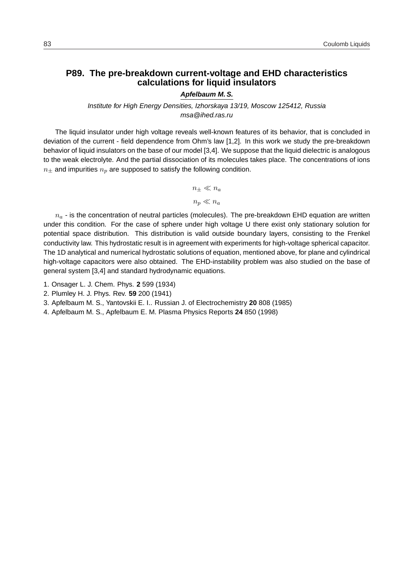# **P89. The pre-breakdown current-voltage and EHD characteristics calculations for liquid insulators**

## **Apfelbaum M. S.**

Institute for High Energy Densities, Izhorskaya 13/19, Moscow 125412, Russia msa@ihed.ras.ru

The liquid insulator under high voltage reveals well-known features of its behavior, that is concluded in deviation of the current - field dependence from Ohm's law [1,2]. In this work we study the pre-breakdown behavior of liquid insulators on the base of our model [3,4]. We suppose that the liquid dielectric is analogous to the weak electrolyte. And the partial dissociation of its molecules takes place. The concentrations of ions  $n_{\pm}$  and impurities  $n_{p}$  are supposed to satisfy the following condition.

$$
n_\pm \ll n_a
$$

$$
n_p \ll n_a
$$

 $n_a$  - is the concentration of neutral particles (molecules). The pre-breakdown EHD equation are written under this condition. For the case of sphere under high voltage U there exist only stationary solution for potential space distribution. This distribution is valid outside boundary layers, consisting to the Frenkel conductivity law. This hydrostatic result is in agreement with experiments for high-voltage spherical capacitor. The 1D analytical and numerical hydrostatic solutions of equation, mentioned above, for plane and cylindrical high-voltage capacitors were also obtained. The EHD-instability problem was also studied on the base of general system [3,4] and standard hydrodynamic equations.

- 1. Onsager L. J. Chem. Phys. **2** 599 (1934)
- 2. Plumley H. J. Phys. Rev. **59** 200 (1941)
- 3. Apfelbaum M. S., Yantovskii E. I.. Russian J. of Electrochemistry **20** 808 (1985)
- 4. Apfelbaum M. S., Apfelbaum E. M. Plasma Physics Reports **24** 850 (1998)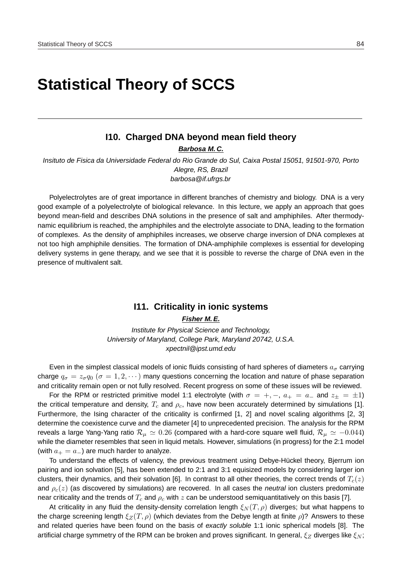# **Statistical Theory of SCCS**

# **I10. Charged DNA beyond mean field theory**

**Barbosa M. C.**

Insituto de Fisica da Universidade Federal do Rio Grande do Sul, Caixa Postal 15051, 91501-970, Porto Alegre, RS, Brazil barbosa@if.ufrgs.br

Polyelectrolytes are of great importance in different branches of chemistry and biology. DNA is a very good example of a polyelectrolyte of biological relevance. In this lecture, we apply an approach that goes beyond mean-field and describes DNA solutions in the presence of salt and amphiphiles. After thermodynamic equilibrium is reached, the amphiphiles and the electrolyte associate to DNA, leading to the formation of complexes. As the density of amphiphiles increases, we observe charge inversion of DNA complexes at not too high amphiphile densities. The formation of DNA-amphiphile complexes is essential for developing delivery systems in gene therapy, and we see that it is possible to reverse the charge of DNA even in the presence of multivalent salt.

### **I11. Criticality in ionic systems**

**Fisher M. E.**

Institute for Physical Science and Technology, University of Maryland, College Park, Maryland 20742, U.S.A. xpectnil@ipst.umd.edu

Even in the simplest classical models of ionic fluids consisting of hard spheres of diameters  $a_{\sigma}$  carrying charge  $q_{\sigma} = z_{\sigma}q_0$  ( $\sigma = 1, 2, \cdots$ ) many questions concerning the location and nature of phase separation and criticality remain open or not fully resolved. Recent progress on some of these issues will be reviewed.

For the RPM or restricted primitive model 1:1 electrolyte (with  $\sigma = +, -, a_+ = a_-$  and  $z_+ = \pm 1$ ) the critical temperature and density,  $T_c$  and  $\rho_c$ , have now been accurately determined by simulations [1]. Furthermore, the Ising character of the criticality is confirmed [1, 2] and novel scaling algorithms [2, 3] determine the coexistence curve and the diameter [4] to unprecedented precision. The analysis for the RPM reveals a large Yang-Yang ratio  $\mathcal{R}_\mu \simeq 0.26$  (compared with a hard-core square well fluid,  $\mathcal{R}_\mu \simeq -0.044$ ) while the diameter resembles that seen in liquid metals. However, simulations (in progress) for the 2:1 model (with  $a_+ = a_-$ ) are much harder to analyze.

To understand the effects of valency, the previous treatment using Debye-Hückel theory, Bjerrum ion pairing and ion solvation [5], has been extended to 2:1 and 3:1 equisized models by considering larger ion clusters, their dynamics, and their solvation [6]. In contrast to all other theories, the correct trends of  $T_c(z)$ and  $\rho_c(z)$  (as discovered by simulations) are recovered. In all cases the *neutral* ion clusters predominate near criticality and the trends of  $T_c$  and  $\rho_c$  with  $z$  can be understood semiquantitatively on this basis [7].

At criticality in any fluid the density-density correlation length  $\mathcal{E}_N (T, \rho)$  diverges; but what happens to the charge screening length  $\xi_Z(T, \rho)$  (which deviates from the Debye length at finite  $\rho$ )? Answers to these and related queries have been found on the basis of exactly soluble 1:1 ionic spherical models [8]. The artificial charge symmetry of the RPM can be broken and proves significant. In general,  $\xi_Z$  diverges like  $\xi_N$ ;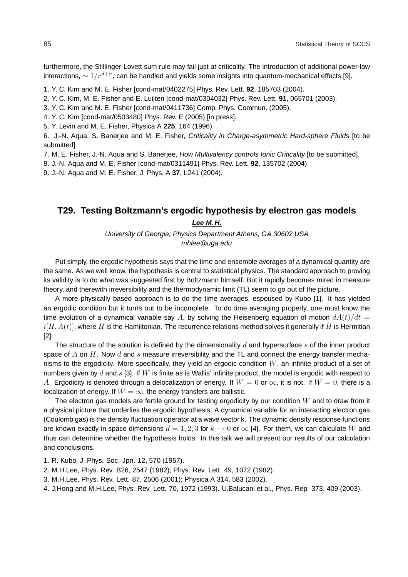furthermore, the Stillinger-Lovett sum rule may fail just at criticality. The introduction of additional power-law interactions,  $\sim 1/r^{d+\sigma}$ , can be handled and yields some insights into quantum-mechanical effects [9].

1. Y. C. Kim and M. E. Fisher [cond-mat/0402275] Phys. Rev. Lett. **92**, 185703 (2004).

2. Y. C. Kim, M. E. Fisher and E. Luijten [cond-mat/0304032] Phys. Rev. Lett. **91**, 065701 (2003).

3. Y. C. Kim and M. E. Fisher [cond-mat/0411736] Comp. Phys. Commun. (2005).

4. Y. C. Kim [cond-mat/0503480] Phys. Rev. E (2005) [in press].

5. Y. Levin and M. E. Fisher, Physica A **225**, 164 (1996).

6. J.-N. Aqua, S. Banerjee and M. E. Fisher, Criticality in Charge-asymmetric Hard-sphere Fluids [to be submitted].

7. M. E. Fisher, J.-N. Aqua and S. Baneriee, How Multivalency controls Ionic Criticality [to be submitted].

8. J.-N. Aqua and M. E. Fisher [cond-mat/0311491] Phys. Rev. Lett. **92**, 135702 (2004).

9. J.-N. Aqua and M. E. Fisher, J. Phys. A **37**, L241 (2004).

## **T29. Testing Boltzmann's ergodic hypothesis by electron gas models**

#### **Lee M. H.**

University of Georgia, Physics Department Athens, GA 30602 USA mhlee@uga.edu

Put simply, the ergodic hypothesis says that the time and ensemble averages of a dynamical quantity are the same. As we well know, the hypothesis is central to statistical physics. The standard approach to proving its validity is to do what was suggested first by Boltzmann himself. But it rapidly becomes mired in measure theory, and therewith irreversibility and the thermodynamic limit (TL) seem to go out of the picture.

A more physically based approach is to do the time averages, espoused by Kubo [1]. It has yielded an ergodic condition but it turns out to be incomplete. To do time averaging properly, one must know the time evolution of a dynamical variable say A, by solving the Heisenberg equation of motion  $dA(t)/dt =$  $i[H, A(t)]$ , where H is the Hamiltonian. The recurrence relations method solves it generally if H is Hermitian [2].

The structure of the solution is defined by the dimensionality  $d$  and hypersurface  $s$  of the inner product space of  $A$  on  $H$ . Now  $d$  and  $s$  measure irreversibility and the TL and connect the energy transfer mechanisms to the ergodicity. More specifically, they yield an ergodic condition  $W$ , an infinite product of a set of numbers given by  $d$  and  $s$  [3]. If  $W$  is finite as is Wallis' infinite product, the model is ergodic with respect to A. Ergodicity is denoted through a delocalization of energy. If  $W = 0$  or  $\infty$ , it is not. If  $W = 0$ , there is a localization of energy. If  $W = \infty$ , the energy transfers are ballistic.

The electron gas models are fertile ground for testing ergodicity by our condition  $W$  and to draw from it a physical picture that underlies the ergodic hypothesis. A dynamical variable for an interacting electron gas (Coulomb gas) is the density fluctuation operator at a wave vector k. The dynamic density response functions are known exactly in space dimensions  $d = 1, 2, 3$  for  $k \to 0$  or  $\infty$  [4]. For them, we can calculate W and thus can determine whether the hypothesis holds. In this talk we will present our results of our calculation and conclusions.

1. R. Kubo, J. Phys. Soc. Jpn. 12, 570 (1957).

2. M.H.Lee, Phys. Rev. B26, 2547 (1982); Phys. Rev. Lett. 49, 1072 (1982).

3. M.H.Lee, Phys. Rev. Lett. 87, 2506 (2001); Physica A 314, 583 (2002).

4. J.Hong and M.H.Lee, Phys. Rev. Lett. 70, 1972 (1993). U.Balucani et al., Phys. Rep. 373, 409 (2003).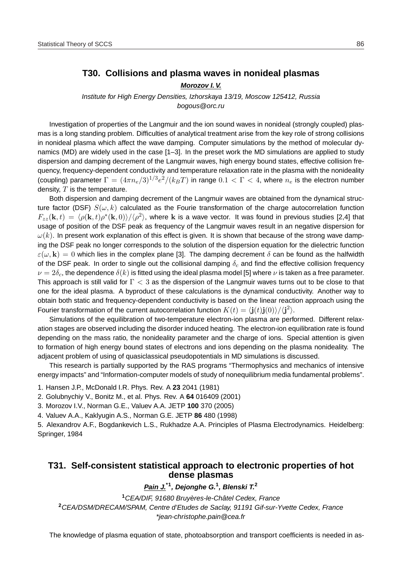# **T30. Collisions and plasma waves in nonideal plasmas**

#### **Morozov I. V.**

Institute for High Energy Densities, Izhorskaya 13/19, Moscow 125412, Russia bogous@orc.ru

Investigation of properties of the Langmuir and the ion sound waves in nonideal (strongly coupled) plasmas is a long standing problem. Difficulties of analytical treatment arise from the key role of strong collisions in nonideal plasma which affect the wave damping. Computer simulations by the method of molecular dynamics (MD) are widely used in the case [1–3]. In the preset work the MD simulations are applied to study dispersion and damping decrement of the Langmuir waves, high energy bound states, effective collision frequency, frequency-dependent conductivity and temperature relaxation rate in the plasma with the nonideality (coupling) parameter  $\Gamma=(4\pi n_e/3)^{1/3}e^2/(k_BT)$  in range  $0.1<\Gamma< 4$ , where  $n_e$  is the electron number density,  $T$  is the temperature.

Both dispersion and damping decrement of the Langmuir waves are obtained from the dynamical structure factor (DSF)  $S(\omega, k)$  calculated as the Fourie transformation of the charge autocorrelation function  $F_{zz}(\mathbf{k},t) = \langle \rho(\mathbf{k},t)\rho^*(\mathbf{k},0)\rangle/\langle \rho^2\rangle$ , where k is a wave vector. It was found in previous studies [2,4] that usage of position of the DSF peak as frequency of the Langmuir waves result in an negative dispersion for  $\omega(k)$ . In present work explanation of this effect is given. It is shown that because of the strong wave damping the DSF peak no longer corresponds to the solution of the dispersion equation for the dielectric function  $\varepsilon(\omega, \mathbf{k}) = 0$  which lies in the complex plane [3]. The damping decrement  $\delta$  can be found as the halfwidth of the DSF peak. In order to single out the collisional damping  $\delta_c$  and find the effective collision frequency  $\nu = 2\delta_c$ , the dependence  $\delta(k)$  is fitted using the ideal plasma model [5] where  $\nu$  is taken as a free parameter. This approach is still valid for  $\Gamma < 3$  as the dispersion of the Langmuir waves turns out to be close to that one for the ideal plasma. A byproduct of these calculations is the dynamical conductivity. Another way to obtain both static and frequency-dependent conductivity is based on the linear reaction approach using the Fourier transformation of the current autocorrelation function  $K(t) = \langle \mathbf{j}(t) \mathbf{j}(0) \rangle / \langle \mathbf{j}^2 \rangle$ .

Simulations of the equilibration of two-temperature electron-ion plasma are performed. Different relaxation stages are observed including the disorder induced heating. The electron-ion equilibration rate is found depending on the mass ratio, the nonideality parameter and the charge of ions. Special attention is given to formation of high energy bound states of electrons and ions depending on the plasma nonideality. The adjacent problem of using of quasiclassical pseudopotentials in MD simulations is discussed.

This research is partially supported by the RAS programs "Thermophysics and mechanics of intensive energy impacts" and "Information-computer models of study of nonequilibrium media fundamental problems".

1. Hansen J.P., McDonald I.R. Phys. Rev. A **23** 2041 (1981)

2. Golubnychiy V., Bonitz M., et al. Phys. Rev. A **64** 016409 (2001)

3. Morozov I.V., Norman G.E., Valuev A.A. JETP **100** 370 (2005)

4. Valuev A.A., Kaklyugin A.S., Norman G.E. JETP **86** 480 (1998)

5. Alexandrov A.F., Bogdankevich L.S., Rukhadze A.A. Principles of Plasma Electrodynamics. Heidelberg: Springer, 1984

# **T31. Self-consistent statistical approach to electronic properties of hot dense plasmas**

**Pain J.\*1, Dejonghe G.<sup>1</sup> , Blenski T.<sup>2</sup>**

<sup>1</sup>CEA/DIF, 91680 Bruyères-le-Châtel Cedex, France **<sup>2</sup>**CEA/DSM/DRECAM/SPAM, Centre d'Etudes de Saclay, 91191 Gif-sur-Yvette Cedex, France \*jean-christophe.pain@cea.fr

The knowledge of plasma equation of state, photoabsorption and transport coefficients is needed in as-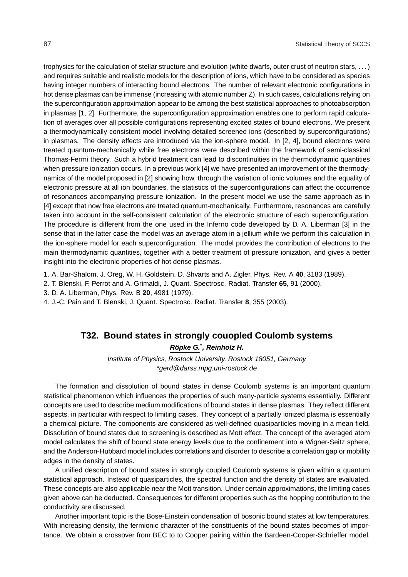trophysics for the calculation of stellar structure and evolution (white dwarfs, outer crust of neutron stars, . . . ) and requires suitable and realistic models for the description of ions, which have to be considered as species having integer numbers of interacting bound electrons. The number of relevant electronic configurations in hot dense plasmas can be immense (increasing with atomic number Z). In such cases, calculations relying on the superconfiguration approximation appear to be among the best statistical approaches to photoabsorption in plasmas [1, 2]. Furthermore, the superconfiguration approximation enables one to perform rapid calculation of averages over all possible configurations representing excited states of bound electrons. We present a thermodynamically consistent model involving detailed screened ions (described by superconfigurations) in plasmas. The density effects are introduced via the ion-sphere model. In [2, 4], bound electrons were treated quantum-mechanically while free electrons were described within the framework of semi-classical Thomas-Fermi theory. Such a hybrid treatment can lead to discontinuities in the thermodynamic quantities when pressure ionization occurs. In a previous work [4] we have presented an improvement of the thermodynamics of the model proposed in [2] showing how, through the variation of ionic volumes and the equality of electronic pressure at all ion boundaries, the statistics of the superconfigurations can affect the occurrence of resonances accompanying pressure ionization. In the present model we use the same approach as in [4] except that now free electrons are treated quantum-mechanically. Furthermore, resonances are carefully taken into account in the self-consistent calculation of the electronic structure of each superconfiguration. The procedure is different from the one used in the Inferno code developed by D. A. Liberman [3] in the sense that in the latter case the model was an average atom in a jellium while we perform this calculation in the ion-sphere model for each superconfiguration. The model provides the contribution of electrons to the main thermodynamic quantities, together with a better treatment of pressure ionization, and gives a better insight into the electronic properties of hot dense plasmas.

- 1. A. Bar-Shalom, J. Oreg, W. H. Goldstein, D. Shvarts and A. Zigler, Phys. Rev. A **40**, 3183 (1989).
- 2. T. Blenski, F. Perrot and A. Grimaldi, J. Quant. Spectrosc. Radiat. Transfer **65**, 91 (2000).
- 3. D. A. Liberman, Phys. Rev. B **20**, 4981 (1979).
- 4. J.-C. Pain and T. Blenski, J. Quant. Spectrosc. Radiat. Transfer **8**, 355 (2003).

## **T32. Bound states in strongly couopled Coulomb systems**

**Ropke G. ¨ \* , Reinholz H.**

Institute of Physics, Rostock University, Rostock 18051, Germany \*gerd@darss.mpg.uni-rostock.de

The formation and dissolution of bound states in dense Coulomb systems is an important quantum statistical phenomenon which influences the properties of such many-particle systems essentially. Different concepts are used to describe medium modifications of bound states in dense plasmas. They reflect different aspects, in particular with respect to limiting cases. They concept of a partially ionized plasma is essentially a chemical picture. The components are considered as well-defined quasiparticles moving in a mean field. Dissolution of bound states due to screening is described as Mott effect. The concept of the averaged atom model calculates the shift of bound state energy levels due to the confinement into a Wigner-Seitz sphere, and the Anderson-Hubbard model includes correlations and disorder to describe a correlation gap or mobility edges in the density of states.

A unified description of bound states in strongly coupled Coulomb systems is given within a quantum statistical approach. Instead of quasiparticles, the spectral function and the density of states are evaluated. These concepts are also applicable near the Mott transition. Under certain approximations, the limiting cases given above can be deducted. Consequences for different properties such as the hopping contribution to the conductivity are discussed.

Another important topic is the Bose-Einstein condensation of bosonic bound states at low temperatures. With increasing density, the fermionic character of the constituents of the bound states becomes of importance. We obtain a crossover from BEC to to Cooper pairing within the Bardeen-Cooper-Schrieffer model.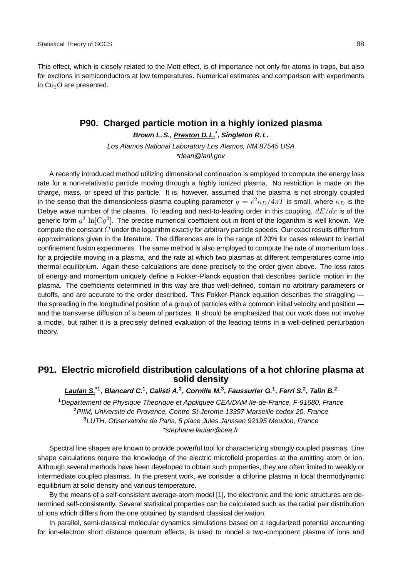### **P90. Charged particle motion in a highly ionized plasma**

**Brown L. S., Preston D. L.\* , Singleton R. L.**

Los Alamos National Laboratory Los Alamos, NM 87545 USA \*dean@lanl.gov

A recently introduced method utilizing dimensional continuation is employed to compute the energy loss rate for a non-relativistic particle moving through a highly ionized plasma. No restriction is made on the charge, mass, or speed of this particle. It is, however, assumed that the plasma is not strongly coupled in the sense that the dimensionless plasma coupling parameter  $g=e^2\kappa_D/4\pi T$  is small, where  $\kappa_D$  is the Debye wave number of the plasma. To leading and next-to-leading order in this coupling,  $dE/dx$  is of the generic form  $g^2 \ln [C g^2]$ . The precise numerical coefficient out in front of the logarithm is well known. We compute the constant  $C$  under the logarithm exactly for arbitrary particle speeds. Our exact results differ from approximations given in the literature. The differences are in the range of 20% for cases relevant to inertial confinement fusion experiments. The same method is also employed to compute the rate of momentum loss for a projectile moving in a plasma, and the rate at which two plasmas at different temperatures come into thermal equilibrium. Again these calculations are done precisely to the order given above. The loss rates of energy and momentum uniquely define a Fokker-Planck equation that describes particle motion in the plasma. The coefficients determined in this way are thus well-defined, contain no arbitrary parameters or cutoffs, and are accurate to the order described. This Fokker-Planck equation describes the straggling the spreading in the longitudinal position of a group of particles with a common initial velocity and position and the transverse diffusion of a beam of particles. It should be emphasized that our work does not involve a model, but rather it is a precisely defined evaluation of the leading terms in a well-defined perturbation theory.

# **P91. Electric microfield distribution calculations of a hot chlorine plasma at solid density**

**Laulan S.\*1, Blancard C.<sup>1</sup> , Calisti A.<sup>2</sup> , Cornille M.<sup>3</sup> , Faussurier G.<sup>1</sup> , Ferri S.<sup>2</sup> , Talin B.<sup>2</sup>**

Departement de Physique Theorique et Appliquee CEA/DAM Ile-de-France, F-91680, France PIIM, Universite de Provence, Centre St-Jerome 13397 Marseille cedex 20, France LUTH, Observatoire de Paris, 5 place Jules Janssen 92195 Meudon, France \*stephane.laulan@cea.fr

Spectral line shapes are known to provide powerful tool for characterizing strongly coupled plasmas. Line shape calculations require the knowledge of the electric microfield properties at the emitting atom or ion. Although several methods have been developed to obtain such properties, they are often limited to weakly or intermediate coupled plasmas. In the present work, we consider a chlorine plasma in local thermodynamic equilibrium at solid density and various temperature.

By the means of a self-consistent average-atom model [1], the electronic and the ionic structures are determined self-consistently. Several statistical properties can be calculated such as the radial pair distribution of ions which differs from the one obtained by standard classical derivation.

In parallel, semi-classical molecular dynamics simulations based on a regularized potential accounting for ion-electron short distance quantum effects, is used to model a two-component plasma of ions and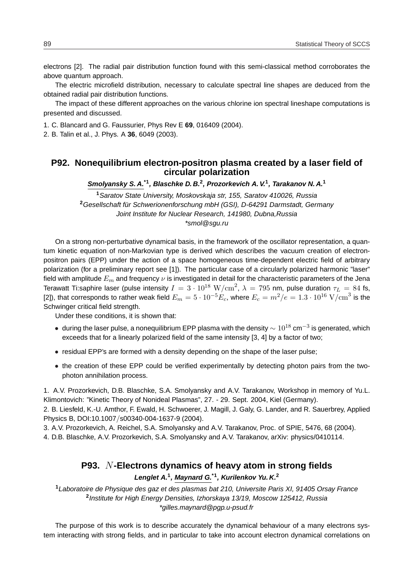electrons [2]. The radial pair distribution function found with this semi-classical method corroborates the above quantum approach.

The electric microfield distribution, necessary to calculate spectral line shapes are deduced from the obtained radial pair distribution functions.

The impact of these different approaches on the various chlorine ion spectral lineshape computations is presented and discussed.

1. C. Blancard and G. Faussurier, Phys Rev E **69**, 016409 (2004).

2. B. Talin et al., J. Phys. A **36**, 6049 (2003).

## **P92. Nonequilibrium electron-positron plasma created by a laser field of circular polarization**

**Smolyansky S. A.\*1, Blaschke D. B.<sup>2</sup> , Prozorkevich A. V.<sup>1</sup> , Tarakanov N. A.<sup>1</sup>**

**<sup>1</sup>**Saratov State University, Moskovskaja str, 155, Saratov 410026, Russia <sup>2</sup>Gesellschaft für Schwerionenforschung mbH (GSI), D-64291 Darmstadt, Germany Joint Institute for Nuclear Research, 141980, Dubna,Russia \*smol@sgu.ru

On a strong non-perturbative dynamical basis, in the framework of the oscillator representation, a quantum kinetic equation of non-Markovian type is derived which describes the vacuum creation of electronpositron pairs (EPP) under the action of a space homogeneous time-dependent electric field of arbitrary polarization (for a preliminary report see [1]). The particular case of a circularly polarized harmonic "laser" field with amplitude  $E_m$  and frequency  $\nu$  is investigated in detail for the characteristic parameters of the Jena Terawatt Ti:saphire laser (pulse intensity  $I=3\cdot 10^{18}\ \rm{W/cm}^2,$   $\lambda=795$  nm, pulse duration  $\tau_L=84$  fs, [2]), that corresponds to rather weak field  $E_m=5\cdot 10^{-5}E_c$ , where  $E_c=m^2/e=1.3\cdot 10^{16}\ \mathrm{V/cm}^3$  is the Schwinger critical field strength.

Under these conditions, it is shown that:

- $\bullet~$  during the laser pulse, a nonequilibrium EPP plasma with the density  $\sim 10^{18}$  cm $^{-3}$  is generated, which exceeds that for a linearly polarized field of the same intensity [3, 4] by a factor of two;
- residual EPP's are formed with a density depending on the shape of the laser pulse;
- the creation of these EPP could be verified experimentally by detecting photon pairs from the twophoton annihilation process.

1. A.V. Prozorkevich, D.B. Blaschke, S.A. Smolyansky and A.V. Tarakanov, Workshop in memory of Yu.L. Klimontovich: "Kinetic Theory of Nonideal Plasmas", 27. - 29. Sept. 2004, Kiel (Germany).

2. B. Liesfeld, K.-U. Amthor, F. Ewald, H. Schwoerer, J. Magill, J. Galy, G. Lander, and R. Sauerbrey, Applied Physics B, DOI:10.1007/s00340-004-1637-9 (2004).

3. A.V. Prozorkevich, A. Reichel, S.A. Smolyansky and A.V. Tarakanov, Proc. of SPIE, 5476, 68 (2004).

4. D.B. Blaschke, A.V. Prozorkevich, S.A. Smolyansky and A.V. Tarakanov, arXiv: physics/0410114.

# **P93.** N**-Electrons dynamics of heavy atom in strong fields Lenglet A.<sup>1</sup> , Maynard G.\*1, Kurilenkov Yu. K.<sup>2</sup>**

**<sup>1</sup>**Laboratoire de Physique des gaz et des plasmas bat 210, Universite Paris XI, 91405 Orsay France **2** Institute for High Energy Densities, Izhorskaya 13/19, Moscow 125412, Russia \*gilles.maynard@pgp.u-psud.fr

The purpose of this work is to describe accurately the dynamical behaviour of a many electrons system interacting with strong fields, and in particular to take into account electron dynamical correlations on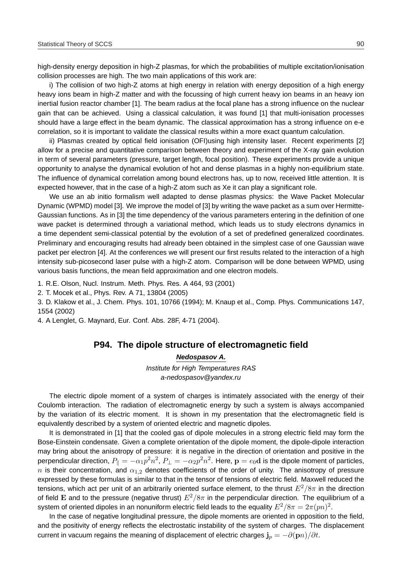high-density energy deposition in high-Z plasmas, for which the probabilities of multiple excitation/ionisation collision processes are high. The two main applications of this work are:

i) The collision of two high-Z atoms at high energy in relation with energy deposition of a high energy heavy ions beam in high-Z matter and with the focussing of high current heavy ion beams in an heavy ion inertial fusion reactor chamber [1]. The beam radius at the focal plane has a strong influence on the nuclear gain that can be achieved. Using a classical calculation, it was found [1] that multi-ionisation processes should have a large effect in the beam dynamic. The classical approximation has a strong influence on e-e correlation, so it is important to validate the classical results within a more exact quantum calculation.

ii) Plasmas created by optical field ionisation (OFI)using high intensity laser. Recent experiments [2] allow for a precise and quantitative comparison between theory and experiment of the X-ray gain evolution in term of several parameters (pressure, target length, focal position). These experiments provide a unique opportunity to analyse the dynamical evolution of hot and dense plasmas in a highly non-equilibrium state. The influence of dynamical correlation among bound electrons has, up to now, received little attention. It is expected however, that in the case of a high-Z atom such as Xe it can play a significant role.

We use an ab initio formalism well adapted to dense plasmas physics: the Wave Packet Molecular Dynamic (WPMD) model [3]. We improve the model of [3] by writing the wave packet as a sum over Hermitte-Gaussian functions. As in [3] the time dependency of the various parameters entering in the definition of one wave packet is determined through a variational method, which leads us to study electrons dynamics in a time dependent semi-classical potential by the evolution of a set of predefined generalized coordinates. Preliminary and encouraging results had already been obtained in the simplest case of one Gaussian wave packet per electron [4]. At the conferences we will present our first results related to the interaction of a high intensity sub-picosecond laser pulse with a high-Z atom. Comparison will be done between WPMD, using various basis functions, the mean field approximation and one electron models.

1. R.E. Olson, Nucl. Instrum. Meth. Phys. Res. A 464, 93 (2001)

2. T. Mocek et al., Phys. Rev. A 71, 13804 (2005)

3. D. Klakow et al., J. Chem. Phys. 101, 10766 (1994); M. Knaup et al., Comp. Phys. Communications 147, 1554 (2002)

4. A Lenglet, G. Maynard, Eur. Conf. Abs. 28F, 4-71 (2004).

### **P94. The dipole structure of electromagnetic field**

**Nedospasov A.**

Institute for High Temperatures RAS a-nedospasov@yandex.ru

The electric dipole moment of a system of charges is intimately associated with the energy of their Coulomb interaction. The radiation of electromagnetic energy by such a system is always accompanied by the variation of its electric moment. It is shown in my presentation that the electromagnetic field is equivalently described by a system of oriented electric and magnetic dipoles.

It is demonstrated in [1] that the cooled gas of dipole molecules in a strong electric field may form the Bose-Einstein condensate. Given a complete orientation of the dipole moment, the dipole-dipole interaction may bring about the anisotropy of pressure: it is negative in the direction of orientation and positive in the perpendicular direction,  $P_\parallel=-\alpha_1p^2n^2$ ,  $P_\perp=-\alpha_2p^2n^2.$  Here,  ${\bf p}=e_0{\bf d}$  is the dipole moment of particles, n is their concentration, and  $\alpha_{1,2}$  denotes coefficients of the order of unity. The anisotropy of pressure expressed by these formulas is similar to that in the tensor of tensions of electric field. Maxwell reduced the tensions, which act per unit of an arbitrarily oriented surface element, to the thrust  $E^2/8\pi$  in the direction of field E and to the pressure (negative thrust)  $E^2/8\pi$  in the perpendicular direction. The equilibrium of a system of oriented dipoles in an nonuniform electric field leads to the equality  $E^2/8\pi=2\pi (pn)^2.$ 

In the case of negative longitudinal pressure, the dipole moments are oriented in opposition to the field, and the positivity of energy reflects the electrostatic instability of the system of charges. The displacement current in vacuum regains the meaning of displacement of electric charges  $\mathbf{j}_p = -\partial(\mathbf{p}n)/\partial t$ .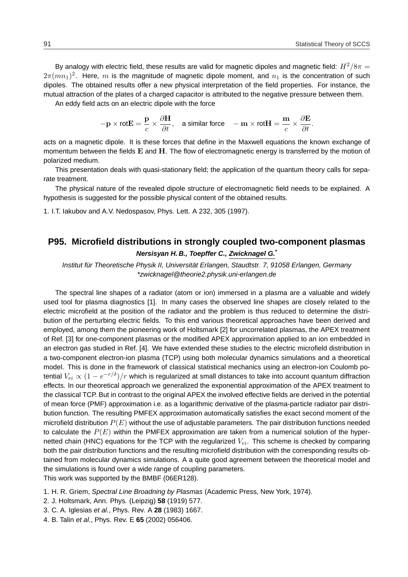By analogy with electric field, these results are valid for magnetic dipoles and magnetic field:  $H^2/8\pi =$  $2\pi(mn_1)^2$ . Here,  $m$  is the magnitude of magnetic dipole moment, and  $n_1$  is the concentration of such dipoles. The obtained results offer a new physical interpretation of the field properties. For instance, the mutual attraction of the plates of a charged capacitor is attributed to the negative pressure between them.

An eddy field acts on an electric dipole with the force

$$
-\mathbf{p}\times\text{rot}\mathbf{E}=\frac{\mathbf{p}}{c}\times\frac{\partial\mathbf{H}}{\partial t},\quad\text{a similar force}\quad-\mathbf{m}\times\text{rot}\mathbf{H}=\frac{\mathbf{m}}{c}\times\frac{\partial\mathbf{E}}{\partial t}.
$$

acts on a magnetic dipole. It is these forces that define in the Maxwell equations the known exchange of momentum between the fields  $E$  and  $H$ . The flow of electromagnetic energy is transferred by the motion of polarized medium.

This presentation deals with quasi-stationary field; the application of the quantum theory calls for separate treatment.

The physical nature of the revealed dipole structure of electromagnetic field needs to be explained. A hypothesis is suggested for the possible physical content of the obtained results.

1. I.T. Iakubov and A.V. Nedospasov, Phys. Lett. A 232, 305 (1997).

# **P95. Microfield distributions in strongly coupled two-component plasmas Nersisyan H. B., Toepffer C., Zwicknagel G.\***

Institut für Theoretische Physik II, Universität Erlangen, Staudtstr. 7, 91058 Erlangen, Germany \*zwicknagel@theorie2.physik.uni-erlangen.de

The spectral line shapes of a radiator (atom or ion) immersed in a plasma are a valuable and widely used tool for plasma diagnostics [1]. In many cases the observed line shapes are closely related to the electric microfield at the position of the radiator and the problem is thus reduced to determine the distribution of the perturbing electric fields. To this end various theoretical approaches have been derived and employed, among them the pioneering work of Holtsmark [2] for uncorrelated plasmas, the APEX treatment of Ref. [3] for one-component plasmas or the modified APEX approximation applied to an ion embedded in an electron gas studied in Ref. [4]. We have extended these studies to the electric microfield distribution in a two-component electron-ion plasma (TCP) using both molecular dynamics simulations and a theoretical model. This is done in the framework of classical statistical mechanics using an electron-ion Coulomb potential  $V_{ei} \propto (1-e^{-r/\delta})/r$  which is regularized at small distances to take into account quantum diffraction effects. In our theoretical approach we generalized the exponential approximation of the APEX treatment to the classical TCP. But in contrast to the original APEX the involved effective fields are derived in the potential of mean force (PMF) approximation i.e. as a logarithmic derivative of the plasma-particle radiator pair distribution function. The resulting PMFEX approximation automatically satisfies the exact second moment of the microfield distribution  $P(E)$  without the use of adjustable parameters. The pair distribution functions needed to calculate the  $P(E)$  within the PMFEX approximation are taken from a numerical solution of the hypernetted chain (HNC) equations for the TCP with the regularized  $V_{ei}$ . This scheme is checked by comparing both the pair distribution functions and the resulting microfield distribution with the corresponding results obtained from molecular dynamics simulations. A a quite good agreement between the theoretical model and the simulations is found over a wide range of coupling parameters. This work was supported by the BMBF (06ER128).

- 1. H. R. Griem, Spectral Line Broadning by Plasmas (Academic Press, New York, 1974).
- 2. J. Holtsmark, Ann. Phys. (Leipzig) **58** (1919) 577.
- 3. C. A. Iglesias et al., Phys. Rev. A **28** (1983) 1667.
- 4. B. Talin et al., Phys. Rev. E **65** (2002) 056406.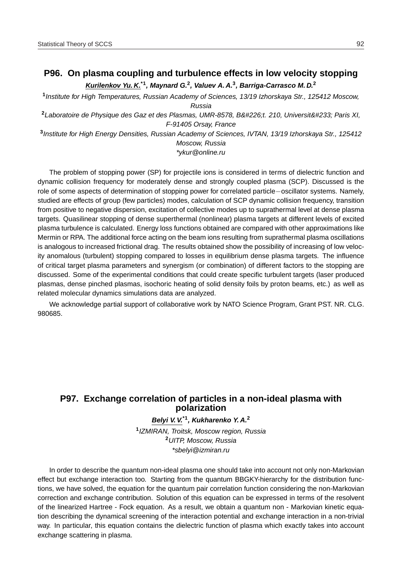# **P96. On plasma coupling and turbulence effects in low velocity stopping Kurilenkov Yu. K.\*1, Maynard G.<sup>2</sup> , Valuev A. A.<sup>3</sup> , Barriga-Carrasco M. D.<sup>2</sup>**

**1** Institute for High Temperatures, Russian Academy of Sciences, 13/19 Izhorskaya Str., 125412 Moscow, Russia

<sup>2</sup>Laboratoire de Physique des Gaz et des Plasmas, UMR-8578, B&#226;t. 210, Universit&#233; Paris XI, F-91405 Orsay, France

**3** Institute for High Energy Densities, Russian Academy of Sciences, IVTAN, 13/19 Izhorskaya Str., 125412 Moscow, Russia

\*ykur@online.ru

The problem of stopping power (SP) for projectile ions is considered in terms of dielectric function and dynamic collision frequency for moderately dense and strongly coupled plasma (SCP). Discussed is the role of some aspects of determination of stopping power for correlated particle−oscillator systems. Namely, studied are effects of group (few particles) modes, calculation of SCP dynamic collision frequency, transition from positive to negative dispersion, excitation of collective modes up to suprathermal level at dense plasma targets. Quasilinear stopping of dense superthermal (nonlinear) plasma targets at different levels of excited plasma turbulence is calculated. Energy loss functions obtained are compared with other approximations like Mermin or RPA. The additional force acting on the beam ions resulting from suprathermal plasma oscillations is analogous to increased frictional drag. The results obtained show the possibility of increasing of low velocity anomalous (turbulent) stopping compared to losses in equilibrium dense plasma targets. The influence of critical target plasma parameters and synergism (or combination) of different factors to the stopping are discussed. Some of the experimental conditions that could create specific turbulent targets (laser produced plasmas, dense pinched plasmas, isochoric heating of solid density foils by proton beams, etc.) as well as related molecular dynamics simulations data are analyzed.

We acknowledge partial support of collaborative work by NATO Science Program, Grant PST. NR. CLG. 980685.

# **P97. Exchange correlation of particles in a non-ideal plasma with polarization**

## **Belyi V. V.\*1, Kukharenko Y. A.<sup>2</sup>**

**1** IZMIRAN, Troitsk, Moscow region, Russia **<sup>2</sup>**UITP, Moscow, Russia \*sbelyi@izmiran.ru

In order to describe the quantum non-ideal plasma one should take into account not only non-Markovian effect but exchange interaction too. Starting from the quantum BBGKY-hierarchy for the distribution functions, we have solved, the equation for the quantum pair correlation function considering the non-Markovian correction and exchange contribution. Solution of this equation can be expressed in terms of the resolvent of the linearized Hartree - Fock equation. As a result, we obtain a quantum non - Markovian kinetic equation describing the dynamical screening of the interaction potential and exchange interaction in a non-trivial way. In particular, this equation contains the dielectric function of plasma which exactly takes into account exchange scattering in plasma.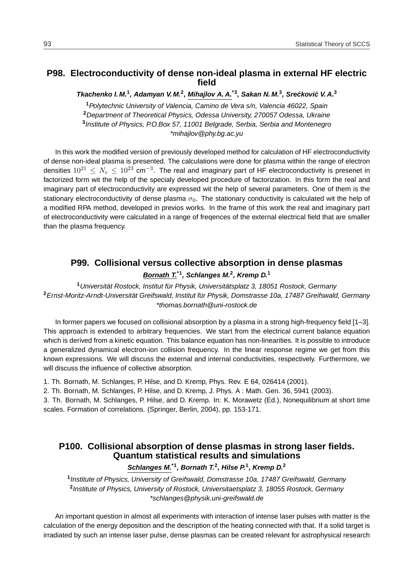# **P98. Electroconductivity of dense non-ideal plasma in external HF electric field**

**Tkachenko I. M.<sup>1</sup> , Adamyan V. M.<sup>2</sup> , Mihajlov A. A.\*3, Sakan N. M.<sup>3</sup> , Sreckovi ´ c V. A. ´ 3**

Polytechnic University of Valencia, Camino de Vera s/n, Valencia 46022, Spain Department of Theoretical Physics, Odessa University, 270057 Odessa, Ukraine Institute of Physics, P.O.Box 57, 11001 Belgrade, Serbia, Serbia and Montenegro \*mihajlov@phy.bg.ac.yu

In this work the modified version of previously developed method for calculation of HF electroconductivity of dense non-ideal plasma is presented. The calculations were done for plasma within the range of electron densities  $10^{21} \leq N_e \leq 10^{23}$  cm<sup>-3</sup>. The real and imaginary part of HF electroconductivity is presenet in factorized form wit the help of the specialy developed procedure of factorization. In this form the real and imaginary part of electroconductivity are expressed wit the help of several parameters. One of them is the stationary electroconductivity of dense plasma  $\sigma_0$ . The stationary conductivity is calculated wit the help of a modified RPA method, developed in previos works. In the frame of this work the real and imaginary part of electroconductivity were calculated in a range of freqences of the external electrical field that are smaller than the plasma frequency.

## **P99. Collisional versus collective absorption in dense plasmas**

#### **Bornath T.\*1, Schlanges M.<sup>2</sup> , Kremp D.<sup>1</sup>**

<sup>1</sup> Universität Rostock, Institut für Physik, Universitätsplatz 3, 18051 Rostock, Germany <sup>2</sup> Ernst-Moritz-Arndt-Universität Greifswald, Institut für Physik, Domstrasse 10a, 17487 Greifswald, Germany \*thomas.bornath@uni-rostock.de

In former papers we focused on collisional absorption by a plasma in a strong high-frequency field [1–3]. This approach is extended to arbitrary frequencies. We start from the electrical current balance equation which is derived from a kinetic equation. This balance equation has non-linearities. It is possible to introduce a generalized dynamical electron-ion collision frequency. In the linear response regime we get from this known expressions. We will discuss the external and internal conductivities, respectively. Furthermore, we will discuss the influence of collective absorption.

1. Th. Bornath, M. Schlanges, P. Hilse, and D. Kremp, Phys. Rev. E 64, 026414 (2001).

2. Th. Bornath, M. Schlanges, P. Hilse, and D. Kremp, J. Phys. A : Math. Gen. 36, 5941 (2003).

3. Th. Bornath, M. Schlanges, P. Hilse, and D. Kremp. In: K. Morawetz (Ed.), Nonequilibrium at short time scales. Formation of correlations. (Springer, Berlin, 2004), pp. 153-171.

# **P100. Collisional absorption of dense plasmas in strong laser fields. Quantum statistical results and simulations**

# **Schlanges M.\*1, Bornath T.<sup>2</sup> , Hilse P.<sup>1</sup> , Kremp D.<sup>2</sup>**

**1** Institute of Physics, University of Greifswald, Domstrasse 10a, 17487 Greifswald, Germany **2** Institute of Physics, University of Rostock, Universitaetsplatz 3, 18055 Rostock, Germany \*schlanges@physik.uni-greifswald.de

An important question in almost all experiments with interaction of intense laser pulses with matter is the calculation of the energy deposition and the description of the heating connected with that. If a solid target is irradiated by such an intense laser pulse, dense plasmas can be created relevant for astrophysical research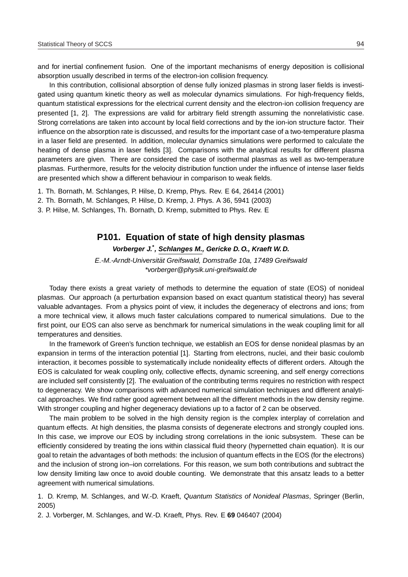and for inertial confinement fusion. One of the important mechanisms of energy deposition is collisional absorption usually described in terms of the electron-ion collision frequency.

In this contribution, collisional absorption of dense fully ionized plasmas in strong laser fields is investigated using quantum kinetic theory as well as molecular dynamics simulations. For high-frequency fields, quantum statistical expressions for the electrical current density and the electron-ion collision frequency are presented [1, 2]. The expressions are valid for arbitrary field strength assuming the nonrelativistic case. Strong correlations are taken into account by local field corrections and by the ion-ion structure factor. Their influence on the absorption rate is discussed, and results for the important case of a two-temperature plasma in a laser field are presented. In addition, molecular dynamics simulations were performed to calculate the heating of dense plasma in laser fields [3]. Comparisons with the analytical results for different plasma parameters are given. There are considered the case of isothermal plasmas as well as two-temperature plasmas. Furthermore, results for the velocity distribution function under the influence of intense laser fields are presented which show a different behaviour in comparison to weak fields.

1. Th. Bornath, M. Schlanges, P. Hilse, D. Kremp, Phys. Rev. E 64, 26414 (2001)

2. Th. Bornath, M. Schlanges, P. Hilse, D. Kremp, J. Phys. A 36, 5941 (2003)

3. P. Hilse, M. Schlanges, Th. Bornath, D. Kremp, submitted to Phys. Rev. E

## **P101. Equation of state of high density plasmas**

**Vorberger J.\* , Schlanges M., Gericke D. O., Kraeft W. D.**

E.-M.-Arndt-Universität Greifswald, Domstraße 10a, 17489 Greifswald \*vorberger@physik.uni-greifswald.de

Today there exists a great variety of methods to determine the equation of state (EOS) of nonideal plasmas. Our approach (a perturbation expansion based on exact quantum statistical theory) has several valuable advantages. From a physics point of view, it includes the degeneracy of electrons and ions; from a more technical view, it allows much faster calculations compared to numerical simulations. Due to the first point, our EOS can also serve as benchmark for numerical simulations in the weak coupling limit for all temperatures and densities.

In the framework of Green's function technique, we establish an EOS for dense nonideal plasmas by an expansion in terms of the interaction potential [1]. Starting from electrons, nuclei, and their basic coulomb interaction, it becomes possible to systematically include nonideality effects of different orders. Altough the EOS is calculated for weak coupling only, collective effects, dynamic screening, and self energy corrections are included self consistently [2]. The evaluation of the contributing terms requires no restriction with respect to degeneracy. We show comparisons with advanced numerical simulation techniques and different analytical approaches. We find rather good agreement between all the different methods in the low density regime. With stronger coupling and higher degeneracy deviations up to a factor of 2 can be observed.

The main problem to be solved in the high density region is the complex interplay of correlation and quantum effects. At high densities, the plasma consists of degenerate electrons and strongly coupled ions. In this case, we improve our EOS by including strong correlations in the ionic subsystem. These can be efficiently considered by treating the ions within classical fluid theory (hypernetted chain equation). It is our goal to retain the advantages of both methods: the inclusion of quantum effects in the EOS (for the electrons) and the inclusion of strong ion–ion correlations. For this reason, we sum both contributions and subtract the low density limiting law once to avoid double counting. We demonstrate that this ansatz leads to a better agreement with numerical simulations.

1. D. Kremp, M. Schlanges, and W.-D. Kraeft, Quantum Statistics of Nonideal Plasmas, Springer (Berlin, 2005)

2. J. Vorberger, M. Schlanges, and W.-D. Kraeft, Phys. Rev. E **69** 046407 (2004)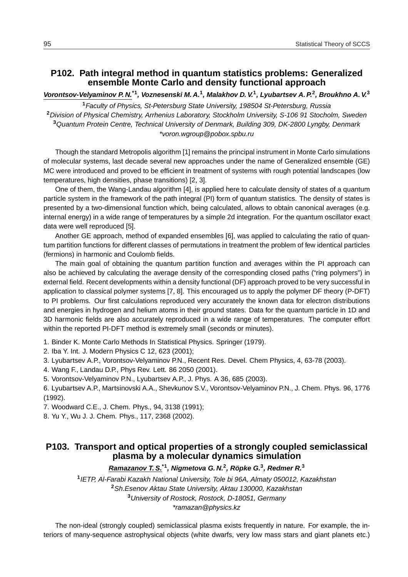## **P102. Path integral method in quantum statistics problems: Generalized ensemble Monte Carlo and density functional approach**

**Vorontsov-Velyaminov P. N.\*1, Voznesenski M. A.<sup>1</sup> , Malakhov D. V.<sup>1</sup> , Lyubartsev A. P.<sup>2</sup> , Broukhno A. V.<sup>3</sup>**

Faculty of Physics, St-Petersburg State University, 198504 St-Petersburg, Russia Division of Physical Chemistry, Arrhenius Laboratory, Stockholm University, S-106 91 Stocholm, Sweden Quantum Protein Centre, Technical University of Denmark, Building 309, DK-2800 Lyngby, Denmark \*voron.wgroup@pobox.spbu.ru

Though the standard Metropolis algorithm [1] remains the principal instrument in Monte Carlo simulations of molecular systems, last decade several new approaches under the name of Generalized ensemble (GE) MC were introduced and proved to be efficient in treatment of systems with rough potential landscapes (low temperatures, high densities, phase transitions) [2, 3].

One of them, the Wang-Landau algorithm [4], is applied here to calculate density of states of a quantum particle system in the framework of the path integral (PI) form of quantum statistics. The density of states is presented by a two-dimensional function which, being calculated, allows to obtain canonical averages (e.g. internal energy) in a wide range of temperatures by a simple 2d integration. For the quantum oscillator exact data were well reproduced [5].

Another GE approach, method of expanded ensembles [6], was applied to calculating the ratio of quantum partition functions for different classes of permutations in treatment the problem of few identical particles (fermions) in harmonic and Coulomb fields.

The main goal of obtaining the quantum partition function and averages within the PI approach can also be achieved by calculating the average density of the corresponding closed paths ("ring polymers") in external field. Recent developments within a density functional (DF) approach proved to be very successful in application to classical polymer systems [7, 8]. This encouraged us to apply the polymer DF theory (P-DFT) to PI problems. Our first calculations reproduced very accurately the known data for electron distributions and energies in hydrogen and helium atoms in their ground states. Data for the quantum particle in 1D and 3D harmonic fields are also accurately reproduced in a wide range of temperatures. The computer effort within the reported PI-DFT method is extremely small (seconds or minutes).

1. Binder K. Monte Carlo Methods In Statistical Physics. Springer (1979).

- 2. Iba Y. Int. J. Modern Physics C 12, 623 (2001);
- 3. Lyubartsev A.P., Vorontsov-Velyaminov P.N., Recent Res. Devel. Chem Physics, 4, 63-78 (2003).
- 4. Wang F., Landau D.P., Phys Rev. Lett. 86 2050 (2001).
- 5. Vorontsov-Velyaminov P.N., Lyubartsev A.P., J. Phys. A 36, 685 (2003).

6. Lyubartsev A.P., Martsinovski A.A., Shevkunov S.V., Vorontsov-Velyaminov P.N., J. Chem. Phys. 96, 1776 (1992).

- 7. Woodward C.E., J. Chem. Phys., 94, 3138 (1991);
- 8. Yu Y., Wu J. J. Chem. Phys., 117, 2368 (2002).

# **P103. Transport and optical properties of a strongly coupled semiclassical plasma by a molecular dynamics simulation**

**Ramazanov T. S.\*1, Nigmetova G. N.<sup>2</sup> , Ropke G. ¨ 3 , Redmer R.<sup>3</sup>**

 IETP, Al-Farabi Kazakh National University, Tole bi 96A, Almaty 050012, Kazakhstan Sh.Esenov Aktau State University, Aktau 130000, Kazakhstan University of Rostock, Rostock, D-18051, Germany \*ramazan@physics.kz

The non-ideal (strongly coupled) semiclassical plasma exists frequently in nature. For example, the interiors of many-sequence astrophysical objects (white dwarfs, very low mass stars and giant planets etc.)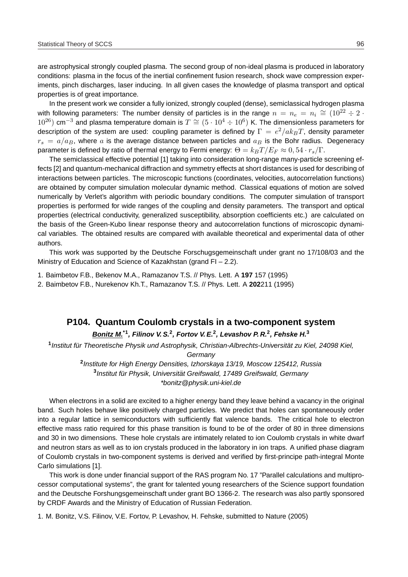are astrophysical strongly coupled plasma. The second group of non-ideal plasma is produced in laboratory conditions: plasma in the focus of the inertial confinement fusion research, shock wave compression experiments, pinch discharges, laser inducing. In all given cases the knowledge of plasma transport and optical properties is of great importance.

In the present work we consider a fully ionized, strongly coupled (dense), semiclassical hydrogen plasma with following parameters: The number density of particles is in the range  $n = n_e = n_i \cong (10^{22} \div 2 \cdot$  $10^{26}$ ) cm<sup>-3</sup> and plasma temperature domain is  $T \cong (5 \cdot 10^4 \div 10^6)$  K. The dimensionless parameters for description of the system are used: coupling parameter is defined by  $\Gamma\,=\,e^2/ak_BT$ , density parameter  $r_s = a/a_B$ , where a is the average distance between particles and  $a_B$  is the Bohr radius. Degeneracy parameter is defined by ratio of thermal energy to Fermi energy:  $\Theta = k_B T / E_F \approx 0.54 \cdot r_s / \Gamma$ .

The semiclassical effective potential [1] taking into consideration long-range many-particle screening effects [2] and quantum-mechanical diffraction and symmetry effects at short distances is used for describing of interactions between particles. The microscopic functions (coordinates, velocities, autocorrelation functions) are obtained by computer simulation molecular dynamic method. Classical equations of motion are solved numerically by Verlet's algorithm with periodic boundary conditions. The computer simulation of transport properties is performed for wide ranges of the coupling and density parameters. The transport and optical properties (electrical conductivity, generalized susceptibility, absorption coefficients etc.) are calculated on the basis of the Green-Kubo linear response theory and autocorrelation functions of microscopic dynamical variables. The obtained results are compared with available theoretical and experimental data of other authors.

This work was supported by the Deutsche Forschugsgemeinschaft under grant no 17/108/03 and the Ministry of Education and Science of Kazakhstan (grand FI – 2.2).

1. Baimbetov F.B., Bekenov M.A., Ramazanov T.S. // Phys. Lett. A **197** 157 (1995)

2. Baimbetov F.B., Nurekenov Kh.T., Ramazanov T.S. // Phys. Lett. A **202**211 (1995)

#### **P104. Quantum Coulomb crystals in a two-component system**

**Bonitz M.\*1, Filinov V. S.<sup>2</sup> , Fortov V. E.<sup>2</sup> , Levashov P. R.<sup>2</sup> , Fehske H.<sup>3</sup>**

<sup>1</sup> Institut für Theoretische Physik und Astrophysik, Christian-Albrechts-Universität zu Kiel, 24098 Kiel,

**Germany** 

**2** Institute for High Energy Densities, Izhorskaya 13/19, Moscow 125412, Russia <sup>3</sup> Institut für Physik, Universität Greifswald, 17489 Greifswald, Germany \*bonitz@physik.uni-kiel.de

When electrons in a solid are excited to a higher energy band they leave behind a vacancy in the original band. Such holes behave like positively charged particles. We predict that holes can spontaneously order into a regular lattice in semiconductors with sufficiently flat valence bands. The critical hole to electron effective mass ratio required for this phase transition is found to be of the order of 80 in three dimensions and 30 in two dimensions. These hole crystals are intimately related to ion Coulomb crystals in white dwarf and neutron stars as well as to ion crystals produced in the laboratory in ion traps. A unified phase diagram of Coulomb crystals in two-component systems is derived and verified by first-principe path-integral Monte Carlo simulations [1].

This work is done under financial support of the RAS program No. 17 "Parallel calculations and multiprocessor computational systems", the grant for talented young researchers of the Science support foundation and the Deutsche Forshungsgemeinschaft under grant BO 1366-2. The research was also partly sponsored by CRDF Awards and the Ministry of Education of Russian Federation.

1. M. Bonitz, V.S. Filinov, V.E. Fortov, P. Levashov, H. Fehske, submitted to Nature (2005)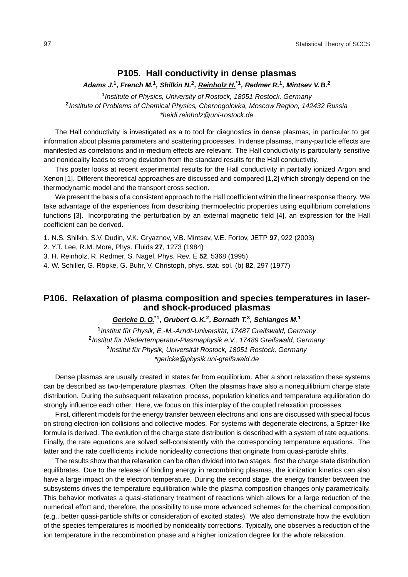# **P105. Hall conductivity in dense plasmas**

#### **Adams J.<sup>1</sup> , French M.<sup>1</sup> , Shilkin N.<sup>2</sup> , Reinholz H.\*1, Redmer R.<sup>1</sup> , Mintsev V. B.<sup>2</sup>**

**1** Institute of Physics, University of Rostock, 18051 Rostock, Germany **2** Institute of Problems of Chemical Physics, Chernogolovka, Moscow Region, 142432 Russia \*heidi.reinholz@uni-rostock.de

The Hall conductivity is investigated as a to tool for diagnostics in dense plasmas, in particular to get information about plasma parameters and scattering processes. In dense plasmas, many-particle effects are manifested as correlations and in-medium effects are relevant. The Hall conductivity is particularly sensitive and nonideality leads to strong deviation from the standard results for the Hall conductivity.

This poster looks at recent experimental results for the Hall conductivity in partially ionized Argon and Xenon [1]. Different theoretical approaches are discussed and compared [1,2] which strongly depend on the thermodynamic model and the transport cross section.

We present the basis of a consistent approach to the Hall coefficient within the linear response theory. We take advantage of the experiences from describing thermoelectric properties using equilibrium correlations functions [3]. Incorporating the perturbation by an external magnetic field [4], an expression for the Hall coefficient can be derived.

1. N.S. Shilkin, S.V. Dudin, V.K. Gryaznov, V.B. Mintsev, V.E. Fortov, JETP **97**, 922 (2003)

2. Y.T. Lee, R.M. More, Phys. Fluids **27**, 1273 (1984)

3. H. Reinholz, R. Redmer, S. Nagel, Phys. Rev. E **52**, 5368 (1995)

4. W. Schiller, G. Ropke, G. Buhr, V. Christoph, phys. stat. sol. (b) ¨ **82**, 297 (1977)

## **P106. Relaxation of plasma composition and species temperatures in laserand shock-produced plasmas**

#### **Gericke D. O.\*1, Grubert G. K.<sup>2</sup> , Bornath T.<sup>3</sup> , Schlanges M.<sup>1</sup>**

<sup>1</sup> Institut für Physik, E.-M.-Arndt-Universität, 17487 Greifswald, Germany <sup>2</sup> Institut für Niedertemperatur-Plasmaphysik e.V., 17489 Greifswald, Germany <sup>3</sup> Institut für Physik, Universität Rostock, 18051 Rostock, Germany \*gericke@physik.uni-greifswald.de

Dense plasmas are usually created in states far from equilibrium. After a short relaxation these systems can be described as two-temperature plasmas. Often the plasmas have also a nonequilibrium charge state distribution. During the subsequent relaxation process, population kinetics and temperature equilibration do strongly influence each other. Here, we focus on this interplay of the coupled relaxation processes.

First, different models for the energy transfer between electrons and ions are discussed with special focus on strong electron-ion collisions and collective modes. For systems with degenerate electrons, a Spitzer-like formula is derived. The evolution of the charge state distribution is described with a system of rate equations. Finally, the rate equations are solved self-consistently with the corresponding temperature equations. The latter and the rate coefficients include nonideality corrections that originate from quasi-particle shifts.

The results show that the relaxation can be often divided into two stages: first the charge state distribution equilibrates. Due to the release of binding energy in recombining plasmas, the ionization kinetics can also have a large impact on the electron temperature. During the second stage, the energy transfer between the subsystems drives the temperature equilibration while the plasma composition changes only parametrically. This behavior motivates a quasi-stationary treatment of reactions which allows for a large reduction of the numerical effort and, therefore, the possibility to use more advanced schemes for the chemical composition (e.g., better quasi-particle shifts or consideration of excited states). We also demonstrate how the evolution of the species temperatures is modified by nonideality corrections. Typically, one observes a reduction of the ion temperature in the recombination phase and a higher ionization degree for the whole relaxation.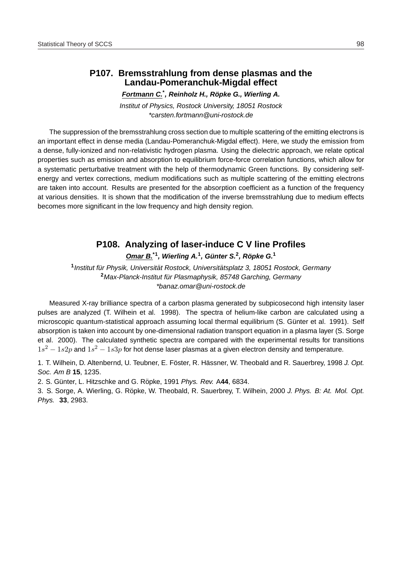# **P107. Bremsstrahlung from dense plasmas and the Landau-Pomeranchuk-Migdal effect**

**Fortmann C.\* , Reinholz H., Ropke G., Wierling A. ¨**

Institut of Physics, Rostock University, 18051 Rostock \*carsten.fortmann@uni-rostock.de

The suppression of the bremsstrahlung cross section due to multiple scattering of the emitting electrons is an important effect in dense media (Landau-Pomeranchuk-Migdal effect). Here, we study the emission from a dense, fully-ionized and non-relativistic hydrogen plasma. Using the dielectric approach, we relate optical properties such as emission and absorption to equilibrium force-force correlation functions, which allow for a systematic perturbative treatment with the help of thermodynamic Green functions. By considering selfenergy and vertex corrections, medium modifications such as multiple scattering of the emitting electrons are taken into account. Results are presented for the absorption coefficient as a function of the frequency at various densities. It is shown that the modification of the inverse bremsstrahlung due to medium effects becomes more significant in the low frequency and high density region.

# **P108. Analyzing of laser-induce C V line Profiles**

**Omar B.\*1, Wierling A.<sup>1</sup> , G ¨unter S.<sup>2</sup> , Ropke G. ¨ 1**

<sup>1</sup> Institut für Physik, Universität Rostock, Universitätsplatz 3, 18051 Rostock, Germany <sup>2</sup> Max-Planck-Institut für Plasmaphysik, 85748 Garching, Germany \*banaz.omar@uni-rostock.de

Measured X-ray brilliance spectra of a carbon plasma generated by subpicosecond high intensity laser pulses are analyzed (T. Wilhein et al. 1998). The spectra of helium-like carbon are calculated using a microscopic quantum-statistical approach assuming local thermal equilibrium (S. Günter et al. 1991). Self absorption is taken into account by one-dimensional radiation transport equation in a plasma layer (S. Sorge et al. 2000). The calculated synthetic spectra are compared with the experimental results for transitions  $1s^2 - 1s2p$  and  $1s^2 - 1s3p$  for hot dense laser plasmas at a given electron density and temperature.

1. T. Wilhein, D. Altenbernd, U. Teubner, E. Föster, R. Hässner, W. Theobald and R. Sauerbrey, 1998 J. Opt. Soc. Am B **15**, 1235.

2. S. Günter, L. Hitzschke and G. Röpke, 1991 Phys. Rev. A44, 6834.

3. S. Sorge, A. Wierling, G. Röpke, W. Theobald, R. Sauerbrey, T. Wilhein, 2000 J. Phys. B: At. Mol. Opt. Phys. **33**, 2983.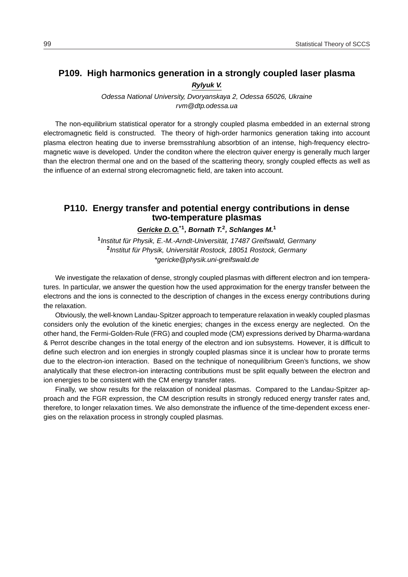# **P109. High harmonics generation in a strongly coupled laser plasma**

**Rylyuk V.**

Odessa National University, Dvoryanskaya 2, Odessa 65026, Ukraine rvm@dtp.odessa.ua

The non-equilibrium statistical operator for a strongly coupled plasma embedded in an external strong electromagnetic field is constructed. The theory of high-order harmonics generation taking into account plasma electron heating due to inverse bremsstrahlung absorbtion of an intense, high-frequency electromagnetic wave is developed. Under the conditon where the electron quiver energy is generally much larger than the electron thermal one and on the based of the scattering theory, srongly coupled effects as well as the influence of an external strong elecromagnetic field, are taken into account.

## **P110. Energy transfer and potential energy contributions in dense two-temperature plasmas**

**Gericke D. O.\*1, Bornath T.<sup>2</sup> , Schlanges M.<sup>1</sup>**

<sup>1</sup> Institut für Physik, E.-M.-Arndt-Universität, 17487 Greifswald, Germany <sup>2</sup> Institut für Physik, Universität Rostock, 18051 Rostock, Germany \*gericke@physik.uni-greifswald.de

We investigate the relaxation of dense, strongly coupled plasmas with different electron and ion temperatures. In particular, we answer the question how the used approximation for the energy transfer between the electrons and the ions is connected to the description of changes in the excess energy contributions during the relaxation.

Obviously, the well-known Landau-Spitzer approach to temperature relaxation in weakly coupled plasmas considers only the evolution of the kinetic energies; changes in the excess energy are neglected. On the other hand, the Fermi-Golden-Rule (FRG) and coupled mode (CM) expressions derived by Dharma-wardana & Perrot describe changes in the total energy of the electron and ion subsystems. However, it is difficult to define such electron and ion energies in strongly coupled plasmas since it is unclear how to prorate terms due to the electron-ion interaction. Based on the technique of nonequilibrium Green's functions, we show analytically that these electron-ion interacting contributions must be split equally between the electron and ion energies to be consistent with the CM energy transfer rates.

Finally, we show results for the relaxation of nonideal plasmas. Compared to the Landau-Spitzer approach and the FGR expression, the CM description results in strongly reduced energy transfer rates and, therefore, to longer relaxation times. We also demonstrate the influence of the time-dependent excess energies on the relaxation process in strongly coupled plasmas.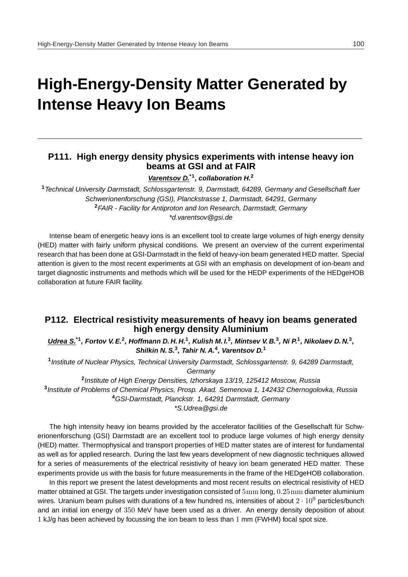# **High-Energy-Density Matter Generated by Intense Heavy Ion Beams**

## **P111. High energy density physics experiments with intense heavy ion beams at GSI and at FAIR**

**Varentsov D.\*1, collaboration H.<sup>2</sup>**

**<sup>1</sup>**Technical University Darmstadt, Schlossgartenstr. 9, Darmstadt, 64289, Germany and Gesellschaft fuer Schwerionenforschung (GSI), Planckstrasse 1, Darmstadt, 64291, Germany **<sup>2</sup>**FAIR - Facility for Antiproton and Ion Research, Darmstadt, Germany \*d.varentsov@gsi.de

Intense beam of energetic heavy ions is an excellent tool to create large volumes of high energy density (HED) matter with fairly uniform physical conditions. We present an overview of the current experimental research that has been done at GSI-Darmstadt in the field of heavy-ion beam generated HED matter. Special attention is given to the most recent experiments at GSI with an emphasis on development of ion-beam and target diagnostic instruments and methods which will be used for the HEDP experiments of the HEDgeHOB collaboration at future FAIR facility.

## **P112. Electrical resistivity measurements of heavy ion beams generated high energy density Aluminium**

Udrea S.<sup>\*1</sup>, Fortov V. E.<sup>2</sup>, Hoffmann D. H. H.<sup>1</sup>, Kulish M. I.<sup>3</sup>, Mintsev V. B.<sup>3</sup>, Ni P.<sup>1</sup>, Nikolaev D. N.<sup>3</sup>, **Shilkin N. S.<sup>3</sup> , Tahir N. A.<sup>4</sup> , Varentsov D.<sup>1</sup>**

**1** Institute of Nuclear Physics, Technical University Darmstadt, Schlossgartenstr. 9, 64289 Darmstadt, **Germany** 

**2** Institute of High Energy Densities, Izhorskaya 13/19, 125412 Moscow, Russia **3** Institute of Problems of Chemical Physics, Prosp. Akad. Semenova 1, 142432 Chernogolovka, Russia **<sup>4</sup>**GSI-Darmstadt, Planckstr. 1, 64291 Darmstadt, Germany

\*S.Udrea@gsi.de

The high intensity heavy ion beams provided by the accelerator facilities of the Gesellschaft für Schwerionenforschung (GSI) Darmstadt are an excellent tool to produce large volumes of high energy density (HED) matter. Thermophysical and transport properties of HED matter states are of interest for fundamental as well as for applied research. During the last few years development of new diagnostic techniques allowed for a series of measurements of the electrical resistivity of heavy ion beam generated HED matter. These experiments provide us with the basis for future measurements in the frame of the HEDgeHOB collaboration.

In this report we present the latest developments and most recent results on electrical resistivity of HED matter obtained at GSI. The targets under investigation consisted of  $5 \text{mm}$  long,  $0.25 \text{mm}$  diameter aluminium wires. Uranium beam pulses with durations of a few hundred ns, intensities of about  $2 \cdot 10^9$  particles/bunch and an initial ion energy of 350 MeV have been used as a driver. An energy density deposition of about 1 kJ/g has been achieved by focussing the ion beam to less than 1 mm (FWHM) focal spot size.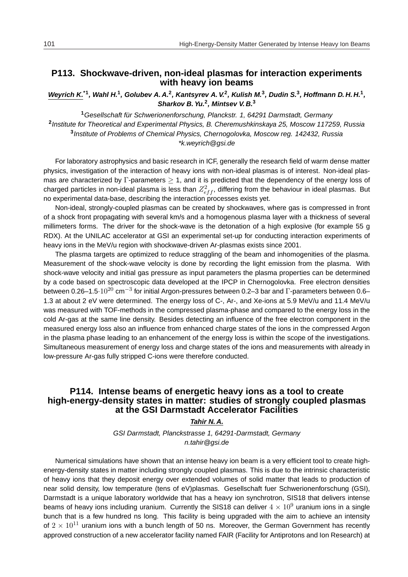## **P113. Shockwave-driven, non-ideal plasmas for interaction experiments with heavy ion beams**

Weyrich K.<sup>\*1</sup>, Wahl H.<sup>1</sup>, Golubev A. A.<sup>2</sup>, Kantsyrev A. V.<sup>2</sup>, Kulish M.<sup>3</sup>, Dudin S.<sup>3</sup>, Hoffmann D. H. H.<sup>1</sup>, **Sharkov B. Yu.<sup>2</sup> , Mintsev V. B.<sup>3</sup>**

<sup>1</sup> Gesellschaft für Schwerionenforschung, Planckstr. 1, 64291 Darmstadt, Germany **2** Institute for Theoretical and Experimental Physics, B. Cheremushkinskaya 25, Moscow 117259, Russia **3** Institute of Problems of Chemical Physics, Chernogolovka, Moscow reg. 142432, Russia \*k.weyrich@gsi.de

For laboratory astrophysics and basic research in ICF, generally the research field of warm dense matter physics, investigation of the interaction of heavy ions with non-ideal plasmas is of interest. Non-ideal plasmas are characterized by  $\Gamma$ -parameters  $\geq$  1, and it is predicted that the dependency of the energy loss of charged particles in non-ideal plasma is less than  $Z^2_{eff}$ , differing from the behaviour in ideal plasmas. But no experimental data-base, describing the interaction processes exists yet.

Non-ideal, strongly-coupled plasmas can be created by shockwaves, where gas is compressed in front of a shock front propagating with several km/s and a homogenous plasma layer with a thickness of several millimeters forms. The driver for the shock-wave is the detonation of a high explosive (for example 55 g RDX). At the UNILAC accelerator at GSI an experimental set-up for conducting interaction experiments of heavy ions in the MeV/u region with shockwave-driven Ar-plasmas exists since 2001.

The plasma targets are optimized to reduce straggling of the beam and inhomogenities of the plasma. Measurement of the shock-wave velocity is done by recording the light emission from the plasma. With shock-wave velocity and initial gas pressure as input parameters the plasma properties can be determined by a code based on spectroscopic data developed at the IPCP in Chernogolovka. Free electron densities between 0.26–1.5· $10^{20}$  cm $^{-3}$  for initial Argon-pressures between 0.2–3 bar and  $\Gamma$ -parameters between 0.6– 1.3 at about 2 eV were determined. The energy loss of C-, Ar-, and Xe-ions at 5.9 MeV/u and 11.4 MeV/u was measured with TOF-methods in the compressed plasma-phase and compared to the energy loss in the cold Ar-gas at the same line density. Besides detecting an influence of the free electron component in the measured energy loss also an influence from enhanced charge states of the ions in the compressed Argon in the plasma phase leading to an enhancement of the energy loss is within the scope of the investigations. Simultaneous measurement of energy loss and charge states of the ions and measurements with already in low-pressure Ar-gas fully stripped C-ions were therefore conducted.

# **P114. Intense beams of energetic heavy ions as a tool to create high-energy-density states in matter: studies of strongly coupled plasmas at the GSI Darmstadt Accelerator Facilities**

**Tahir N. A.**

GSI Darmstadt, Planckstrasse 1, 64291-Darmstadt, Germany n.tahir@gsi.de

Numerical simulations have shown that an intense heavy ion beam is a very efficient tool to create highenergy-density states in matter including strongly coupled plasmas. This is due to the intrinsic characteristic of heavy ions that they deposit energy over extended volumes of solid matter that leads to production of near solid density, low temperature (tens of eV)plasmas. Gesellschaft fuer Schwerionenforschung (GSI), Darmstadt is a unique laboratory worldwide that has a heavy ion synchrotron, SIS18 that delivers intense beams of heavy ions including uranium. Currently the SIS18 can deliver  $4 \times 10^9$  uranium ions in a single bunch that is a few hundred ns long. This facility is being upgraded with the aim to achieve an intensity of  $2 \times 10^{11}$  uranium ions with a bunch length of 50 ns. Moreover, the German Government has recently approved construction of a new accelerator facility named FAIR (Facility for Antiprotons and Ion Research) at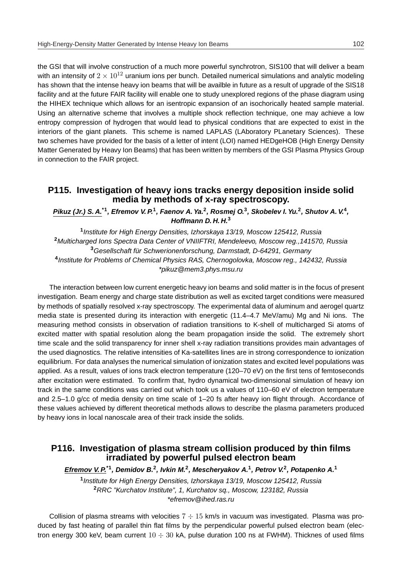the GSI that will involve construction of a much more powerful synchrotron, SIS100 that will deliver a beam with an intensity of  $2 \times 10^{12}$  uranium ions per bunch. Detailed numerical simulations and analytic modeling has shown that the intense heavy ion beams that will be availble in future as a result of upgrade of the SIS18 facility and at the future FAIR facility will enable one to study unexplored regions of the phase diagram using the HIHEX technique which allows for an isentropic expansion of an isochorically heated sample material. Using an alternative scheme that involves a multiple shock reflection technique, one may achieve a low entropy compression of hydrogen that would lead to physical conditions that are expected to exist in the interiors of the giant planets. This scheme is named LAPLAS (LAboratory PLanetary Sciences). These two schemes have provided for the basis of a letter of intent (LOI) named HEDgeHOB (High Energy Density Matter Generated by Heavy Ion Beams) that has been written by members of the GSI Plasma Physics Group in connection to the FAIR project.

## **P115. Investigation of heavy ions tracks energy deposition inside solid media by methods of x-ray spectroscopy.**

**Pikuz (Jr.) S. A.\*1, Efremov V. P.<sup>1</sup> , Faenov A. Ya.<sup>2</sup> , Rosmej O.<sup>3</sup> , Skobelev I. Yu.<sup>2</sup> , Shutov A. V.<sup>4</sup> , Hoffmann D. H. H.<sup>3</sup>**

 Institute for High Energy Densities, Izhorskaya 13/19, Moscow 125412, Russia Multicharged Ions Spectra Data Center of VNIIFTRI, Mendeleevo, Moscow reg.,141570, Russia Gesellschaft fur Schwerionenforschung, Darmstadt, D-64291, Germany ¨ Institute for Problems of Chemical Physics RAS, Chernogolovka, Moscow reg., 142432, Russia \*pikuz@mem3.phys.msu.ru

The interaction between low current energetic heavy ion beams and solid matter is in the focus of present investigation. Beam energy and charge state distribution as well as excited target conditions were measured by methods of spatially resolved x-ray spectroscopy. The experimental data of aluminum and aerogel quartz media state is presented during its interaction with energetic (11.4–4.7 MeV/amu) Mg and Ni ions. The measuring method consists in observation of radiation transitions to K-shell of multicharged Si atoms of excited matter with spatial resolution along the beam propagation inside the solid. The extremely short time scale and the solid transparency for inner shell x-ray radiation transitions provides main advantages of the used diagnostics. The relative intensities of Ka-satellites lines are in strong correspondence to ionization equilibrium. For data analyses the numerical simulation of ionization states and excited level populations was applied. As a result, values of ions track electron temperature (120–70 eV) on the first tens of femtoseconds after excitation were estimated. To confirm that, hydro dynamical two-dimensional simulation of heavy ion track in the same conditions was carried out which took us a values of 110–60 eV of electron temperature and 2.5–1.0 g/cc of media density on time scale of 1–20 fs after heavy ion flight through. Accordance of these values achieved by different theoretical methods allows to describe the plasma parameters produced by heavy ions in local nanoscale area of their track inside the solids.

## **P116. Investigation of plasma stream collision produced by thin films irradiated by powerful pulsed electron beam**

**Efremov V. P.\*1, Demidov B.<sup>2</sup> , Ivkin M.<sup>2</sup> , Mescheryakov A.<sup>1</sup> , Petrov V.<sup>2</sup> , Potapenko A.<sup>1</sup>**

**1** Institute for High Energy Densities, Izhorskaya 13/19, Moscow 125412, Russia **<sup>2</sup>**RRC "Kurchatov Institute", 1, Kurchatov sq., Moscow, 123182, Russia \*efremov@ihed.ras.ru

Collision of plasma streams with velocities  $7 \div 15$  km/s in vacuum was investigated. Plasma was produced by fast heating of parallel thin flat films by the perpendicular powerful pulsed electron beam (electron energy 300 keV, beam current  $10 \div 30$  kA, pulse duration 100 ns at FWHM). Thicknes of used films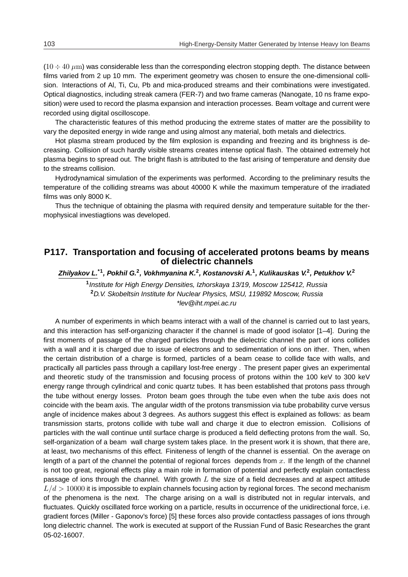$(10 \div 40 \mu m)$  was considerable less than the corresponding electron stopping depth. The distance between films varied from 2 up 10 mm. The experiment geometry was chosen to ensure the one-dimensional collision. Interactions of Al, Ti, Cu, Pb and mica-produced streams and their combinations were investigated. Optical diagnostics, including streak camera (FER-7) and two frame cameras (Nanogate, 10 ns frame exposition) were used to record the plasma expansion and interaction processes. Beam voltage and current were recorded using digital oscilloscope.

The characteristic features of this method producing the extreme states of matter are the possibility to vary the deposited energy in wide range and using almost any material, both metals and dielectrics.

Hot plasma stream produced by the film explosion is expanding and freezing and its brighness is decreasing. Collision of such hardly visible streams creates intense optical flash. The obtained extremely hot plasma begins to spread out. The bright flash is attributed to the fast arising of temperature and density due to the streams collision.

Hydrodynamical simulation of the experiments was performed. According to the preliminary results the temperature of the colliding streams was about 40000 K while the maximum temperature of the irradiated films was only 8000 K.

Thus the technique of obtaining the plasma with required density and temperature suitable for the thermophysical investiagtions was developed.

## **P117. Transportation and focusing of accelerated protons beams by means of dielectric channels**

**Zhilyakov L.\*1, Pokhil G.<sup>2</sup> , Vokhmyanina K.<sup>2</sup> , Kostanovski A.<sup>1</sup> , Kulikauskas V.<sup>2</sup> , Petukhov V.<sup>2</sup>**

**1** Institute for High Energy Densities, Izhorskaya 13/19, Moscow 125412, Russia **<sup>2</sup>**D.V. Skobeltsin Institute for Nuclear Physics, MSU, 119892 Moscow, Russia \*lev@iht.mpei.ac.ru

A number of experiments in which beams interact with a wall of the channel is carried out to last years, and this interaction has self-organizing character if the channel is made of good isolator [1–4]. During the first moments of passage of the charged particles through the dielectric channel the part of ions collides with a wall and it is charged due to issue of electrons and to sedimentation of ions on ither. Then, when the certain distribution of a charge is formed, particles of a beam cease to collide face with walls, and practically all particles pass through a capillary lost-free energy . The present paper gives an experimental and theoretic study of the transmission and focusing process of protons within the 100 keV to 300 keV energy range through cylindrical and conic quartz tubes. It has been established that protons pass through the tube without energy losses. Proton beam goes through the tube even when the tube axis does not coincide with the beam axis. The angular width of the protons transmission via tube probability curve versus angle of incidence makes about 3 degrees. As authors suggest this effect is explained as follows: as beam transmission starts, protons collide with tube wall and charge it due to electron emission. Collisions of particles with the wall continue until surface charge is produced a field deflecting protons from the wall. So, self-organization of a beam wall charge system takes place. In the present work it is shown, that there are, at least, two mechanisms of this effect. Finiteness of length of the channel is essential. On the average on length of a part of the channel the potential of regional forces depends from  $x$ . If the length of the channel is not too great, regional effects play a main role in formation of potential and perfectly explain contactless passage of ions through the channel. With growth  $L$  the size of a field decreases and at aspect attitude  $L/d > 10000$  it is impossible to explain channels focusing action by regional forces. The second mechanism of the phenomena is the next. The charge arising on a wall is distributed not in regular intervals, and fluctuates. Quickly oscillated force working on a particle, results in occurrence of the unidirectional force, i.e. gradient forces (Miller - Gaponov's force) [5] these forces also provide contactless passages of ions through long dielectric channel. The work is executed at support of the Russian Fund of Basic Researches the grant 05-02-16007.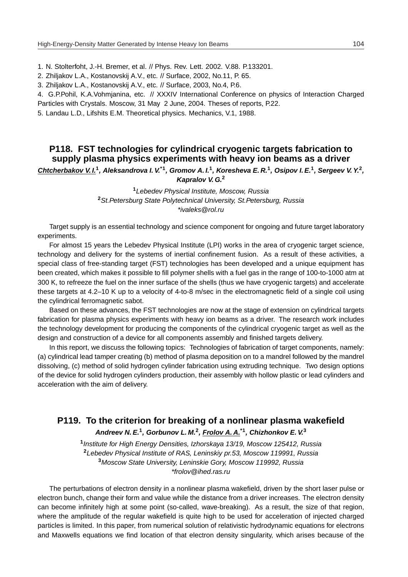- 1. N. Stolterfoht, J.-H. Bremer, et al. // Phys. Rev. Lett. 2002. V.88. P.133201.
- 2. Zhiljakov L.A., Kostanovskij A.V., etc. // Surface, 2002, No.11, P. 65.
- 3. Zhiljakov L.A., Kostanovskij A.V., etc. // Surface, 2003, No.4, P.6.

4. G.P.Pohil, K.A.Vohmjanina, etc. // XXXIV International Conference on physics of Interaction Charged Particles with Crystals. Moscow, 31 May 2 June, 2004. Theses of reports, P.22.

5. Landau L.D., Lifshits E.M. Theoretical physics. Mechanics, V.1, 1988.

# **P118. FST technologies for cylindrical cryogenic targets fabrication to supply plasma physics experiments with heavy ion beams as a driver**

**Chtcherbakov V. I.<sup>1</sup> , Aleksandrova I. V.\*1, Gromov A. I.<sup>1</sup> , Koresheva E. R.<sup>1</sup> , Osipov I. E.<sup>1</sup> , Sergeev V. Y.<sup>2</sup> , Kapralov V. G.<sup>2</sup>**

> **<sup>1</sup>**Lebedev Physical Institute, Moscow, Russia **<sup>2</sup>**St.Petersburg State Polytechnical University, St.Petersburg, Russia \*ivaleks@rol.ru

Target supply is an essential technology and science component for ongoing and future target laboratory experiments.

For almost 15 years the Lebedev Physical Institute (LPI) works in the area of cryogenic target science, technology and delivery for the systems of inertial confinement fusion. As a result of these activities, a special class of free-standing target (FST) technologies has been developed and a unique equipment has been created, which makes it possible to fill polymer shells with a fuel gas in the range of 100-to-1000 atm at 300 K, to refreeze the fuel on the inner surface of the shells (thus we have cryogenic targets) and accelerate these targets at 4.2–10 K up to a velocity of 4-to-8 m/sec in the electromagnetic field of a single coil using the cylindrical ferromagnetic sabot.

Based on these advances, the FST technologies are now at the stage of extension on cylindrical targets fabrication for plasma physics experiments with heavy ion beams as a driver. The research work includes the technology development for producing the components of the cylindrical cryogenic target as well as the design and construction of a device for all components assembly and finished targets delivery.

In this report, we discuss the following topics: Technologies of fabrication of target components, namely: (a) cylindrical lead tamper creating (b) method of plasma deposition on to a mandrel followed by the mandrel dissolving, (c) method of solid hydrogen cylinder fabrication using extruding technique. Two design options of the device for solid hydrogen cylinders production, their assembly with hollow plastic or lead cylinders and acceleration with the aim of delivery.

# **P119. To the criterion for breaking of a nonlinear plasma wakefield Andreev N. E.<sup>1</sup> , Gorbunov L. M.<sup>2</sup> , Frolov A. A.\*1, Chizhonkov E. V.<sup>3</sup>**

 Institute for High Energy Densities, Izhorskaya 13/19, Moscow 125412, Russia Lebedev Physical Institute of RAS, Leninskiy pr.53, Moscow 119991, Russia Moscow State University, Leninskie Gory, Moscow 119992, Russia \*frolov@ihed.ras.ru

The perturbations of electron density in a nonlinear plasma wakefield, driven by the short laser pulse or electron bunch, change their form and value while the distance from a driver increases. The electron density can become infinitely high at some point (so-called, wave-breaking). As a result, the size of that region, where the amplitude of the regular wakefield is quite high to be used for acceleration of injected charged particles is limited. In this paper, from numerical solution of relativistic hydrodynamic equations for electrons and Maxwells equations we find location of that electron density singularity, which arises because of the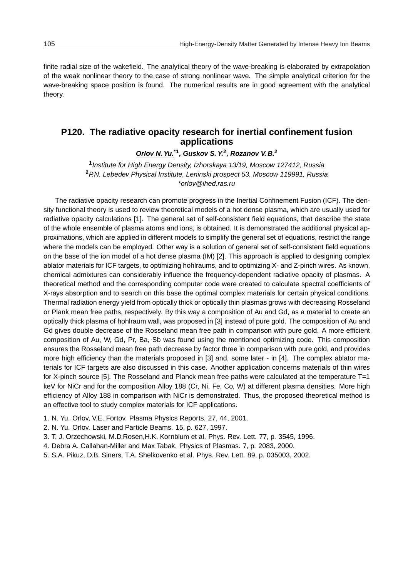finite radial size of the wakefield. The analytical theory of the wave-breaking is elaborated by extrapolation of the weak nonlinear theory to the case of strong nonlinear wave. The simple analytical criterion for the wave-breaking space position is found. The numerical results are in good agreement with the analytical theory.

## **P120. The radiative opacity research for inertial confinement fusion applications**

**Orlov N. Yu.\*1, Guskov S. Y.<sup>2</sup> , Rozanov V. B.<sup>2</sup>**

**1** Institute for High Energy Density, Izhorskaya 13/19, Moscow 127412, Russia **<sup>2</sup>**P.N. Lebedev Physical Institute, Leninski prospect 53, Moscow 119991, Russia \*orlov@ihed.ras.ru

The radiative opacity research can promote progress in the Inertial Confinement Fusion (ICF). The density functional theory is used to review theoretical models of a hot dense plasma, which are usually used for radiative opacity calculations [1]. The general set of self-consistent field equations, that describe the state of the whole ensemble of plasma atoms and ions, is obtained. It is demonstrated the additional physical approximations, which are applied in different models to simplify the general set of equations, restrict the range where the models can be employed. Other way is a solution of general set of self-consistent field equations on the base of the ion model of a hot dense plasma (IM) [2]. This approach is applied to designing complex ablator materials for ICF targets, to optimizing hohlraums, and to optimizing X- and Z-pinch wires. As known, chemical admixtures can considerably influence the frequency-dependent radiative opacity of plasmas. A theoretical method and the corresponding computer code were created to calculate spectral coefficients of X-rays absorption and to search on this base the optimal complex materials for certain physical conditions. Thermal radiation energy yield from optically thick or optically thin plasmas grows with decreasing Rosseland or Plank mean free paths, respectively. By this way a composition of Au and Gd, as a material to create an optically thick plasma of hohlraum wall, was proposed in [3] instead of pure gold. The composition of Au and Gd gives double decrease of the Rosseland mean free path in comparison with pure gold. A more efficient composition of Au, W, Gd, Pr, Ba, Sb was found using the mentioned optimizing code. This composition ensures the Rosseland mean free path decrease by factor three in comparison with pure gold, and provides more high efficiency than the materials proposed in [3] and, some later - in [4]. The complex ablator materials for ICF targets are also discussed in this case. Another application concerns materials of thin wires for X-pinch source [5]. The Rosseland and Planck mean free paths were calculated at the temperature T=1 keV for NiCr and for the composition Alloy 188 (Cr, Ni, Fe, Co, W) at different plasma densities. More high efficiency of Alloy 188 in comparison with NiCr is demonstrated. Thus, the proposed theoretical method is an effective tool to study complex materials for ICF applications.

- 1. N. Yu. Orlov, V.E. Fortov. Plasma Physics Reports. 27, 44, 2001.
- 2. N. Yu. Orlov. Laser and Particle Beams. 15, p. 627, 1997.
- 3. T. J. Orzechowski, M.D.Rosen,H.K. Kornblum et al. Phys. Rev. Lett. 77, p. 3545, 1996.
- 4. Debra A. Callahan-Miller and Max Tabak. Physics of Plasmas. 7, p. 2083, 2000.
- 5. S.A. Pikuz, D.B. Siners, T.A. Shelkovenko et al. Phys. Rev. Lett. 89, p. 035003, 2002.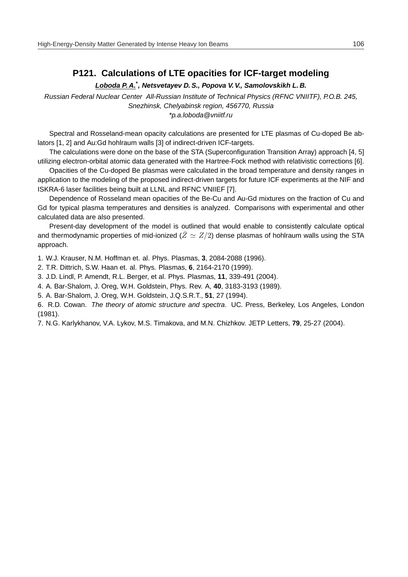# **P121. Calculations of LTE opacities for ICF-target modeling**

#### **Loboda P. A.\* , Netsvetayev D. S., Popova V. V., Samolovskikh L. B.**

Russian Federal Nuclear Center All-Russian Institute of Technical Physics (RFNC VNIITF), P.O.B. 245, Snezhinsk, Chelyabinsk region, 456770, Russia \*p.a.loboda@vniitf.ru

Spectral and Rosseland-mean opacity calculations are presented for LTE plasmas of Cu-doped Be ablators [1, 2] and Au:Gd hohlraum walls [3] of indirect-driven ICF-targets.

The calculations were done on the base of the STA (Superconfiguration Transition Array) approach [4, 5] utilizing electron-orbital atomic data generated with the Hartree-Fock method with relativistic corrections [6].

Opacities of the Cu-doped Be plasmas were calculated in the broad temperature and density ranges in application to the modeling of the proposed indirect-driven targets for future ICF experiments at the NIF and ISKRA-6 laser facilities being built at LLNL and RFNC VNIIEF [7].

Dependence of Rosseland mean opacities of the Be-Cu and Au-Gd mixtures on the fraction of Cu and Gd for typical plasma temperatures and densities is analyzed. Comparisons with experimental and other calculated data are also presented.

Present-day development of the model is outlined that would enable to consistently calculate optical and thermodynamic properties of mid-ionized ( $\bar{Z} \simeq Z/2$ ) dense plasmas of hohlraum walls using the STA approach.

1. W.J. Krauser, N.M. Hoffman et. al. Phys. Plasmas, **3**, 2084-2088 (1996).

2. T.R. Dittrich, S.W. Haan et. al. Phys. Plasmas, **6**, 2164-2170 (1999).

3. J.D. Lindl, P. Amendt, R.L. Berger, et al. Phys. Plasmas, **11**, 339-491 (2004).

4. A. Bar-Shalom, J. Oreg, W.H. Goldstein, Phys. Rev. A, **40**, 3183-3193 (1989).

5. A. Bar-Shalom, J. Oreg, W.H. Goldstein, J.Q.S.R.T., **51**, 27 (1994).

6. R.D. Cowan. The theory of atomic structure and spectra. UC. Press, Berkeley, Los Angeles, London (1981).

7. N.G. Karlykhanov, V.A. Lykov, M.S. Timakova, and M.N. Chizhkov. JETP Letters, **79**, 25-27 (2004).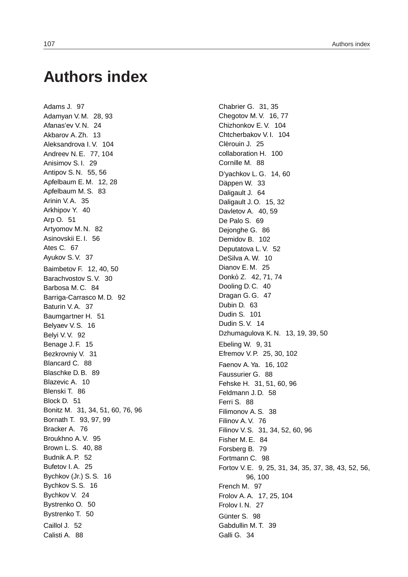# **Authors index**

Adams J. 97 Adamyan V. M. 28, 93 Afanas'ev V. N. 24 Akbarov A. Zh. 13 Aleksandrova I. V. 104 Andreev N. E. 77, 104 Anisimov S. I. 29 Antipov S. N. 55, 56 Apfelbaum E. M. 12, 28 Apfelbaum M. S. 83 Arinin V. A. 35 Arkhipov Y. 40 Arp O. 51 Artyomov M. N. 82 Asinovskii E. I. 56 Ates C. 67 Ayukov S. V. 37 Baimbetov F. 12, 40, 50 Barachvostov S. V. 30 Barbosa M. C. 84 Barriga-Carrasco M. D. 92 Baturin V. A. 37 Baumgartner H. 51 Belyaev V. S. 16 Belyi V. V. 92 Benage J. F. 15 Bezkrovniy V. 31 Blancard C. 88 Blaschke D. B. 89 Blazevic A. 10 Blenski T. 86 Block D. 51 Bonitz M. 31, 34, 51, 60, 76, 96 Bornath T. 93, 97, 99 Bracker A. 76 Broukhno A. V. 95 Brown L. S. 40, 88 Budnik A. P. 52 Bufetov I. A. 25 Bychkov (Jr.) S. S. 16 Bychkov S. S. 16 Bychkov V. 24 Bystrenko O. 50 Bystrenko T. 50 Caillol J. 52 Calisti A. 88

Chabrier G. 31, 35 Chegotov M. V. 16, 77 Chizhonkov E. V. 104 Chtcherbakov V. I. 104 Clérouin J. 25 collaboration H. 100 Cornille M. 88 D'yachkov L. G. 14, 60 Däppen W. 33 Daligault J. 64 Daligault J. O. 15, 32 Davletov A. 40, 59 De Palo S. 69 Dejonghe G. 86 Demidov B. 102 Deputatova L. V. 52 DeSilva A. W. 10 Dianov E. M. 25 Donko Z. 42, 71, 74 ` Dooling D.C. 40 Dragan G. G. 47 Dubin D. 63 Dudin S. 101 Dudin S. V. 14 Dzhumagulova K. N. 13, 19, 39, 50 Ebeling W. 9, 31 Efremov V. P. 25, 30, 102 Faenov A. Ya. 16, 102 Faussurier G. 88 Fehske H. 31, 51, 60, 96 Feldmann J. D. 58 Ferri S. 88 Filimonov A. S. 38 Filinov A. V. 76 Filinov V. S. 31, 34, 52, 60, 96 Fisher M. E. 84 Forsberg B. 79 Fortmann C. 98 Fortov V. E. 9, 25, 31, 34, 35, 37, 38, 43, 52, 56, 96, 100 French M. 97 Frolov A. A. 17, 25, 104 Frolov I. N. 27 Günter S. 98 Gabdullin M. T. 39 Galli G. 34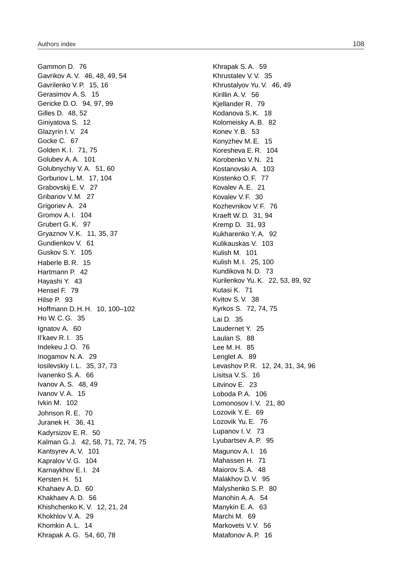Gammon D. 76 Gavrikov A. V. 46, 48, 49, 54 Gavrilenko V. P. 15, 16 Gerasimov A. S. 15 Gericke D. O. 94, 97, 99 Gilles D. 48, 52 Giniyatova S. 12 Glazyrin I. V. 24 Gocke C. 67 Golden K. I. 71, 75 Golubev A. A. 101 Golubnychiy V. A. 51, 60 Gorbunov L. M. 17, 104 Grabovskij E. V. 27 Gribanov V. M. 27 Grigoriev A. 24 Gromov A. I. 104 Grubert G. K. 97 Gryaznov V. K. 11, 35, 37 Gundienkov V. 61 Guskov S. Y. 105 Haberle B. R. 15 Hartmann P. 42 Hayashi Y. 43 Hensel F. 79 Hilse P. 93 Hoffmann D. H. H. 10, 100–102 Ho W. C. G. 35 Ignatov A. 60 Il'kaev R. I. 35 Indekeu J. O. 76 Inogamov N. A. 29 Iosilevskiy I. L. 35, 37, 73 Ivanenko S. A. 66 Ivanov A. S. 48, 49 Ivanov V. A. 15 Ivkin M. 102 Johnson R. E. 70 Juranek H. 36, 41 Kadyrsizov E. R. 50 Kalman G. J. 42, 58, 71, 72, 74, 75 Kantsyrev A. V. 101 Kapralov V. G. 104 Karnaykhov E. I. 24 Kersten H. 51 Khahaev A. D. 60 Khakhaev A. D. 56 Khishchenko K. V. 12, 21, 24 Khokhlov V. A. 29 Khomkin A. L. 14 Khrapak A. G. 54, 60, 78

Khrapak S. A. 59 Khrustalev V. V. 35 Khrustalyov Yu. V. 46, 49 Kirillin A. V. 56 Kjellander R. 79 Kodanova S. K. 18 Kolomeisky A. B. 82 Konev Y. B. 53 Konyzhev M. E. 15 Koresheva E. R. 104 Korobenko V. N. 21 Kostanovski A. 103 Kostenko O. F. 77 Kovalev A. E. 21 Kovalev V. F. 30 Kozhevnikov V. F. 76 Kraeft W. D. 31, 94 Kremp D. 31, 93 Kukharenko Y. A. 92 Kulikauskas V. 103 Kulish M. 101 Kulish M. I. 25, 100 Kundikova N. D. 73 Kurilenkov Yu. K. 22, 53, 89, 92 Kutasi K. 71 Kvitov S. V. 38 Kyrkos S. 72, 74, 75 Lai D. 35 Laudernet Y. 25 Laulan S. 88 Lee M. H. 85 Lenglet A. 89 Levashov P. R. 12, 24, 31, 34, 96 Lisitsa V. S. 16 Litvinov E. 23 Loboda P. A. 106 Lomonosov I. V. 21, 80 Lozovik Y. E. 69 Lozovik Yu. E. 76 Lupanov I. V. 73 Lyubartsev A. P. 95 Magunov A. I. 16 Mahassen H. 71 Maiorov S. A. 48 Malakhov D. V. 95 Malyshenko S. P. 80 Manohin A. A. 54 Manykin E. A. 63 Marchi M. 69 Markovets V.V. 56 Matafonov A. P. 16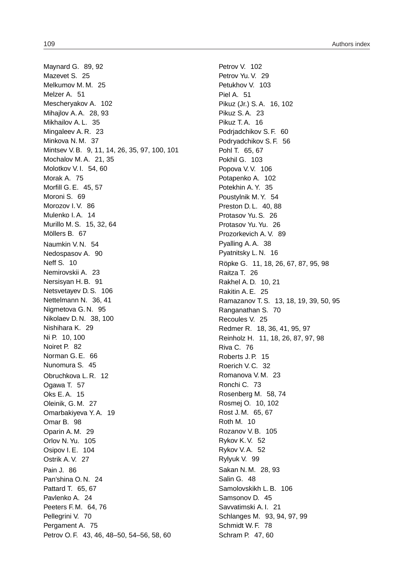Maynard G. 89, 92 Mazevet S. 25 Melkumov M. M. 25 Melzer A. 51 Mescheryakov A. 102 Mihajlov A. A. 28, 93 Mikhailov A. L. 35 Mingaleev A. R. 23 Minkova N. M. 37 Mintsev V. B. 9, 11, 14, 26, 35, 97, 100, 101 Mochalov M. A. 21, 35 Molotkov V. I. 54, 60 Morak A. 75 Morfill G. E. 45, 57 Moroni S. 69 Morozov I. V. 86 Mulenko I. A. 14 Murillo M. S. 15, 32, 64 Möllers B. 67 Naumkin V. N. 54 Nedospasov A. 90 Neff S. 10 Nemirovskii A. 23 Nersisyan H. B. 91 Netsvetayev D. S. 106 Nettelmann N. 36, 41 Nigmetova G. N. 95 Nikolaev D. N. 38, 100 Nishihara K. 29 Ni P. 10, 100 Noiret P. 82 Norman G. E. 66 Nunomura S. 45 Obruchkova L. R. 12 Ogawa T. 57 Oks E. A. 15 Oleinik, G. M. 27 Omarbakiyeva Y. A. 19 Omar B. 98 Oparin A. M. 29 Orlov N. Yu. 105 Osipov I. E. 104 Ostrik A. V. 27 Pain J. 86 Pan'shina O. N. 24 Pattard T. 65, 67 Pavlenko A. 24 Peeters F. M. 64, 76 Pellegrini V. 70 Pergament A. 75 Petrov O. F. 43, 46, 48–50, 54–56, 58, 60

Petrov V. 102 Petrov Yu. V. 29 Petukhov V. 103 Piel A. 51 Pikuz (Jr.) S. A. 16, 102 Pikuz S. A. 23 Pikuz T. A. 16 Podrjadchikov S. F. 60 Podryadchikov S. F. 56 Pohl T. 65, 67 Pokhil G. 103 Popova V.V. 106 Potapenko A. 102 Potekhin A. Y. 35 Poustylnik M. Y. 54 Preston D. L. 40, 88 Protasov Yu. S. 26 Protasov Yu. Yu. 26 Prozorkevich A. V. 89 Pyalling A. A. 38 Pyatnitsky L. N. 16 Röpke G. 11, 18, 26, 67, 87, 95, 98 Raitza T. 26 Rakhel A. D. 10, 21 Rakitin A. E. 25 Ramazanov T. S. 13, 18, 19, 39, 50, 95 Ranganathan S. 70 Recoules V. 25 Redmer R. 18, 36, 41, 95, 97 Reinholz H. 11, 18, 26, 87, 97, 98 Riva C. 76 Roberts J. P. 15 Roerich V. C. 32 Romanova V. M. 23 Ronchi C. 73 Rosenberg M. 58, 74 Rosmej O. 10, 102 Rost J. M. 65, 67 Roth M. 10 Rozanov V. B. 105 Rykov K. V. 52 Rykov V. A. 52 Rylyuk V. 99 Sakan N. M. 28, 93 Salin G. 48 Samolovskikh L. B. 106 Samsonov D. 45 Savvatimski A. I. 21 Schlanges M. 93, 94, 97, 99 Schmidt W. F. 78 Schram P. 47, 60